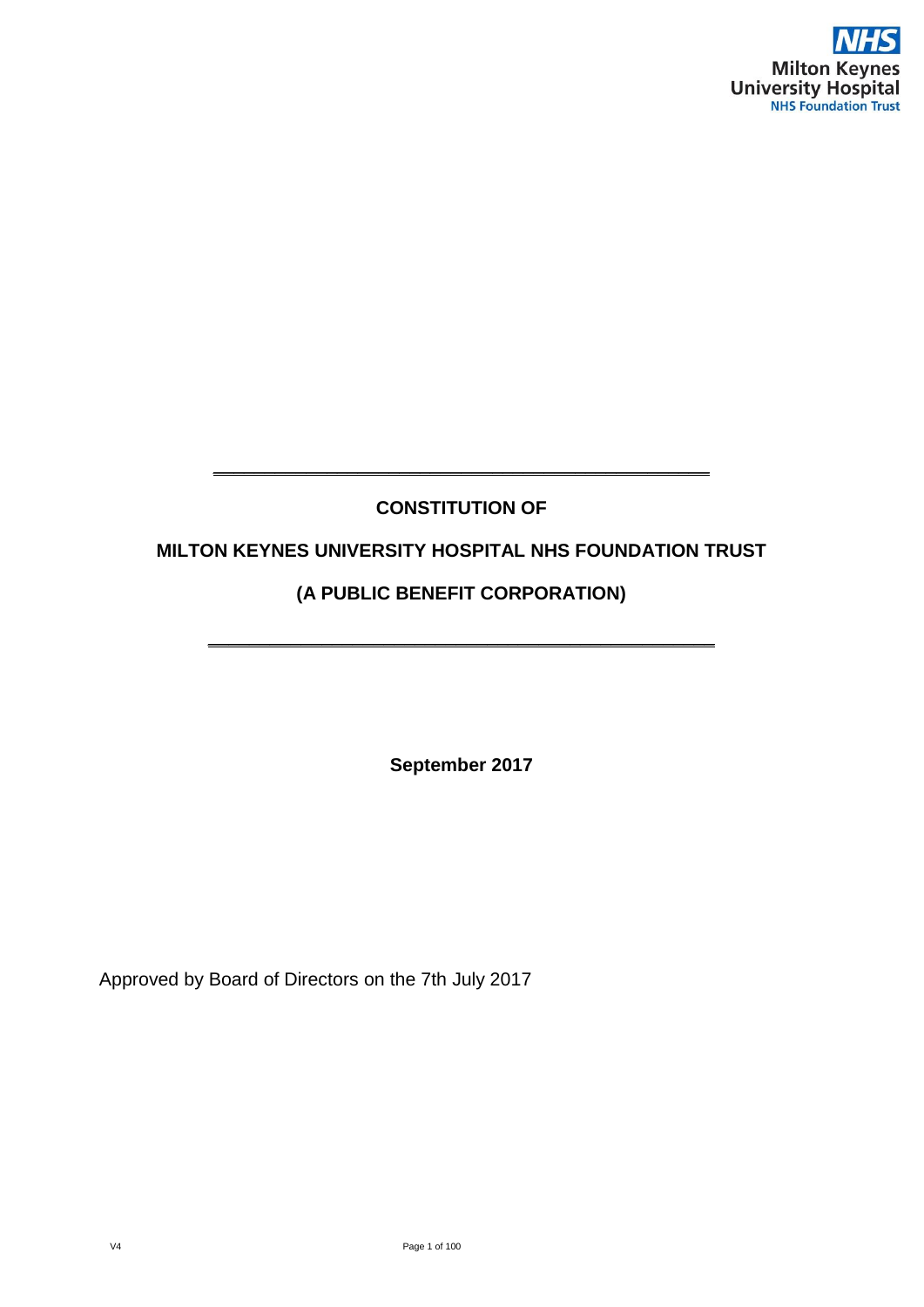

### **CONSTITUTION OF**

**\_\_\_\_\_\_\_\_\_\_\_\_\_\_\_\_\_\_\_\_\_\_\_\_\_\_\_\_\_\_\_\_\_\_\_\_\_\_\_\_\_\_\_\_\_\_\_\_**

#### **MILTON KEYNES UNIVERSITY HOSPITAL NHS FOUNDATION TRUST**

### **(A PUBLIC BENEFIT CORPORATION)**

**\_\_\_\_\_\_\_\_\_\_\_\_\_\_\_\_\_\_\_\_\_\_\_\_\_\_\_\_\_\_\_\_\_\_\_\_\_\_\_\_\_\_\_\_\_\_\_\_\_**

**September 2017**

Approved by Board of Directors on the 7th July 2017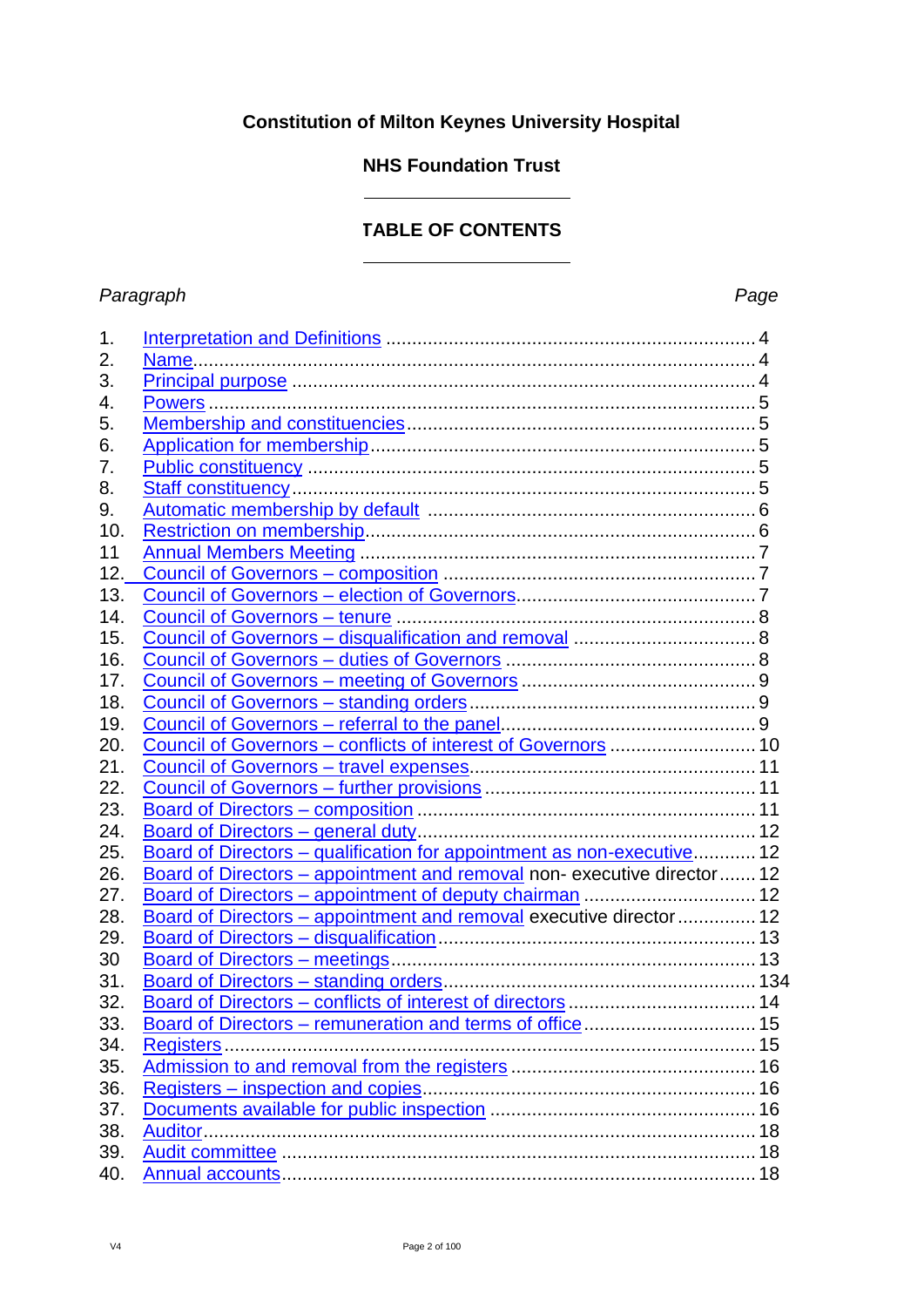### **Constitution of Milton Keynes University Hospital**

### **NHS Foundation Trust**

### **TABLE OF CONTENTS**

#### *Paragraph Page*

| 1.  |                                                                        |  |
|-----|------------------------------------------------------------------------|--|
| 2.  |                                                                        |  |
| 3.  |                                                                        |  |
| 4.  |                                                                        |  |
| 5.  |                                                                        |  |
| 6.  |                                                                        |  |
| 7.  |                                                                        |  |
| 8.  |                                                                        |  |
| 9.  |                                                                        |  |
| 10. |                                                                        |  |
| 11  |                                                                        |  |
| 12. |                                                                        |  |
| 13. |                                                                        |  |
| 14. |                                                                        |  |
| 15. |                                                                        |  |
| 16. |                                                                        |  |
| 17. |                                                                        |  |
| 18. |                                                                        |  |
| 19. |                                                                        |  |
| 20. | Council of Governors - conflicts of interest of Governors  10          |  |
| 21. |                                                                        |  |
| 22. |                                                                        |  |
| 23. |                                                                        |  |
| 24. |                                                                        |  |
| 25. | Board of Directors - qualification for appointment as non-executive 12 |  |
| 26. | Board of Directors - appointment and removal non-executive director 12 |  |
| 27. |                                                                        |  |
| 28. | Board of Directors - appointment and removal executive director  12    |  |
| 29. |                                                                        |  |
| 30  |                                                                        |  |
| 31. |                                                                        |  |
| 32. |                                                                        |  |
| 33. |                                                                        |  |
| 34. |                                                                        |  |
| 35. |                                                                        |  |
| 36. |                                                                        |  |
| 37. |                                                                        |  |
| 38. |                                                                        |  |
| 39. |                                                                        |  |
| 40. |                                                                        |  |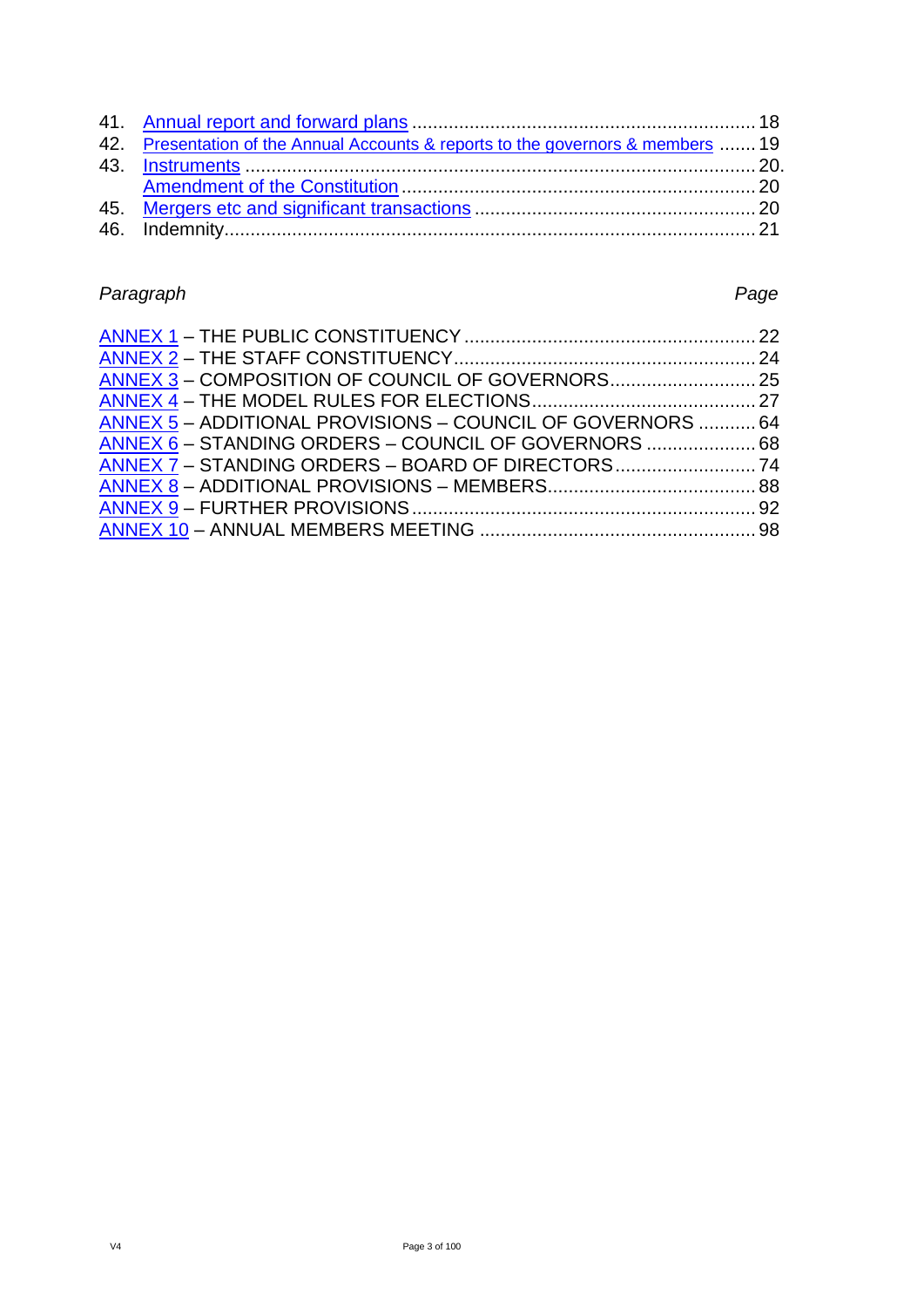| 42. Presentation of the Annual Accounts & reports to the governors & members  19 |  |
|----------------------------------------------------------------------------------|--|
|                                                                                  |  |
|                                                                                  |  |
|                                                                                  |  |
|                                                                                  |  |
|                                                                                  |  |

# *Paragraph Page*

| ANNEX 5 - ADDITIONAL PROVISIONS - COUNCIL OF GOVERNORS  64 |  |
|------------------------------------------------------------|--|
|                                                            |  |
|                                                            |  |
|                                                            |  |
|                                                            |  |
|                                                            |  |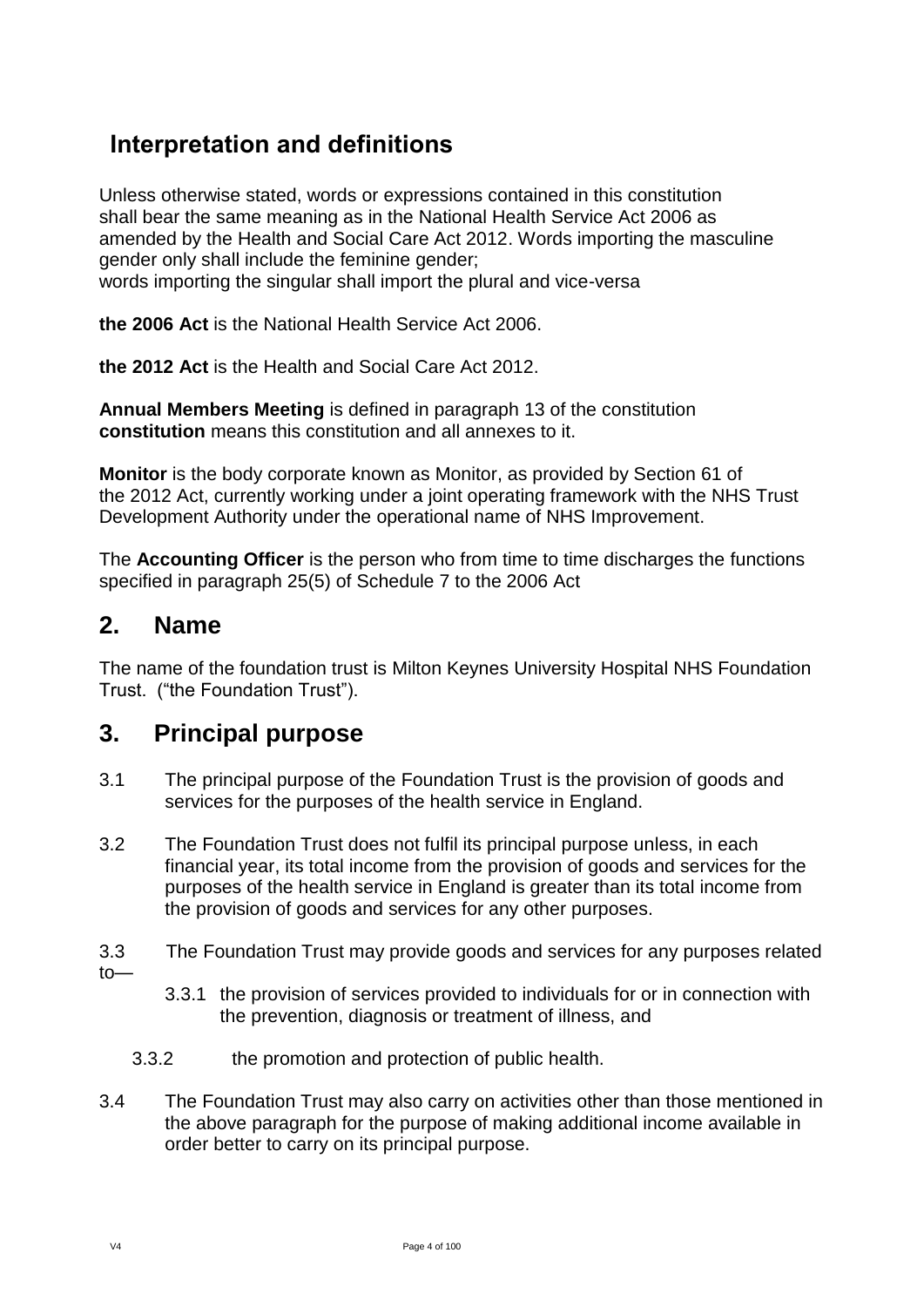# <span id="page-3-0"></span>**Interpretation and definitions**

Unless otherwise stated, words or expressions contained in this constitution shall bear the same meaning as in the National Health Service Act 2006 as amended by the Health and Social Care Act 2012. Words importing the masculine gender only shall include the feminine gender; words importing the singular shall import the plural and vice-versa

**the 2006 Act** is the National Health Service Act 2006.

**the 2012 Act** is the Health and Social Care Act 2012.

**Annual Members Meeting** is defined in paragraph 13 of the constitution **constitution** means this constitution and all annexes to it.

**Monitor** is the body corporate known as Monitor, as provided by Section 61 of the 2012 Act, currently working under a joint operating framework with the NHS Trust Development Authority under the operational name of NHS Improvement.

The **Accounting Officer** is the person who from time to time discharges the functions specified in paragraph 25(5) of Schedule 7 to the 2006 Act

### <span id="page-3-1"></span>**2. Name**

The name of the foundation trust is Milton Keynes University Hospital NHS Foundation Trust. ("the Foundation Trust").

### <span id="page-3-2"></span>**3. Principal purpose**

- 3.1 The principal purpose of the Foundation Trust is the provision of goods and services for the purposes of the health service in England.
- 3.2 The Foundation Trust does not fulfil its principal purpose unless, in each financial year, its total income from the provision of goods and services for the purposes of the health service in England is greater than its total income from the provision of goods and services for any other purposes.
- 3.3 The Foundation Trust may provide goods and services for any purposes related to—
	- 3.3.1 the provision of services provided to individuals for or in connection with the prevention, diagnosis or treatment of illness, and
	- 3.3.2 the promotion and protection of public health.
- 3.4 The Foundation Trust may also carry on activities other than those mentioned in the above paragraph for the purpose of making additional income available in order better to carry on its principal purpose.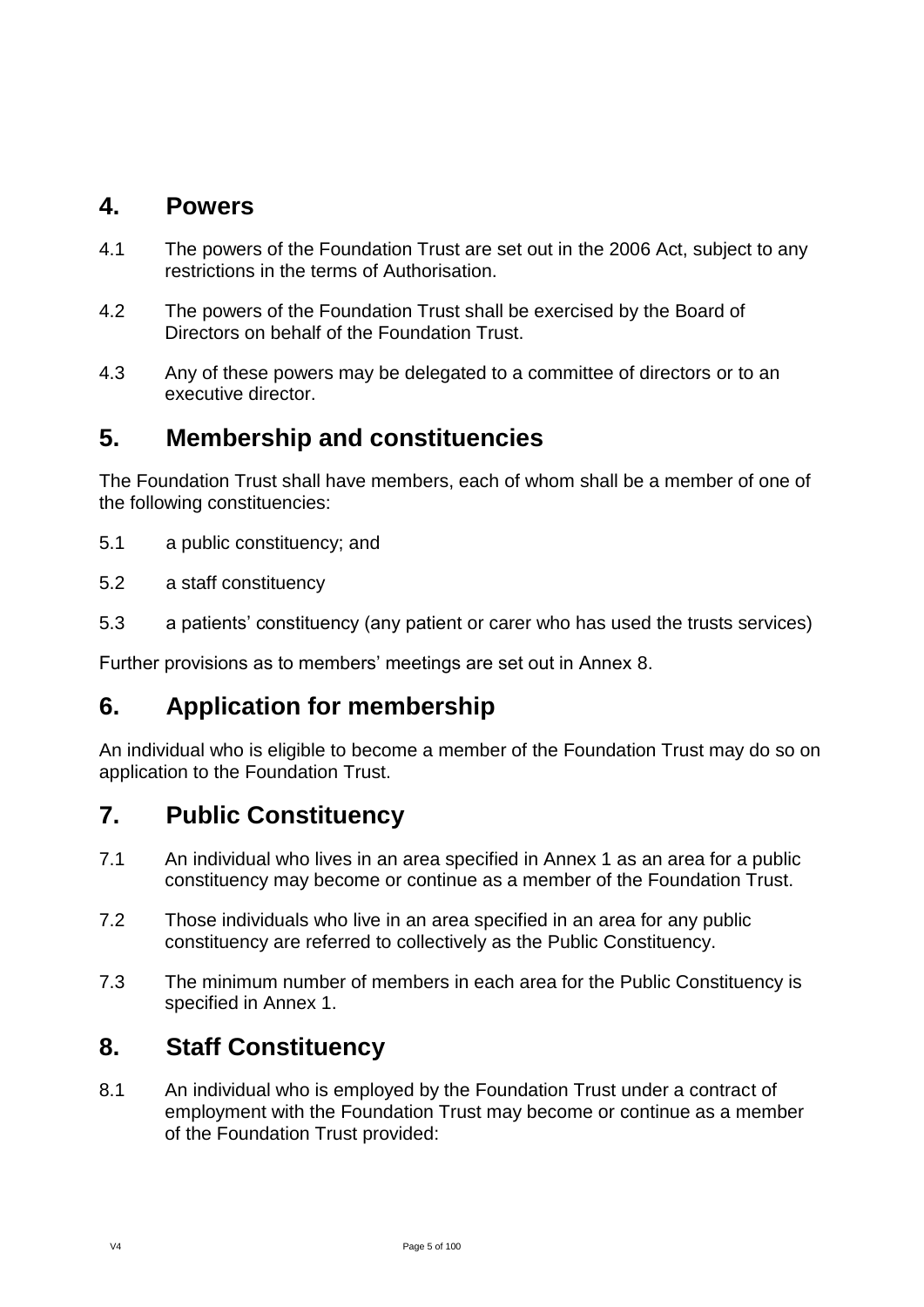### <span id="page-4-0"></span>**4. Powers**

- 4.1 The powers of the Foundation Trust are set out in the 2006 Act, subject to any restrictions in the terms of Authorisation.
- 4.2 The powers of the Foundation Trust shall be exercised by the Board of Directors on behalf of the Foundation Trust.
- 4.3 Any of these powers may be delegated to a committee of directors or to an executive director.

### <span id="page-4-1"></span>**5. Membership and constituencies**

The Foundation Trust shall have members, each of whom shall be a member of one of the following constituencies:

- 5.1 a public constituency; and
- 5.2 a staff constituency
- 5.3 a patients' constituency (any patient or carer who has used the trusts services)

Further provisions as to members' meetings are set out in Annex 8.

### <span id="page-4-2"></span>**6. Application for membership**

An individual who is eligible to become a member of the Foundation Trust may do so on application to the Foundation Trust.

### <span id="page-4-3"></span>**7. Public Constituency**

- 7.1 An individual who lives in an area specified in Annex 1 as an area for a public constituency may become or continue as a member of the Foundation Trust.
- 7.2 Those individuals who live in an area specified in an area for any public constituency are referred to collectively as the Public Constituency.
- 7.3 The minimum number of members in each area for the Public Constituency is specified in Annex 1.

### <span id="page-4-4"></span>**8. Staff Constituency**

8.1 An individual who is employed by the Foundation Trust under a contract of employment with the Foundation Trust may become or continue as a member of the Foundation Trust provided: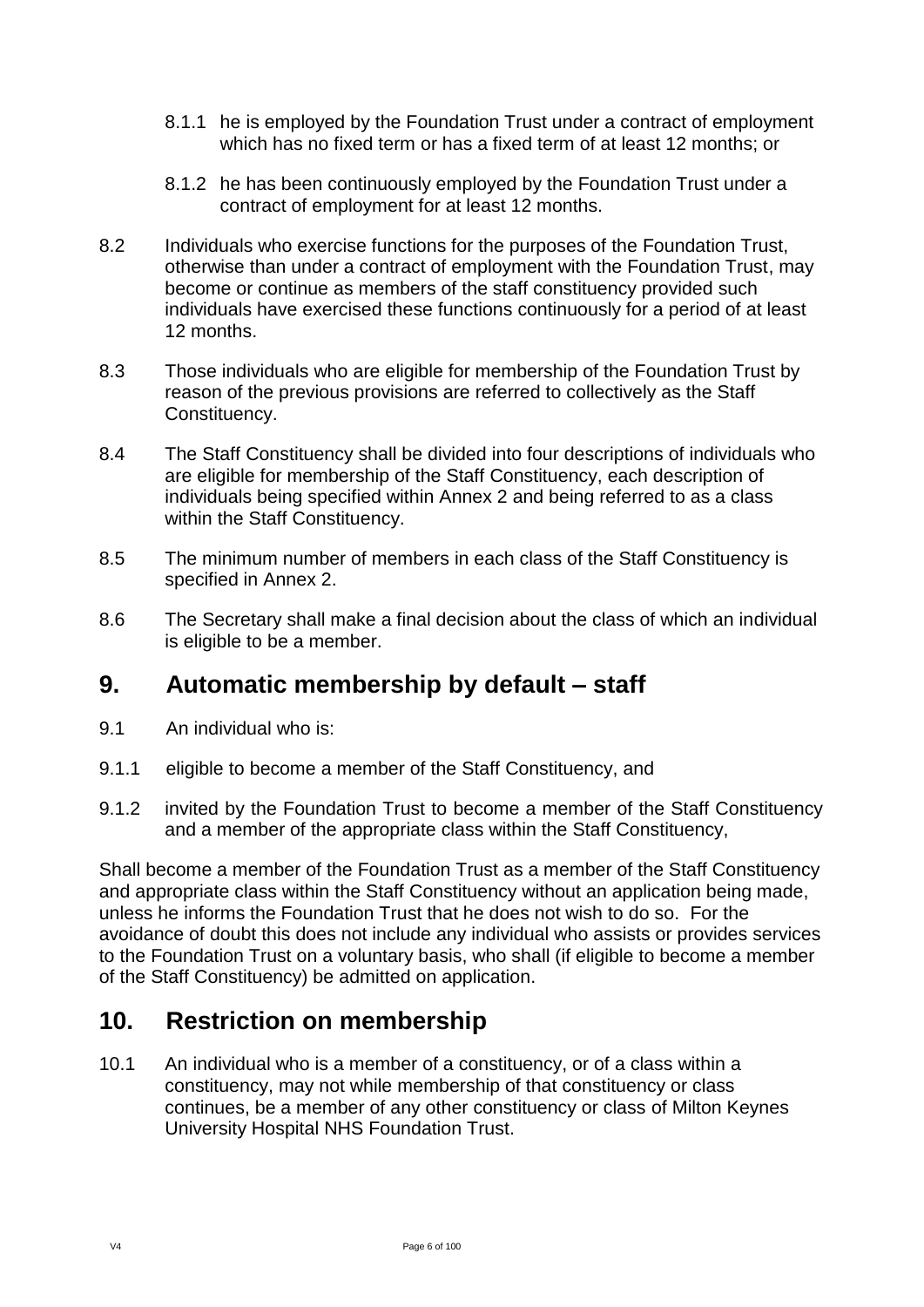- 8.1.1 he is employed by the Foundation Trust under a contract of employment which has no fixed term or has a fixed term of at least 12 months; or
- 8.1.2 he has been continuously employed by the Foundation Trust under a contract of employment for at least 12 months.
- 8.2 Individuals who exercise functions for the purposes of the Foundation Trust, otherwise than under a contract of employment with the Foundation Trust, may become or continue as members of the staff constituency provided such individuals have exercised these functions continuously for a period of at least 12 months.
- 8.3 Those individuals who are eligible for membership of the Foundation Trust by reason of the previous provisions are referred to collectively as the Staff Constituency.
- 8.4 The Staff Constituency shall be divided into four descriptions of individuals who are eligible for membership of the Staff Constituency, each description of individuals being specified within Annex 2 and being referred to as a class within the Staff Constituency.
- 8.5 The minimum number of members in each class of the Staff Constituency is specified in Annex 2.
- 8.6 The Secretary shall make a final decision about the class of which an individual is eligible to be a member.

# <span id="page-5-0"></span>**9. Automatic membership by default – staff**

- 9.1 An individual who is:
- 9.1.1 eligible to become a member of the Staff Constituency, and
- 9.1.2 invited by the Foundation Trust to become a member of the Staff Constituency and a member of the appropriate class within the Staff Constituency,

Shall become a member of the Foundation Trust as a member of the Staff Constituency and appropriate class within the Staff Constituency without an application being made, unless he informs the Foundation Trust that he does not wish to do so. For the avoidance of doubt this does not include any individual who assists or provides services to the Foundation Trust on a voluntary basis, who shall (if eligible to become a member of the Staff Constituency) be admitted on application.

### <span id="page-5-1"></span>**10. Restriction on membership**

10.1 An individual who is a member of a constituency, or of a class within a constituency, may not while membership of that constituency or class continues, be a member of any other constituency or class of Milton Keynes University Hospital NHS Foundation Trust.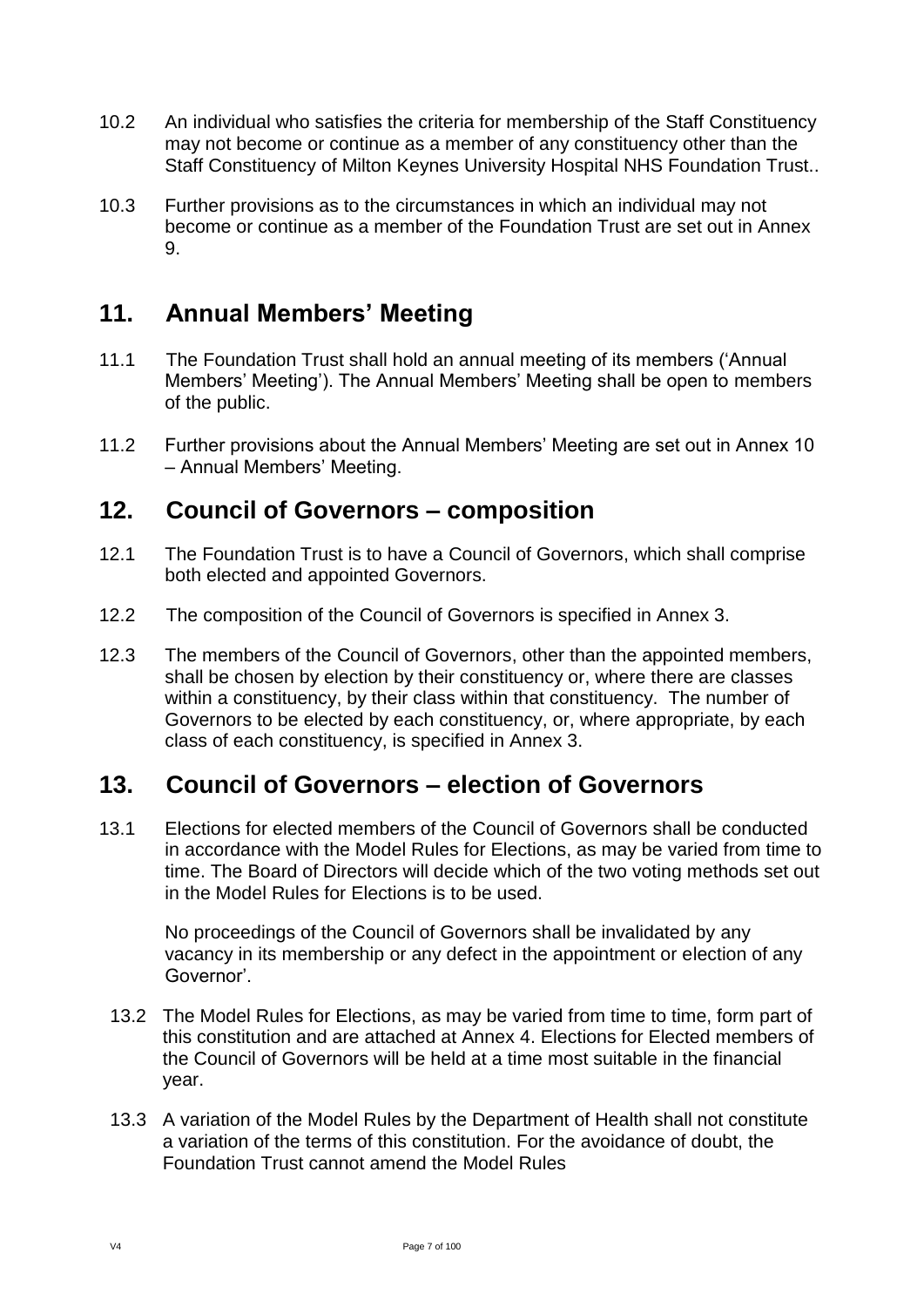- 10.2 An individual who satisfies the criteria for membership of the Staff Constituency may not become or continue as a member of any constituency other than the Staff Constituency of Milton Keynes University Hospital NHS Foundation Trust..
- 10.3 Further provisions as to the circumstances in which an individual may not become or continue as a member of the Foundation Trust are set out in Annex 9.

# <span id="page-6-0"></span>**11. Annual Members' Meeting**

- 11.1 The Foundation Trust shall hold an annual meeting of its members ('Annual Members' Meeting'). The Annual Members' Meeting shall be open to members of the public.
- 11.2 Further provisions about the Annual Members' Meeting are set out in Annex 10 – Annual Members' Meeting.

### <span id="page-6-1"></span>**12. Council of Governors – composition**

- 12.1 The Foundation Trust is to have a Council of Governors, which shall comprise both elected and appointed Governors.
- 12.2 The composition of the Council of Governors is specified in Annex 3.
- 12.3 The members of the Council of Governors, other than the appointed members, shall be chosen by election by their constituency or, where there are classes within a constituency, by their class within that constituency. The number of Governors to be elected by each constituency, or, where appropriate, by each class of each constituency, is specified in Annex 3.

### <span id="page-6-2"></span>**13. Council of Governors – election of Governors**

13.1 Elections for elected members of the Council of Governors shall be conducted in accordance with the Model Rules for Elections, as may be varied from time to time. The Board of Directors will decide which of the two voting methods set out in the Model Rules for Elections is to be used.

No proceedings of the Council of Governors shall be invalidated by any vacancy in its membership or any defect in the appointment or election of any Governor'.

- 13.2 The Model Rules for Elections, as may be varied from time to time, form part of this constitution and are attached at Annex 4. Elections for Elected members of the Council of Governors will be held at a time most suitable in the financial year.
- 13.3 A variation of the Model Rules by the Department of Health shall not constitute a variation of the terms of this constitution. For the avoidance of doubt, the Foundation Trust cannot amend the Model Rules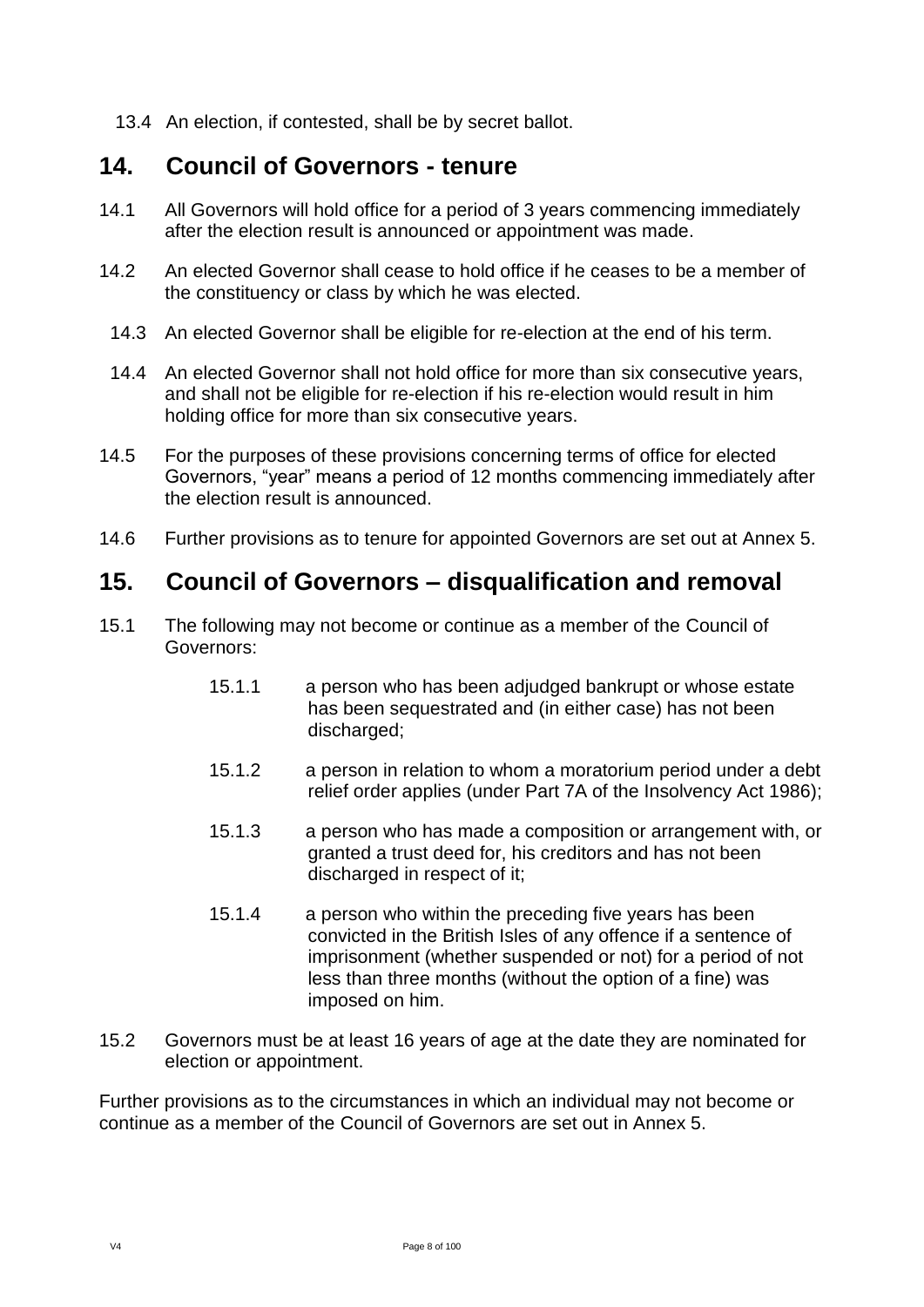13.4 An election, if contested, shall be by secret ballot.

### <span id="page-7-0"></span>**14. Council of Governors - tenure**

- 14.1 All Governors will hold office for a period of 3 years commencing immediately after the election result is announced or appointment was made.
- 14.2 An elected Governor shall cease to hold office if he ceases to be a member of the constituency or class by which he was elected.
	- 14.3 An elected Governor shall be eligible for re-election at the end of his term.
- 14.4 An elected Governor shall not hold office for more than six consecutive years, and shall not be eligible for re-election if his re-election would result in him holding office for more than six consecutive years.
- 14.5 For the purposes of these provisions concerning terms of office for elected Governors, "year" means a period of 12 months commencing immediately after the election result is announced.
- 14.6 Further provisions as to tenure for appointed Governors are set out at Annex 5.

### <span id="page-7-1"></span>**15. Council of Governors – disqualification and removal**

- 15.1 The following may not become or continue as a member of the Council of Governors:
	- 15.1.1 a person who has been adjudged bankrupt or whose estate has been sequestrated and (in either case) has not been discharged;
	- 15.1.2 a person in relation to whom a moratorium period under a debt relief order applies (under Part 7A of the Insolvency Act 1986);
	- 15.1.3 a person who has made a composition or arrangement with, or granted a trust deed for, his creditors and has not been discharged in respect of it;
	- 15.1.4 a person who within the preceding five years has been convicted in the British Isles of any offence if a sentence of imprisonment (whether suspended or not) for a period of not less than three months (without the option of a fine) was imposed on him.
- 15.2 Governors must be at least 16 years of age at the date they are nominated for election or appointment.

Further provisions as to the circumstances in which an individual may not become or continue as a member of the Council of Governors are set out in Annex 5.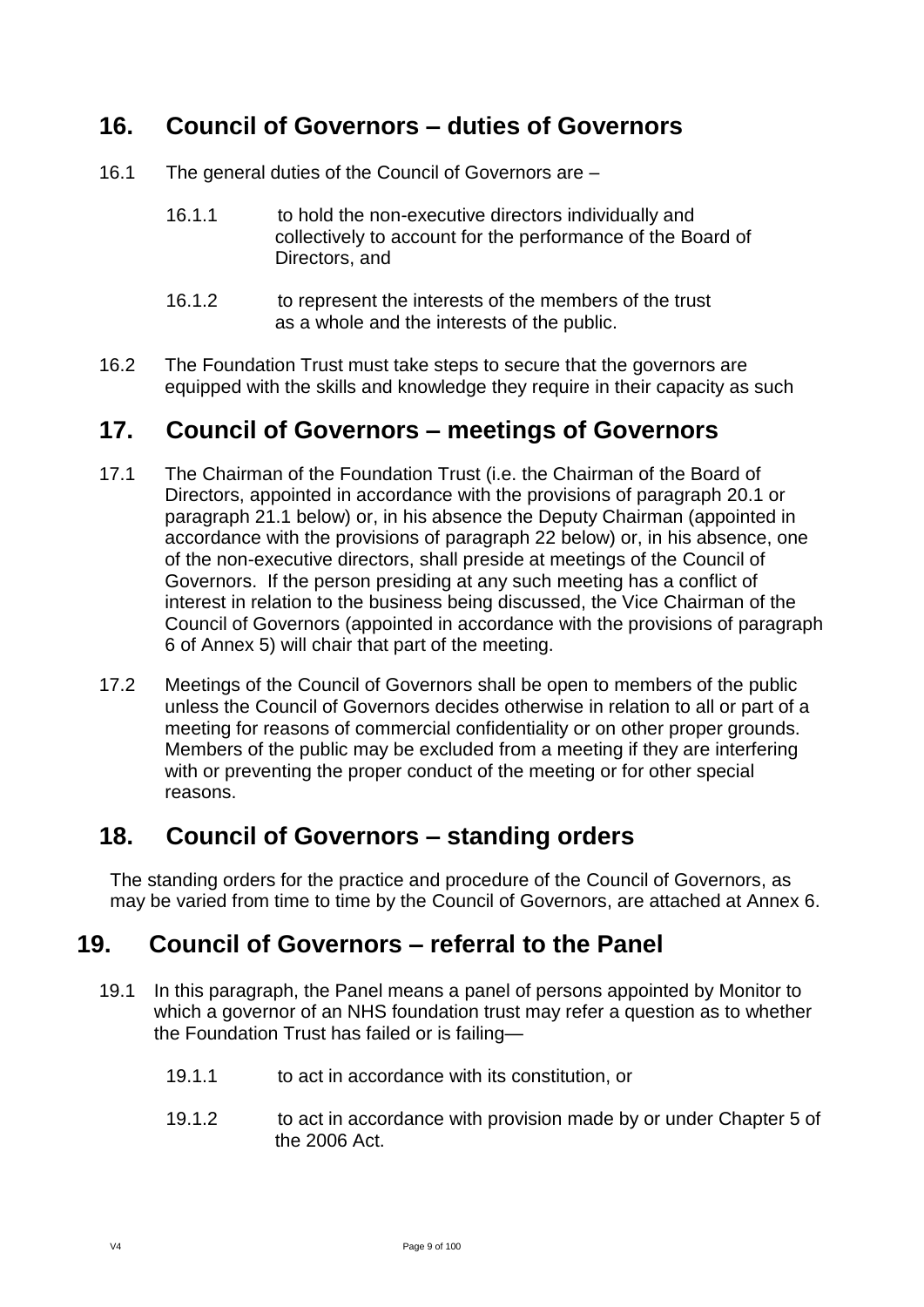# <span id="page-8-0"></span>**16. Council of Governors – duties of Governors**

- 16.1 The general duties of the Council of Governors are
	- 16.1.1 to hold the non-executive directors individually and collectively to account for the performance of the Board of Directors, and
	- 16.1.2 to represent the interests of the members of the trust as a whole and the interests of the public.
- 16.2 The Foundation Trust must take steps to secure that the governors are equipped with the skills and knowledge they require in their capacity as such

# <span id="page-8-1"></span>**17. Council of Governors – meetings of Governors**

- 17.1 The Chairman of the Foundation Trust (i.e. the Chairman of the Board of Directors, appointed in accordance with the provisions of paragraph 20.1 or paragraph 21.1 below) or, in his absence the Deputy Chairman (appointed in accordance with the provisions of paragraph 22 below) or, in his absence, one of the non-executive directors, shall preside at meetings of the Council of Governors. If the person presiding at any such meeting has a conflict of interest in relation to the business being discussed, the Vice Chairman of the Council of Governors (appointed in accordance with the provisions of paragraph 6 of Annex 5) will chair that part of the meeting.
- 17.2 Meetings of the Council of Governors shall be open to members of the public unless the Council of Governors decides otherwise in relation to all or part of a meeting for reasons of commercial confidentiality or on other proper grounds. Members of the public may be excluded from a meeting if they are interfering with or preventing the proper conduct of the meeting or for other special reasons.

### <span id="page-8-2"></span>**18. Council of Governors – standing orders**

The standing orders for the practice and procedure of the Council of Governors, as may be varied from time to time by the Council of Governors, are attached at Annex 6.

### <span id="page-8-3"></span>**19. Council of Governors – referral to the Panel**

- 19.1 In this paragraph, the Panel means a panel of persons appointed by Monitor to which a governor of an NHS foundation trust may refer a question as to whether the Foundation Trust has failed or is failing—
	- 19.1.1 to act in accordance with its constitution, or
	- 19.1.2 to act in accordance with provision made by or under Chapter 5 of the 2006 Act.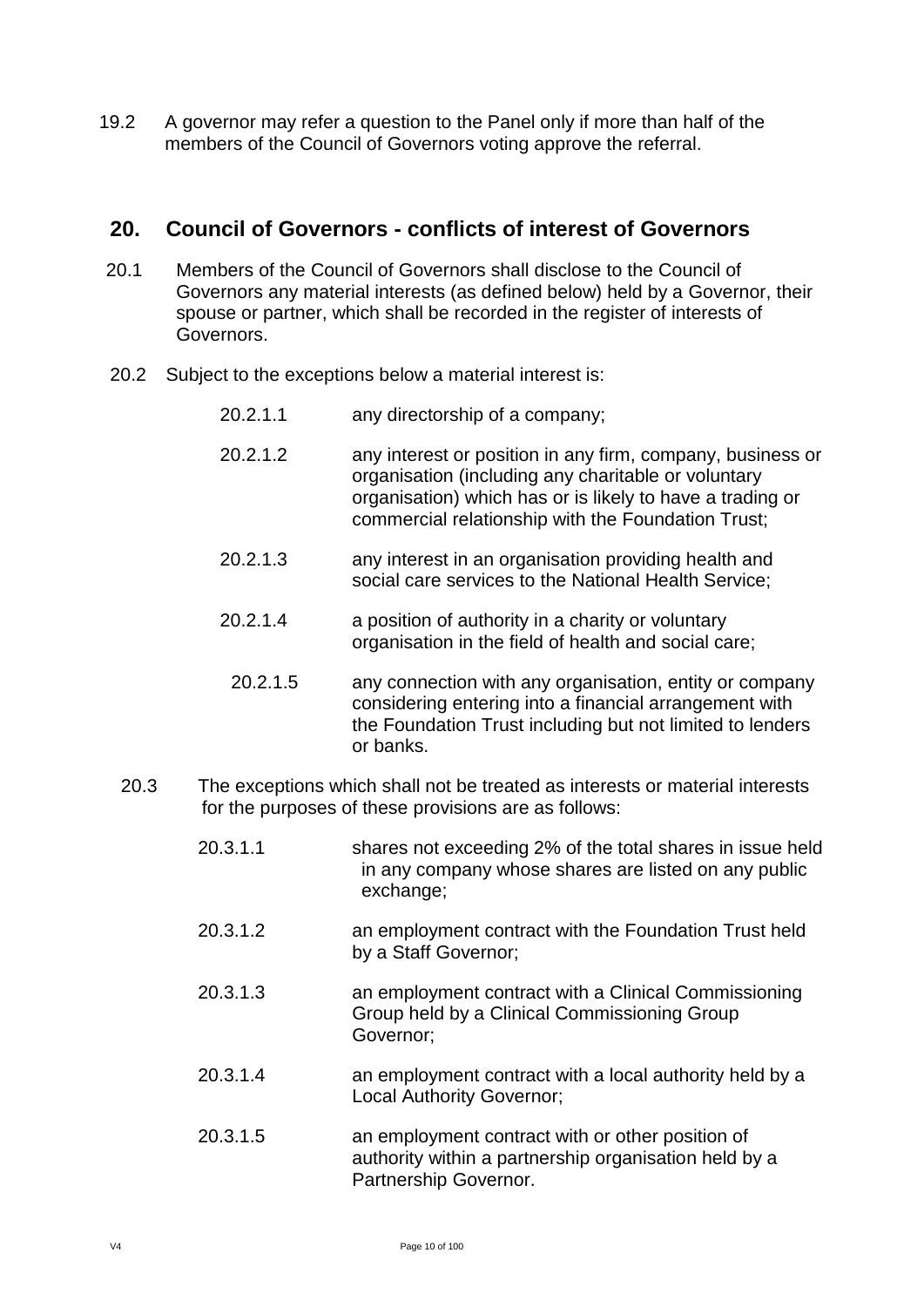19.2 A governor may refer a question to the Panel only if more than half of the members of the Council of Governors voting approve the referral.

#### <span id="page-9-0"></span>**20. Council of Governors - conflicts of interest of Governors**

- 20.1 Members of the Council of Governors shall disclose to the Council of Governors any material interests (as defined below) held by a Governor, their spouse or partner, which shall be recorded in the register of interests of Governors.
- 20.2 Subject to the exceptions below a material interest is:
	- 20.2.1.1 any directorship of a company;
	- 20.2.1.2 any interest or position in any firm, company, business or organisation (including any charitable or voluntary organisation) which has or is likely to have a trading or commercial relationship with the Foundation Trust;
	- 20.2.1.3 any interest in an organisation providing health and social care services to the National Health Service;
	- 20.2.1.4 a position of authority in a charity or voluntary organisation in the field of health and social care;
	- 20.2.1.5 any connection with any organisation, entity or company considering entering into a financial arrangement with the Foundation Trust including but not limited to lenders or banks.
	- 20.3 The exceptions which shall not be treated as interests or material interests for the purposes of these provisions are as follows:
		- 20.3.1.1 shares not exceeding 2% of the total shares in issue held in any company whose shares are listed on any public exchange;
		- 20.3.1.2 an employment contract with the Foundation Trust held by a Staff Governor;
		- 20.3.1.3 an employment contract with a Clinical Commissioning Group held by a Clinical Commissioning Group Governor;
		- 20.3.1.4 an employment contract with a local authority held by a Local Authority Governor;
		- 20.3.1.5 an employment contract with or other position of authority within a partnership organisation held by a Partnership Governor.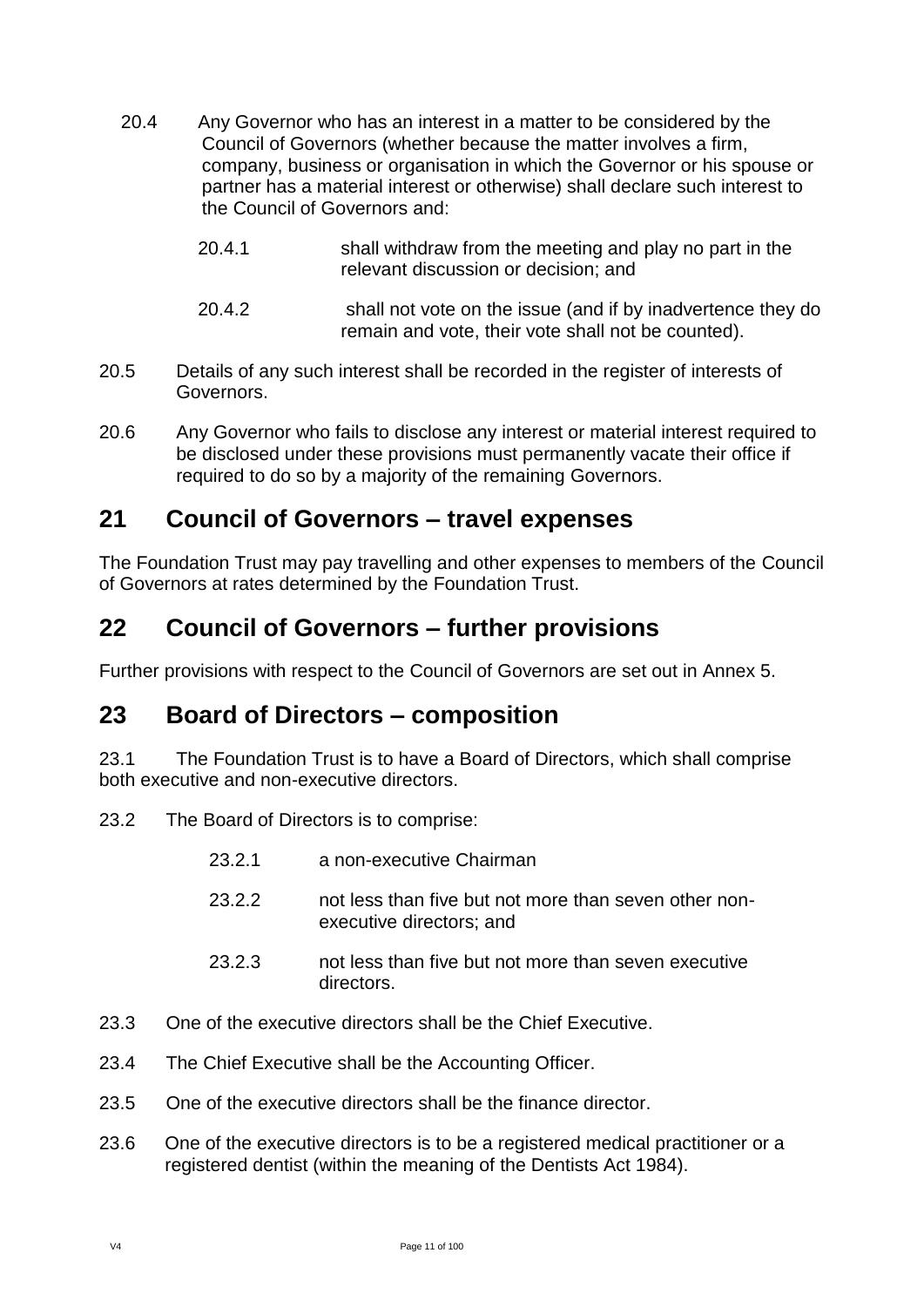- 20.4 Any Governor who has an interest in a matter to be considered by the Council of Governors (whether because the matter involves a firm, company, business or organisation in which the Governor or his spouse or partner has a material interest or otherwise) shall declare such interest to the Council of Governors and:
	- 20.4.1 shall withdraw from the meeting and play no part in the relevant discussion or decision; and
	- 20.4.2 shall not vote on the issue (and if by inadvertence they do remain and vote, their vote shall not be counted).
- 20.5 Details of any such interest shall be recorded in the register of interests of Governors.
- 20.6 Any Governor who fails to disclose any interest or material interest required to be disclosed under these provisions must permanently vacate their office if required to do so by a majority of the remaining Governors.

### <span id="page-10-0"></span>**21 Council of Governors – travel expenses**

The Foundation Trust may pay travelling and other expenses to members of the Council of Governors at rates determined by the Foundation Trust.

# <span id="page-10-1"></span>**22 Council of Governors – further provisions**

Further provisions with respect to the Council of Governors are set out in Annex 5.

### <span id="page-10-2"></span>**23 Board of Directors – composition**

23.1 The Foundation Trust is to have a Board of Directors, which shall comprise both executive and non-executive directors.

- 23.2 The Board of Directors is to comprise:
	- 23.2.1 a non-executive Chairman
	- 23.2.2 not less than five but not more than seven other nonexecutive directors; and
	- 23.2.3 not less than five but not more than seven executive directors.
- 23.3 One of the executive directors shall be the Chief Executive.
- 23.4 The Chief Executive shall be the Accounting Officer.
- 23.5 One of the executive directors shall be the finance director.
- 23.6 One of the executive directors is to be a registered medical practitioner or a registered dentist (within the meaning of the Dentists Act 1984).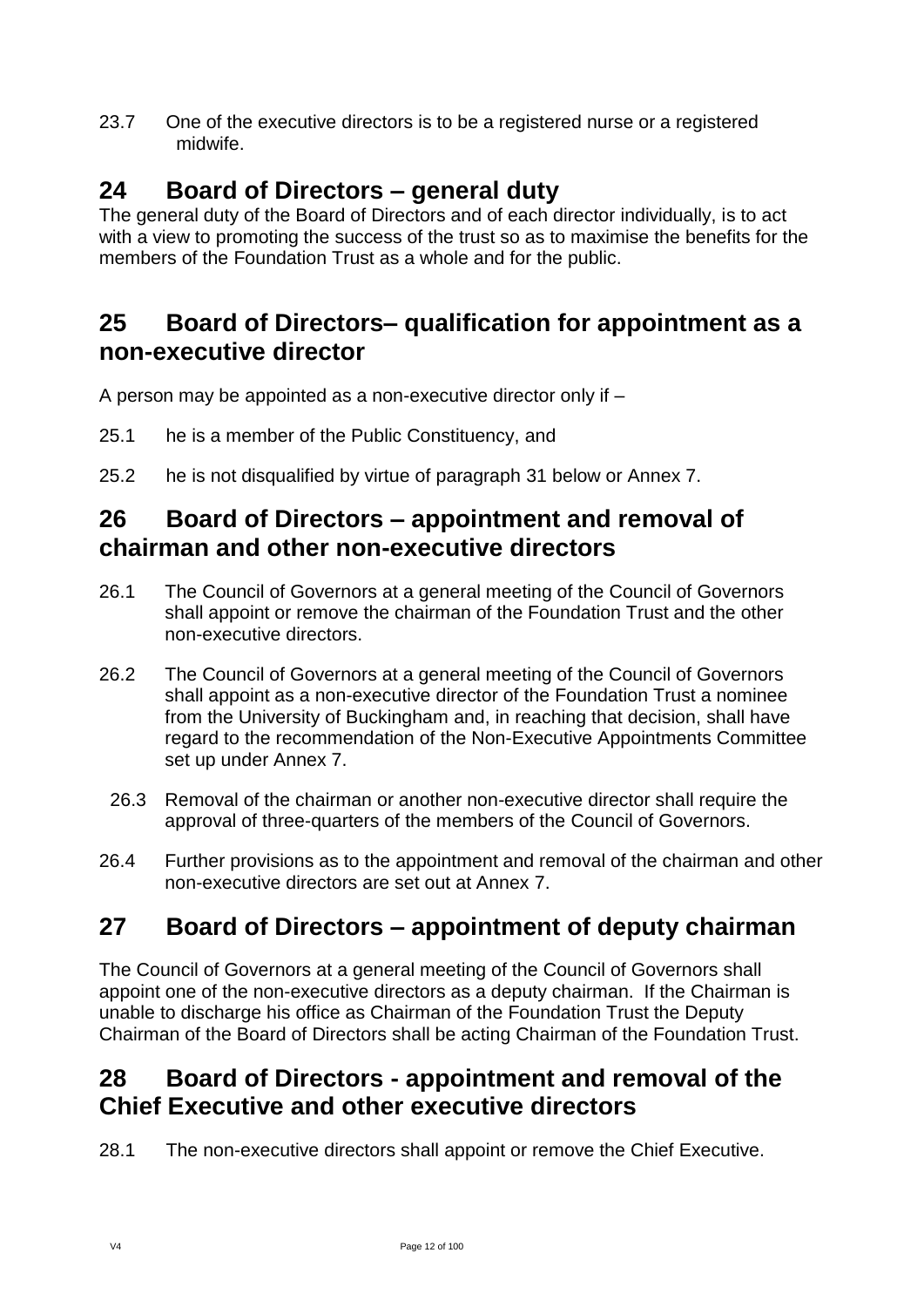23.7 One of the executive directors is to be a registered nurse or a registered midwife.

# <span id="page-11-0"></span>**24 Board of Directors – general duty**

The general duty of the Board of Directors and of each director individually, is to act with a view to promoting the success of the trust so as to maximise the benefits for the members of the Foundation Trust as a whole and for the public.

# <span id="page-11-1"></span>**25 Board of Directors– qualification for appointment as a non-executive director**

A person may be appointed as a non-executive director only if –

- 25.1 he is a member of the Public Constituency, and
- 25.2 he is not disqualified by virtue of paragraph 31 below or Annex 7.

# <span id="page-11-2"></span>**26 Board of Directors – appointment and removal of chairman and other non-executive directors**

- 26.1 The Council of Governors at a general meeting of the Council of Governors shall appoint or remove the chairman of the Foundation Trust and the other non-executive directors.
- 26.2 The Council of Governors at a general meeting of the Council of Governors shall appoint as a non-executive director of the Foundation Trust a nominee from the University of Buckingham and, in reaching that decision, shall have regard to the recommendation of the Non-Executive Appointments Committee set up under Annex 7.
- 26.3 Removal of the chairman or another non-executive director shall require the approval of three-quarters of the members of the Council of Governors.
- 26.4 Further provisions as to the appointment and removal of the chairman and other non-executive directors are set out at Annex 7.

# <span id="page-11-3"></span>**27 Board of Directors – appointment of deputy chairman**

The Council of Governors at a general meeting of the Council of Governors shall appoint one of the non-executive directors as a deputy chairman. If the Chairman is unable to discharge his office as Chairman of the Foundation Trust the Deputy Chairman of the Board of Directors shall be acting Chairman of the Foundation Trust.

# <span id="page-11-4"></span>**28 Board of Directors - appointment and removal of the Chief Executive and other executive directors**

28.1 The non-executive directors shall appoint or remove the Chief Executive.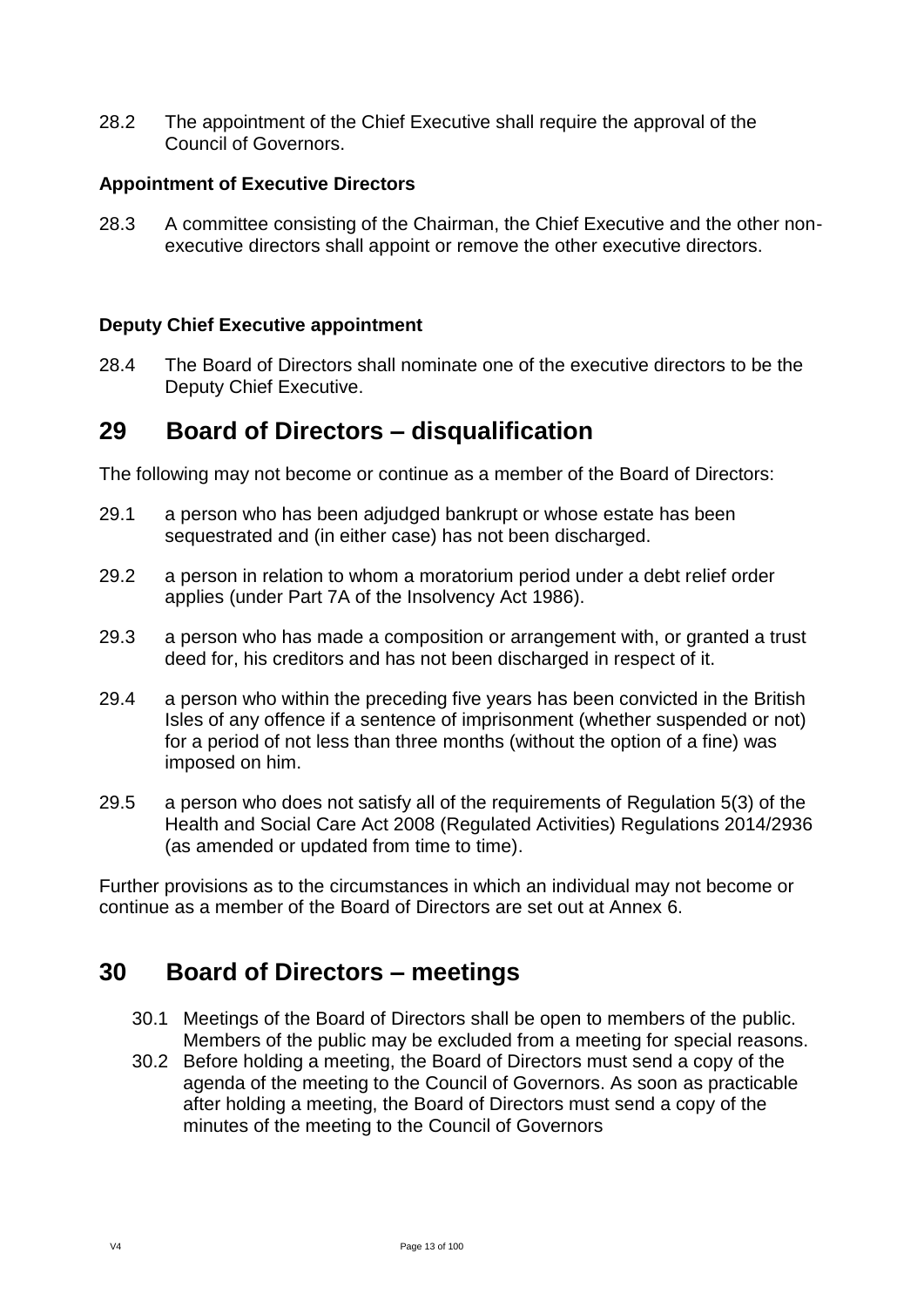28.2 The appointment of the Chief Executive shall require the approval of the Council of Governors.

#### **Appointment of Executive Directors**

28.3 A committee consisting of the Chairman, the Chief Executive and the other nonexecutive directors shall appoint or remove the other executive directors.

#### **Deputy Chief Executive appointment**

28.4 The Board of Directors shall nominate one of the executive directors to be the Deputy Chief Executive.

### <span id="page-12-0"></span>**29 Board of Directors – disqualification**

The following may not become or continue as a member of the Board of Directors:

- 29.1 a person who has been adjudged bankrupt or whose estate has been sequestrated and (in either case) has not been discharged.
- 29.2 a person in relation to whom a moratorium period under a debt relief order applies (under Part 7A of the Insolvency Act 1986).
- 29.3 a person who has made a composition or arrangement with, or granted a trust deed for, his creditors and has not been discharged in respect of it.
- 29.4 a person who within the preceding five years has been convicted in the British Isles of any offence if a sentence of imprisonment (whether suspended or not) for a period of not less than three months (without the option of a fine) was imposed on him.
- 29.5 a person who does not satisfy all of the requirements of Regulation 5(3) of the Health and Social Care Act 2008 (Regulated Activities) Regulations 2014/2936 (as amended or updated from time to time).

Further provisions as to the circumstances in which an individual may not become or continue as a member of the Board of Directors are set out at Annex 6.

### <span id="page-12-1"></span>**30 Board of Directors – meetings**

- 30.1 Meetings of the Board of Directors shall be open to members of the public. Members of the public may be excluded from a meeting for special reasons.
- 30.2 Before holding a meeting, the Board of Directors must send a copy of the agenda of the meeting to the Council of Governors. As soon as practicable after holding a meeting, the Board of Directors must send a copy of the minutes of the meeting to the Council of Governors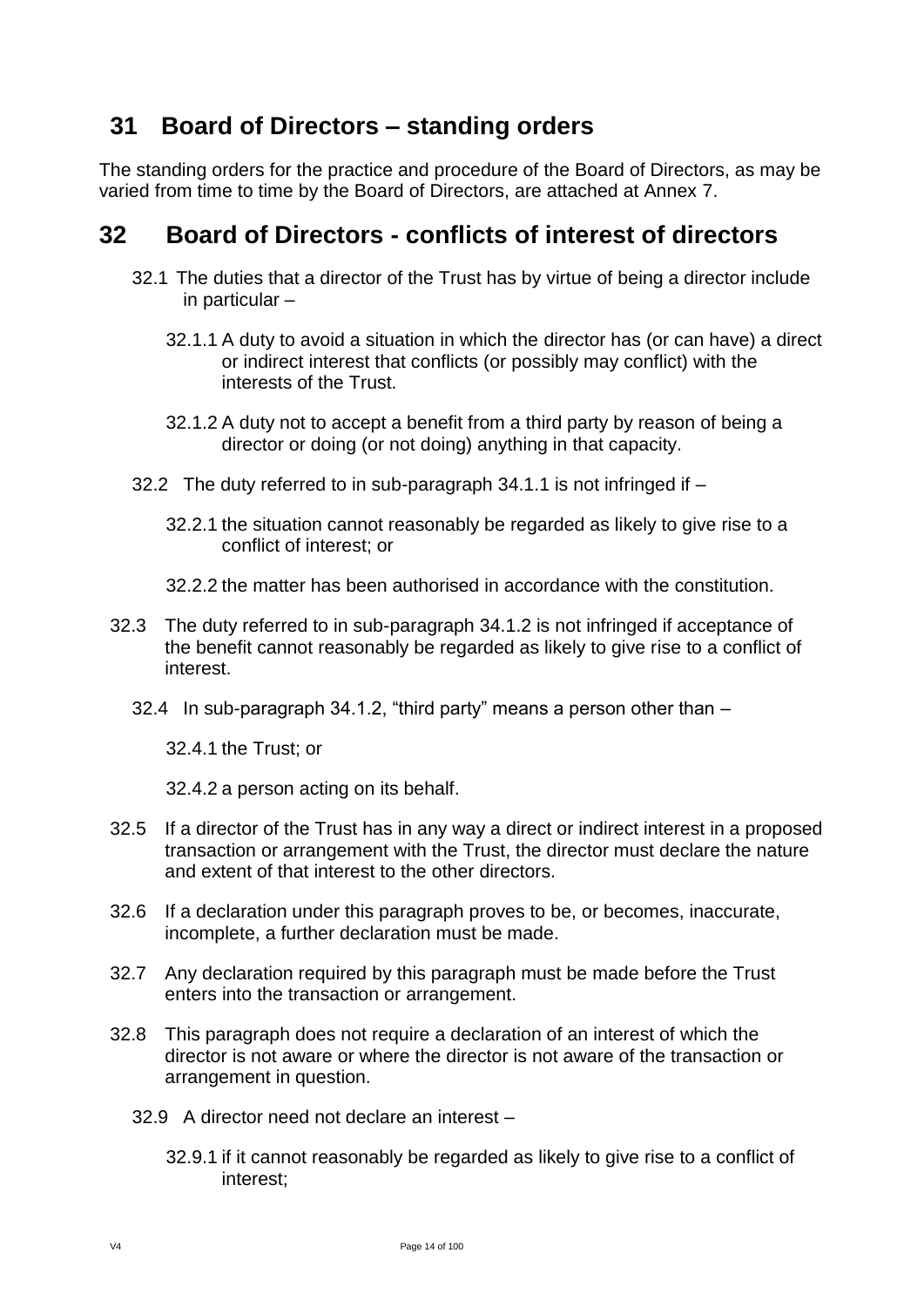# <span id="page-13-0"></span>**31 Board of Directors – standing orders**

The standing orders for the practice and procedure of the Board of Directors, as may be varied from time to time by the Board of Directors, are attached at Annex 7.

### <span id="page-13-1"></span>**32 Board of Directors - conflicts of interest of directors**

- 32.1 The duties that a director of the Trust has by virtue of being a director include in particular –
	- 32.1.1 A duty to avoid a situation in which the director has (or can have) a direct or indirect interest that conflicts (or possibly may conflict) with the interests of the Trust.
	- 32.1.2 A duty not to accept a benefit from a third party by reason of being a director or doing (or not doing) anything in that capacity.
- 32.2 The duty referred to in sub-paragraph 34.1.1 is not infringed if
	- 32.2.1 the situation cannot reasonably be regarded as likely to give rise to a conflict of interest; or
	- 32.2.2 the matter has been authorised in accordance with the constitution.
- 32.3 The duty referred to in sub-paragraph 34.1.2 is not infringed if acceptance of the benefit cannot reasonably be regarded as likely to give rise to a conflict of interest.
	- 32.4 In sub-paragraph 34.1.2, "third party" means a person other than –

32.4.1 the Trust; or

32.4.2 a person acting on its behalf.

- 32.5 If a director of the Trust has in any way a direct or indirect interest in a proposed transaction or arrangement with the Trust, the director must declare the nature and extent of that interest to the other directors.
- 32.6 If a declaration under this paragraph proves to be, or becomes, inaccurate, incomplete, a further declaration must be made.
- 32.7 Any declaration required by this paragraph must be made before the Trust enters into the transaction or arrangement.
- 32.8 This paragraph does not require a declaration of an interest of which the director is not aware or where the director is not aware of the transaction or arrangement in question.
	- 32.9 A director need not declare an interest
		- 32.9.1 if it cannot reasonably be regarded as likely to give rise to a conflict of interest;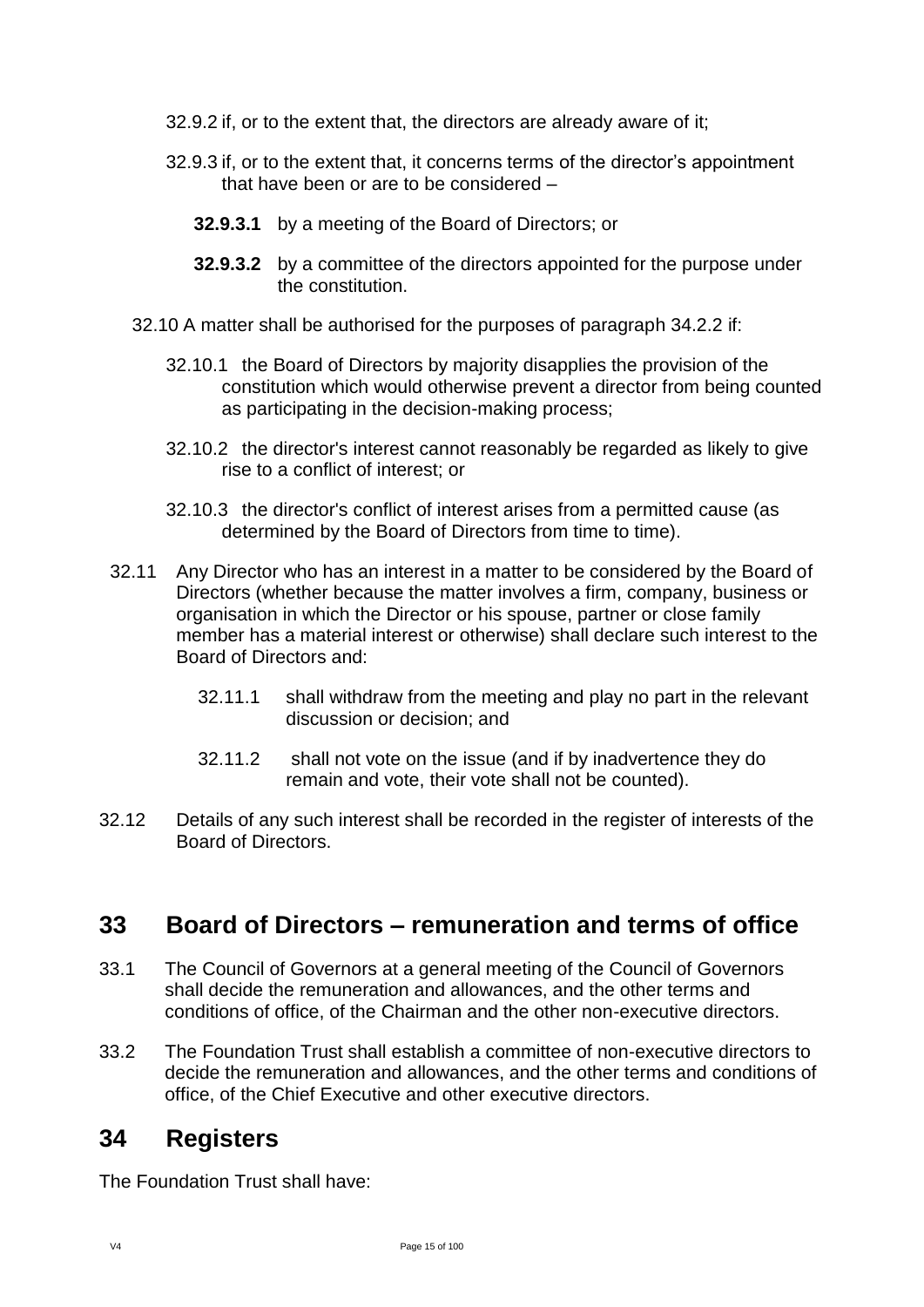- 32.9.2 if, or to the extent that, the directors are already aware of it;
- 32.9.3 if, or to the extent that, it concerns terms of the director's appointment that have been or are to be considered –
	- **32.9.3.1** by a meeting of the Board of Directors; or
	- **32.9.3.2** by a committee of the directors appointed for the purpose under the constitution.
- 32.10 A matter shall be authorised for the purposes of paragraph 34.2.2 if:
	- 32.10.1 the Board of Directors by majority disapplies the provision of the constitution which would otherwise prevent a director from being counted as participating in the decision-making process;
	- 32.10.2 the director's interest cannot reasonably be regarded as likely to give rise to a conflict of interest; or
	- 32.10.3 the director's conflict of interest arises from a permitted cause (as determined by the Board of Directors from time to time).
- 32.11 Any Director who has an interest in a matter to be considered by the Board of Directors (whether because the matter involves a firm, company, business or organisation in which the Director or his spouse, partner or close family member has a material interest or otherwise) shall declare such interest to the Board of Directors and:
	- 32.11.1 shall withdraw from the meeting and play no part in the relevant discussion or decision; and
	- 32.11.2 shall not vote on the issue (and if by inadvertence they do remain and vote, their vote shall not be counted).
- 32.12 Details of any such interest shall be recorded in the register of interests of the Board of Directors.

# <span id="page-14-0"></span>**33 Board of Directors – remuneration and terms of office**

- 33.1 The Council of Governors at a general meeting of the Council of Governors shall decide the remuneration and allowances, and the other terms and conditions of office, of the Chairman and the other non-executive directors.
- 33.2 The Foundation Trust shall establish a committee of non-executive directors to decide the remuneration and allowances, and the other terms and conditions of office, of the Chief Executive and other executive directors.

# <span id="page-14-1"></span>**34 Registers**

The Foundation Trust shall have: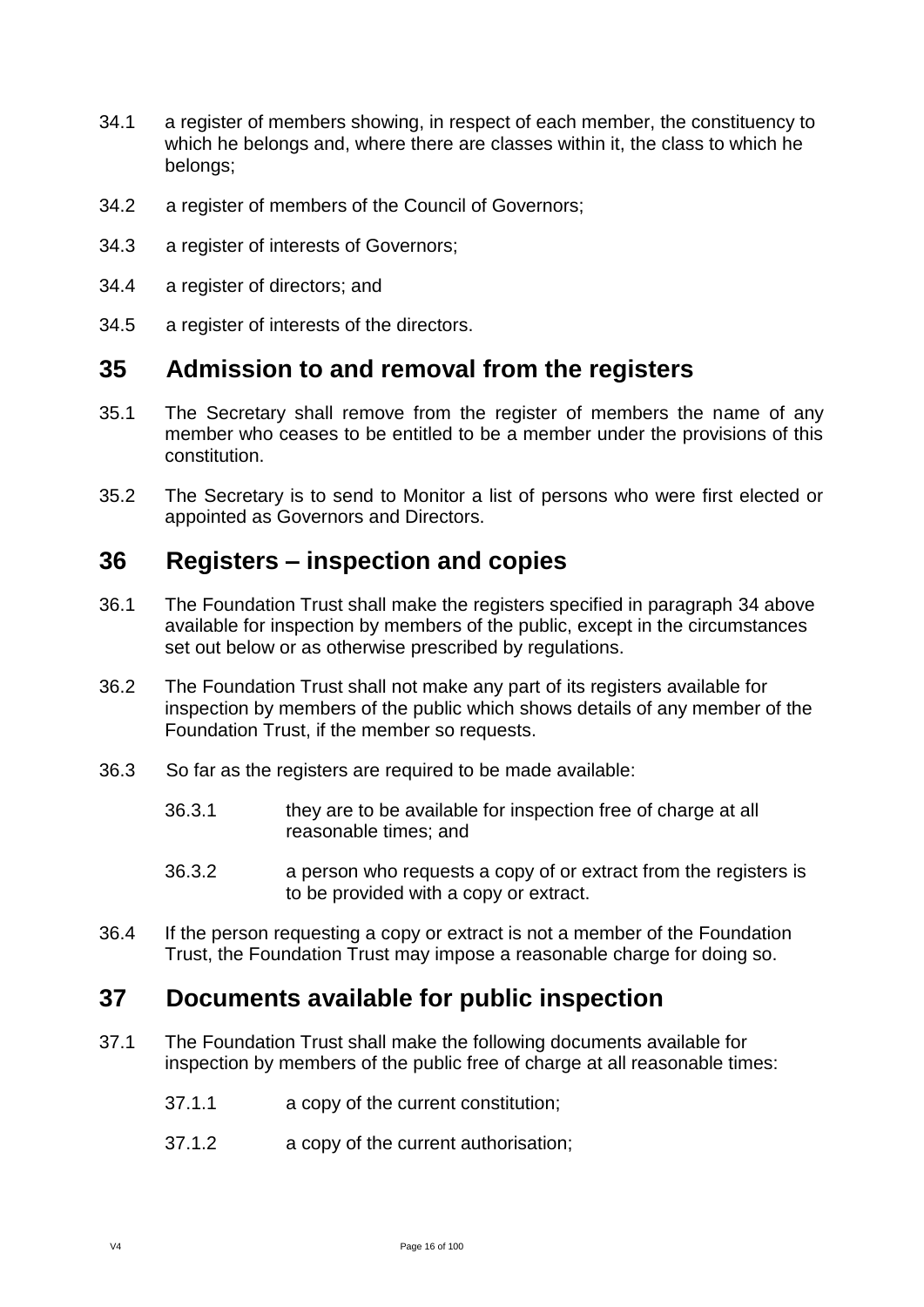- 34.1 a register of members showing, in respect of each member, the constituency to which he belongs and, where there are classes within it, the class to which he belongs;
- 34.2 a register of members of the Council of Governors;
- 34.3 a register of interests of Governors;
- 34.4 a register of directors; and
- 34.5 a register of interests of the directors.

### <span id="page-15-0"></span>**35 Admission to and removal from the registers**

- 35.1 The Secretary shall remove from the register of members the name of any member who ceases to be entitled to be a member under the provisions of this constitution.
- 35.2 The Secretary is to send to Monitor a list of persons who were first elected or appointed as Governors and Directors.

### <span id="page-15-1"></span>**36 Registers – inspection and copies**

- 36.1 The Foundation Trust shall make the registers specified in paragraph 34 above available for inspection by members of the public, except in the circumstances set out below or as otherwise prescribed by regulations.
- 36.2 The Foundation Trust shall not make any part of its registers available for inspection by members of the public which shows details of any member of the Foundation Trust, if the member so requests.
- 36.3 So far as the registers are required to be made available:
	- 36.3.1 they are to be available for inspection free of charge at all reasonable times; and
	- 36.3.2 a person who requests a copy of or extract from the registers is to be provided with a copy or extract.
- 36.4 If the person requesting a copy or extract is not a member of the Foundation Trust, the Foundation Trust may impose a reasonable charge for doing so.

### <span id="page-15-2"></span>**37 Documents available for public inspection**

- 37.1 The Foundation Trust shall make the following documents available for inspection by members of the public free of charge at all reasonable times:
	- 37.1.1 a copy of the current constitution;
	- 37.1.2 a copy of the current authorisation;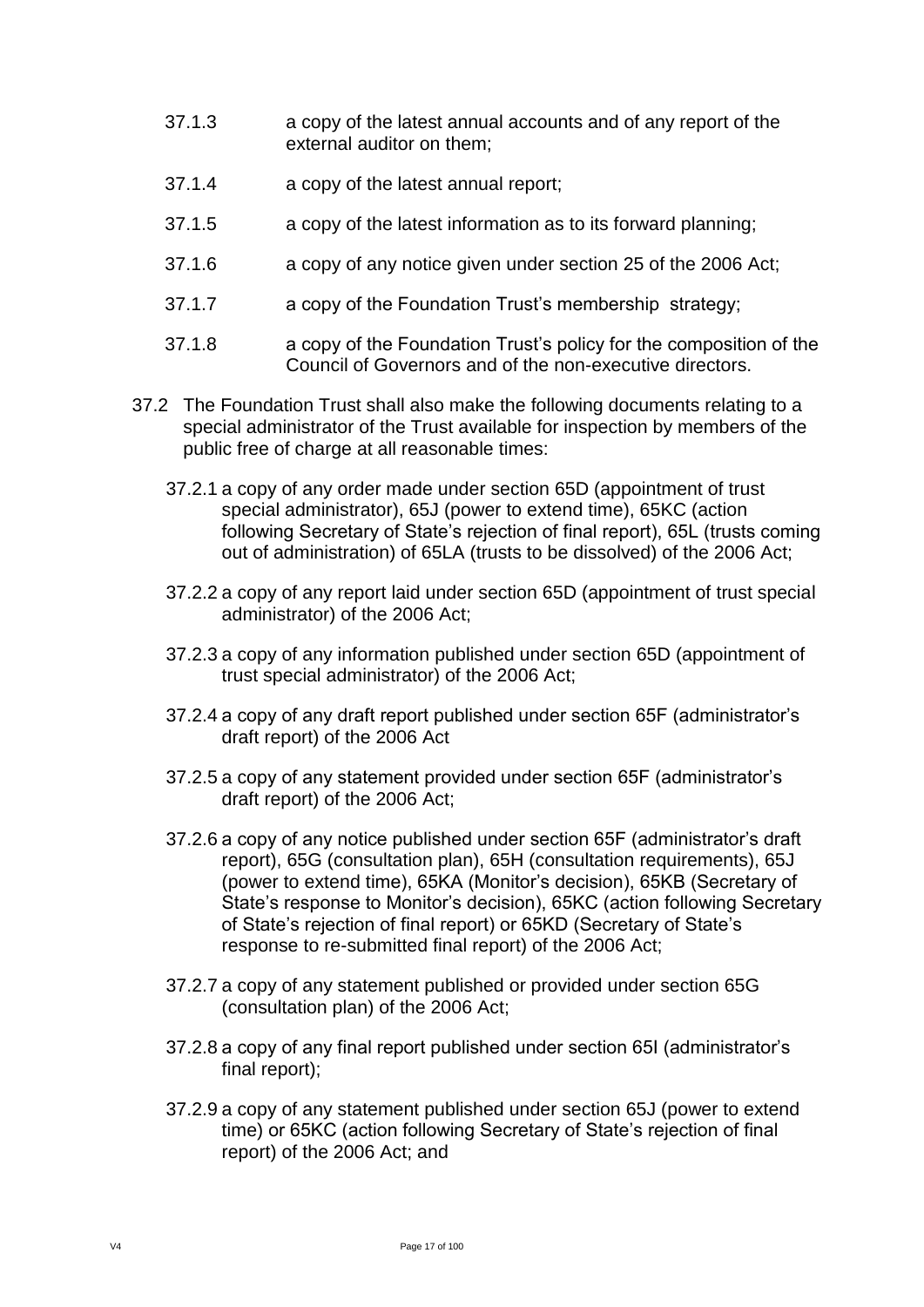- 37.1.3 a copy of the latest annual accounts and of any report of the external auditor on them;
- 37.1.4 a copy of the latest annual report;
- 37.1.5 a copy of the latest information as to its forward planning;
- 37.1.6 a copy of any notice given under section 25 of the 2006 Act;
- 37.1.7 a copy of the Foundation Trust's membership strategy;
- 37.1.8 a copy of the Foundation Trust's policy for the composition of the Council of Governors and of the non-executive directors.
- 37.2 The Foundation Trust shall also make the following documents relating to a special administrator of the Trust available for inspection by members of the public free of charge at all reasonable times:
	- 37.2.1 a copy of any order made under section 65D (appointment of trust special administrator), 65J (power to extend time), 65KC (action following Secretary of State's rejection of final report), 65L (trusts coming out of administration) of 65LA (trusts to be dissolved) of the 2006 Act;
	- 37.2.2 a copy of any report laid under section 65D (appointment of trust special administrator) of the 2006 Act;
	- 37.2.3 a copy of any information published under section 65D (appointment of trust special administrator) of the 2006 Act;
	- 37.2.4 a copy of any draft report published under section 65F (administrator's draft report) of the 2006 Act
	- 37.2.5 a copy of any statement provided under section 65F (administrator's draft report) of the 2006 Act;
	- 37.2.6 a copy of any notice published under section 65F (administrator's draft report), 65G (consultation plan), 65H (consultation requirements), 65J (power to extend time), 65KA (Monitor's decision), 65KB (Secretary of State's response to Monitor's decision), 65KC (action following Secretary of State's rejection of final report) or 65KD (Secretary of State's response to re-submitted final report) of the 2006 Act;
	- 37.2.7 a copy of any statement published or provided under section 65G (consultation plan) of the 2006 Act;
	- 37.2.8 a copy of any final report published under section 65I (administrator's final report);
	- 37.2.9 a copy of any statement published under section 65J (power to extend time) or 65KC (action following Secretary of State's rejection of final report) of the 2006 Act; and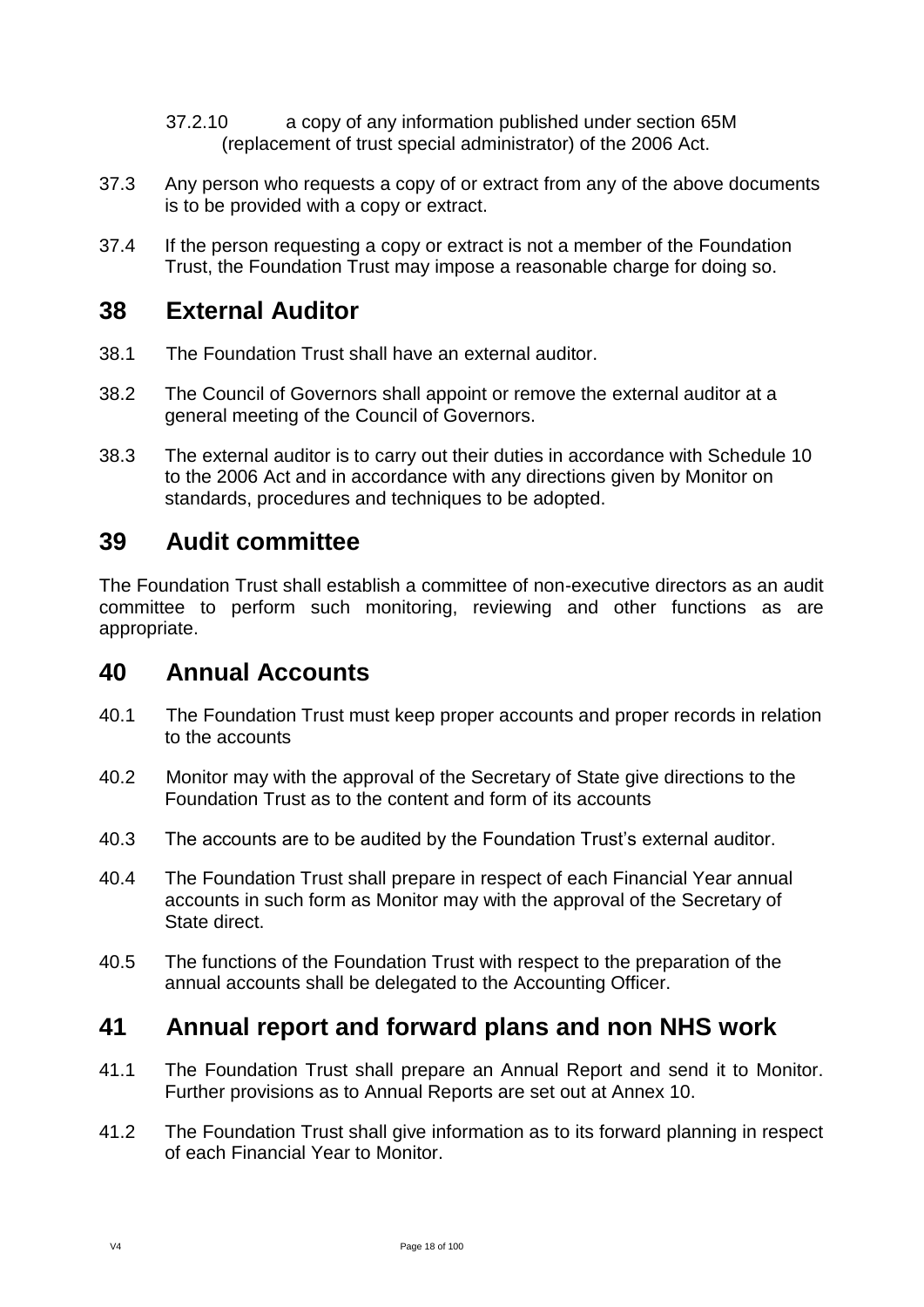- 37.2.10 a copy of any information published under section 65M (replacement of trust special administrator) of the 2006 Act.
- 37.3 Any person who requests a copy of or extract from any of the above documents is to be provided with a copy or extract.
- 37.4 If the person requesting a copy or extract is not a member of the Foundation Trust, the Foundation Trust may impose a reasonable charge for doing so.

### <span id="page-17-0"></span>**38 External Auditor**

- 38.1 The Foundation Trust shall have an external auditor.
- 38.2 The Council of Governors shall appoint or remove the external auditor at a general meeting of the Council of Governors.
- 38.3 The external auditor is to carry out their duties in accordance with Schedule 10 to the 2006 Act and in accordance with any directions given by Monitor on standards, procedures and techniques to be adopted.

# <span id="page-17-1"></span>**39 Audit committee**

The Foundation Trust shall establish a committee of non-executive directors as an audit committee to perform such monitoring, reviewing and other functions as are appropriate.

### <span id="page-17-2"></span>**40 Annual Accounts**

- 40.1 The Foundation Trust must keep proper accounts and proper records in relation to the accounts
- 40.2 Monitor may with the approval of the Secretary of State give directions to the Foundation Trust as to the content and form of its accounts
- 40.3 The accounts are to be audited by the Foundation Trust's external auditor.
- 40.4 The Foundation Trust shall prepare in respect of each Financial Year annual accounts in such form as Monitor may with the approval of the Secretary of State direct.
- 40.5 The functions of the Foundation Trust with respect to the preparation of the annual accounts shall be delegated to the Accounting Officer.

# <span id="page-17-3"></span>**41 Annual report and forward plans and non NHS work**

- 41.1 The Foundation Trust shall prepare an Annual Report and send it to Monitor. Further provisions as to Annual Reports are set out at Annex 10.
- 41.2 The Foundation Trust shall give information as to its forward planning in respect of each Financial Year to Monitor.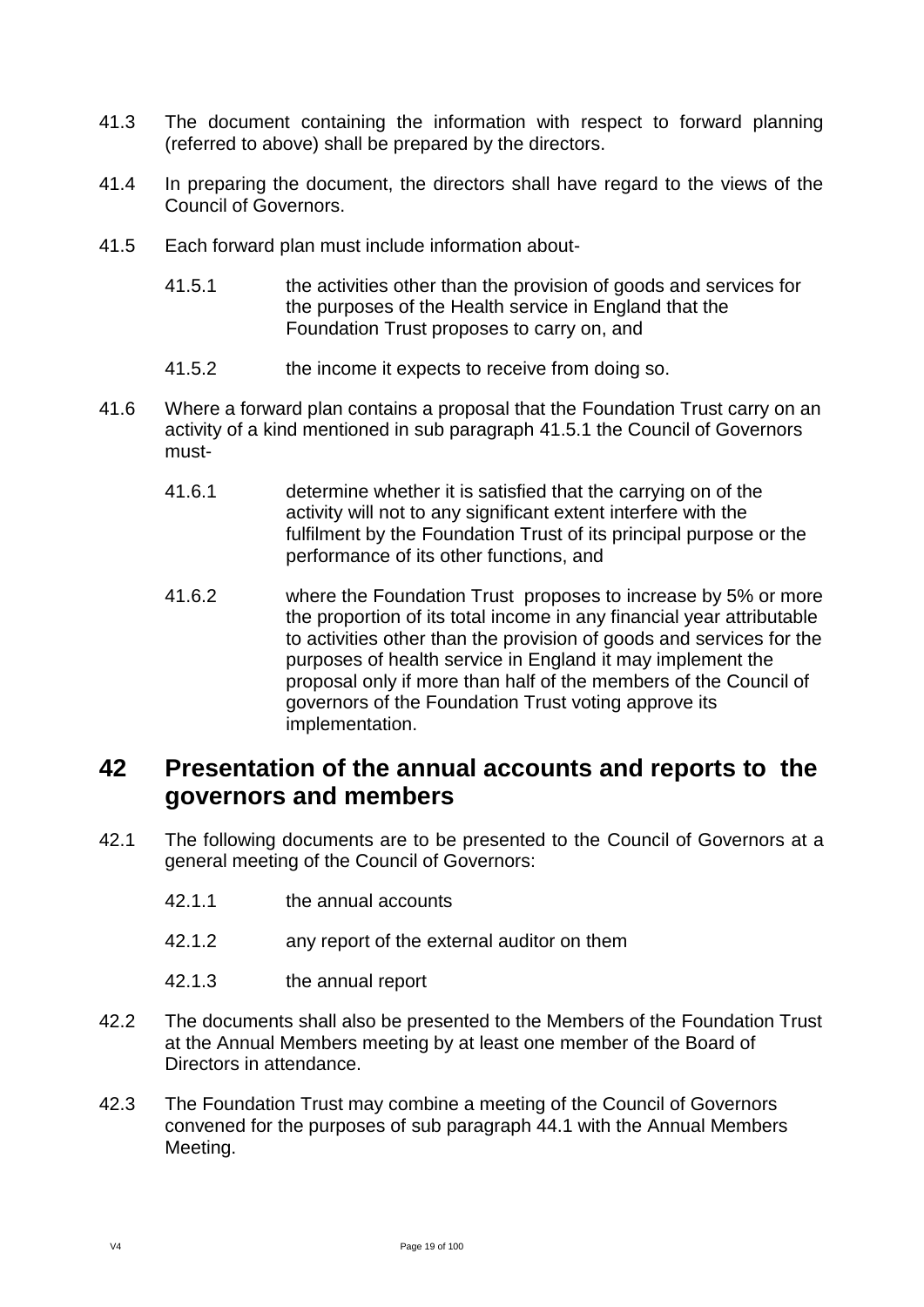- 41.3 The document containing the information with respect to forward planning (referred to above) shall be prepared by the directors.
- 41.4 In preparing the document, the directors shall have regard to the views of the Council of Governors.
- 41.5 Each forward plan must include information about-
	- 41.5.1 the activities other than the provision of goods and services for the purposes of the Health service in England that the Foundation Trust proposes to carry on, and
	- 41.5.2 the income it expects to receive from doing so.
- 41.6 Where a forward plan contains a proposal that the Foundation Trust carry on an activity of a kind mentioned in sub paragraph 41.5.1 the Council of Governors must-
	- 41.6.1 determine whether it is satisfied that the carrying on of the activity will not to any significant extent interfere with the fulfilment by the Foundation Trust of its principal purpose or the performance of its other functions, and
	- 41.6.2 where the Foundation Trust proposes to increase by 5% or more the proportion of its total income in any financial year attributable to activities other than the provision of goods and services for the purposes of health service in England it may implement the proposal only if more than half of the members of the Council of governors of the Foundation Trust voting approve its implementation.

# <span id="page-18-0"></span>**42 Presentation of the annual accounts and reports to the governors and members**

- 42.1 The following documents are to be presented to the Council of Governors at a general meeting of the Council of Governors:
	- 42.1.1 the annual accounts
	- 42.1.2 any report of the external auditor on them
	- 42.1.3 the annual report
- 42.2 The documents shall also be presented to the Members of the Foundation Trust at the Annual Members meeting by at least one member of the Board of Directors in attendance.
- 42.3 The Foundation Trust may combine a meeting of the Council of Governors convened for the purposes of sub paragraph 44.1 with the Annual Members Meeting.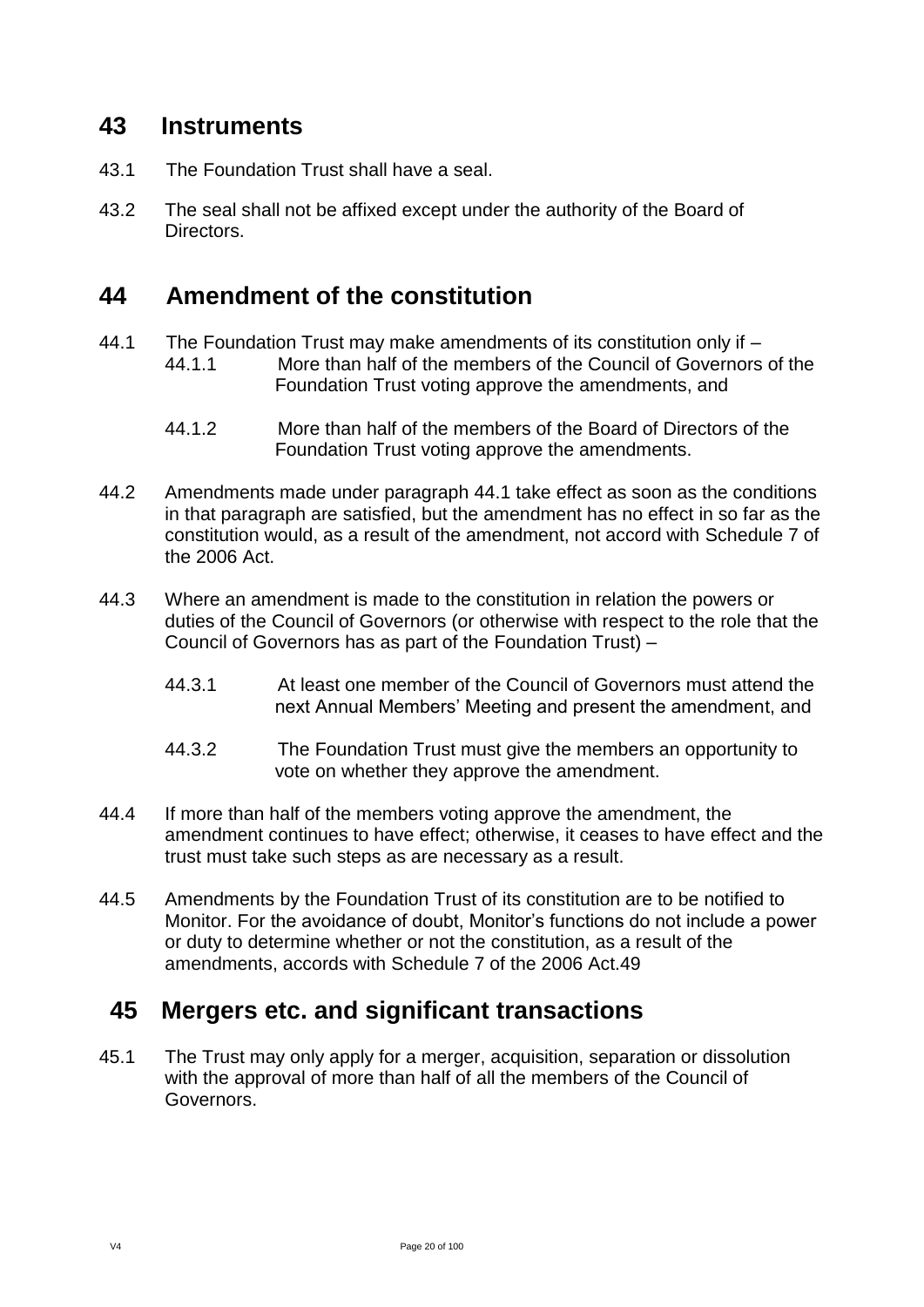### <span id="page-19-0"></span>**43 Instruments**

- 43.1 The Foundation Trust shall have a seal.
- 43.2 The seal shall not be affixed except under the authority of the Board of Directors.

# <span id="page-19-1"></span>**44 Amendment of the constitution**

- 44.1 The Foundation Trust may make amendments of its constitution only if
	- 44.1.1 More than half of the members of the Council of Governors of the Foundation Trust voting approve the amendments, and
	- 44.1.2 More than half of the members of the Board of Directors of the Foundation Trust voting approve the amendments.
- 44.2 Amendments made under paragraph 44.1 take effect as soon as the conditions in that paragraph are satisfied, but the amendment has no effect in so far as the constitution would, as a result of the amendment, not accord with Schedule 7 of the 2006 Act.
- 44.3 Where an amendment is made to the constitution in relation the powers or duties of the Council of Governors (or otherwise with respect to the role that the Council of Governors has as part of the Foundation Trust) –
	- 44.3.1 At least one member of the Council of Governors must attend the next Annual Members' Meeting and present the amendment, and
	- 44.3.2 The Foundation Trust must give the members an opportunity to vote on whether they approve the amendment.
- 44.4 If more than half of the members voting approve the amendment, the amendment continues to have effect; otherwise, it ceases to have effect and the trust must take such steps as are necessary as a result.
- 44.5 Amendments by the Foundation Trust of its constitution are to be notified to Monitor. For the avoidance of doubt, Monitor's functions do not include a power or duty to determine whether or not the constitution, as a result of the amendments, accords with Schedule 7 of the 2006 Act.49

# <span id="page-19-2"></span>**45 Mergers etc. and significant transactions**

45.1 The Trust may only apply for a merger, acquisition, separation or dissolution with the approval of more than half of all the members of the Council of Governors.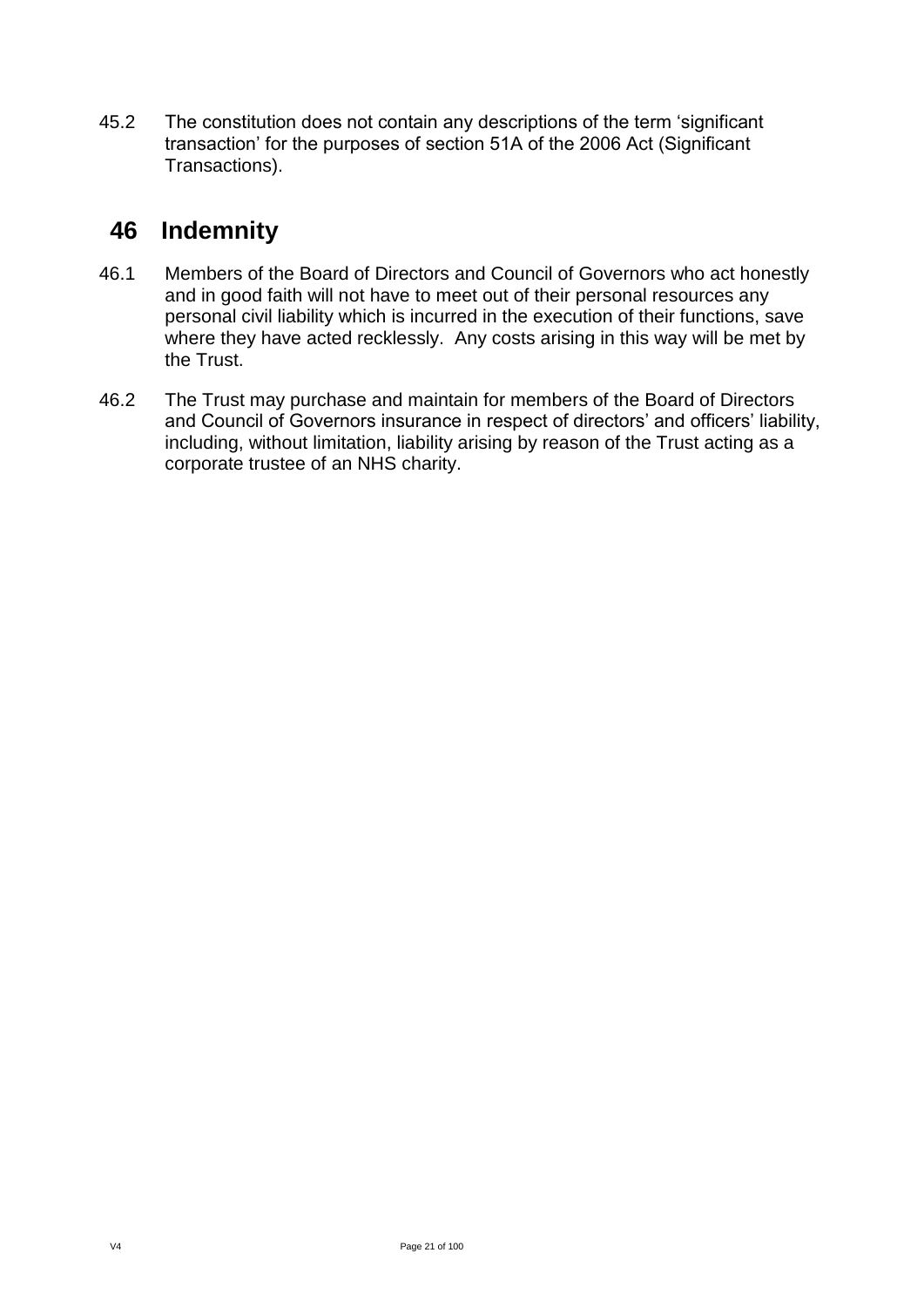45.2 The constitution does not contain any descriptions of the term 'significant transaction' for the purposes of section 51A of the 2006 Act (Significant Transactions).

# **46 Indemnity**

- 46.1 Members of the Board of Directors and Council of Governors who act honestly and in good faith will not have to meet out of their personal resources any personal civil liability which is incurred in the execution of their functions, save where they have acted recklessly. Any costs arising in this way will be met by the Trust.
- 46.2 The Trust may purchase and maintain for members of the Board of Directors and Council of Governors insurance in respect of directors' and officers' liability, including, without limitation, liability arising by reason of the Trust acting as a corporate trustee of an NHS charity.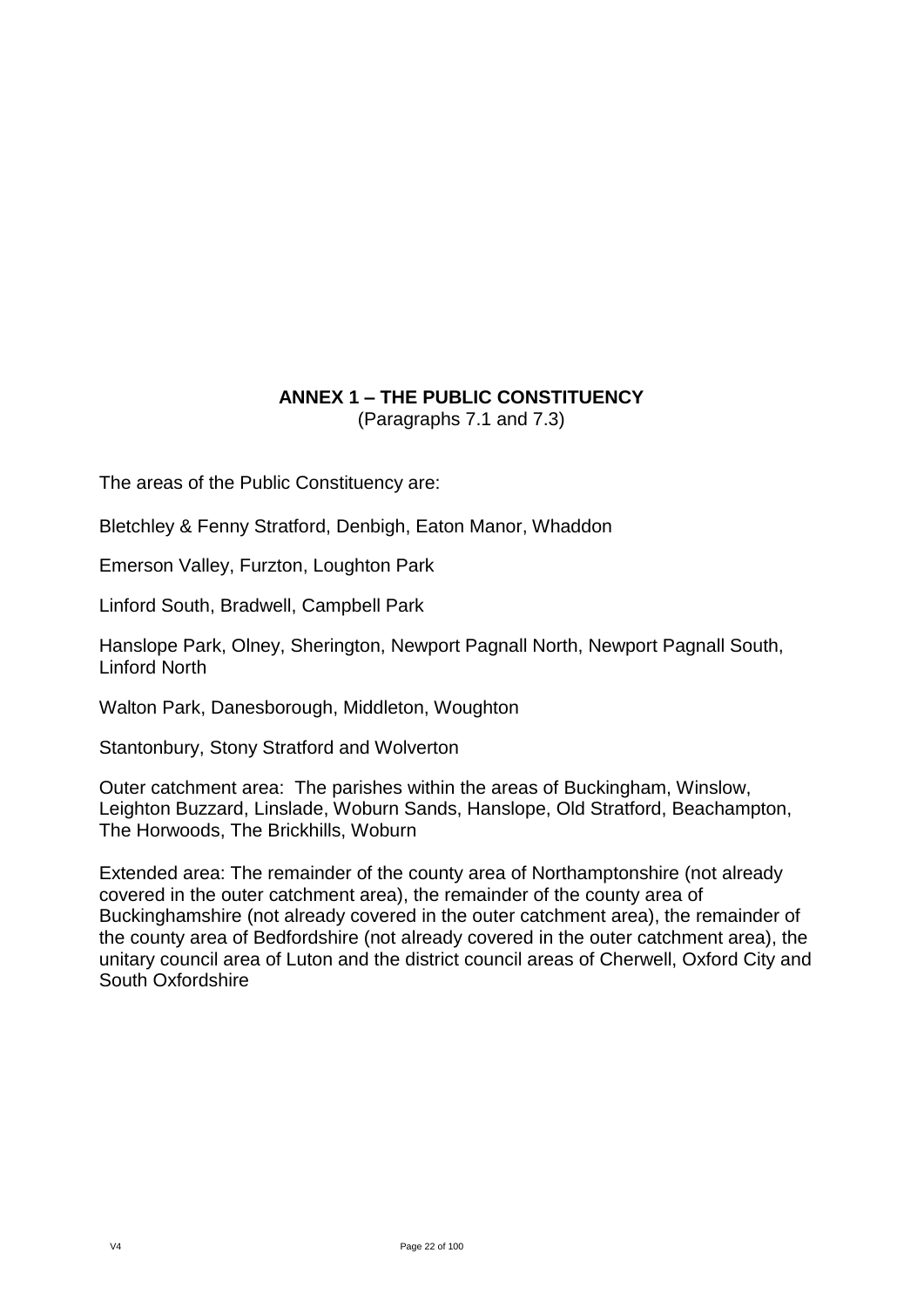#### **ANNEX 1 – THE PUBLIC CONSTITUENCY** (Paragraphs 7.1 and 7.3)

<span id="page-21-0"></span>The areas of the Public Constituency are:

Bletchley & Fenny Stratford, Denbigh, Eaton Manor, Whaddon

Emerson Valley, Furzton, Loughton Park

Linford South, Bradwell, Campbell Park

Hanslope Park, Olney, Sherington, Newport Pagnall North, Newport Pagnall South, Linford North

Walton Park, Danesborough, Middleton, Woughton

Stantonbury, Stony Stratford and Wolverton

Outer catchment area: The parishes within the areas of Buckingham, Winslow, Leighton Buzzard, Linslade, Woburn Sands, Hanslope, Old Stratford, Beachampton, The Horwoods, The Brickhills, Woburn

Extended area: The remainder of the county area of Northamptonshire (not already covered in the outer catchment area), the remainder of the county area of Buckinghamshire (not already covered in the outer catchment area), the remainder of the county area of Bedfordshire (not already covered in the outer catchment area), the unitary council area of Luton and the district council areas of Cherwell, Oxford City and South Oxfordshire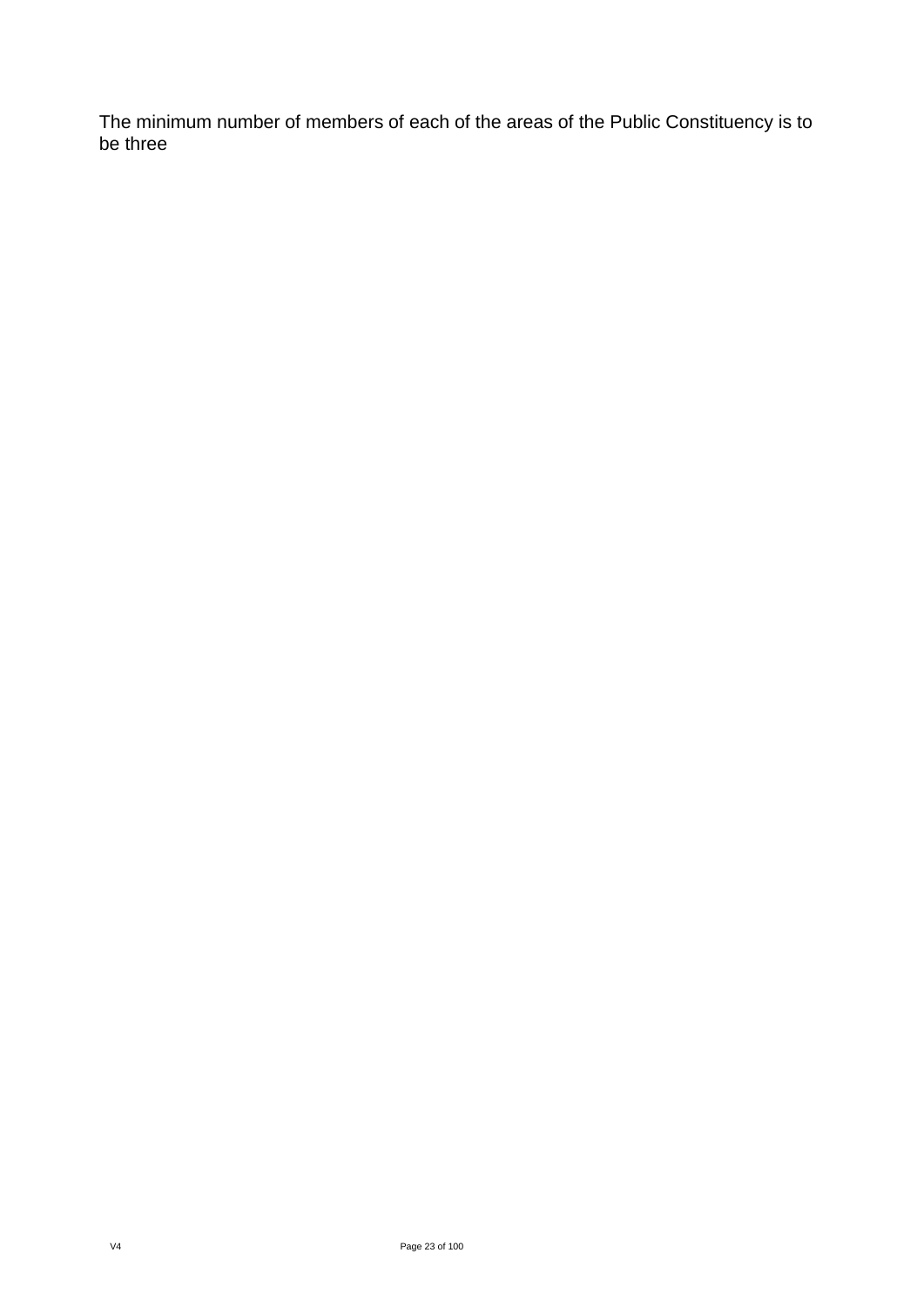The minimum number of members of each of the areas of the Public Constituency is to be three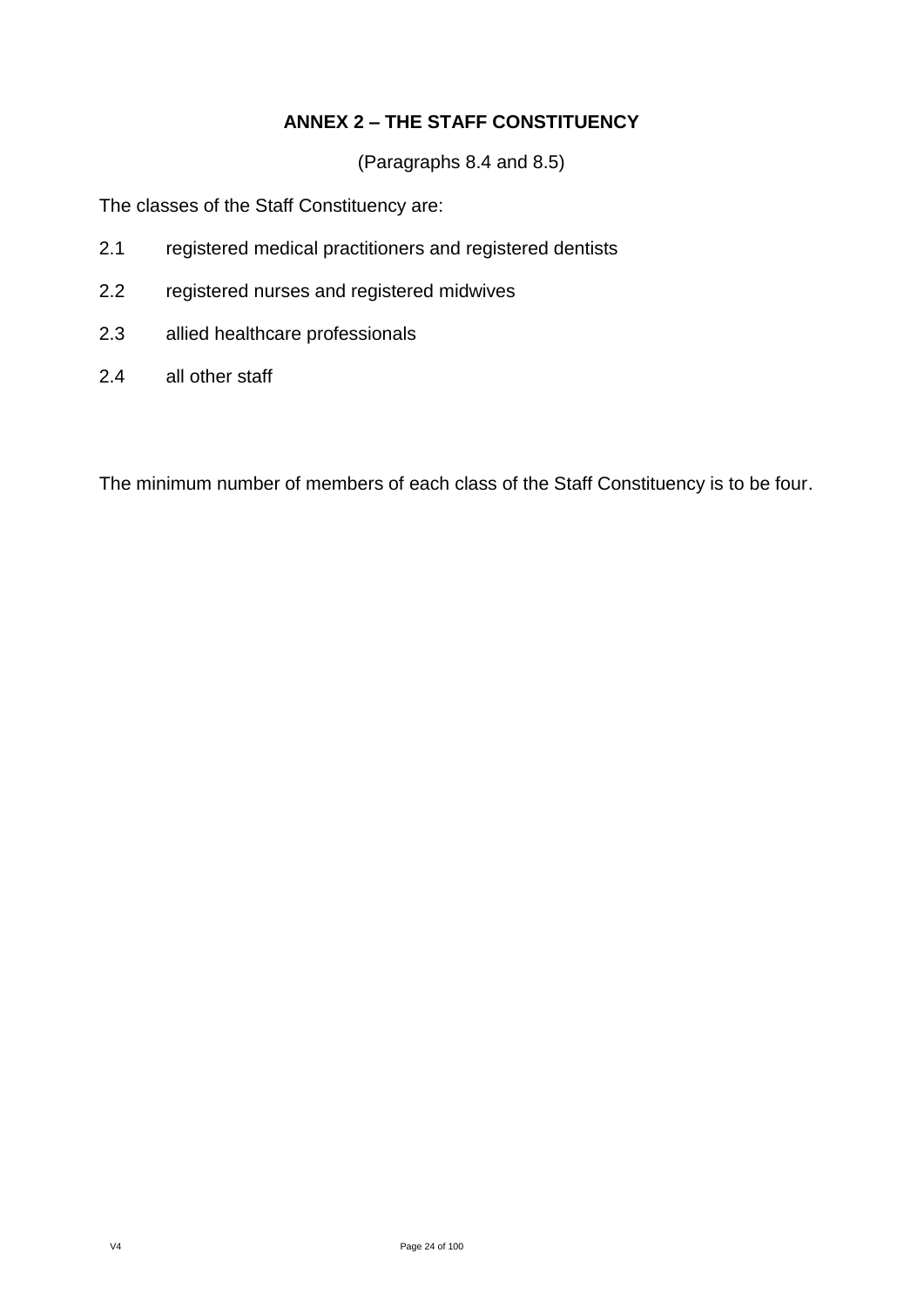#### **ANNEX 2 – THE STAFF CONSTITUENCY**

(Paragraphs 8.4 and 8.5)

<span id="page-23-0"></span>The classes of the Staff Constituency are:

- 2.1 registered medical practitioners and registered dentists
- 2.2 registered nurses and registered midwives
- 2.3 allied healthcare professionals
- 2.4 all other staff

The minimum number of members of each class of the Staff Constituency is to be four.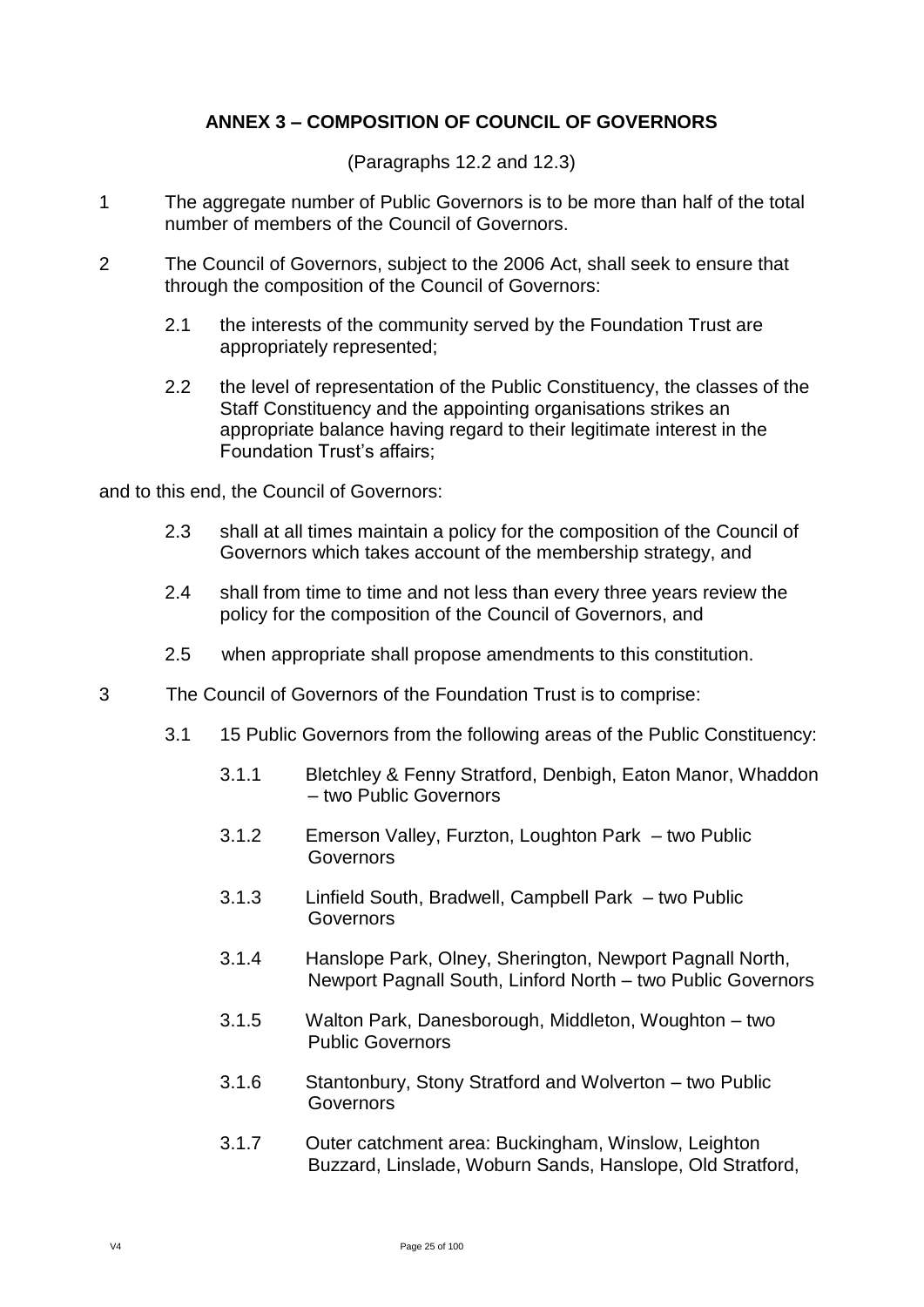#### **ANNEX 3 – COMPOSITION OF COUNCIL OF GOVERNORS**

(Paragraphs 12.2 and 12.3)

- <span id="page-24-0"></span>1 The aggregate number of Public Governors is to be more than half of the total number of members of the Council of Governors.
- 2 The Council of Governors, subject to the 2006 Act, shall seek to ensure that through the composition of the Council of Governors:
	- 2.1 the interests of the community served by the Foundation Trust are appropriately represented;
	- 2.2 the level of representation of the Public Constituency, the classes of the Staff Constituency and the appointing organisations strikes an appropriate balance having regard to their legitimate interest in the Foundation Trust's affairs;

and to this end, the Council of Governors:

- 2.3 shall at all times maintain a policy for the composition of the Council of Governors which takes account of the membership strategy, and
- 2.4 shall from time to time and not less than every three years review the policy for the composition of the Council of Governors, and
- 2.5 when appropriate shall propose amendments to this constitution.
- 3 The Council of Governors of the Foundation Trust is to comprise:
	- 3.1 15 Public Governors from the following areas of the Public Constituency:
		- 3.1.1 Bletchley & Fenny Stratford, Denbigh, Eaton Manor, Whaddon – two Public Governors
		- 3.1.2 Emerson Valley, Furzton, Loughton Park two Public **Governors**
		- 3.1.3 Linfield South, Bradwell, Campbell Park two Public **Governors**
		- 3.1.4 Hanslope Park, Olney, Sherington, Newport Pagnall North, Newport Pagnall South, Linford North – two Public Governors
		- 3.1.5 Walton Park, Danesborough, Middleton, Woughton two Public Governors
		- 3.1.6 Stantonbury, Stony Stratford and Wolverton two Public **Governors**
		- 3.1.7 Outer catchment area: Buckingham, Winslow, Leighton Buzzard, Linslade, Woburn Sands, Hanslope, Old Stratford,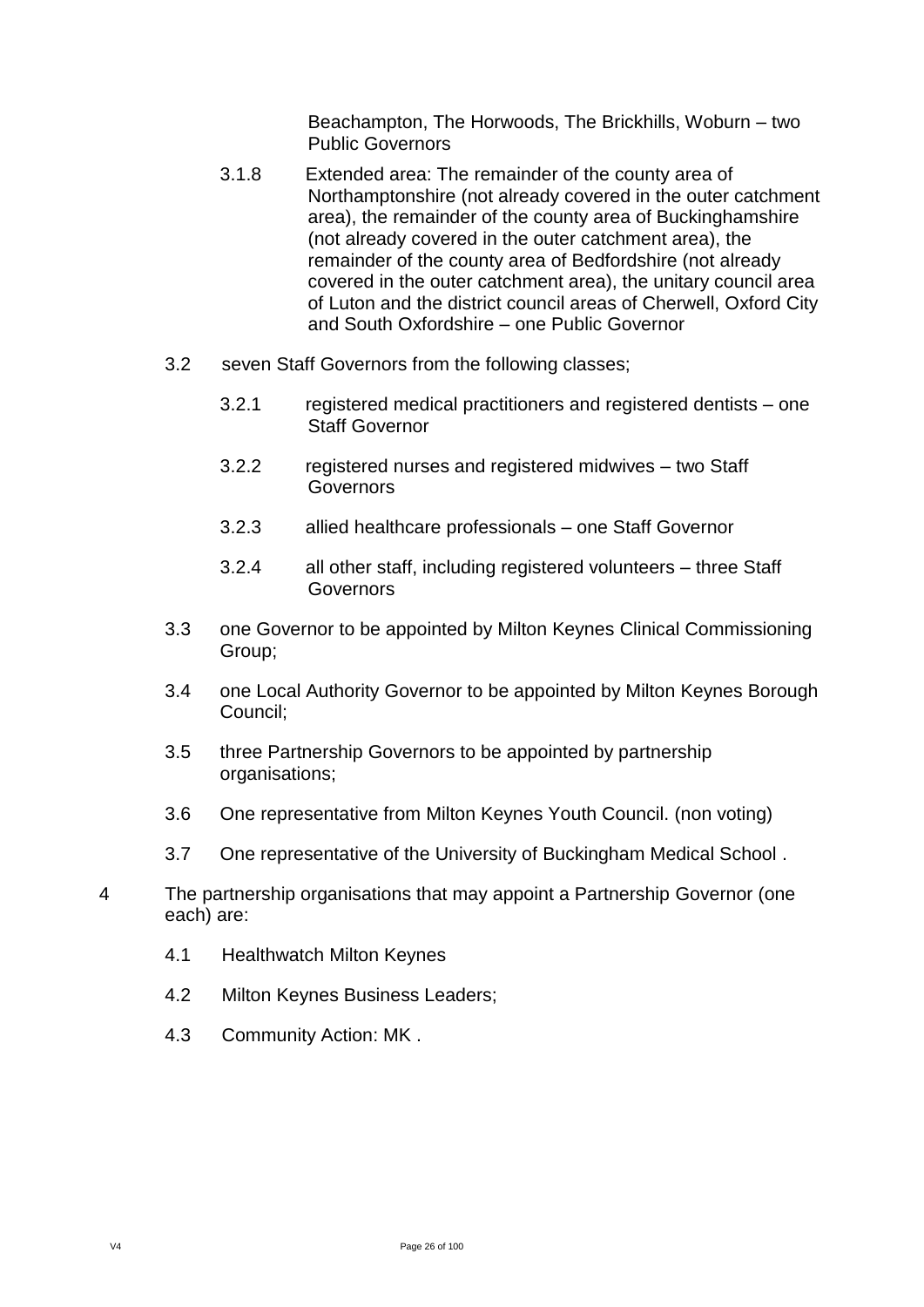Beachampton, The Horwoods, The Brickhills, Woburn – two Public Governors

- 3.1.8 Extended area: The remainder of the county area of Northamptonshire (not already covered in the outer catchment area), the remainder of the county area of Buckinghamshire (not already covered in the outer catchment area), the remainder of the county area of Bedfordshire (not already covered in the outer catchment area), the unitary council area of Luton and the district council areas of Cherwell, Oxford City and South Oxfordshire – one Public Governor
- 3.2 seven Staff Governors from the following classes;
	- 3.2.1 registered medical practitioners and registered dentists one Staff Governor
	- 3.2.2 registered nurses and registered midwives two Staff Governors
	- 3.2.3 allied healthcare professionals one Staff Governor
	- 3.2.4 all other staff, including registered volunteers three Staff **Governors**
- 3.3 one Governor to be appointed by Milton Keynes Clinical Commissioning Group;
- 3.4 one Local Authority Governor to be appointed by Milton Keynes Borough Council;
- 3.5 three Partnership Governors to be appointed by partnership organisations;
- 3.6 One representative from Milton Keynes Youth Council. (non voting)
- 3.7 One representative of the University of Buckingham Medical School .
- 4 The partnership organisations that may appoint a Partnership Governor (one each) are:
	- 4.1 Healthwatch Milton Keynes
	- 4.2 Milton Keynes Business Leaders;
	- 4.3 Community Action: MK .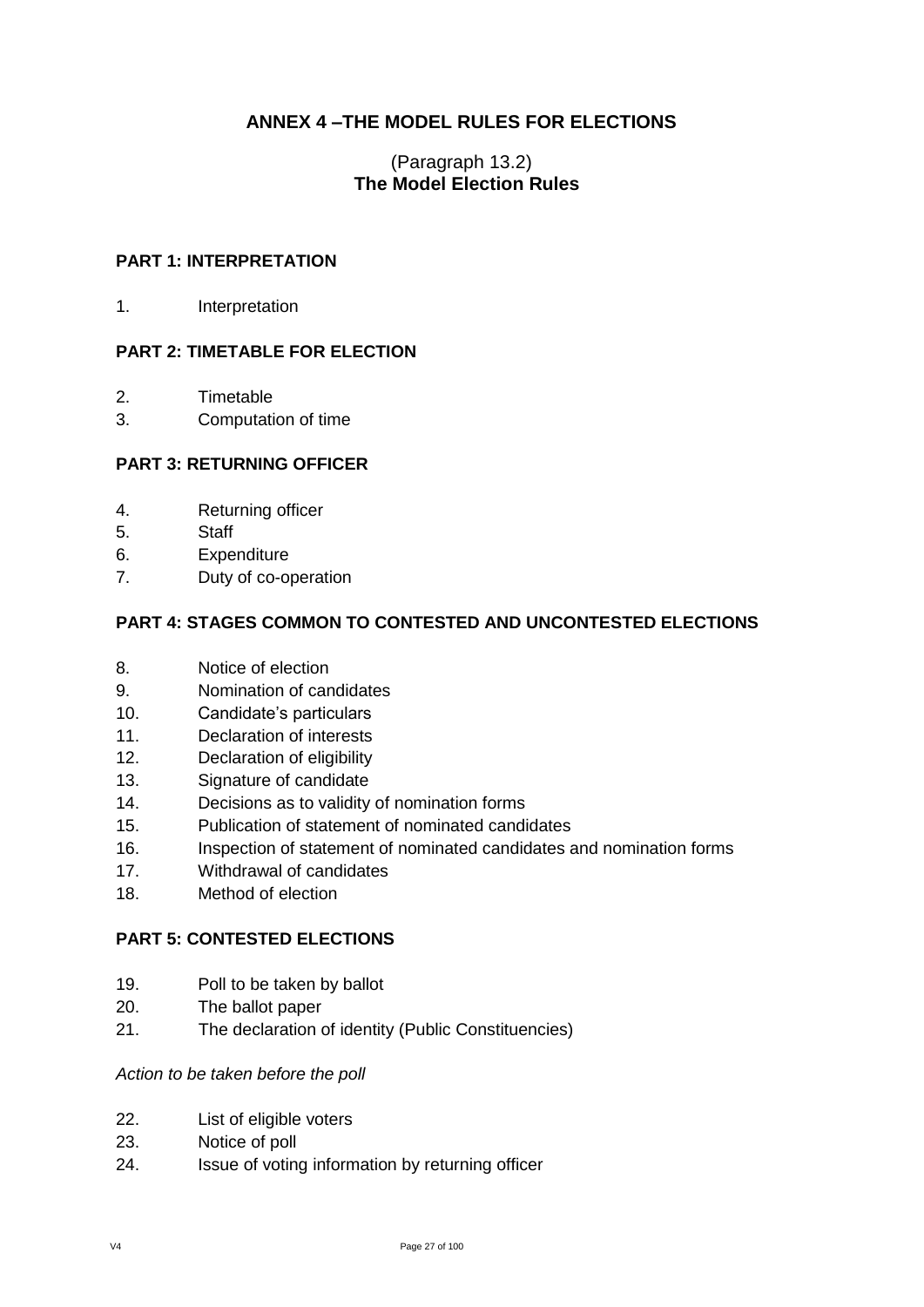#### **ANNEX 4 –THE MODEL RULES FOR ELECTIONS**

#### (Paragraph 13.2) **The Model Election Rules**

#### <span id="page-26-0"></span>**PART 1: INTERPRETATION**

1. Interpretation

#### **PART 2: TIMETABLE FOR ELECTION**

- 2. Timetable
- 3. Computation of time

#### **PART 3: RETURNING OFFICER**

- 4. Returning officer
- 5. Staff
- 6. Expenditure
- 7. Duty of co-operation

#### **PART 4: STAGES COMMON TO CONTESTED AND UNCONTESTED ELECTIONS**

- 8. Notice of election
- 9. Nomination of candidates
- 10. Candidate's particulars
- 11. Declaration of interests
- 12. Declaration of eligibility
- 13. Signature of candidate
- 14. Decisions as to validity of nomination forms
- 15. Publication of statement of nominated candidates
- 16. Inspection of statement of nominated candidates and nomination forms
- 17. Withdrawal of candidates
- 18. Method of election

#### **PART 5: CONTESTED ELECTIONS**

- 19. Poll to be taken by ballot
- 20. The ballot paper
- 21. The declaration of identity (Public Constituencies)

#### *Action to be taken before the poll*

- 22. List of eligible voters
- 23. Notice of poll
- 24. Issue of voting information by returning officer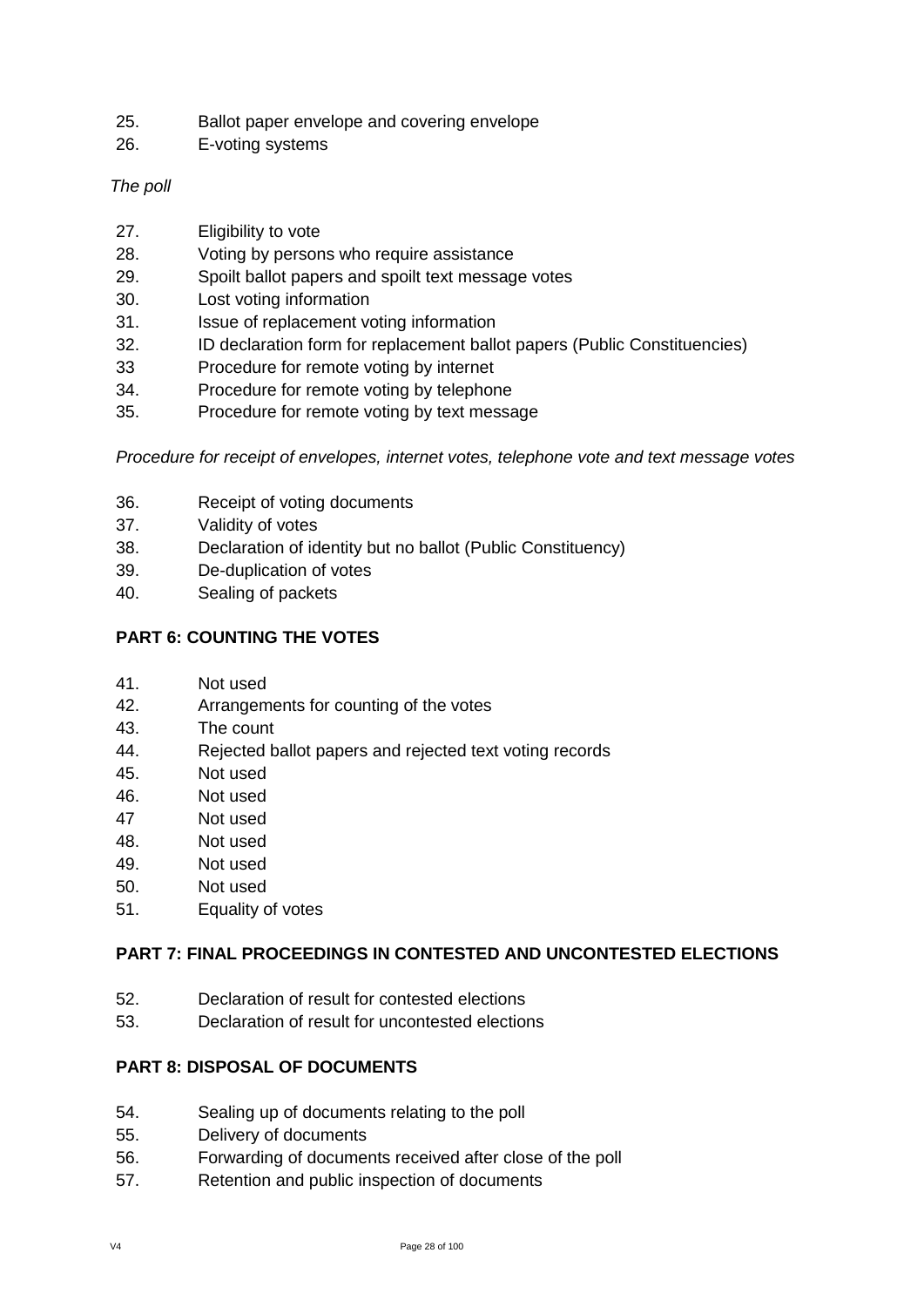- 25. Ballot paper envelope and covering envelope
- 26. E-voting systems

#### *The poll*

- 27. Eligibility to vote
- 28. Voting by persons who require assistance
- 29. Spoilt ballot papers and spoilt text message votes
- 30. Lost voting information
- 31. Issue of replacement voting information
- 32. ID declaration form for replacement ballot papers (Public Constituencies)
- 33 Procedure for remote voting by internet
- 34. Procedure for remote voting by telephone
- 35. Procedure for remote voting by text message

*Procedure for receipt of envelopes, internet votes, telephone vote and text message votes*

- 36. Receipt of voting documents
- 37. Validity of votes
- 38. Declaration of identity but no ballot (Public Constituency)
- 39. De-duplication of votes
- 40. Sealing of packets

#### **PART 6: COUNTING THE VOTES**

- 41. Not used
- 42. Arrangements for counting of the votes
- 43. The count
- 44. Rejected ballot papers and rejected text voting records
- 45. Not used
- 46. Not used
- 47 Not used
- 48. Not used
- 49. Not used
- 50. Not used
- 51. Equality of votes

#### **PART 7: FINAL PROCEEDINGS IN CONTESTED AND UNCONTESTED ELECTIONS**

- 52. Declaration of result for contested elections
- 53. Declaration of result for uncontested elections

#### **PART 8: DISPOSAL OF DOCUMENTS**

- 54. Sealing up of documents relating to the poll
- 55. Delivery of documents
- 56. Forwarding of documents received after close of the poll
- 57. Retention and public inspection of documents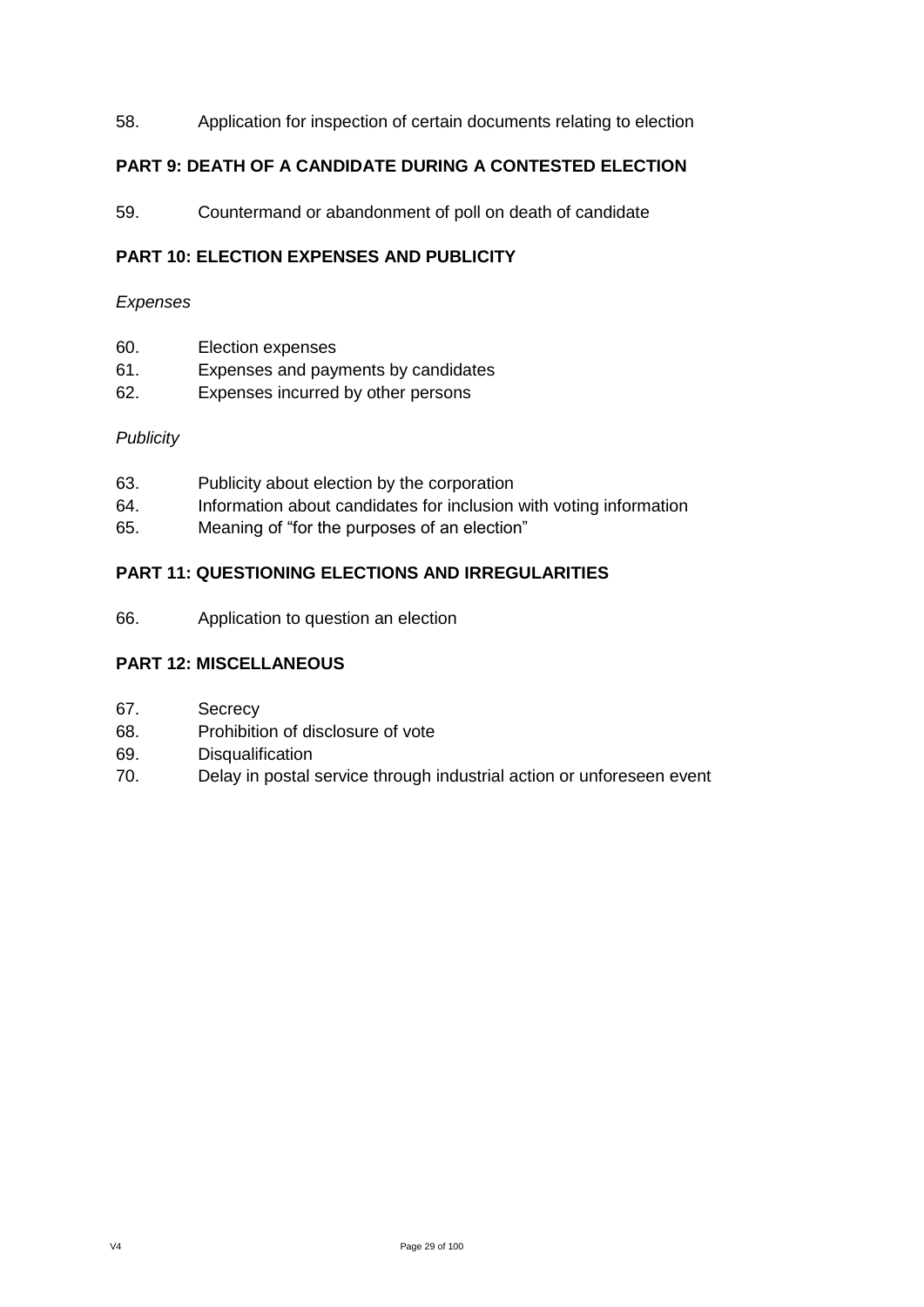#### 58. Application for inspection of certain documents relating to election

#### **PART 9: DEATH OF A CANDIDATE DURING A CONTESTED ELECTION**

59. Countermand or abandonment of poll on death of candidate

#### **PART 10: ELECTION EXPENSES AND PUBLICITY**

#### *Expenses*

- 60. Election expenses
- 61. Expenses and payments by candidates
- 62. Expenses incurred by other persons

#### *Publicity*

- 63. Publicity about election by the corporation
- 64. Information about candidates for inclusion with voting information
- 65. Meaning of "for the purposes of an election"

#### **PART 11: QUESTIONING ELECTIONS AND IRREGULARITIES**

66. Application to question an election

#### **PART 12: MISCELLANEOUS**

- 67. Secrecy
- 68. Prohibition of disclosure of vote
- 69. Disqualification
- 70. Delay in postal service through industrial action or unforeseen event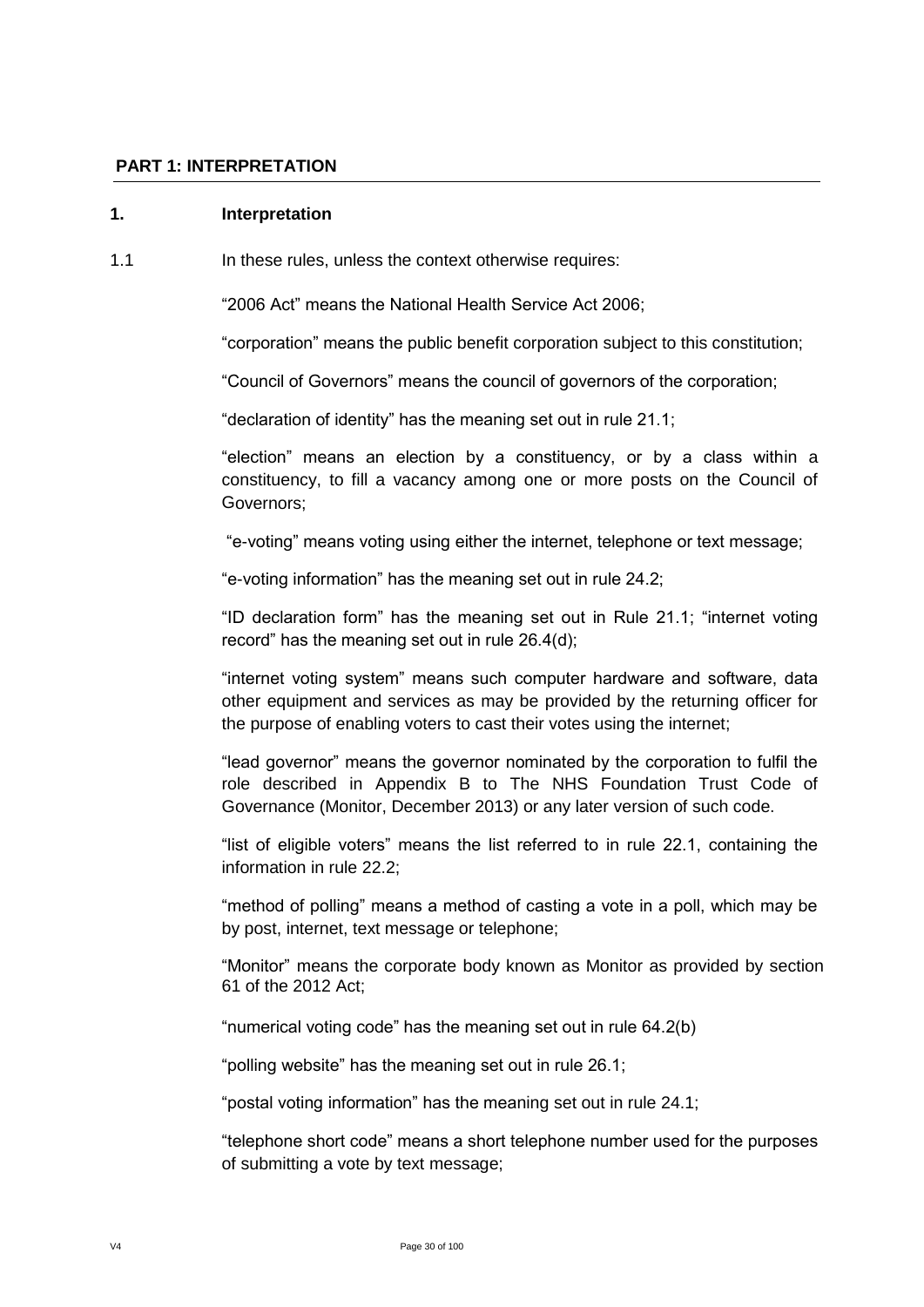#### **PART 1: INTERPRETATION**

#### **1. Interpretation**

1.1 **In these rules, unless the context otherwise requires:** 

"2006 Act" means the National Health Service Act 2006;

"corporation" means the public benefit corporation subject to this constitution;

"Council of Governors" means the council of governors of the corporation;

"declaration of identity" has the meaning set out in rule 21.1;

"election" means an election by a constituency, or by a class within a constituency, to fill a vacancy among one or more posts on the Council of Governors;

"e-voting" means voting using either the internet, telephone or text message;

"e-voting information" has the meaning set out in rule 24.2;

"ID declaration form" has the meaning set out in Rule 21.1; "internet voting record" has the meaning set out in rule 26.4(d);

"internet voting system" means such computer hardware and software, data other equipment and services as may be provided by the returning officer for the purpose of enabling voters to cast their votes using the internet;

"lead governor" means the governor nominated by the corporation to fulfil the role described in Appendix B to The NHS Foundation Trust Code of Governance (Monitor, December 2013) or any later version of such code.

"list of eligible voters" means the list referred to in rule 22.1, containing the information in rule 22.2;

"method of polling" means a method of casting a vote in a poll, which may be by post, internet, text message or telephone;

"Monitor" means the corporate body known as Monitor as provided by section 61 of the 2012 Act;

"numerical voting code" has the meaning set out in rule 64.2(b)

"polling website" has the meaning set out in rule 26.1;

"postal voting information" has the meaning set out in rule 24.1;

"telephone short code" means a short telephone number used for the purposes of submitting a vote by text message;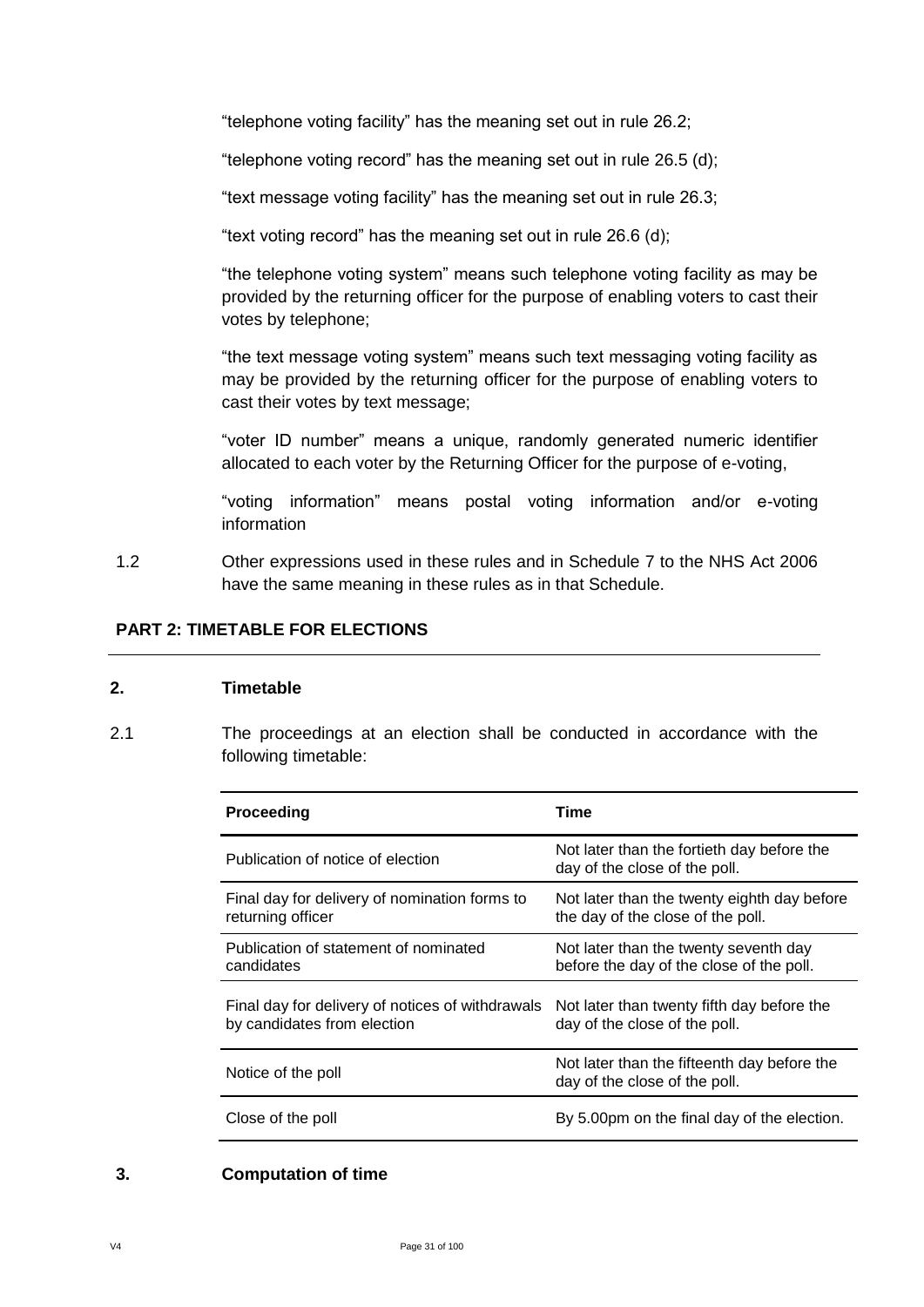"telephone voting facility" has the meaning set out in rule 26.2;

"telephone voting record" has the meaning set out in rule 26.5 (d);

"text message voting facility" has the meaning set out in rule 26.3;

"text voting record" has the meaning set out in rule 26.6 (d);

"the telephone voting system" means such telephone voting facility as may be provided by the returning officer for the purpose of enabling voters to cast their votes by telephone;

"the text message voting system" means such text messaging voting facility as may be provided by the returning officer for the purpose of enabling voters to cast their votes by text message;

"voter ID number" means a unique, randomly generated numeric identifier allocated to each voter by the Returning Officer for the purpose of e-voting,

"voting information" means postal voting information and/or e-voting information

1.2 Other expressions used in these rules and in Schedule 7 to the NHS Act 2006 have the same meaning in these rules as in that Schedule.

#### **PART 2: TIMETABLE FOR ELECTIONS**

#### **2. Timetable**

2.1 The proceedings at an election shall be conducted in accordance with the following timetable:

| Proceeding                                                                      | Time                                                                              |
|---------------------------------------------------------------------------------|-----------------------------------------------------------------------------------|
| Publication of notice of election                                               | Not later than the fortieth day before the<br>day of the close of the poll.       |
| Final day for delivery of nomination forms to<br>returning officer              | Not later than the twenty eighth day before<br>the day of the close of the poll.  |
| Publication of statement of nominated<br>candidates                             | Not later than the twenty seventh day<br>before the day of the close of the poll. |
| Final day for delivery of notices of withdrawals<br>by candidates from election | Not later than twenty fifth day before the<br>day of the close of the poll.       |
| Notice of the poll                                                              | Not later than the fifteenth day before the<br>day of the close of the poll.      |
| Close of the poll                                                               | By 5.00pm on the final day of the election.                                       |

#### **3. Computation of time**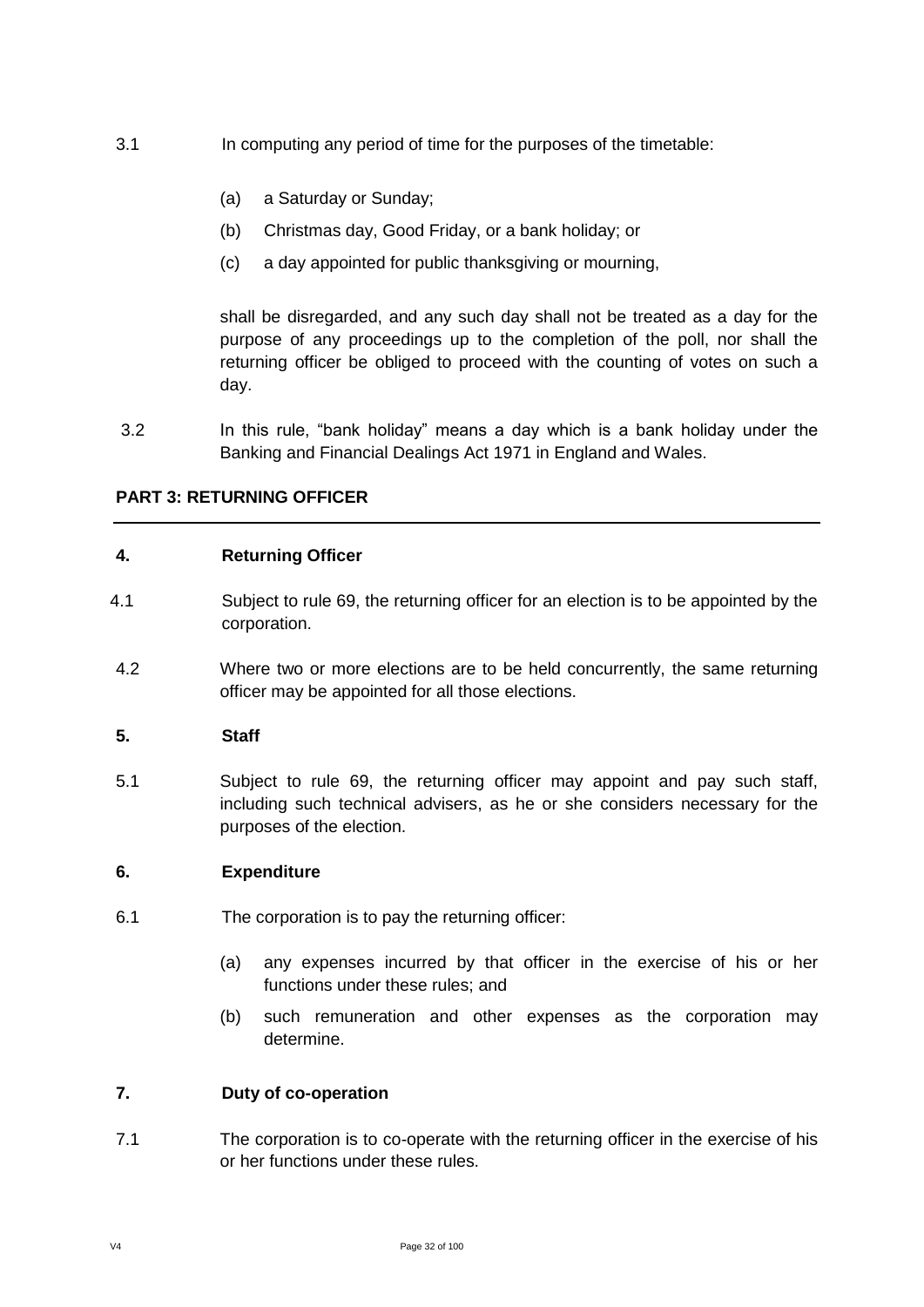- 3.1 In computing any period of time for the purposes of the timetable:
	- (a) a Saturday or Sunday;
	- (b) Christmas day, Good Friday, or a bank holiday; or
	- (c) a day appointed for public thanksgiving or mourning,

shall be disregarded, and any such day shall not be treated as a day for the purpose of any proceedings up to the completion of the poll, nor shall the returning officer be obliged to proceed with the counting of votes on such a day.

3.2 In this rule, "bank holiday" means a day which is a bank holiday under the Banking and Financial Dealings Act 1971 in England and Wales.

#### **PART 3: RETURNING OFFICER**

#### **4. Returning Officer**

- 4.1 Subject to rule 69, the returning officer for an election is to be appointed by the corporation.
- 4.2 Where two or more elections are to be held concurrently, the same returning officer may be appointed for all those elections.

#### **5. Staff**

5.1 Subject to rule 69, the returning officer may appoint and pay such staff, including such technical advisers, as he or she considers necessary for the purposes of the election.

#### **6. Expenditure**

- 6.1 The corporation is to pay the returning officer:
	- (a) any expenses incurred by that officer in the exercise of his or her functions under these rules; and
	- (b) such remuneration and other expenses as the corporation may determine.

#### **7. Duty of co-operation**

7.1 The corporation is to co-operate with the returning officer in the exercise of his or her functions under these rules.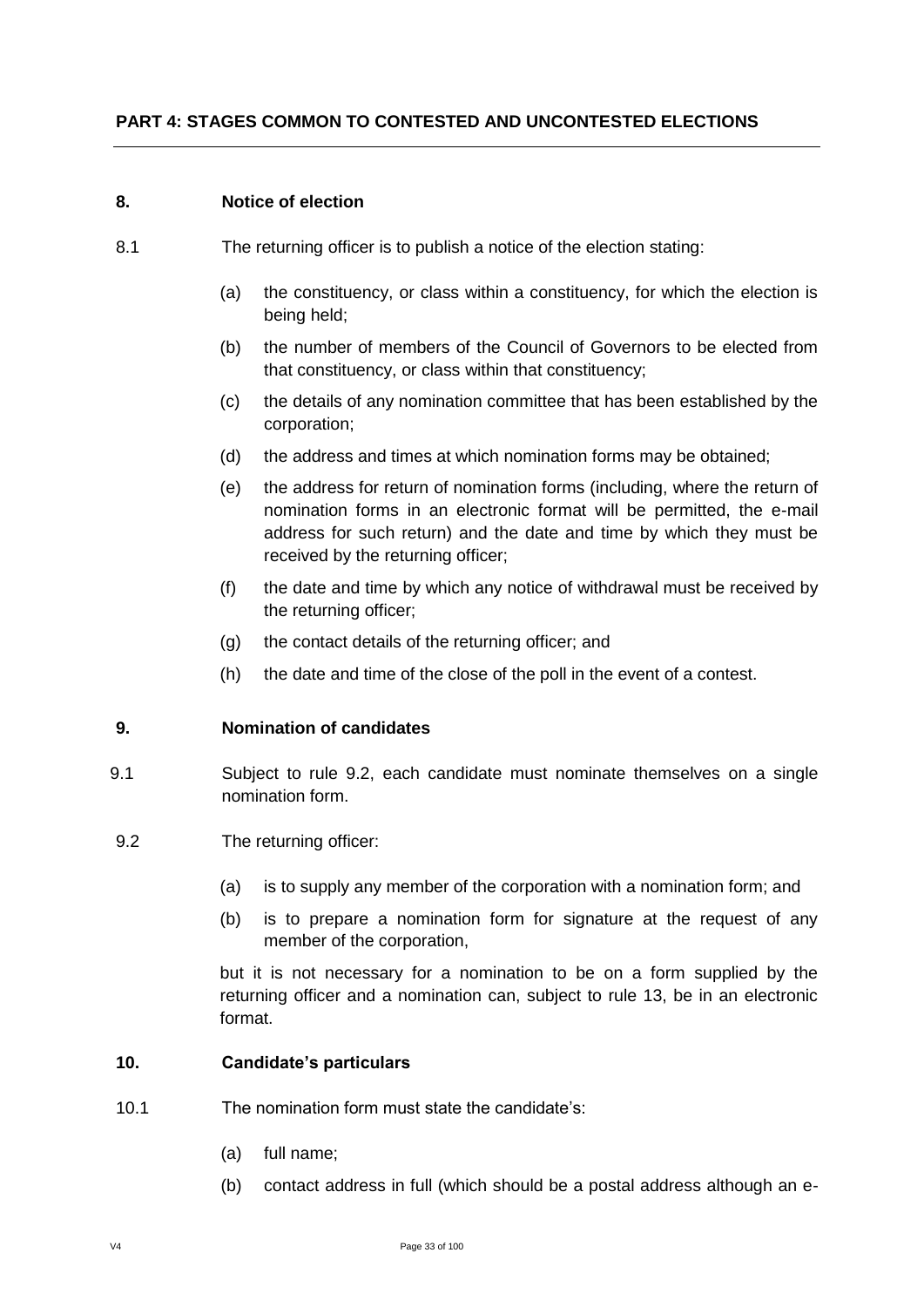#### **8. Notice of election**

- 8.1 The returning officer is to publish a notice of the election stating:
	- (a) the constituency, or class within a constituency, for which the election is being held;
	- (b) the number of members of the Council of Governors to be elected from that constituency, or class within that constituency;
	- (c) the details of any nomination committee that has been established by the corporation;
	- (d) the address and times at which nomination forms may be obtained;
	- (e) the address for return of nomination forms (including, where the return of nomination forms in an electronic format will be permitted, the e-mail address for such return) and the date and time by which they must be received by the returning officer;
	- (f) the date and time by which any notice of withdrawal must be received by the returning officer;
	- (g) the contact details of the returning officer; and
	- (h) the date and time of the close of the poll in the event of a contest.

#### **9. Nomination of candidates**

- 9.1 Subject to rule 9.2, each candidate must nominate themselves on a single nomination form.
- 9.2 The returning officer:
	- (a) is to supply any member of the corporation with a nomination form; and
	- (b) is to prepare a nomination form for signature at the request of any member of the corporation,

but it is not necessary for a nomination to be on a form supplied by the returning officer and a nomination can, subject to rule 13, be in an electronic format.

#### **10. Candidate's particulars**

- 10.1 The nomination form must state the candidate's:
	- (a) full name;
	- (b) contact address in full (which should be a postal address although an e-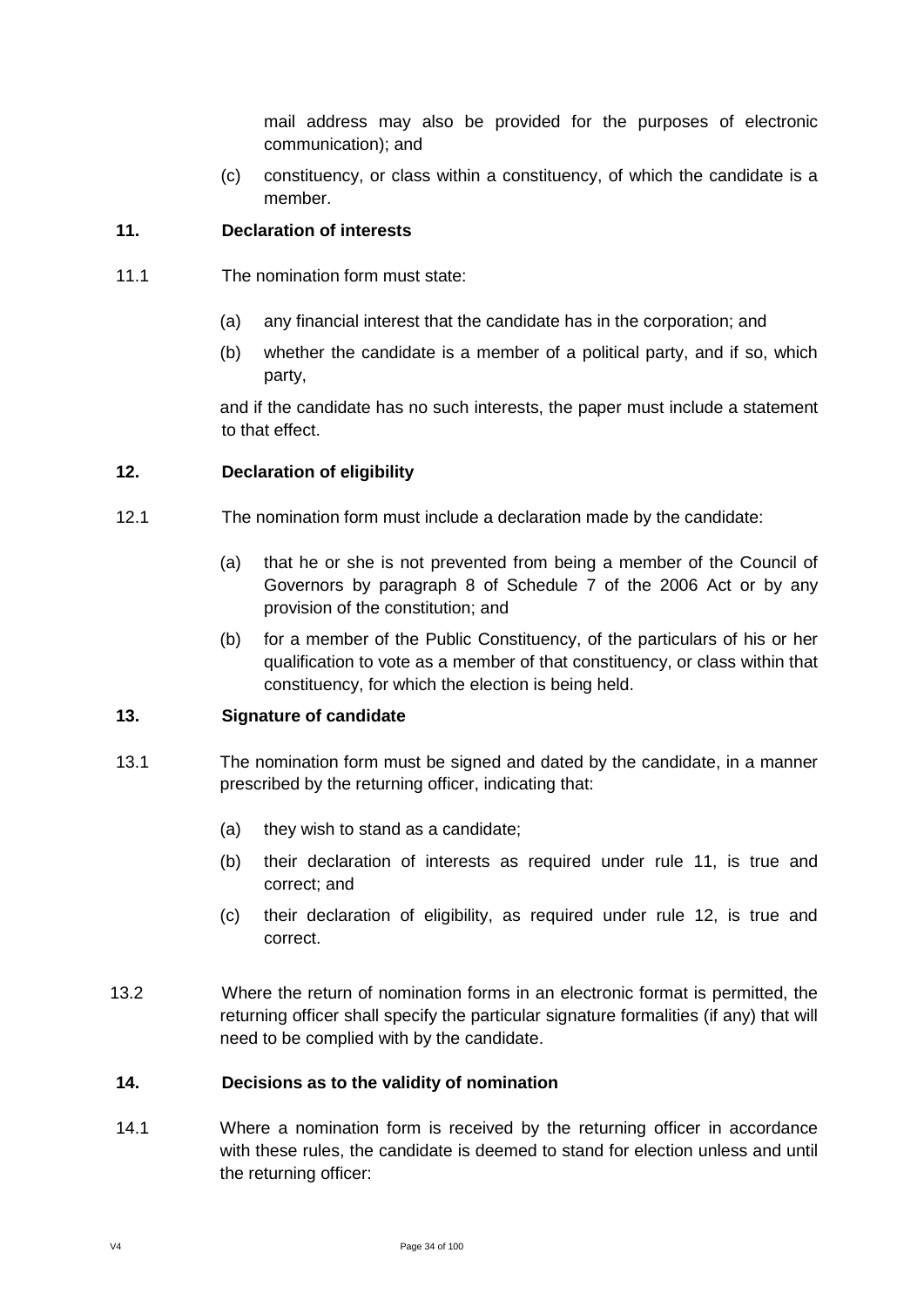mail address may also be provided for the purposes of electronic communication); and

(c) constituency, or class within a constituency, of which the candidate is a member.

#### **11. Declaration of interests**

- 11.1 The nomination form must state:
	- (a) any financial interest that the candidate has in the corporation; and
	- (b) whether the candidate is a member of a political party, and if so, which party,

and if the candidate has no such interests, the paper must include a statement to that effect.

#### **12. Declaration of eligibility**

- 12.1 The nomination form must include a declaration made by the candidate:
	- (a) that he or she is not prevented from being a member of the Council of Governors by paragraph 8 of Schedule 7 of the 2006 Act or by any provision of the constitution; and
	- (b) for a member of the Public Constituency, of the particulars of his or her qualification to vote as a member of that constituency, or class within that constituency, for which the election is being held.

#### **13. Signature of candidate**

- 13.1 The nomination form must be signed and dated by the candidate, in a manner prescribed by the returning officer, indicating that:
	- (a) they wish to stand as a candidate;
	- (b) their declaration of interests as required under rule 11, is true and correct; and
	- (c) their declaration of eligibility, as required under rule 12, is true and correct.
- 13.2 Where the return of nomination forms in an electronic format is permitted, the returning officer shall specify the particular signature formalities (if any) that will need to be complied with by the candidate.

#### **14. Decisions as to the validity of nomination**

14.1 Where a nomination form is received by the returning officer in accordance with these rules, the candidate is deemed to stand for election unless and until the returning officer: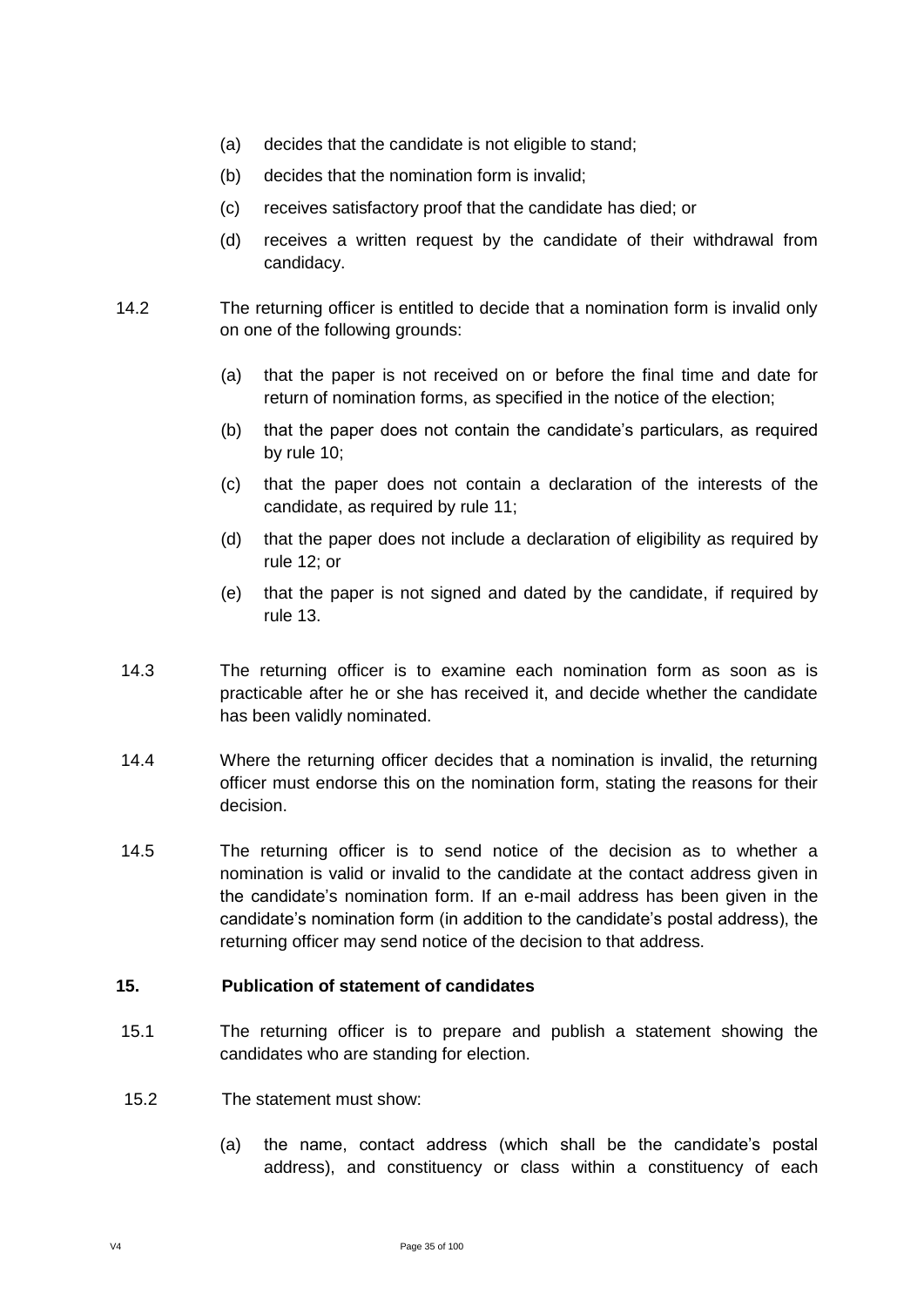- (a) decides that the candidate is not eligible to stand;
- (b) decides that the nomination form is invalid;
- (c) receives satisfactory proof that the candidate has died; or
- (d) receives a written request by the candidate of their withdrawal from candidacy.
- 14.2 The returning officer is entitled to decide that a nomination form is invalid only on one of the following grounds:
	- (a) that the paper is not received on or before the final time and date for return of nomination forms, as specified in the notice of the election;
	- (b) that the paper does not contain the candidate's particulars, as required by rule 10;
	- (c) that the paper does not contain a declaration of the interests of the candidate, as required by rule 11;
	- (d) that the paper does not include a declaration of eligibility as required by rule 12; or
	- (e) that the paper is not signed and dated by the candidate, if required by rule 13.
- 14.3 The returning officer is to examine each nomination form as soon as is practicable after he or she has received it, and decide whether the candidate has been validly nominated.
- 14.4 Where the returning officer decides that a nomination is invalid, the returning officer must endorse this on the nomination form, stating the reasons for their decision.
- 14.5 The returning officer is to send notice of the decision as to whether a nomination is valid or invalid to the candidate at the contact address given in the candidate's nomination form. If an e-mail address has been given in the candidate's nomination form (in addition to the candidate's postal address), the returning officer may send notice of the decision to that address.

#### **15. Publication of statement of candidates**

- 15.1 The returning officer is to prepare and publish a statement showing the candidates who are standing for election.
- 15.2 The statement must show:
	- (a) the name, contact address (which shall be the candidate's postal address), and constituency or class within a constituency of each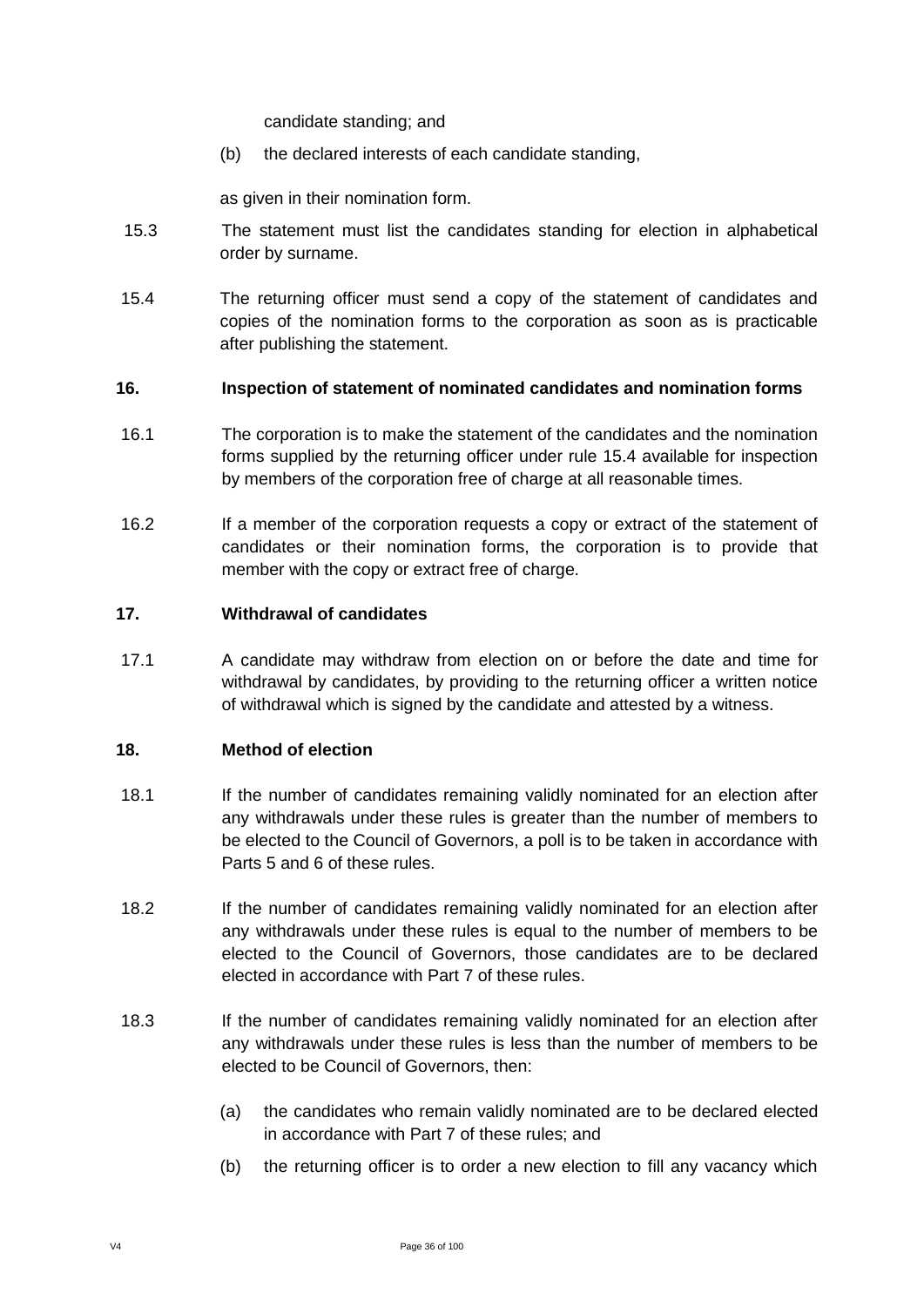candidate standing; and

(b) the declared interests of each candidate standing,

as given in their nomination form.

- 15.3 The statement must list the candidates standing for election in alphabetical order by surname.
- 15.4 The returning officer must send a copy of the statement of candidates and copies of the nomination forms to the corporation as soon as is practicable after publishing the statement.

#### **16. Inspection of statement of nominated candidates and nomination forms**

- 16.1 The corporation is to make the statement of the candidates and the nomination forms supplied by the returning officer under rule 15.4 available for inspection by members of the corporation free of charge at all reasonable times.
- 16.2 If a member of the corporation requests a copy or extract of the statement of candidates or their nomination forms, the corporation is to provide that member with the copy or extract free of charge.

#### **17. Withdrawal of candidates**

17.1 A candidate may withdraw from election on or before the date and time for withdrawal by candidates, by providing to the returning officer a written notice of withdrawal which is signed by the candidate and attested by a witness.

#### **18. Method of election**

- 18.1 If the number of candidates remaining validly nominated for an election after any withdrawals under these rules is greater than the number of members to be elected to the Council of Governors, a poll is to be taken in accordance with Parts 5 and 6 of these rules.
- 18.2 If the number of candidates remaining validly nominated for an election after any withdrawals under these rules is equal to the number of members to be elected to the Council of Governors, those candidates are to be declared elected in accordance with Part 7 of these rules.
- 18.3 If the number of candidates remaining validly nominated for an election after any withdrawals under these rules is less than the number of members to be elected to be Council of Governors, then:
	- (a) the candidates who remain validly nominated are to be declared elected in accordance with Part 7 of these rules; and
	- (b) the returning officer is to order a new election to fill any vacancy which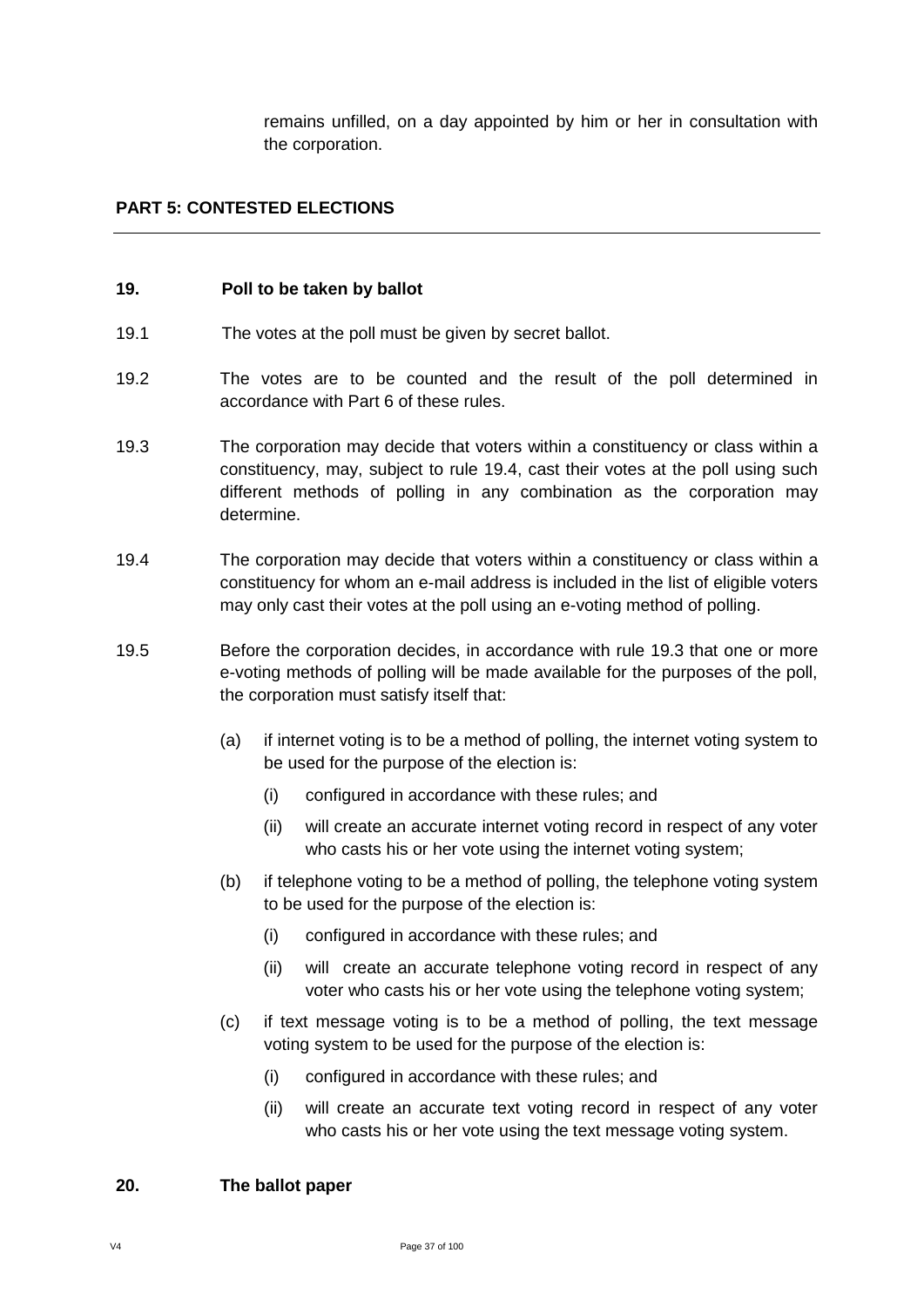remains unfilled, on a day appointed by him or her in consultation with the corporation.

## **PART 5: CONTESTED ELECTIONS**

#### **19. Poll to be taken by ballot**

- 19.1 The votes at the poll must be given by secret ballot.
- 19.2 The votes are to be counted and the result of the poll determined in accordance with Part 6 of these rules.
- 19.3 The corporation may decide that voters within a constituency or class within a constituency, may, subject to rule 19.4, cast their votes at the poll using such different methods of polling in any combination as the corporation may determine.
- 19.4 The corporation may decide that voters within a constituency or class within a constituency for whom an e-mail address is included in the list of eligible voters may only cast their votes at the poll using an e-voting method of polling.
- 19.5 Before the corporation decides, in accordance with rule 19.3 that one or more e-voting methods of polling will be made available for the purposes of the poll, the corporation must satisfy itself that:
	- (a) if internet voting is to be a method of polling, the internet voting system to be used for the purpose of the election is:
		- (i) configured in accordance with these rules; and
		- (ii) will create an accurate internet voting record in respect of any voter who casts his or her vote using the internet voting system;
	- (b) if telephone voting to be a method of polling, the telephone voting system to be used for the purpose of the election is:
		- (i) configured in accordance with these rules; and
		- (ii) will create an accurate telephone voting record in respect of any voter who casts his or her vote using the telephone voting system;
	- (c) if text message voting is to be a method of polling, the text message voting system to be used for the purpose of the election is:
		- (i) configured in accordance with these rules; and
		- (ii) will create an accurate text voting record in respect of any voter who casts his or her vote using the text message voting system.

#### **20. The ballot paper**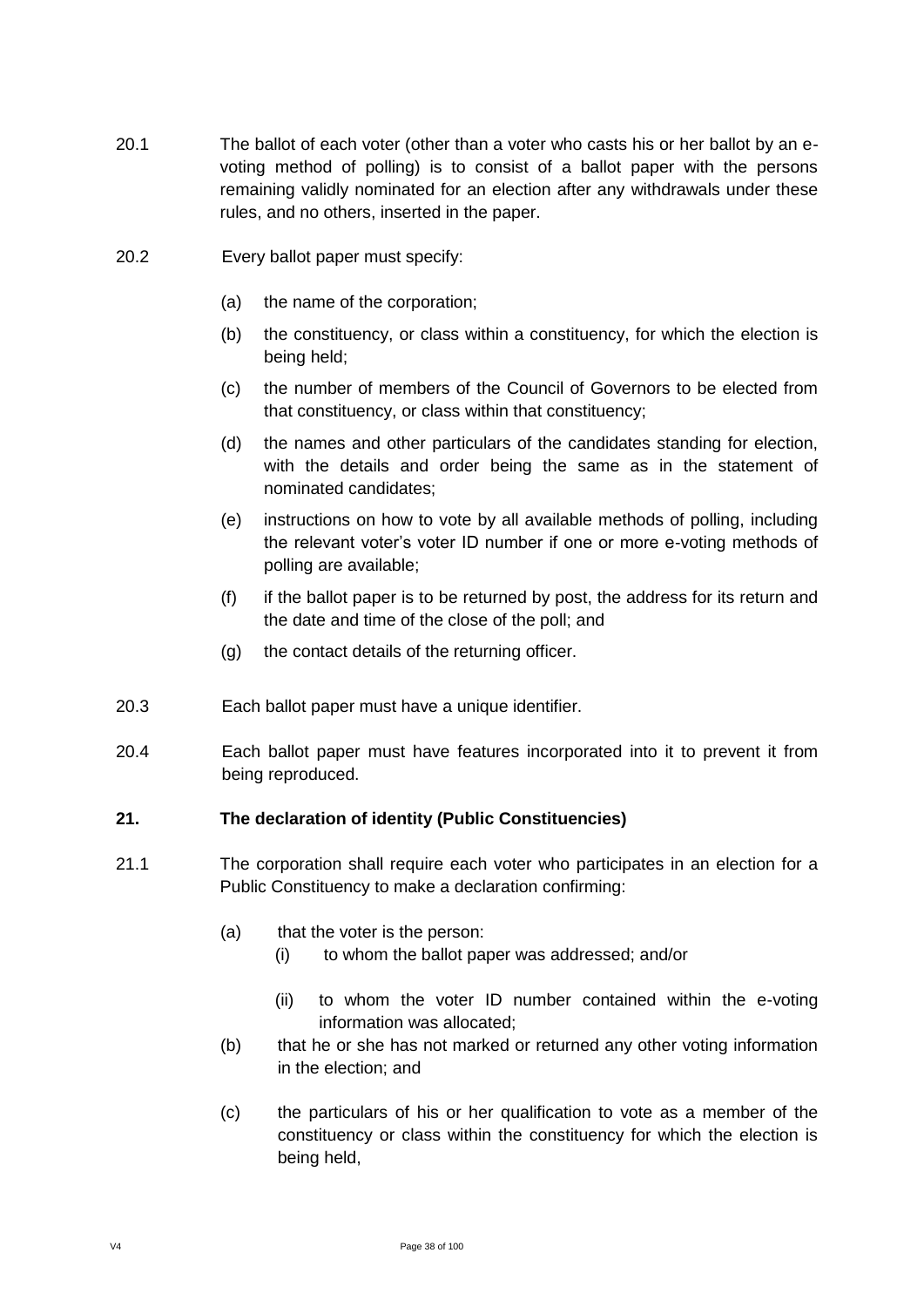- 20.1 The ballot of each voter (other than a voter who casts his or her ballot by an evoting method of polling) is to consist of a ballot paper with the persons remaining validly nominated for an election after any withdrawals under these rules, and no others, inserted in the paper.
- 20.2 Every ballot paper must specify:
	- (a) the name of the corporation;
	- (b) the constituency, or class within a constituency, for which the election is being held;
	- (c) the number of members of the Council of Governors to be elected from that constituency, or class within that constituency;
	- (d) the names and other particulars of the candidates standing for election, with the details and order being the same as in the statement of nominated candidates;
	- (e) instructions on how to vote by all available methods of polling, including the relevant voter's voter ID number if one or more e-voting methods of polling are available;
	- (f) if the ballot paper is to be returned by post, the address for its return and the date and time of the close of the poll; and
	- (g) the contact details of the returning officer.
- 20.3 Each ballot paper must have a unique identifier.
- 20.4 Each ballot paper must have features incorporated into it to prevent it from being reproduced.

#### **21. The declaration of identity (Public Constituencies)**

- 21.1 The corporation shall require each voter who participates in an election for a Public Constituency to make a declaration confirming:
	- (a) that the voter is the person:
		- (i) to whom the ballot paper was addressed; and/or
		- (ii) to whom the voter ID number contained within the e-voting information was allocated;
	- (b) that he or she has not marked or returned any other voting information in the election; and
	- (c) the particulars of his or her qualification to vote as a member of the constituency or class within the constituency for which the election is being held,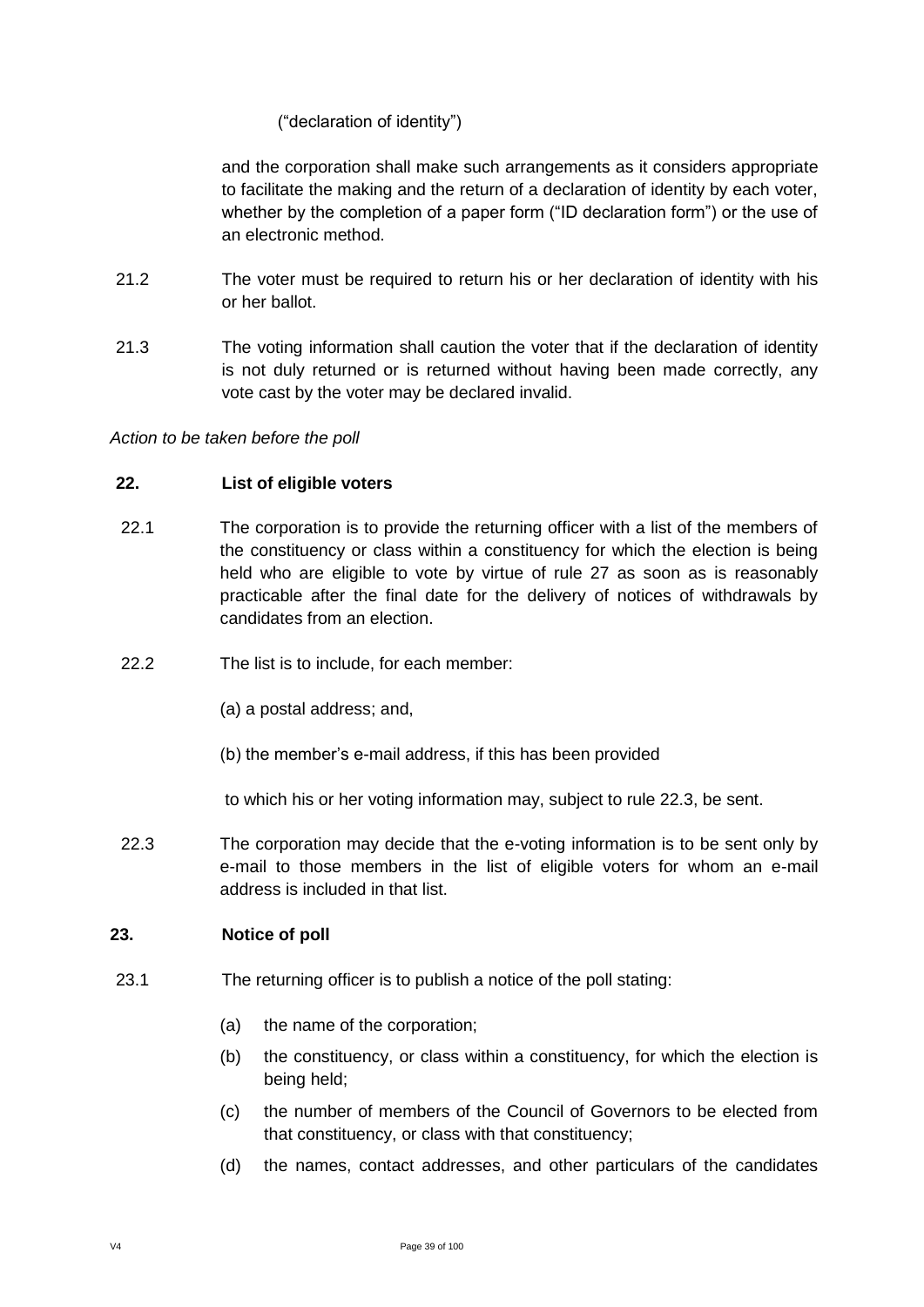### ("declaration of identity")

and the corporation shall make such arrangements as it considers appropriate to facilitate the making and the return of a declaration of identity by each voter, whether by the completion of a paper form ("ID declaration form") or the use of an electronic method.

- 21.2 The voter must be required to return his or her declaration of identity with his or her ballot.
- 21.3 The voting information shall caution the voter that if the declaration of identity is not duly returned or is returned without having been made correctly, any vote cast by the voter may be declared invalid.

#### *Action to be taken before the poll*

#### **22. List of eligible voters**

- 22.1 The corporation is to provide the returning officer with a list of the members of the constituency or class within a constituency for which the election is being held who are eligible to vote by virtue of rule 27 as soon as is reasonably practicable after the final date for the delivery of notices of withdrawals by candidates from an election.
- 22.2 The list is to include, for each member:
	- (a) a postal address; and,
	- (b) the member's e-mail address, if this has been provided

to which his or her voting information may, subject to rule 22.3, be sent.

22.3 The corporation may decide that the e-voting information is to be sent only by e-mail to those members in the list of eligible voters for whom an e-mail address is included in that list.

#### **23. Notice of poll**

- 23.1 The returning officer is to publish a notice of the poll stating:
	- (a) the name of the corporation;
	- (b) the constituency, or class within a constituency, for which the election is being held;
	- (c) the number of members of the Council of Governors to be elected from that constituency, or class with that constituency;
	- (d) the names, contact addresses, and other particulars of the candidates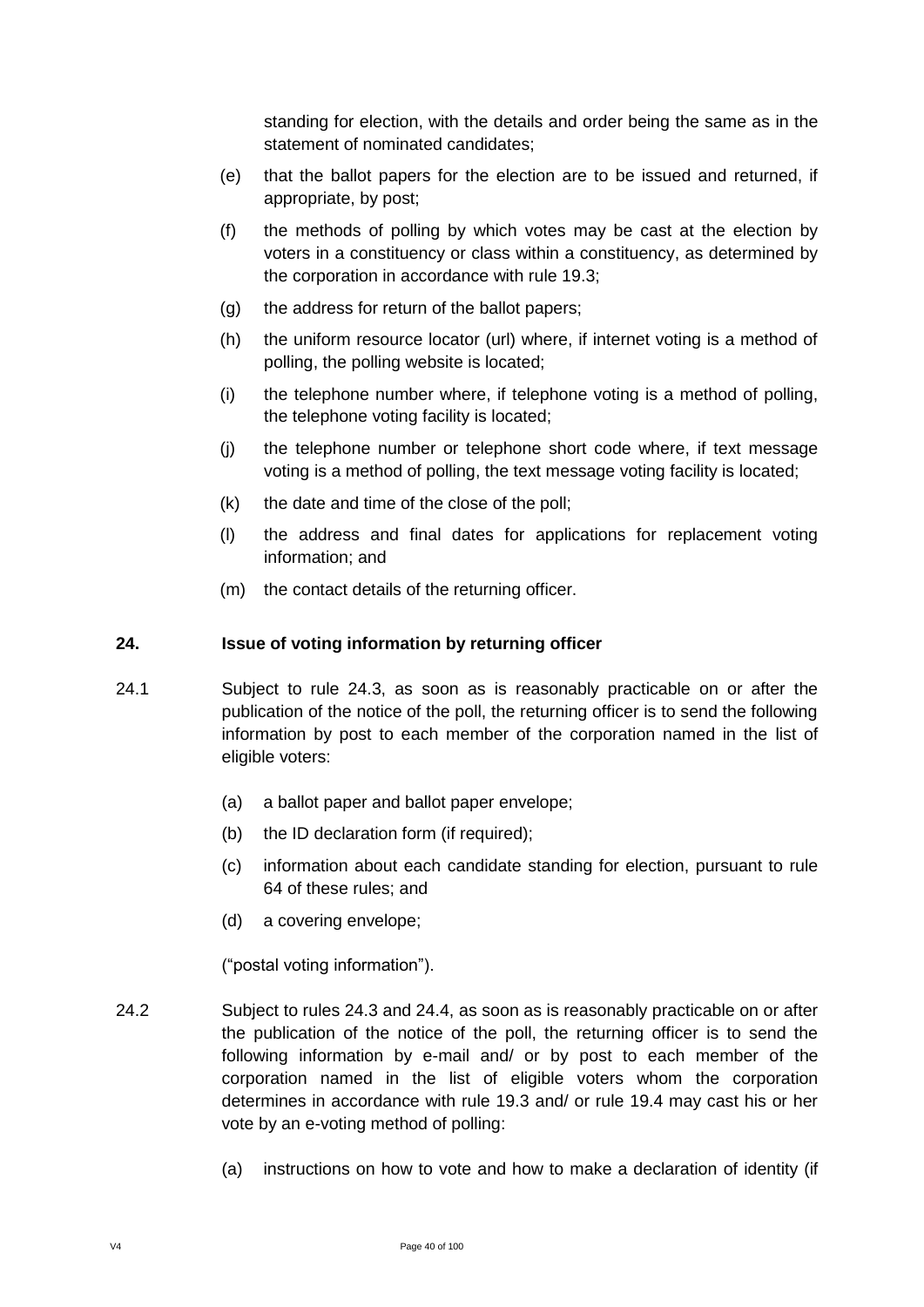standing for election, with the details and order being the same as in the statement of nominated candidates;

- (e) that the ballot papers for the election are to be issued and returned, if appropriate, by post;
- (f) the methods of polling by which votes may be cast at the election by voters in a constituency or class within a constituency, as determined by the corporation in accordance with rule 19.3;
- (g) the address for return of the ballot papers;
- (h) the uniform resource locator (url) where, if internet voting is a method of polling, the polling website is located;
- (i) the telephone number where, if telephone voting is a method of polling, the telephone voting facility is located;
- (j) the telephone number or telephone short code where, if text message voting is a method of polling, the text message voting facility is located;
- (k) the date and time of the close of the poll;
- (l) the address and final dates for applications for replacement voting information; and
- (m) the contact details of the returning officer.

### **24. Issue of voting information by returning officer**

- 24.1 Subject to rule 24.3, as soon as is reasonably practicable on or after the publication of the notice of the poll, the returning officer is to send the following information by post to each member of the corporation named in the list of eligible voters:
	- (a) a ballot paper and ballot paper envelope;
	- (b) the ID declaration form (if required);
	- (c) information about each candidate standing for election, pursuant to rule 64 of these rules; and
	- (d) a covering envelope;

("postal voting information").

- 24.2 Subject to rules 24.3 and 24.4, as soon as is reasonably practicable on or after the publication of the notice of the poll, the returning officer is to send the following information by e-mail and/ or by post to each member of the corporation named in the list of eligible voters whom the corporation determines in accordance with rule 19.3 and/ or rule 19.4 may cast his or her vote by an e-voting method of polling:
	- (a) instructions on how to vote and how to make a declaration of identity (if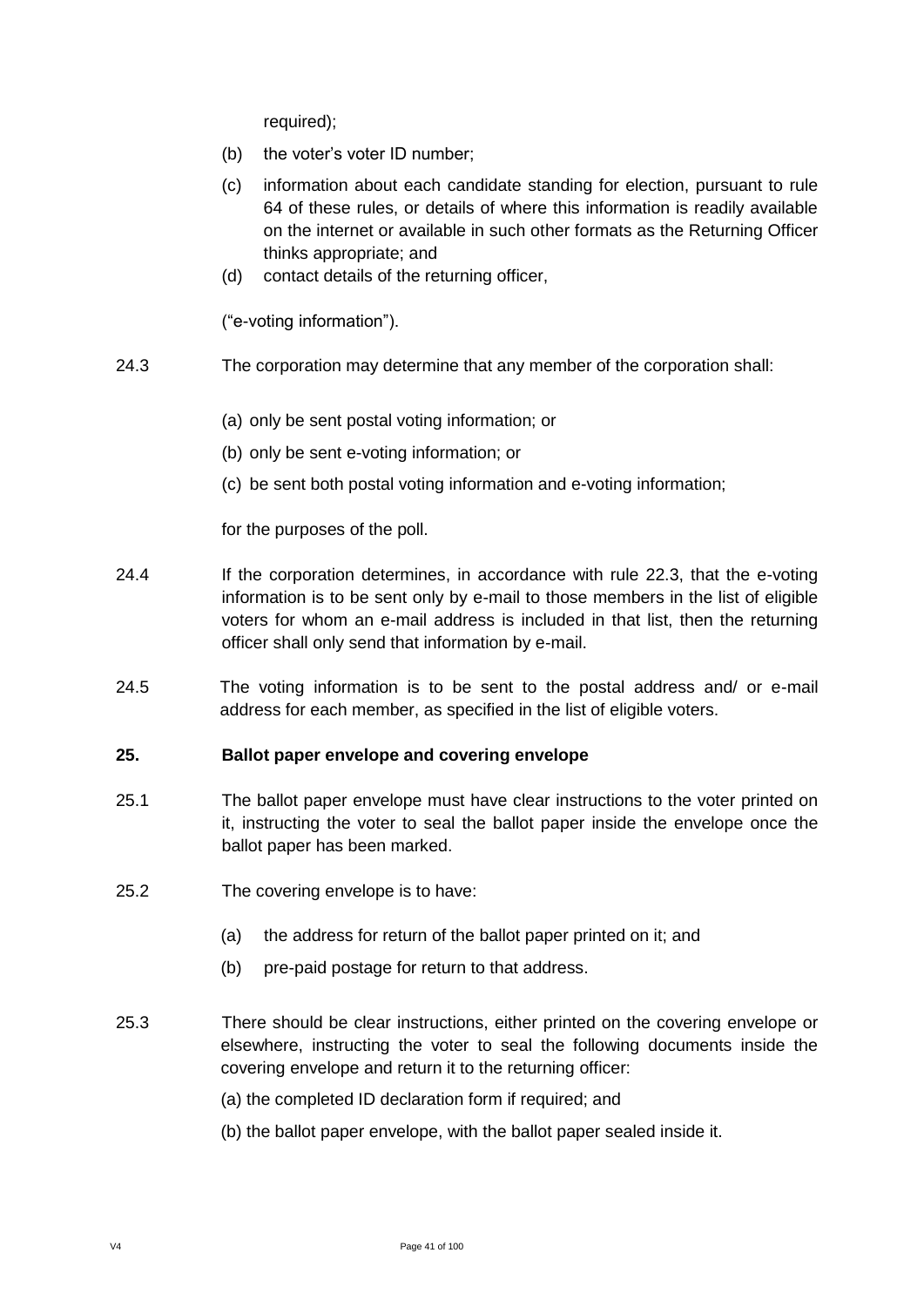required);

- (b) the voter's voter ID number;
- (c) information about each candidate standing for election, pursuant to rule 64 of these rules, or details of where this information is readily available on the internet or available in such other formats as the Returning Officer thinks appropriate; and
- (d) contact details of the returning officer,

("e-voting information").

- 24.3 The corporation may determine that any member of the corporation shall:
	- (a) only be sent postal voting information; or
	- (b) only be sent e-voting information; or
	- (c) be sent both postal voting information and e-voting information;

for the purposes of the poll.

- 24.4 If the corporation determines, in accordance with rule 22.3, that the e-voting information is to be sent only by e-mail to those members in the list of eligible voters for whom an e-mail address is included in that list, then the returning officer shall only send that information by e-mail.
- 24.5 The voting information is to be sent to the postal address and/ or e-mail address for each member, as specified in the list of eligible voters.

#### **25. Ballot paper envelope and covering envelope**

- 25.1 The ballot paper envelope must have clear instructions to the voter printed on it, instructing the voter to seal the ballot paper inside the envelope once the ballot paper has been marked.
- 25.2 The covering envelope is to have:
	- (a) the address for return of the ballot paper printed on it; and
	- (b) pre-paid postage for return to that address.
- 25.3 There should be clear instructions, either printed on the covering envelope or elsewhere, instructing the voter to seal the following documents inside the covering envelope and return it to the returning officer:
	- (a) the completed ID declaration form if required; and
	- (b) the ballot paper envelope, with the ballot paper sealed inside it.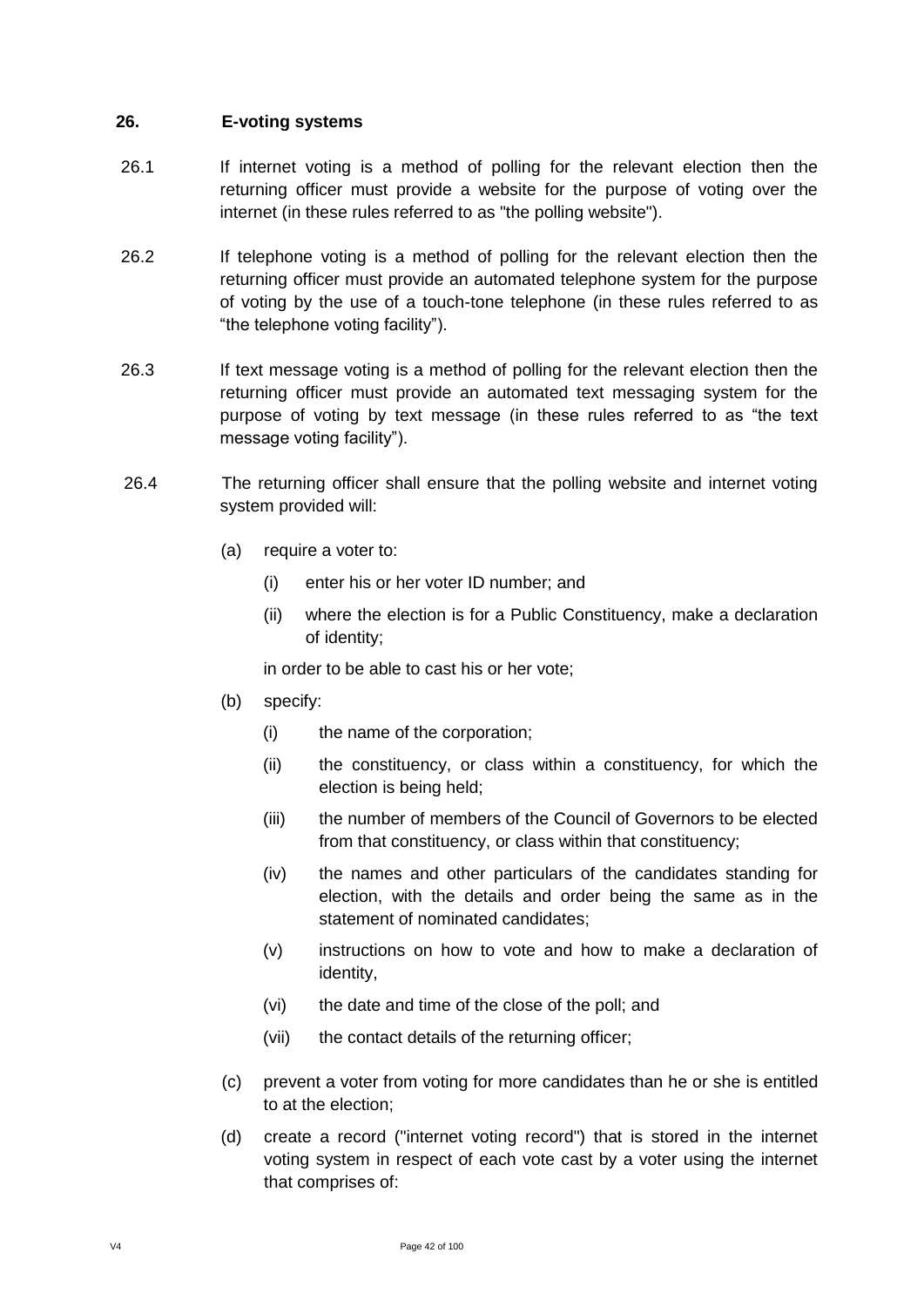### **26. E-voting systems**

- 26.1 If internet voting is a method of polling for the relevant election then the returning officer must provide a website for the purpose of voting over the internet (in these rules referred to as "the polling website").
- 26.2 If telephone voting is a method of polling for the relevant election then the returning officer must provide an automated telephone system for the purpose of voting by the use of a touch-tone telephone (in these rules referred to as "the telephone voting facility").
- 26.3 If text message voting is a method of polling for the relevant election then the returning officer must provide an automated text messaging system for the purpose of voting by text message (in these rules referred to as "the text message voting facility").
- 26.4 The returning officer shall ensure that the polling website and internet voting system provided will:
	- (a) require a voter to:
		- (i) enter his or her voter ID number; and
		- (ii) where the election is for a Public Constituency, make a declaration of identity;

in order to be able to cast his or her vote;

- (b) specify:
	- (i) the name of the corporation;
	- (ii) the constituency, or class within a constituency, for which the election is being held;
	- (iii) the number of members of the Council of Governors to be elected from that constituency, or class within that constituency;
	- (iv) the names and other particulars of the candidates standing for election, with the details and order being the same as in the statement of nominated candidates;
	- (v) instructions on how to vote and how to make a declaration of identity,
	- (vi) the date and time of the close of the poll; and
	- (vii) the contact details of the returning officer;
- (c) prevent a voter from voting for more candidates than he or she is entitled to at the election;
- (d) create a record ("internet voting record") that is stored in the internet voting system in respect of each vote cast by a voter using the internet that comprises of: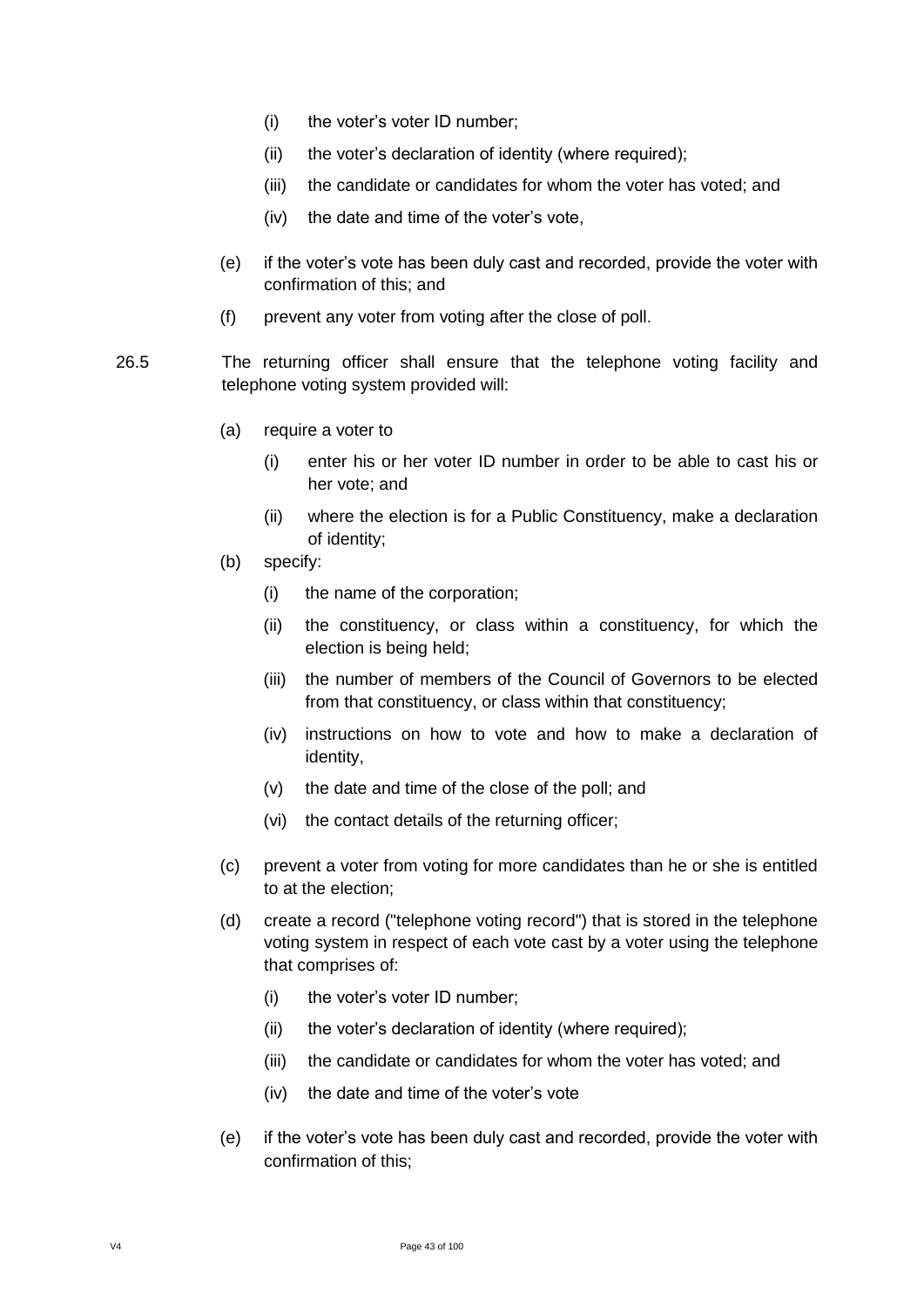- (i) the voter's voter ID number;
- (ii) the voter's declaration of identity (where required);
- (iii) the candidate or candidates for whom the voter has voted; and
- (iv) the date and time of the voter's vote,
- (e) if the voter's vote has been duly cast and recorded, provide the voter with confirmation of this; and
- (f) prevent any voter from voting after the close of poll.
- 26.5 The returning officer shall ensure that the telephone voting facility and telephone voting system provided will:
	- (a) require a voter to
		- (i) enter his or her voter ID number in order to be able to cast his or her vote; and
		- (ii) where the election is for a Public Constituency, make a declaration of identity;
	- (b) specify:
		- (i) the name of the corporation;
		- (ii) the constituency, or class within a constituency, for which the election is being held;
		- (iii) the number of members of the Council of Governors to be elected from that constituency, or class within that constituency;
		- (iv) instructions on how to vote and how to make a declaration of identity,
		- (v) the date and time of the close of the poll; and
		- (vi) the contact details of the returning officer;
	- (c) prevent a voter from voting for more candidates than he or she is entitled to at the election;
	- (d) create a record ("telephone voting record") that is stored in the telephone voting system in respect of each vote cast by a voter using the telephone that comprises of:
		- (i) the voter's voter ID number;
		- (ii) the voter's declaration of identity (where required);
		- (iii) the candidate or candidates for whom the voter has voted; and
		- (iv) the date and time of the voter's vote
	- (e) if the voter's vote has been duly cast and recorded, provide the voter with confirmation of this;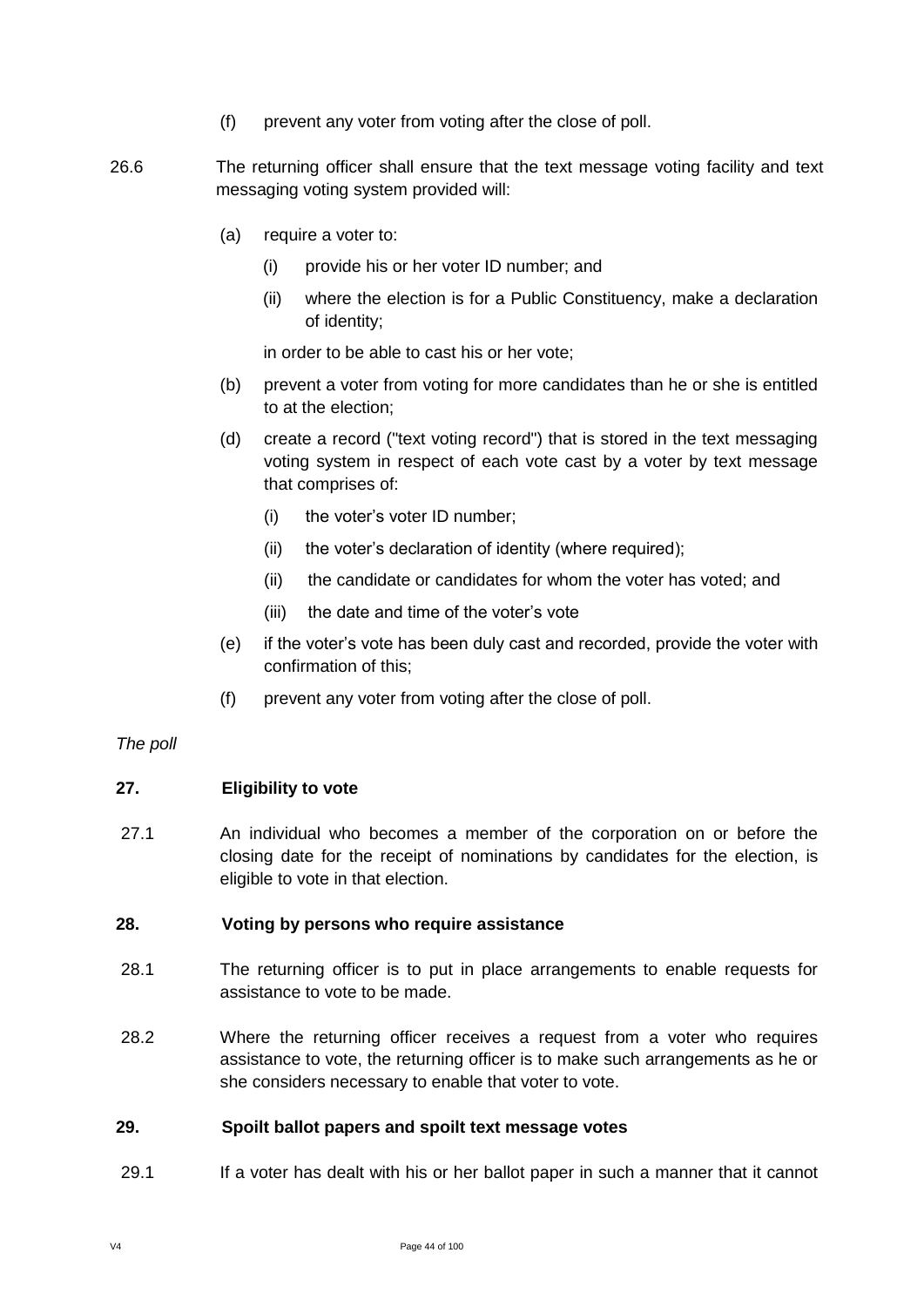- (f) prevent any voter from voting after the close of poll.
- 26.6 The returning officer shall ensure that the text message voting facility and text messaging voting system provided will:
	- (a) require a voter to:
		- (i) provide his or her voter ID number; and
		- (ii) where the election is for a Public Constituency, make a declaration of identity;

in order to be able to cast his or her vote;

- (b) prevent a voter from voting for more candidates than he or she is entitled to at the election;
- (d) create a record ("text voting record") that is stored in the text messaging voting system in respect of each vote cast by a voter by text message that comprises of:
	- (i) the voter's voter ID number;
	- (ii) the voter's declaration of identity (where required);
	- (ii) the candidate or candidates for whom the voter has voted; and
	- (iii) the date and time of the voter's vote
- (e) if the voter's vote has been duly cast and recorded, provide the voter with confirmation of this;
- (f) prevent any voter from voting after the close of poll.

#### *The poll*

#### **27. Eligibility to vote**

27.1 An individual who becomes a member of the corporation on or before the closing date for the receipt of nominations by candidates for the election, is eligible to vote in that election.

#### **28. Voting by persons who require assistance**

- 28.1 The returning officer is to put in place arrangements to enable requests for assistance to vote to be made.
- 28.2 Where the returning officer receives a request from a voter who requires assistance to vote, the returning officer is to make such arrangements as he or she considers necessary to enable that voter to vote.

#### **29. Spoilt ballot papers and spoilt text message votes**

29.1 If a voter has dealt with his or her ballot paper in such a manner that it cannot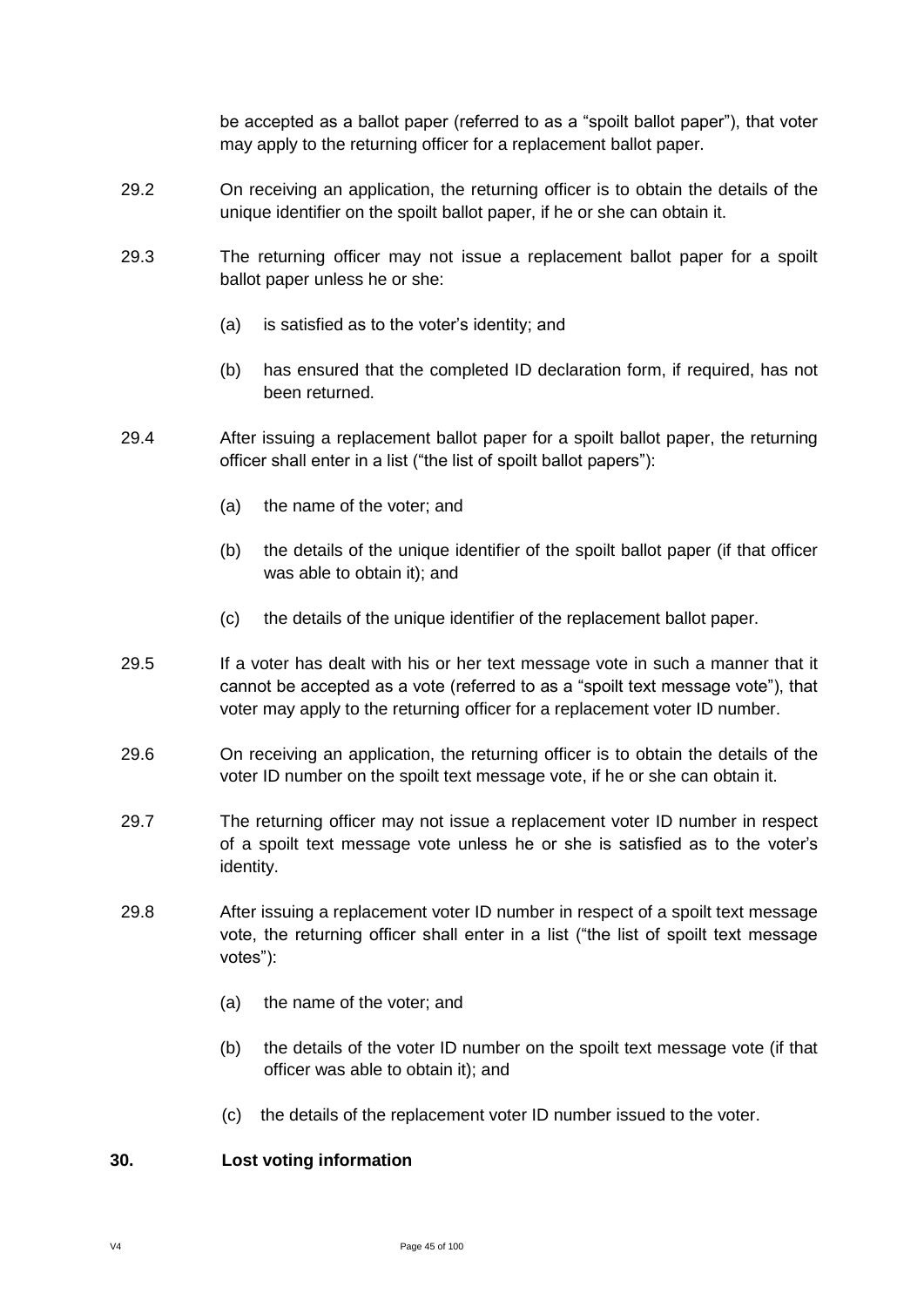be accepted as a ballot paper (referred to as a "spoilt ballot paper"), that voter may apply to the returning officer for a replacement ballot paper.

- 29.2 On receiving an application, the returning officer is to obtain the details of the unique identifier on the spoilt ballot paper, if he or she can obtain it.
- 29.3 The returning officer may not issue a replacement ballot paper for a spoilt ballot paper unless he or she:
	- (a) is satisfied as to the voter's identity; and
	- (b) has ensured that the completed ID declaration form, if required, has not been returned.
- 29.4 After issuing a replacement ballot paper for a spoilt ballot paper, the returning officer shall enter in a list ("the list of spoilt ballot papers"):
	- (a) the name of the voter; and
	- (b) the details of the unique identifier of the spoilt ballot paper (if that officer was able to obtain it); and
	- (c) the details of the unique identifier of the replacement ballot paper.
- 29.5 If a voter has dealt with his or her text message vote in such a manner that it cannot be accepted as a vote (referred to as a "spoilt text message vote"), that voter may apply to the returning officer for a replacement voter ID number.
- 29.6 On receiving an application, the returning officer is to obtain the details of the voter ID number on the spoilt text message vote, if he or she can obtain it.
- 29.7 The returning officer may not issue a replacement voter ID number in respect of a spoilt text message vote unless he or she is satisfied as to the voter's identity.
- 29.8 After issuing a replacement voter ID number in respect of a spoilt text message vote, the returning officer shall enter in a list ("the list of spoilt text message votes"):
	- (a) the name of the voter; and
	- (b) the details of the voter ID number on the spoilt text message vote (if that officer was able to obtain it); and
	- (c) the details of the replacement voter ID number issued to the voter.

### **30. Lost voting information**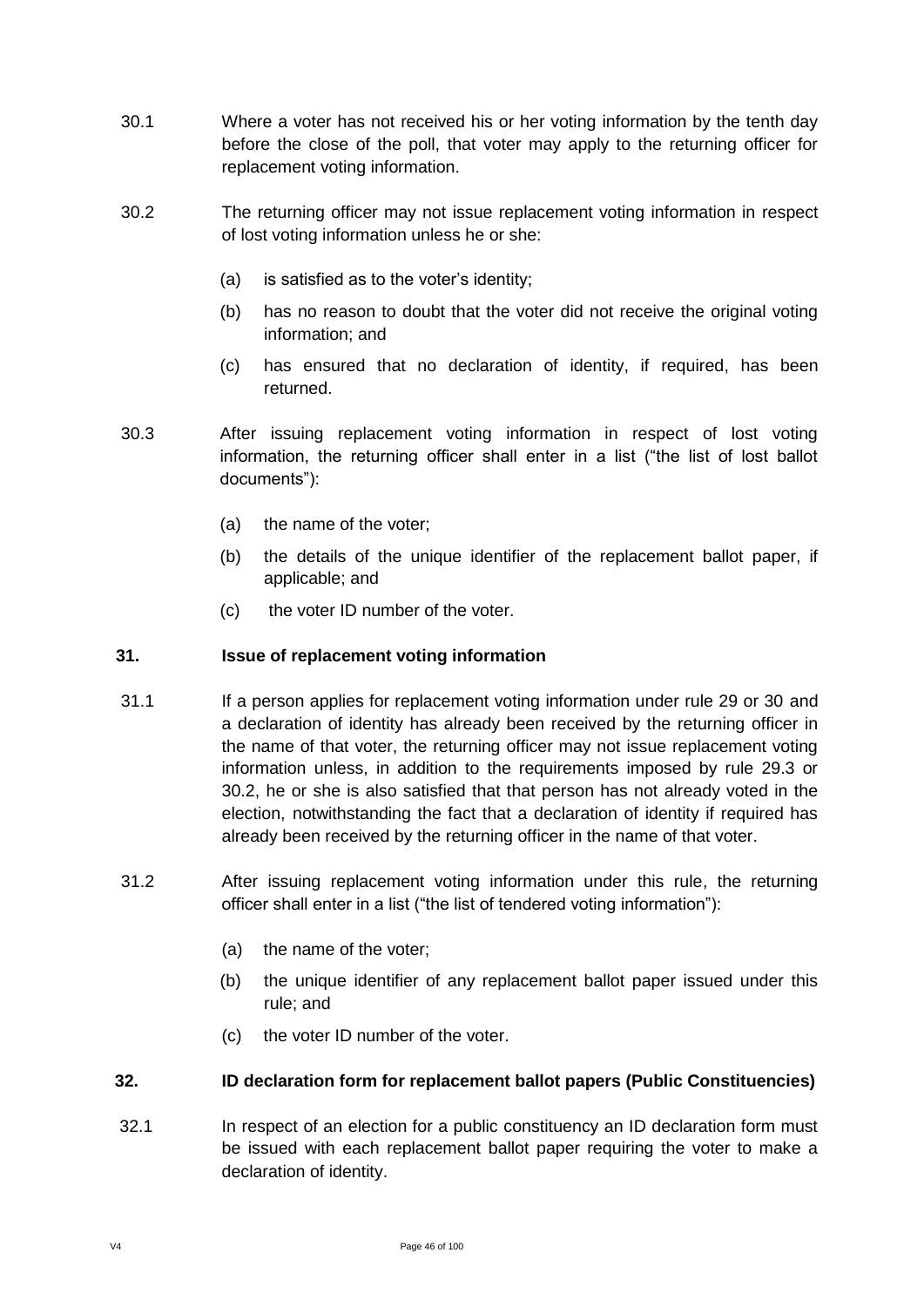- 30.1 Where a voter has not received his or her voting information by the tenth day before the close of the poll, that voter may apply to the returning officer for replacement voting information.
- 30.2 The returning officer may not issue replacement voting information in respect of lost voting information unless he or she:
	- (a) is satisfied as to the voter's identity;
	- (b) has no reason to doubt that the voter did not receive the original voting information; and
	- (c) has ensured that no declaration of identity, if required, has been returned.
- 30.3 After issuing replacement voting information in respect of lost voting information, the returning officer shall enter in a list ("the list of lost ballot documents"):
	- (a) the name of the voter;
	- (b) the details of the unique identifier of the replacement ballot paper, if applicable; and
	- (c) the voter ID number of the voter.

### **31. Issue of replacement voting information**

- 31.1 If a person applies for replacement voting information under rule 29 or 30 and a declaration of identity has already been received by the returning officer in the name of that voter, the returning officer may not issue replacement voting information unless, in addition to the requirements imposed by rule 29.3 or 30.2, he or she is also satisfied that that person has not already voted in the election, notwithstanding the fact that a declaration of identity if required has already been received by the returning officer in the name of that voter.
- 31.2 After issuing replacement voting information under this rule, the returning officer shall enter in a list ("the list of tendered voting information"):
	- (a) the name of the voter;
	- (b) the unique identifier of any replacement ballot paper issued under this rule; and
	- (c) the voter ID number of the voter.

### **32. ID declaration form for replacement ballot papers (Public Constituencies)**

32.1 In respect of an election for a public constituency an ID declaration form must be issued with each replacement ballot paper requiring the voter to make a declaration of identity.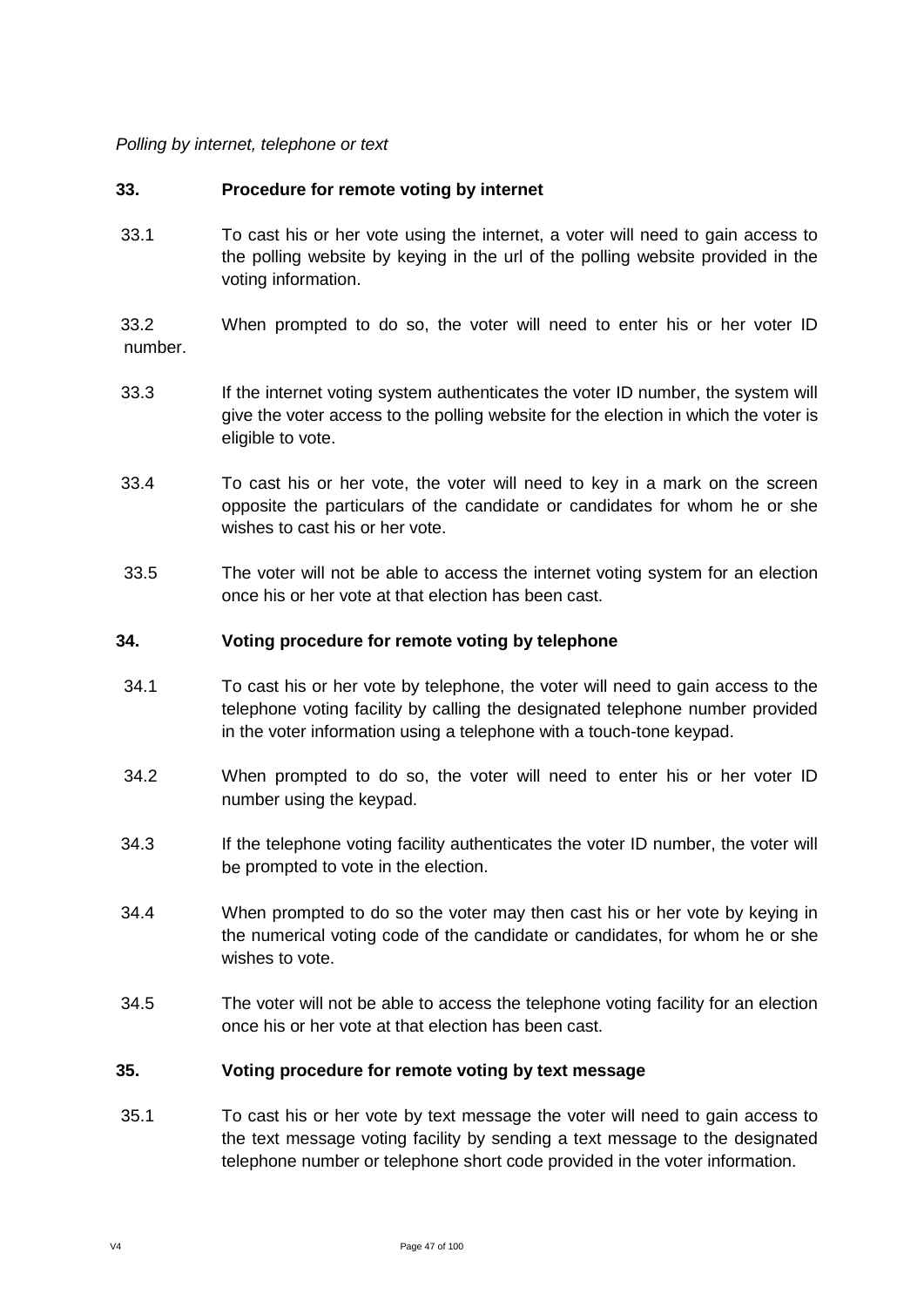### *Polling by internet, telephone or text*

### **33. Procedure for remote voting by internet**

33.1 To cast his or her vote using the internet, a voter will need to gain access to the polling website by keying in the url of the polling website provided in the voting information.

33.2 When prompted to do so, the voter will need to enter his or her voter ID number.

- 33.3 If the internet voting system authenticates the voter ID number, the system will give the voter access to the polling website for the election in which the voter is eligible to vote.
- 33.4 To cast his or her vote, the voter will need to key in a mark on the screen opposite the particulars of the candidate or candidates for whom he or she wishes to cast his or her vote.
- 33.5 The voter will not be able to access the internet voting system for an election once his or her vote at that election has been cast.

#### **34. Voting procedure for remote voting by telephone**

- 34.1 To cast his or her vote by telephone, the voter will need to gain access to the telephone voting facility by calling the designated telephone number provided in the voter information using a telephone with a touch-tone keypad.
- 34.2 When prompted to do so, the voter will need to enter his or her voter ID number using the keypad.
- 34.3 If the telephone voting facility authenticates the voter ID number, the voter will be prompted to vote in the election.
- 34.4 When prompted to do so the voter may then cast his or her vote by keying in the numerical voting code of the candidate or candidates, for whom he or she wishes to vote.
- 34.5 The voter will not be able to access the telephone voting facility for an election once his or her vote at that election has been cast.

### **35. Voting procedure for remote voting by text message**

35.1 To cast his or her vote by text message the voter will need to gain access to the text message voting facility by sending a text message to the designated telephone number or telephone short code provided in the voter information.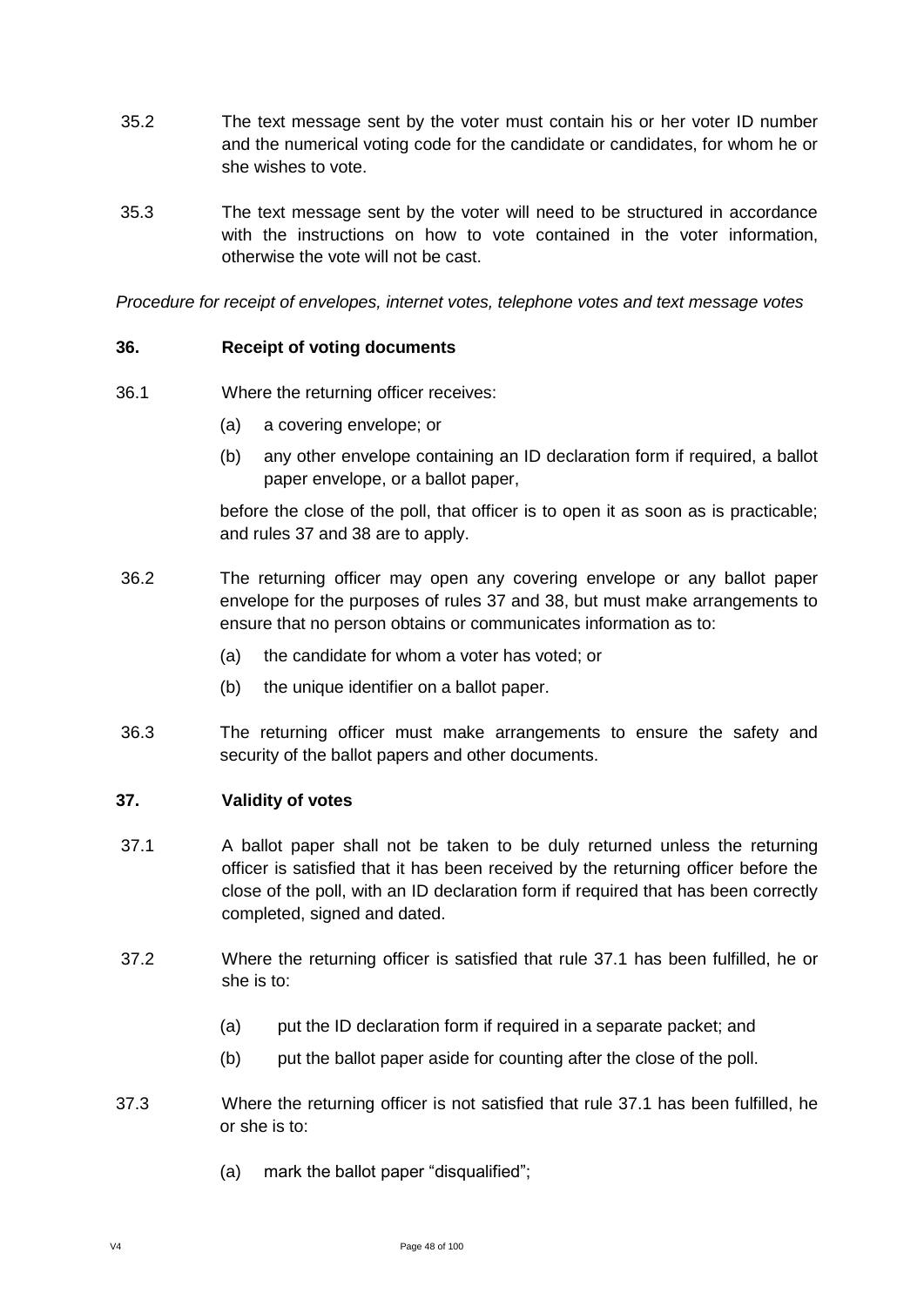- 35.2 The text message sent by the voter must contain his or her voter ID number and the numerical voting code for the candidate or candidates, for whom he or she wishes to vote.
- 35.3 The text message sent by the voter will need to be structured in accordance with the instructions on how to vote contained in the voter information, otherwise the vote will not be cast.

*Procedure for receipt of envelopes, internet votes, telephone votes and text message votes*

#### **36. Receipt of voting documents**

- 36.1 Where the returning officer receives:
	- (a) a covering envelope; or
	- (b) any other envelope containing an ID declaration form if required, a ballot paper envelope, or a ballot paper,

before the close of the poll, that officer is to open it as soon as is practicable; and rules 37 and 38 are to apply.

- 36.2 The returning officer may open any covering envelope or any ballot paper envelope for the purposes of rules 37 and 38, but must make arrangements to ensure that no person obtains or communicates information as to:
	- (a) the candidate for whom a voter has voted; or
	- (b) the unique identifier on a ballot paper.
- 36.3 The returning officer must make arrangements to ensure the safety and security of the ballot papers and other documents.

#### **37. Validity of votes**

- 37.1 A ballot paper shall not be taken to be duly returned unless the returning officer is satisfied that it has been received by the returning officer before the close of the poll, with an ID declaration form if required that has been correctly completed, signed and dated.
- 37.2 Where the returning officer is satisfied that rule 37.1 has been fulfilled, he or she is to:
	- (a) put the ID declaration form if required in a separate packet; and
	- (b) put the ballot paper aside for counting after the close of the poll.
- 37.3 Where the returning officer is not satisfied that rule 37.1 has been fulfilled, he or she is to:
	- (a) mark the ballot paper "disqualified";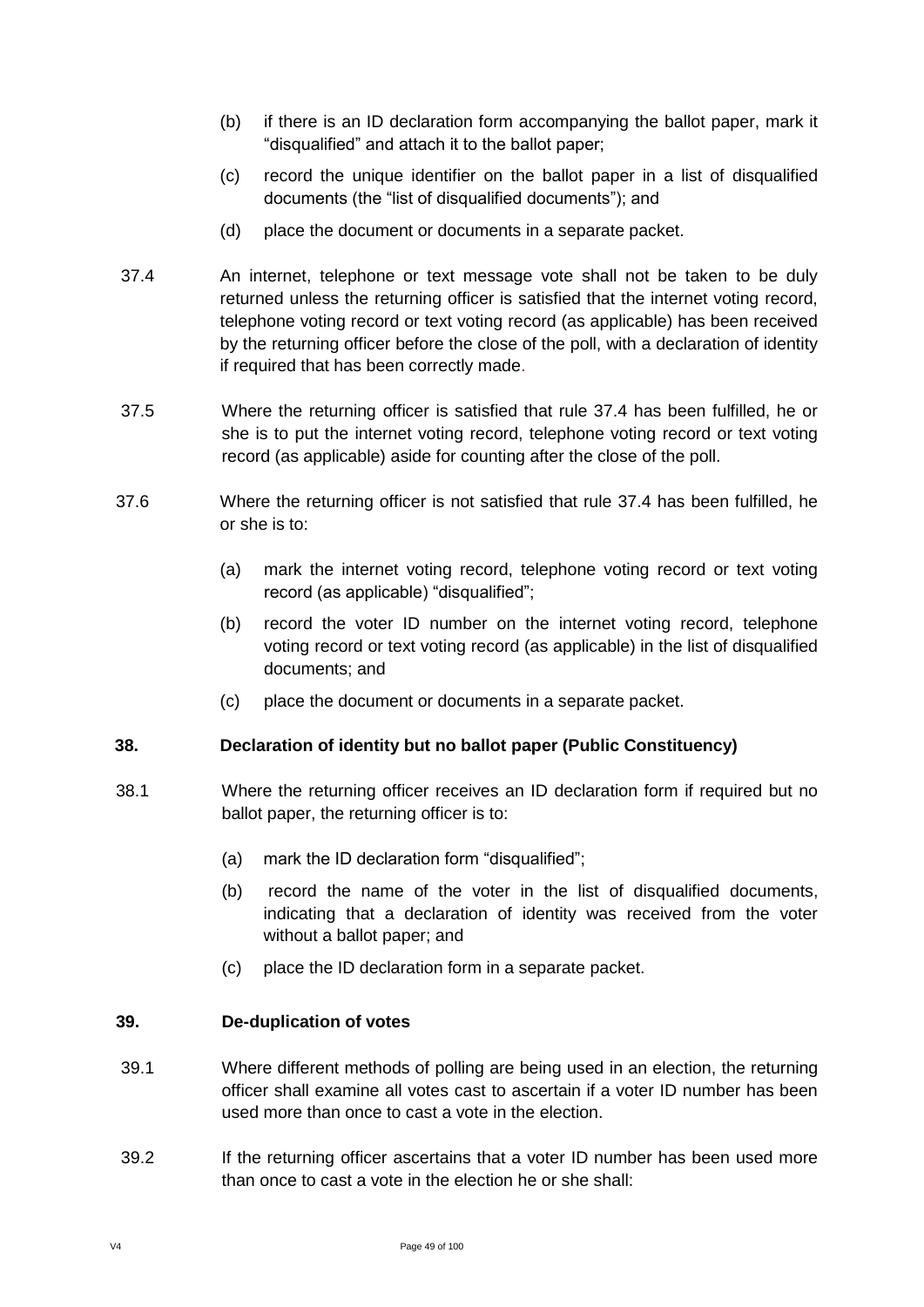- (b) if there is an ID declaration form accompanying the ballot paper, mark it "disqualified" and attach it to the ballot paper;
- (c) record the unique identifier on the ballot paper in a list of disqualified documents (the "list of disqualified documents"); and
- (d) place the document or documents in a separate packet.
- 37.4 An internet, telephone or text message vote shall not be taken to be duly returned unless the returning officer is satisfied that the internet voting record, telephone voting record or text voting record (as applicable) has been received by the returning officer before the close of the poll, with a declaration of identity if required that has been correctly made.
- 37.5 Where the returning officer is satisfied that rule 37.4 has been fulfilled, he or she is to put the internet voting record, telephone voting record or text voting record (as applicable) aside for counting after the close of the poll.
- 37.6 Where the returning officer is not satisfied that rule 37.4 has been fulfilled, he or she is to:
	- (a) mark the internet voting record, telephone voting record or text voting record (as applicable) "disqualified";
	- (b) record the voter ID number on the internet voting record, telephone voting record or text voting record (as applicable) in the list of disqualified documents; and
	- (c) place the document or documents in a separate packet.

## **38. Declaration of identity but no ballot paper (Public Constituency)**

- 38.1 Where the returning officer receives an ID declaration form if required but no ballot paper, the returning officer is to:
	- (a) mark the ID declaration form "disqualified";
	- (b) record the name of the voter in the list of disqualified documents, indicating that a declaration of identity was received from the voter without a ballot paper; and
	- (c) place the ID declaration form in a separate packet.

### **39. De-duplication of votes**

- 39.1 Where different methods of polling are being used in an election, the returning officer shall examine all votes cast to ascertain if a voter ID number has been used more than once to cast a vote in the election.
- 39.2 If the returning officer ascertains that a voter ID number has been used more than once to cast a vote in the election he or she shall: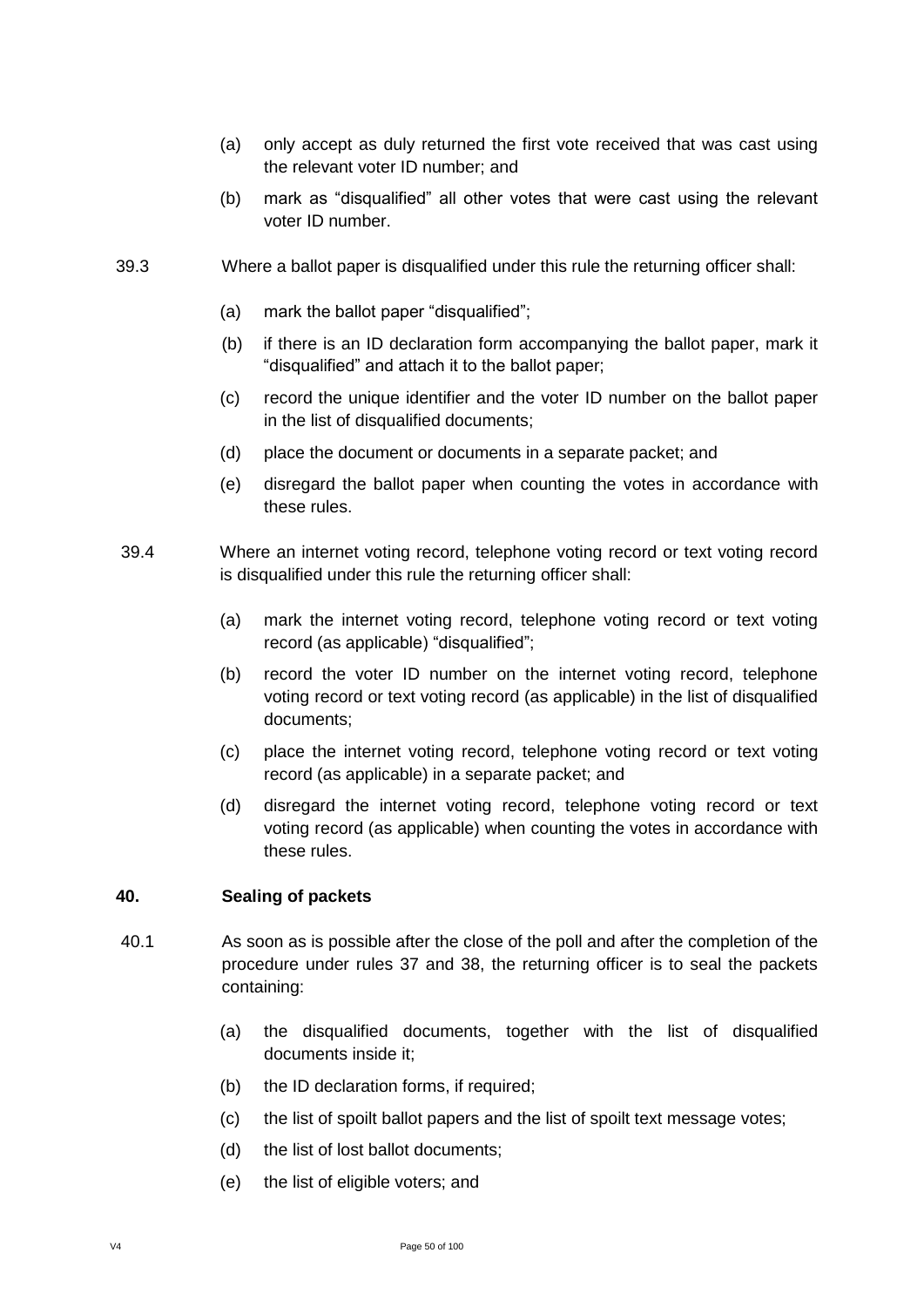- (a) only accept as duly returned the first vote received that was cast using the relevant voter ID number; and
- (b) mark as "disqualified" all other votes that were cast using the relevant voter ID number.
- 39.3 Where a ballot paper is disqualified under this rule the returning officer shall:
	- (a) mark the ballot paper "disqualified";
	- (b) if there is an ID declaration form accompanying the ballot paper, mark it "disqualified" and attach it to the ballot paper;
	- (c) record the unique identifier and the voter ID number on the ballot paper in the list of disqualified documents;
	- (d) place the document or documents in a separate packet; and
	- (e) disregard the ballot paper when counting the votes in accordance with these rules.
- 39.4 Where an internet voting record, telephone voting record or text voting record is disqualified under this rule the returning officer shall:
	- (a) mark the internet voting record, telephone voting record or text voting record (as applicable) "disqualified";
	- (b) record the voter ID number on the internet voting record, telephone voting record or text voting record (as applicable) in the list of disqualified documents;
	- (c) place the internet voting record, telephone voting record or text voting record (as applicable) in a separate packet; and
	- (d) disregard the internet voting record, telephone voting record or text voting record (as applicable) when counting the votes in accordance with these rules.

#### **40. Sealing of packets**

- 40.1 As soon as is possible after the close of the poll and after the completion of the procedure under rules 37 and 38, the returning officer is to seal the packets containing:
	- (a) the disqualified documents, together with the list of disqualified documents inside it;
	- (b) the ID declaration forms, if required;
	- (c) the list of spoilt ballot papers and the list of spoilt text message votes;
	- (d) the list of lost ballot documents;
	- (e) the list of eligible voters; and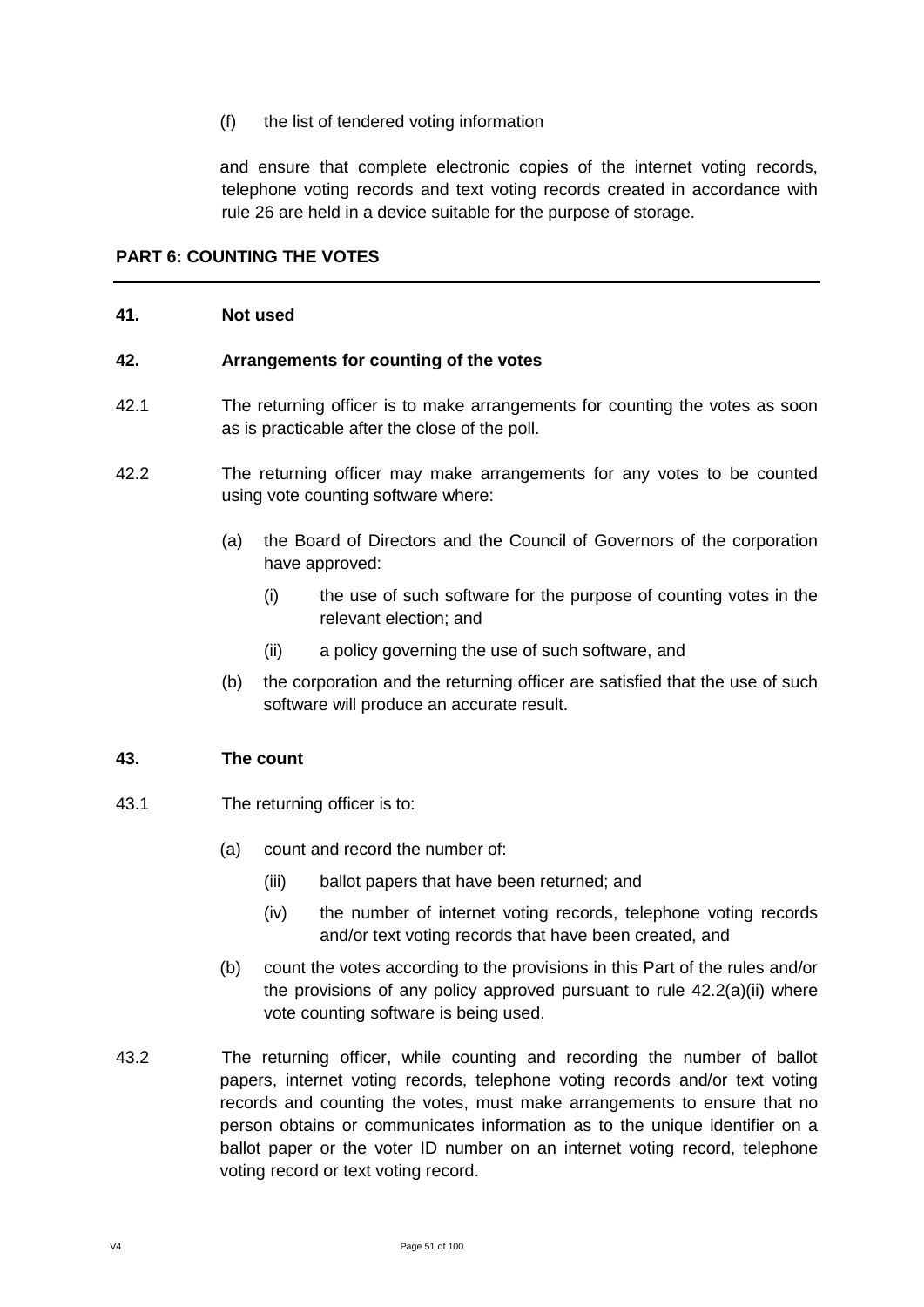(f) the list of tendered voting information

and ensure that complete electronic copies of the internet voting records, telephone voting records and text voting records created in accordance with rule 26 are held in a device suitable for the purpose of storage.

## **PART 6: COUNTING THE VOTES**

#### **41. Not used**

#### **42. Arrangements for counting of the votes**

- 42.1 The returning officer is to make arrangements for counting the votes as soon as is practicable after the close of the poll.
- 42.2 The returning officer may make arrangements for any votes to be counted using vote counting software where:
	- (a) the Board of Directors and the Council of Governors of the corporation have approved:
		- (i) the use of such software for the purpose of counting votes in the relevant election; and
		- (ii) a policy governing the use of such software, and
	- (b) the corporation and the returning officer are satisfied that the use of such software will produce an accurate result.

#### **43. The count**

- 43.1 The returning officer is to:
	- (a) count and record the number of:
		- (iii) ballot papers that have been returned; and
		- (iv) the number of internet voting records, telephone voting records and/or text voting records that have been created, and
	- (b) count the votes according to the provisions in this Part of the rules and/or the provisions of any policy approved pursuant to rule 42.2(a)(ii) where vote counting software is being used.
- 43.2 The returning officer, while counting and recording the number of ballot papers, internet voting records, telephone voting records and/or text voting records and counting the votes, must make arrangements to ensure that no person obtains or communicates information as to the unique identifier on a ballot paper or the voter ID number on an internet voting record, telephone voting record or text voting record.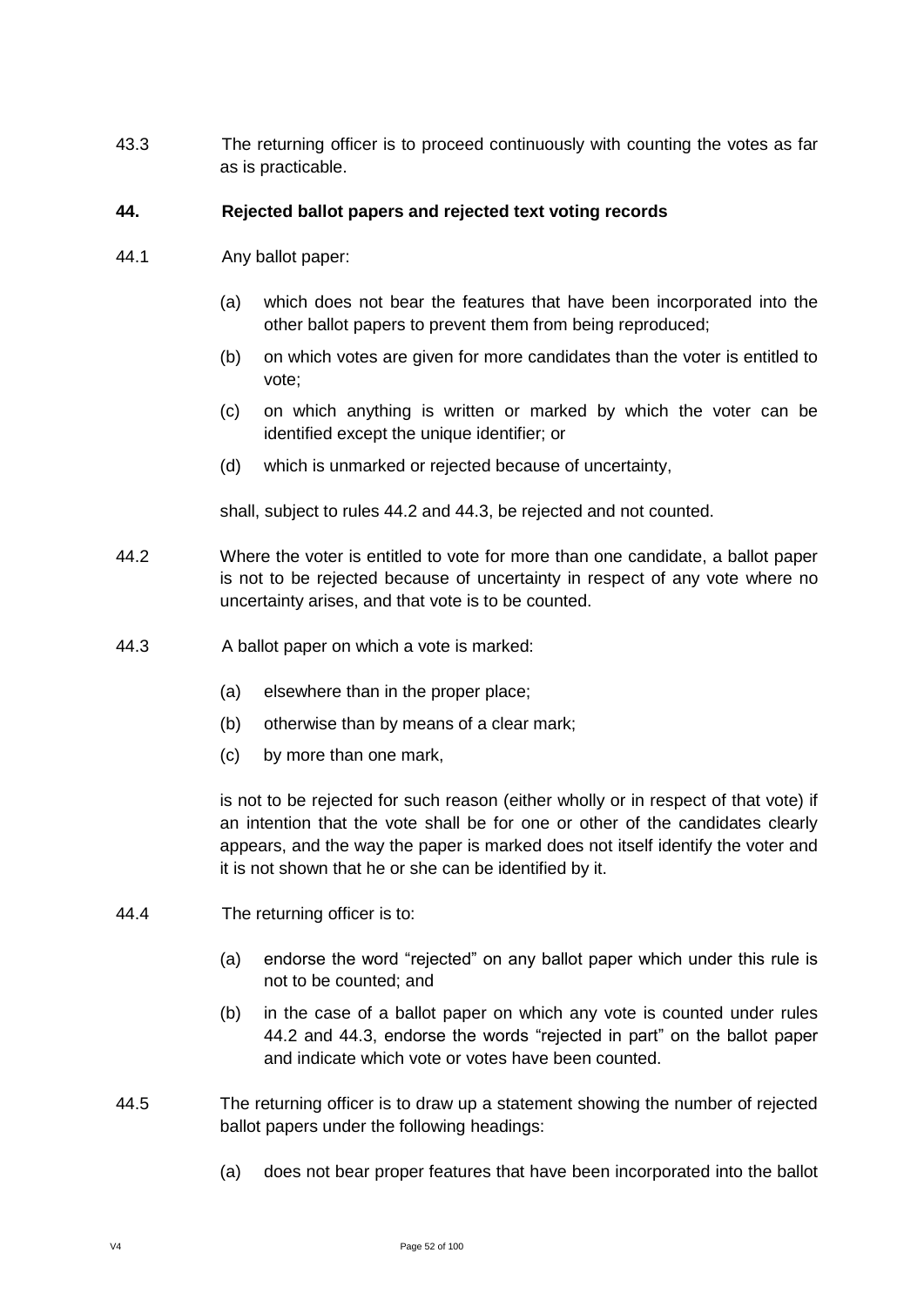43.3 The returning officer is to proceed continuously with counting the votes as far as is practicable.

### **44. Rejected ballot papers and rejected text voting records**

- 44.1 Any ballot paper:
	- (a) which does not bear the features that have been incorporated into the other ballot papers to prevent them from being reproduced;
	- (b) on which votes are given for more candidates than the voter is entitled to vote;
	- (c) on which anything is written or marked by which the voter can be identified except the unique identifier; or
	- (d) which is unmarked or rejected because of uncertainty,

shall, subject to rules 44.2 and 44.3, be rejected and not counted.

- 44.2 Where the voter is entitled to vote for more than one candidate, a ballot paper is not to be rejected because of uncertainty in respect of any vote where no uncertainty arises, and that vote is to be counted.
- 44.3 A ballot paper on which a vote is marked:
	- (a) elsewhere than in the proper place;
	- (b) otherwise than by means of a clear mark;
	- (c) by more than one mark,

is not to be rejected for such reason (either wholly or in respect of that vote) if an intention that the vote shall be for one or other of the candidates clearly appears, and the way the paper is marked does not itself identify the voter and it is not shown that he or she can be identified by it.

- 44.4 The returning officer is to:
	- (a) endorse the word "rejected" on any ballot paper which under this rule is not to be counted; and
	- (b) in the case of a ballot paper on which any vote is counted under rules 44.2 and 44.3, endorse the words "rejected in part" on the ballot paper and indicate which vote or votes have been counted.
- 44.5 The returning officer is to draw up a statement showing the number of rejected ballot papers under the following headings:
	- (a) does not bear proper features that have been incorporated into the ballot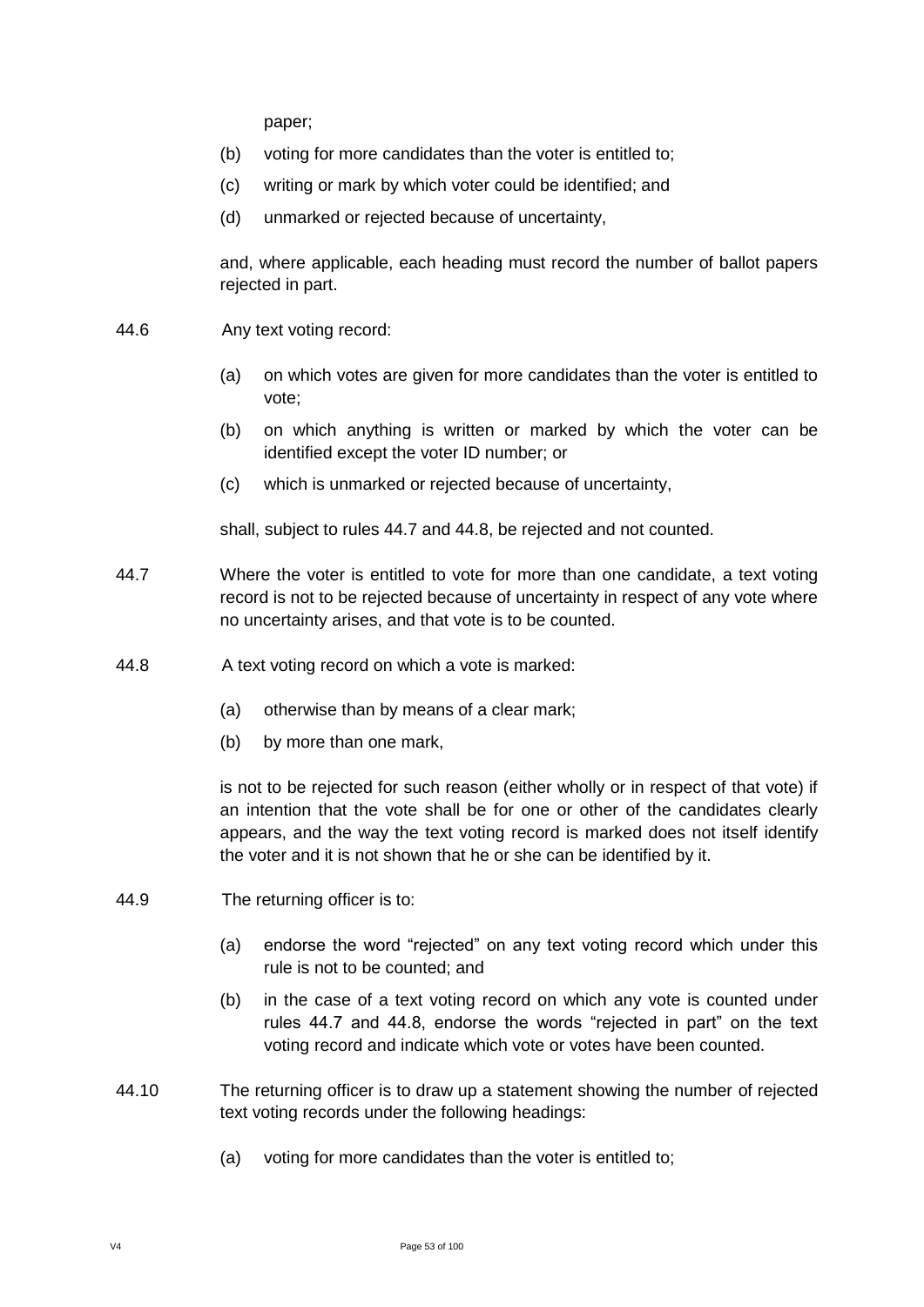paper;

- (b) voting for more candidates than the voter is entitled to;
- (c) writing or mark by which voter could be identified; and
- (d) unmarked or rejected because of uncertainty,

and, where applicable, each heading must record the number of ballot papers rejected in part.

- 44.6 Any text voting record:
	- (a) on which votes are given for more candidates than the voter is entitled to vote;
	- (b) on which anything is written or marked by which the voter can be identified except the voter ID number; or
	- (c) which is unmarked or rejected because of uncertainty,

shall, subject to rules 44.7 and 44.8, be rejected and not counted.

- 44.7 Where the voter is entitled to vote for more than one candidate, a text voting record is not to be rejected because of uncertainty in respect of any vote where no uncertainty arises, and that vote is to be counted.
- 44.8 A text voting record on which a vote is marked:
	- (a) otherwise than by means of a clear mark;
	- (b) by more than one mark,

is not to be rejected for such reason (either wholly or in respect of that vote) if an intention that the vote shall be for one or other of the candidates clearly appears, and the way the text voting record is marked does not itself identify the voter and it is not shown that he or she can be identified by it.

- 44.9 The returning officer is to:
	- (a) endorse the word "rejected" on any text voting record which under this rule is not to be counted; and
	- (b) in the case of a text voting record on which any vote is counted under rules 44.7 and 44.8, endorse the words "rejected in part" on the text voting record and indicate which vote or votes have been counted.
- 44.10 The returning officer is to draw up a statement showing the number of rejected text voting records under the following headings:
	- (a) voting for more candidates than the voter is entitled to;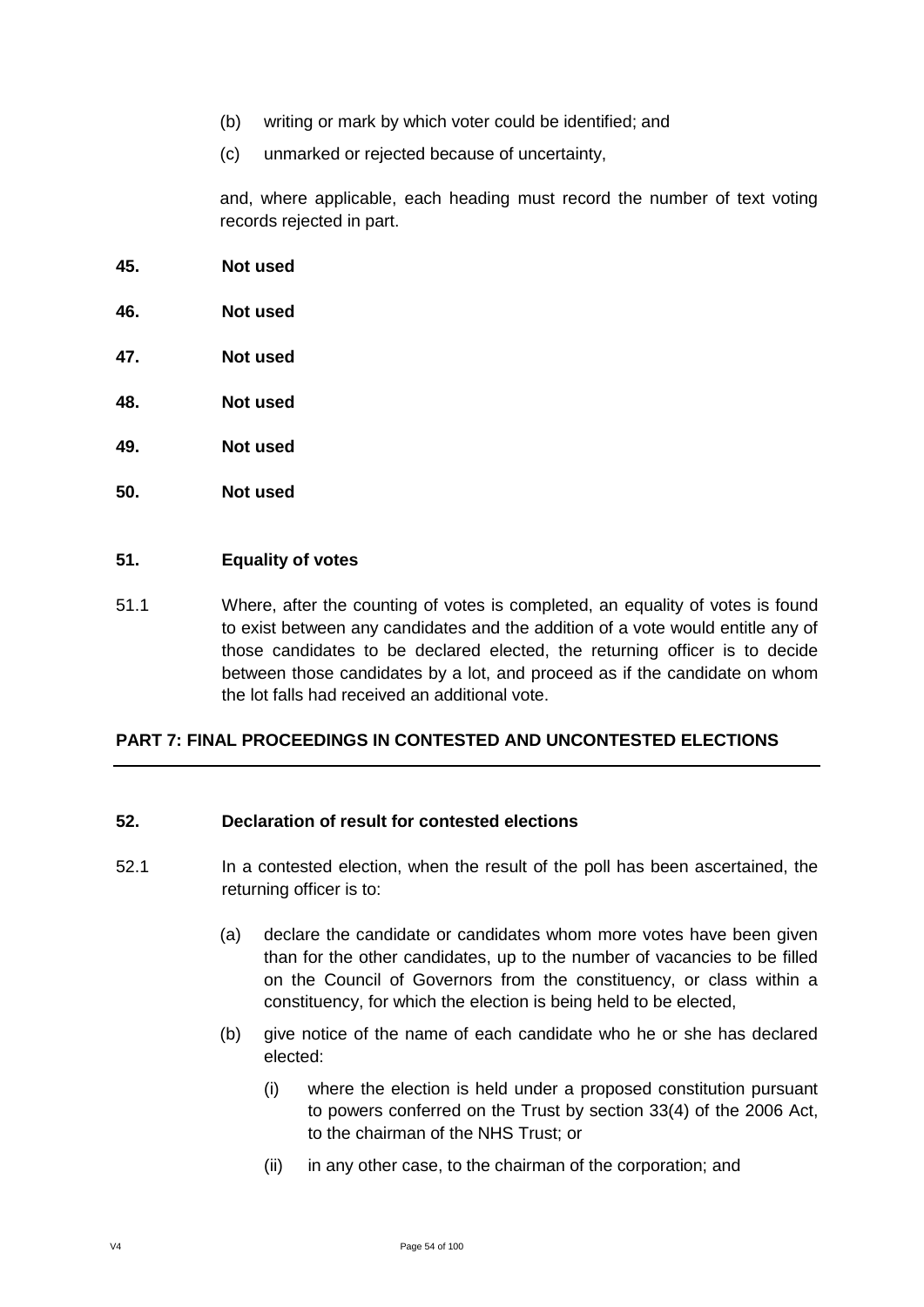- (b) writing or mark by which voter could be identified; and
- (c) unmarked or rejected because of uncertainty,

and, where applicable, each heading must record the number of text voting records rejected in part.

- **45. Not used**
- **46. Not used**
- **47. Not used**
- **48. Not used**
- **49. Not used**
- **50. Not used**

### **51. Equality of votes**

51.1 Where, after the counting of votes is completed, an equality of votes is found to exist between any candidates and the addition of a vote would entitle any of those candidates to be declared elected, the returning officer is to decide between those candidates by a lot, and proceed as if the candidate on whom the lot falls had received an additional vote.

### **PART 7: FINAL PROCEEDINGS IN CONTESTED AND UNCONTESTED ELECTIONS**

#### **52. Declaration of result for contested elections**

- 52.1 In a contested election, when the result of the poll has been ascertained, the returning officer is to:
	- (a) declare the candidate or candidates whom more votes have been given than for the other candidates, up to the number of vacancies to be filled on the Council of Governors from the constituency, or class within a constituency, for which the election is being held to be elected,
	- (b) give notice of the name of each candidate who he or she has declared elected:
		- (i) where the election is held under a proposed constitution pursuant to powers conferred on the Trust by section 33(4) of the 2006 Act, to the chairman of the NHS Trust; or
		- (ii) in any other case, to the chairman of the corporation; and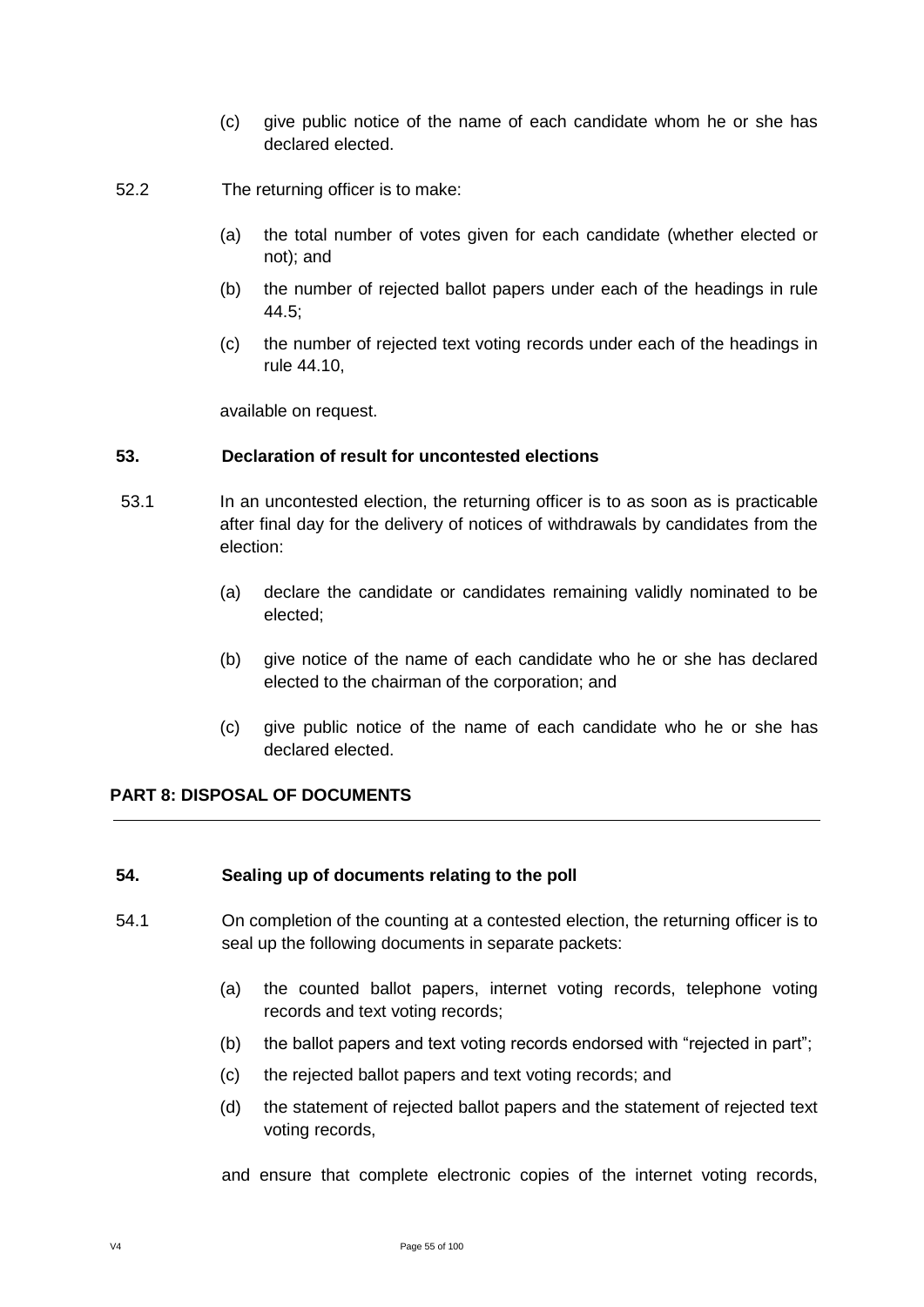- (c) give public notice of the name of each candidate whom he or she has declared elected.
- 52.2 The returning officer is to make:
	- (a) the total number of votes given for each candidate (whether elected or not); and
	- (b) the number of rejected ballot papers under each of the headings in rule 44.5;
	- (c) the number of rejected text voting records under each of the headings in rule 44.10,

available on request.

## **53. Declaration of result for uncontested elections**

- 53.1 In an uncontested election, the returning officer is to as soon as is practicable after final day for the delivery of notices of withdrawals by candidates from the election:
	- (a) declare the candidate or candidates remaining validly nominated to be elected;
	- (b) give notice of the name of each candidate who he or she has declared elected to the chairman of the corporation; and
	- (c) give public notice of the name of each candidate who he or she has declared elected.

## **PART 8: DISPOSAL OF DOCUMENTS**

#### **54. Sealing up of documents relating to the poll**

- 54.1 On completion of the counting at a contested election, the returning officer is to seal up the following documents in separate packets:
	- (a) the counted ballot papers, internet voting records, telephone voting records and text voting records;
	- (b) the ballot papers and text voting records endorsed with "rejected in part";
	- (c) the rejected ballot papers and text voting records; and
	- (d) the statement of rejected ballot papers and the statement of rejected text voting records,

and ensure that complete electronic copies of the internet voting records,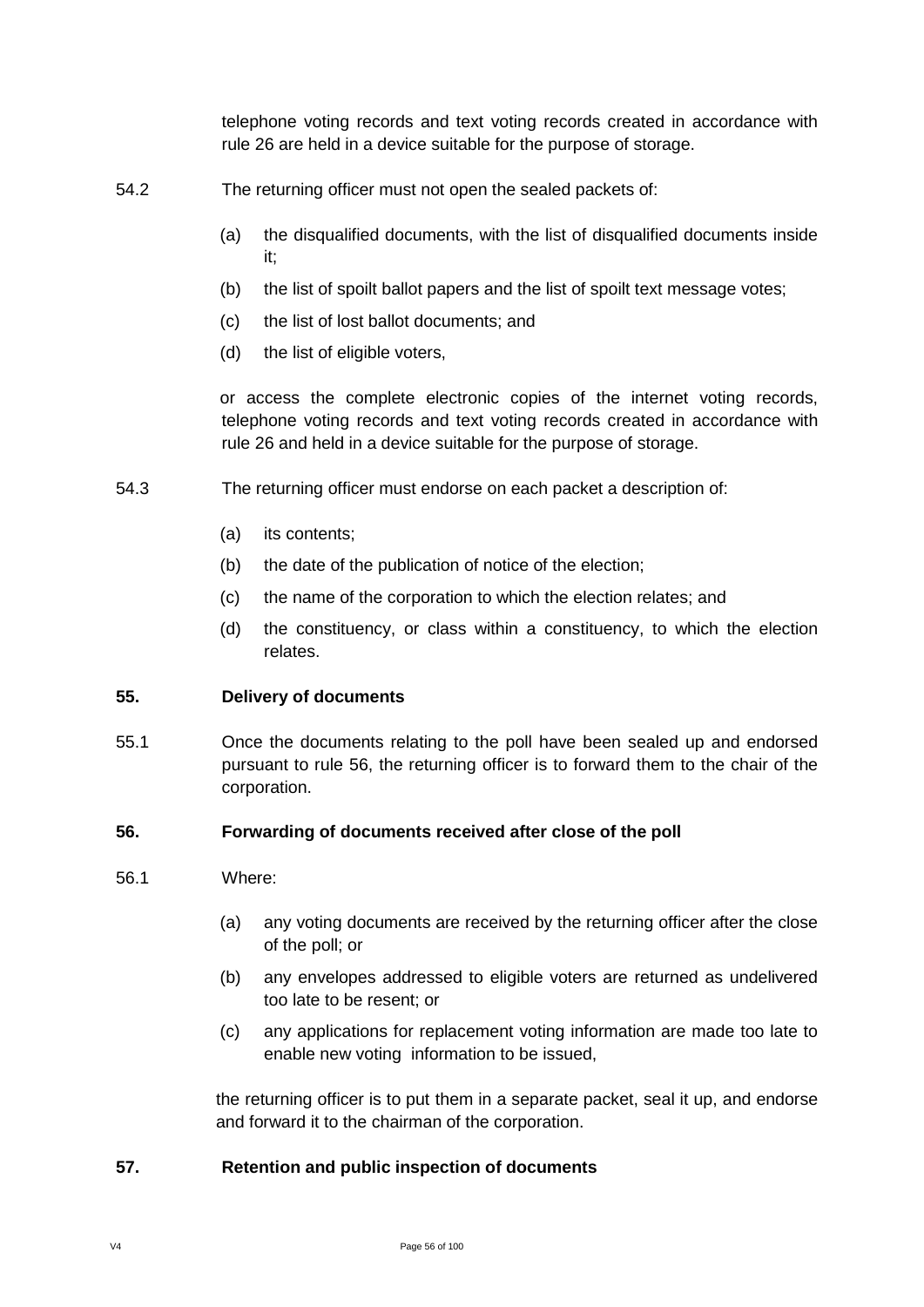telephone voting records and text voting records created in accordance with rule 26 are held in a device suitable for the purpose of storage.

- 54.2 The returning officer must not open the sealed packets of:
	- (a) the disqualified documents, with the list of disqualified documents inside it;
	- (b) the list of spoilt ballot papers and the list of spoilt text message votes;
	- (c) the list of lost ballot documents; and
	- (d) the list of eligible voters,

or access the complete electronic copies of the internet voting records, telephone voting records and text voting records created in accordance with rule 26 and held in a device suitable for the purpose of storage.

- 54.3 The returning officer must endorse on each packet a description of:
	- (a) its contents;
	- (b) the date of the publication of notice of the election;
	- (c) the name of the corporation to which the election relates; and
	- (d) the constituency, or class within a constituency, to which the election relates.

#### **55. Delivery of documents**

55.1 Once the documents relating to the poll have been sealed up and endorsed pursuant to rule 56, the returning officer is to forward them to the chair of the corporation.

#### **56. Forwarding of documents received after close of the poll**

- 56.1 Where:
	- (a) any voting documents are received by the returning officer after the close of the poll; or
	- (b) any envelopes addressed to eligible voters are returned as undelivered too late to be resent; or
	- (c) any applications for replacement voting information are made too late to enable new voting information to be issued,

the returning officer is to put them in a separate packet, seal it up, and endorse and forward it to the chairman of the corporation.

### **57. Retention and public inspection of documents**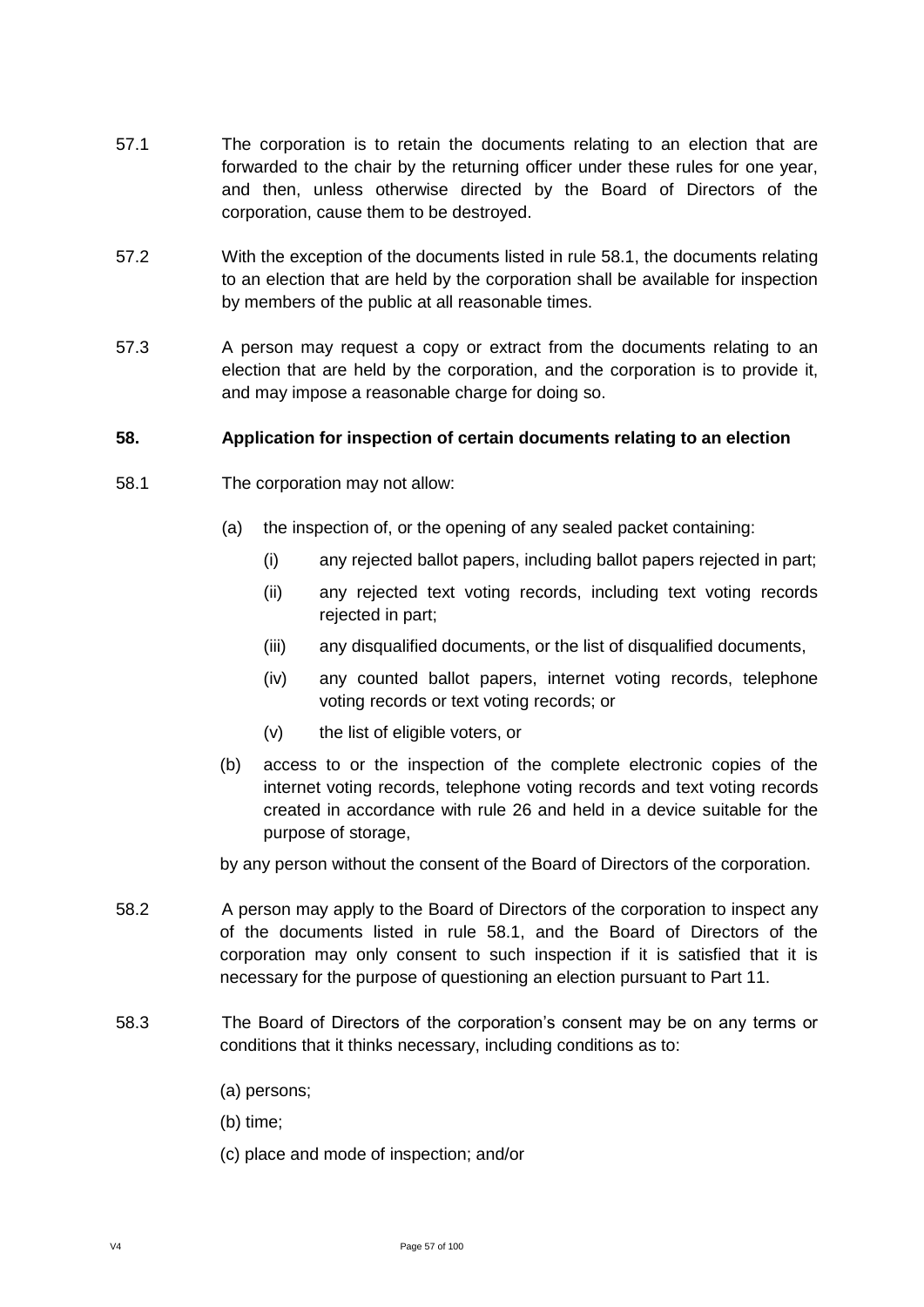- 57.1 The corporation is to retain the documents relating to an election that are forwarded to the chair by the returning officer under these rules for one year, and then, unless otherwise directed by the Board of Directors of the corporation, cause them to be destroyed.
- 57.2 With the exception of the documents listed in rule 58.1, the documents relating to an election that are held by the corporation shall be available for inspection by members of the public at all reasonable times.
- 57.3 A person may request a copy or extract from the documents relating to an election that are held by the corporation, and the corporation is to provide it, and may impose a reasonable charge for doing so.

### **58. Application for inspection of certain documents relating to an election**

- 58.1 The corporation may not allow:
	- (a) the inspection of, or the opening of any sealed packet containing:
		- (i) any rejected ballot papers, including ballot papers rejected in part;
		- (ii) any rejected text voting records, including text voting records rejected in part;
		- (iii) any disqualified documents, or the list of disqualified documents,
		- (iv) any counted ballot papers, internet voting records, telephone voting records or text voting records; or
		- (v) the list of eligible voters, or
	- (b) access to or the inspection of the complete electronic copies of the internet voting records, telephone voting records and text voting records created in accordance with rule 26 and held in a device suitable for the purpose of storage,

by any person without the consent of the Board of Directors of the corporation.

- 58.2 A person may apply to the Board of Directors of the corporation to inspect any of the documents listed in rule 58.1, and the Board of Directors of the corporation may only consent to such inspection if it is satisfied that it is necessary for the purpose of questioning an election pursuant to Part 11.
- 58.3 The Board of Directors of the corporation's consent may be on any terms or conditions that it thinks necessary, including conditions as to:
	- (a) persons;
	- (b) time;
	- (c) place and mode of inspection; and/or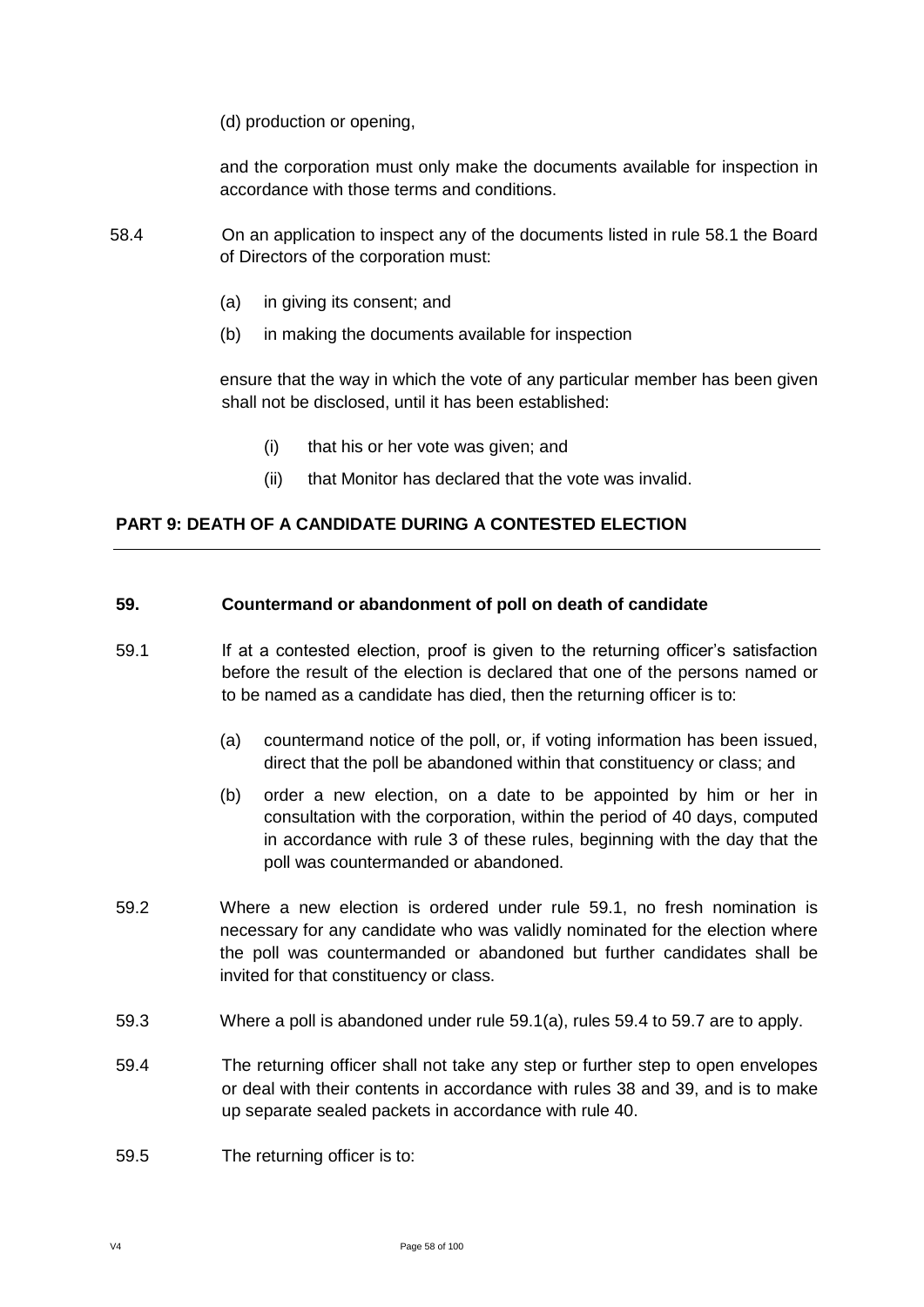(d) production or opening,

and the corporation must only make the documents available for inspection in accordance with those terms and conditions.

- 58.4 On an application to inspect any of the documents listed in rule 58.1 the Board of Directors of the corporation must:
	- (a) in giving its consent; and
	- (b) in making the documents available for inspection

ensure that the way in which the vote of any particular member has been given shall not be disclosed, until it has been established:

- (i) that his or her vote was given; and
- (ii) that Monitor has declared that the vote was invalid.

## **PART 9: DEATH OF A CANDIDATE DURING A CONTESTED ELECTION**

#### **59. Countermand or abandonment of poll on death of candidate**

- 59.1 If at a contested election, proof is given to the returning officer's satisfaction before the result of the election is declared that one of the persons named or to be named as a candidate has died, then the returning officer is to:
	- (a) countermand notice of the poll, or, if voting information has been issued, direct that the poll be abandoned within that constituency or class; and
	- (b) order a new election, on a date to be appointed by him or her in consultation with the corporation, within the period of 40 days, computed in accordance with rule 3 of these rules, beginning with the day that the poll was countermanded or abandoned.
- 59.2 Where a new election is ordered under rule 59.1, no fresh nomination is necessary for any candidate who was validly nominated for the election where the poll was countermanded or abandoned but further candidates shall be invited for that constituency or class.
- 59.3 Where a poll is abandoned under rule 59.1(a), rules 59.4 to 59.7 are to apply.
- 59.4 The returning officer shall not take any step or further step to open envelopes or deal with their contents in accordance with rules 38 and 39, and is to make up separate sealed packets in accordance with rule 40.
- 59.5 The returning officer is to: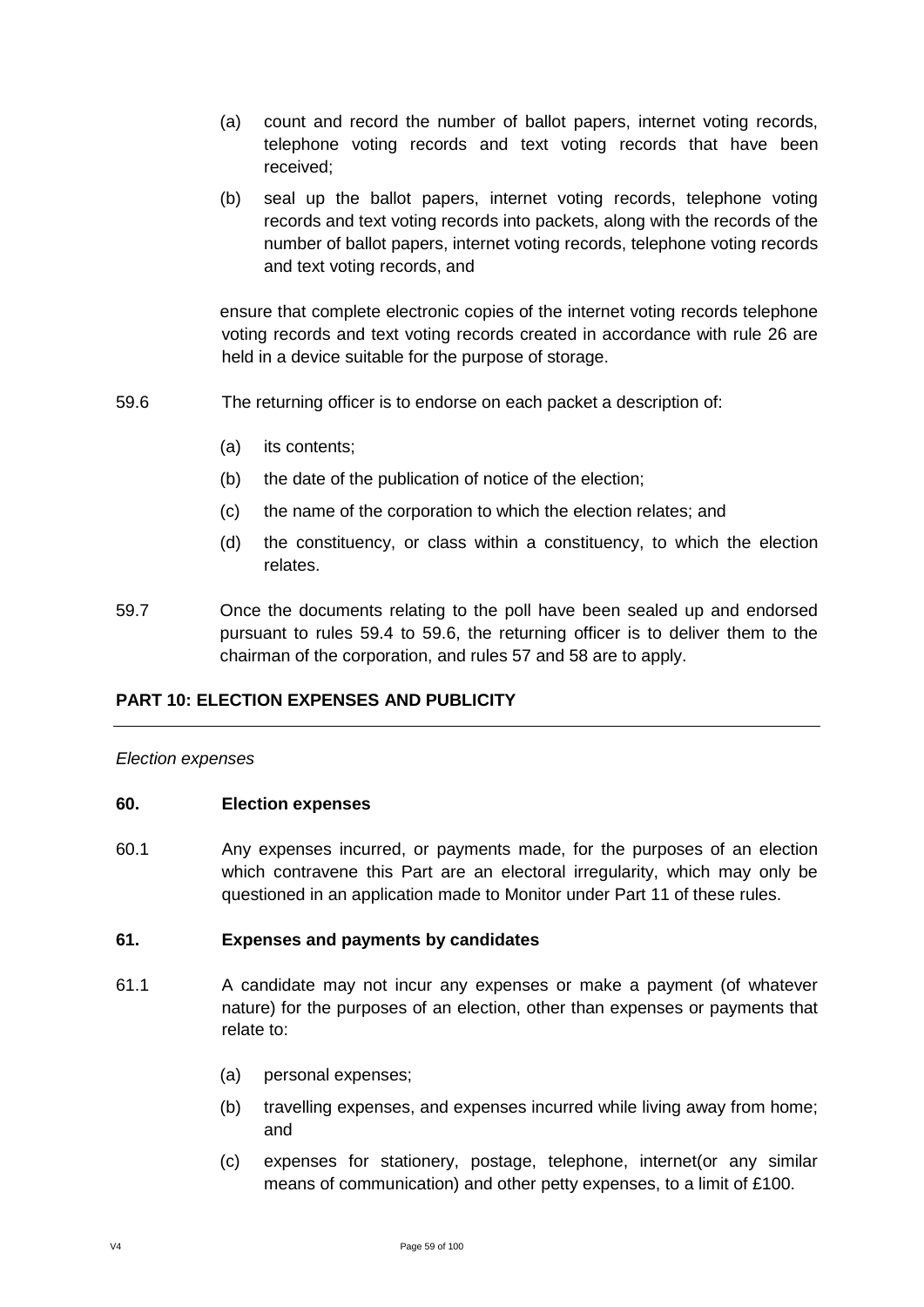- (a) count and record the number of ballot papers, internet voting records, telephone voting records and text voting records that have been received;
- (b) seal up the ballot papers, internet voting records, telephone voting records and text voting records into packets, along with the records of the number of ballot papers, internet voting records, telephone voting records and text voting records, and

ensure that complete electronic copies of the internet voting records telephone voting records and text voting records created in accordance with rule 26 are held in a device suitable for the purpose of storage.

- 59.6 The returning officer is to endorse on each packet a description of:
	- (a) its contents;
	- (b) the date of the publication of notice of the election;
	- (c) the name of the corporation to which the election relates; and
	- (d) the constituency, or class within a constituency, to which the election relates.
- 59.7 Once the documents relating to the poll have been sealed up and endorsed pursuant to rules 59.4 to 59.6, the returning officer is to deliver them to the chairman of the corporation, and rules 57 and 58 are to apply.

### **PART 10: ELECTION EXPENSES AND PUBLICITY**

#### *Election expenses*

#### **60. Election expenses**

60.1 Any expenses incurred, or payments made, for the purposes of an election which contravene this Part are an electoral irregularity, which may only be questioned in an application made to Monitor under Part 11 of these rules.

#### **61. Expenses and payments by candidates**

- 61.1 A candidate may not incur any expenses or make a payment (of whatever nature) for the purposes of an election, other than expenses or payments that relate to:
	- (a) personal expenses;
	- (b) travelling expenses, and expenses incurred while living away from home; and
	- (c) expenses for stationery, postage, telephone, internet(or any similar means of communication) and other petty expenses, to a limit of £100.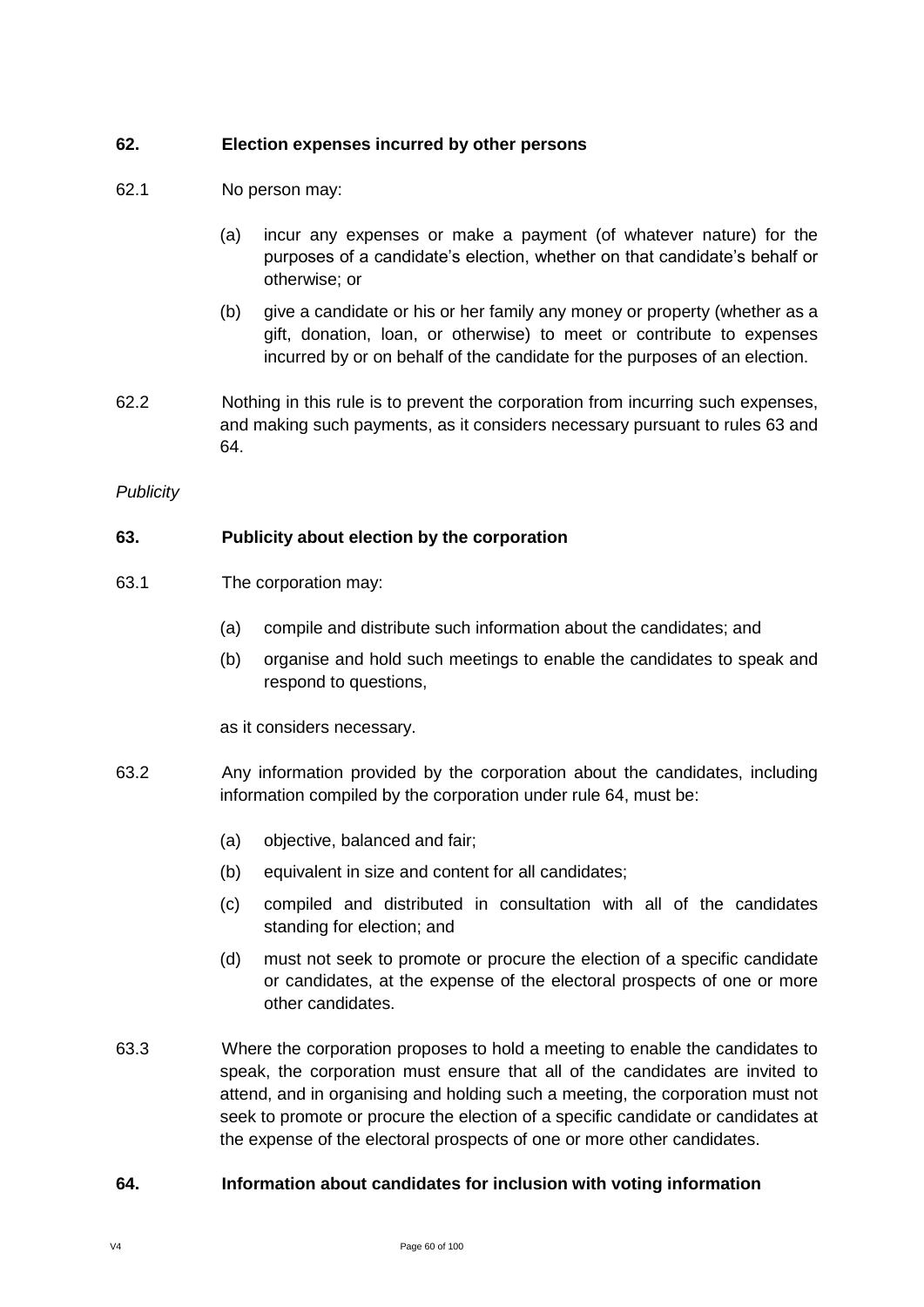### **62. Election expenses incurred by other persons**

- 62.1 No person may:
	- (a) incur any expenses or make a payment (of whatever nature) for the purposes of a candidate's election, whether on that candidate's behalf or otherwise; or
	- (b) give a candidate or his or her family any money or property (whether as a gift, donation, loan, or otherwise) to meet or contribute to expenses incurred by or on behalf of the candidate for the purposes of an election.
- 62.2 Nothing in this rule is to prevent the corporation from incurring such expenses, and making such payments, as it considers necessary pursuant to rules 63 and 64.

### *Publicity*

## **63. Publicity about election by the corporation**

- 63.1 The corporation may:
	- (a) compile and distribute such information about the candidates; and
	- (b) organise and hold such meetings to enable the candidates to speak and respond to questions,

as it considers necessary.

- 63.2 Any information provided by the corporation about the candidates, including information compiled by the corporation under rule 64, must be:
	- (a) objective, balanced and fair;
	- (b) equivalent in size and content for all candidates;
	- (c) compiled and distributed in consultation with all of the candidates standing for election; and
	- (d) must not seek to promote or procure the election of a specific candidate or candidates, at the expense of the electoral prospects of one or more other candidates.
- 63.3 Where the corporation proposes to hold a meeting to enable the candidates to speak, the corporation must ensure that all of the candidates are invited to attend, and in organising and holding such a meeting, the corporation must not seek to promote or procure the election of a specific candidate or candidates at the expense of the electoral prospects of one or more other candidates.

### **64. Information about candidates for inclusion with voting information**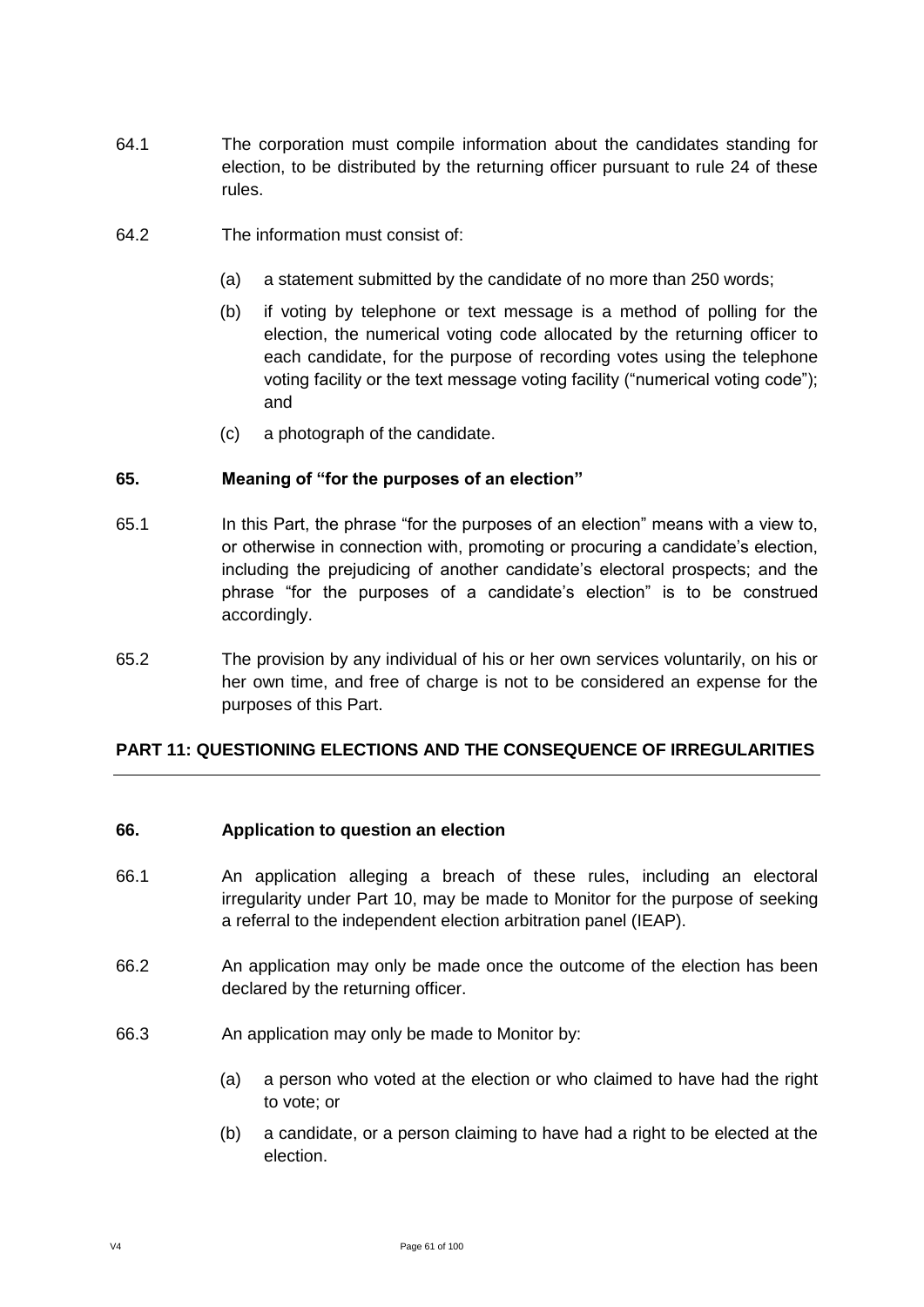- 64.1 The corporation must compile information about the candidates standing for election, to be distributed by the returning officer pursuant to rule 24 of these rules.
- 64.2 The information must consist of:
	- (a) a statement submitted by the candidate of no more than 250 words;
	- (b) if voting by telephone or text message is a method of polling for the election, the numerical voting code allocated by the returning officer to each candidate, for the purpose of recording votes using the telephone voting facility or the text message voting facility ("numerical voting code"); and
	- (c) a photograph of the candidate.

#### **65. Meaning of "for the purposes of an election"**

- 65.1 In this Part, the phrase "for the purposes of an election" means with a view to, or otherwise in connection with, promoting or procuring a candidate's election, including the prejudicing of another candidate's electoral prospects; and the phrase "for the purposes of a candidate's election" is to be construed accordingly.
- 65.2 The provision by any individual of his or her own services voluntarily, on his or her own time, and free of charge is not to be considered an expense for the purposes of this Part.

### **PART 11: QUESTIONING ELECTIONS AND THE CONSEQUENCE OF IRREGULARITIES**

#### **66. Application to question an election**

- 66.1 An application alleging a breach of these rules, including an electoral irregularity under Part 10, may be made to Monitor for the purpose of seeking a referral to the independent election arbitration panel (IEAP).
- 66.2 An application may only be made once the outcome of the election has been declared by the returning officer.
- 66.3 An application may only be made to Monitor by:
	- (a) a person who voted at the election or who claimed to have had the right to vote; or
	- (b) a candidate, or a person claiming to have had a right to be elected at the election.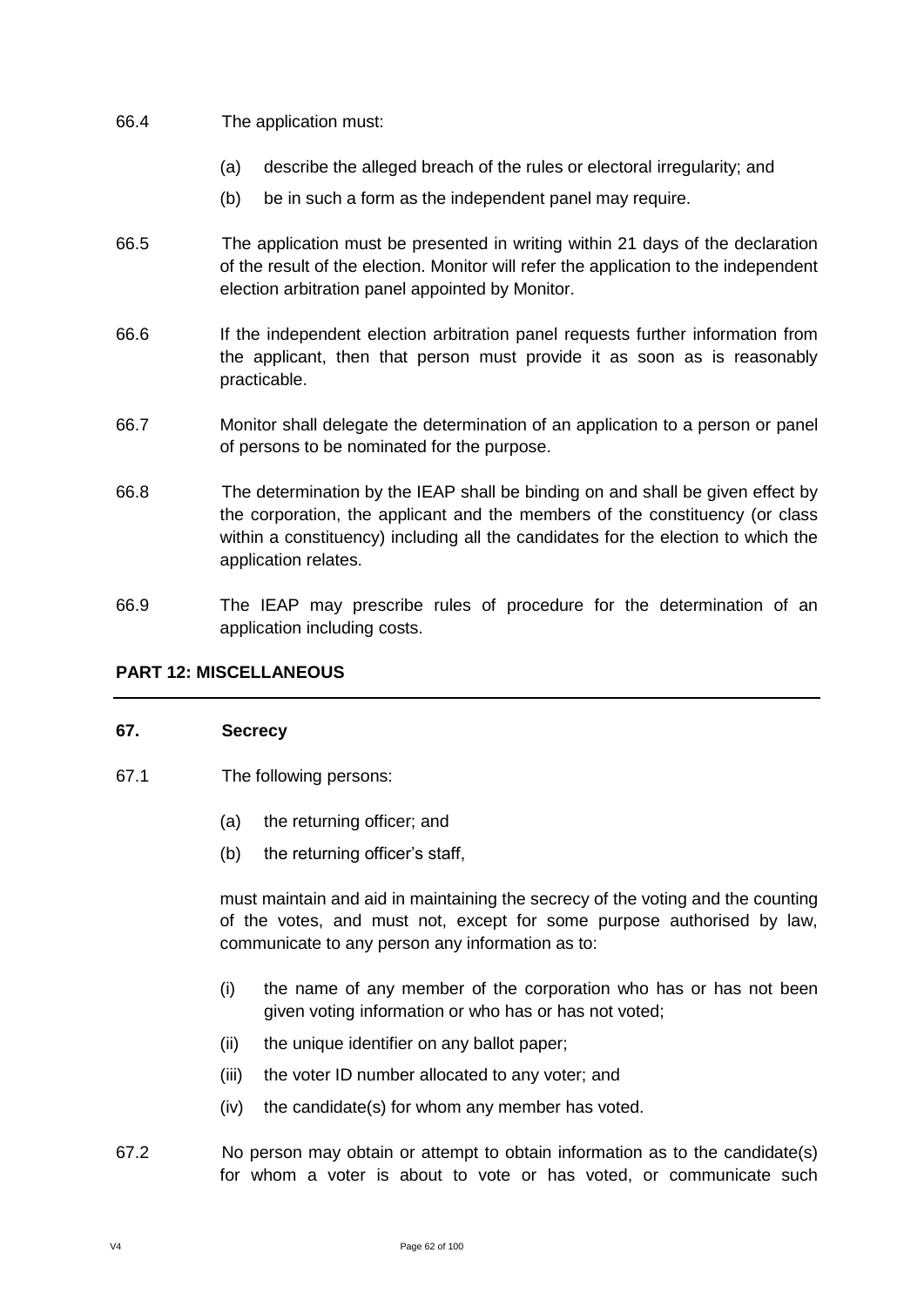### 66.4 The application must:

- (a) describe the alleged breach of the rules or electoral irregularity; and
- (b) be in such a form as the independent panel may require.
- 66.5 The application must be presented in writing within 21 days of the declaration of the result of the election. Monitor will refer the application to the independent election arbitration panel appointed by Monitor.
- 66.6 If the independent election arbitration panel requests further information from the applicant, then that person must provide it as soon as is reasonably practicable.
- 66.7 Monitor shall delegate the determination of an application to a person or panel of persons to be nominated for the purpose.
- 66.8 The determination by the IEAP shall be binding on and shall be given effect by the corporation, the applicant and the members of the constituency (or class within a constituency) including all the candidates for the election to which the application relates.
- 66.9 The IEAP may prescribe rules of procedure for the determination of an application including costs.

### **PART 12: MISCELLANEOUS**

#### **67. Secrecy**

- 67.1 The following persons:
	- (a) the returning officer; and
	- (b) the returning officer's staff,

must maintain and aid in maintaining the secrecy of the voting and the counting of the votes, and must not, except for some purpose authorised by law, communicate to any person any information as to:

- (i) the name of any member of the corporation who has or has not been given voting information or who has or has not voted;
- (ii) the unique identifier on any ballot paper;
- (iii) the voter ID number allocated to any voter; and
- (iv) the candidate(s) for whom any member has voted.
- 67.2 No person may obtain or attempt to obtain information as to the candidate(s) for whom a voter is about to vote or has voted, or communicate such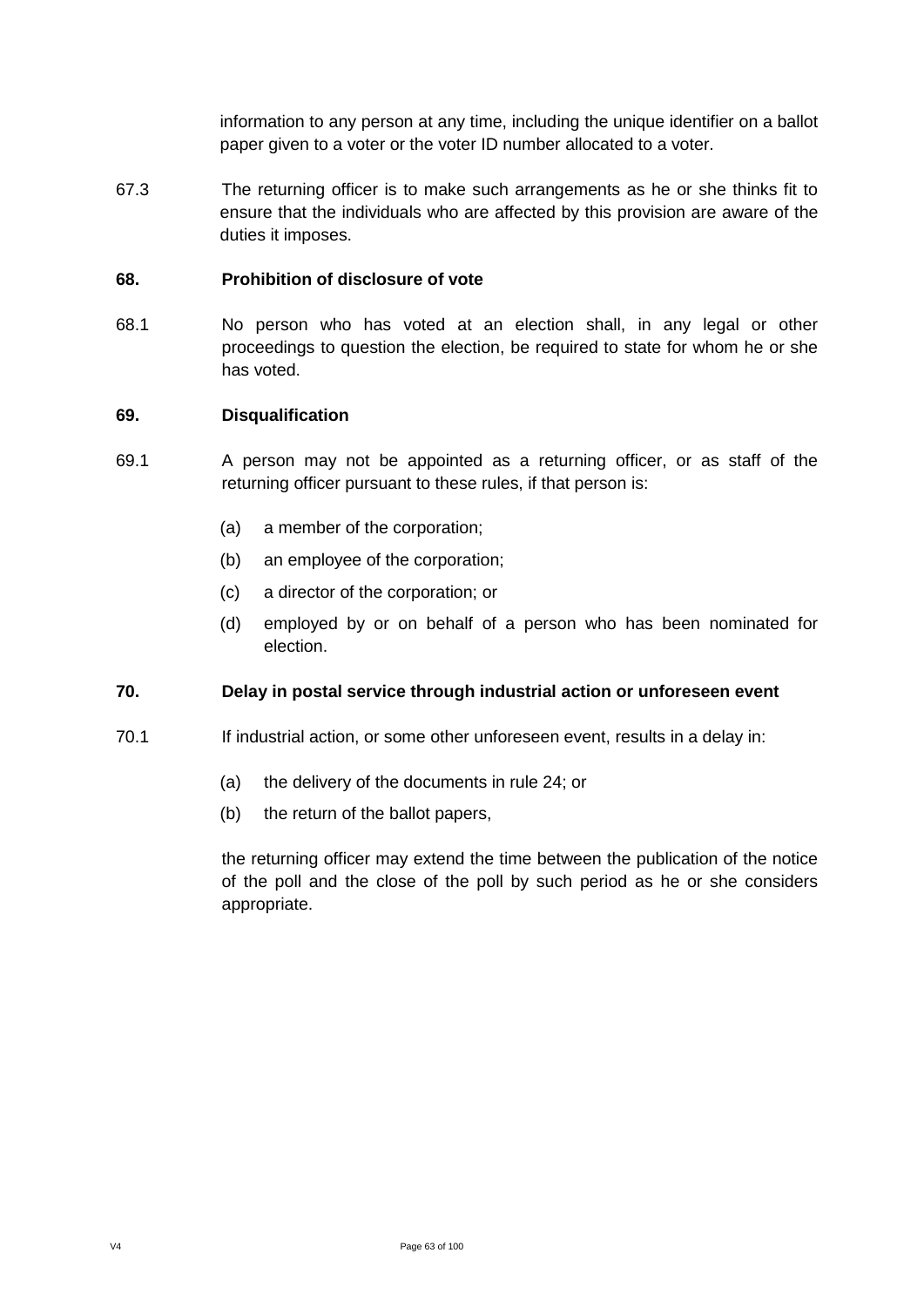information to any person at any time, including the unique identifier on a ballot paper given to a voter or the voter ID number allocated to a voter.

67.3 The returning officer is to make such arrangements as he or she thinks fit to ensure that the individuals who are affected by this provision are aware of the duties it imposes.

### **68. Prohibition of disclosure of vote**

68.1 No person who has voted at an election shall, in any legal or other proceedings to question the election, be required to state for whom he or she has voted.

#### **69. Disqualification**

- 69.1 A person may not be appointed as a returning officer, or as staff of the returning officer pursuant to these rules, if that person is:
	- (a) a member of the corporation;
	- (b) an employee of the corporation;
	- (c) a director of the corporation; or
	- (d) employed by or on behalf of a person who has been nominated for election.

### **70. Delay in postal service through industrial action or unforeseen event**

- 70.1 If industrial action, or some other unforeseen event, results in a delay in:
	- (a) the delivery of the documents in rule 24; or
	- (b) the return of the ballot papers,

the returning officer may extend the time between the publication of the notice of the poll and the close of the poll by such period as he or she considers appropriate.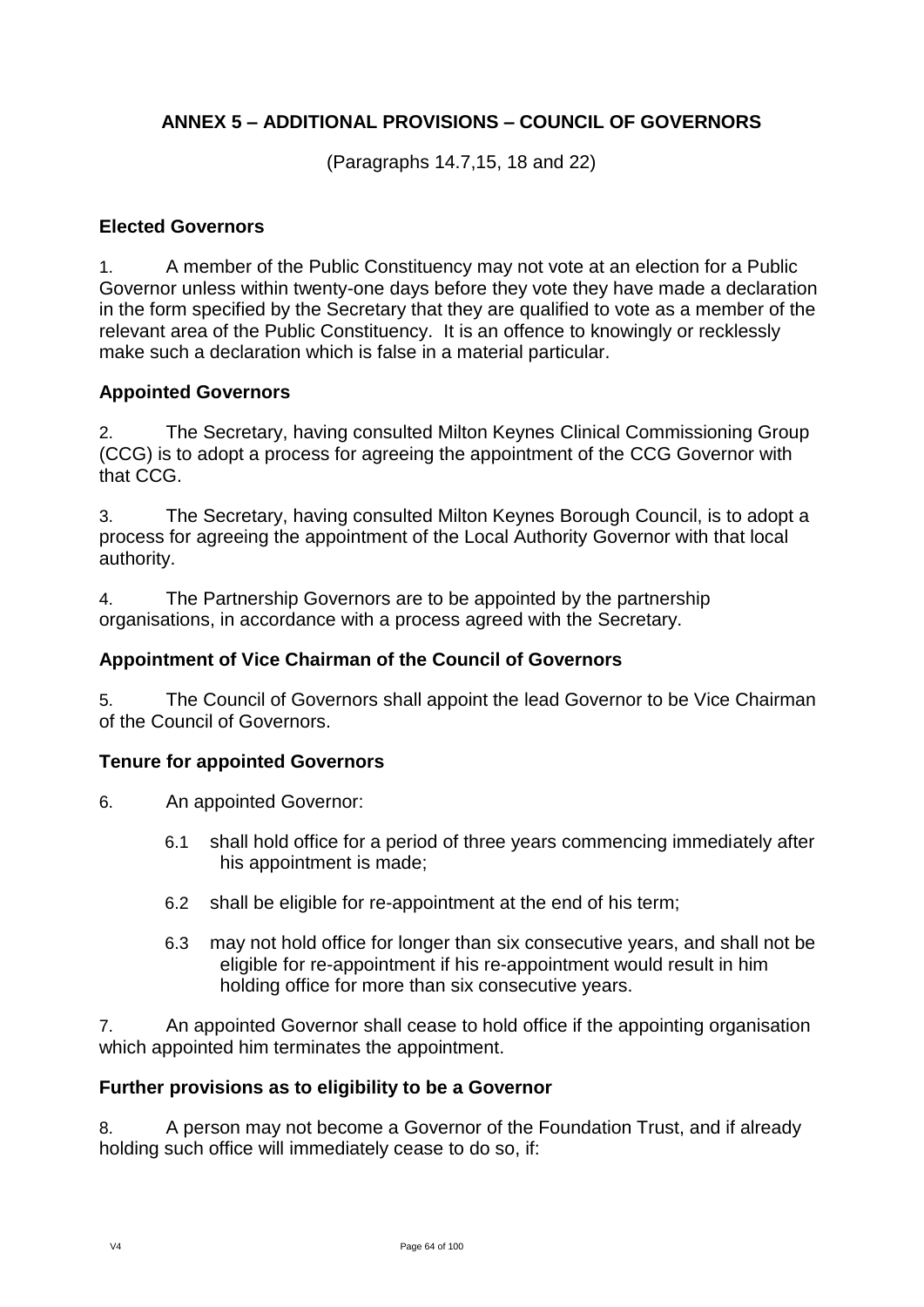# **ANNEX 5 – ADDITIONAL PROVISIONS – COUNCIL OF GOVERNORS**

(Paragraphs 14.7,15, 18 and 22)

## **Elected Governors**

1. A member of the Public Constituency may not vote at an election for a Public Governor unless within twenty-one days before they vote they have made a declaration in the form specified by the Secretary that they are qualified to vote as a member of the relevant area of the Public Constituency. It is an offence to knowingly or recklessly make such a declaration which is false in a material particular.

# **Appointed Governors**

2. The Secretary, having consulted Milton Keynes Clinical Commissioning Group (CCG) is to adopt a process for agreeing the appointment of the CCG Governor with that CCG.

3. The Secretary, having consulted Milton Keynes Borough Council, is to adopt a process for agreeing the appointment of the Local Authority Governor with that local authority.

4. The Partnership Governors are to be appointed by the partnership organisations, in accordance with a process agreed with the Secretary.

# **Appointment of Vice Chairman of the Council of Governors**

5. The Council of Governors shall appoint the lead Governor to be Vice Chairman of the Council of Governors.

## **Tenure for appointed Governors**

6. An appointed Governor:

- 6.1 shall hold office for a period of three years commencing immediately after his appointment is made;
- 6.2 shall be eligible for re-appointment at the end of his term;
- 6.3 may not hold office for longer than six consecutive years, and shall not be eligible for re-appointment if his re-appointment would result in him holding office for more than six consecutive years.

7. An appointed Governor shall cease to hold office if the appointing organisation which appointed him terminates the appointment.

## **Further provisions as to eligibility to be a Governor**

8. A person may not become a Governor of the Foundation Trust, and if already holding such office will immediately cease to do so, if: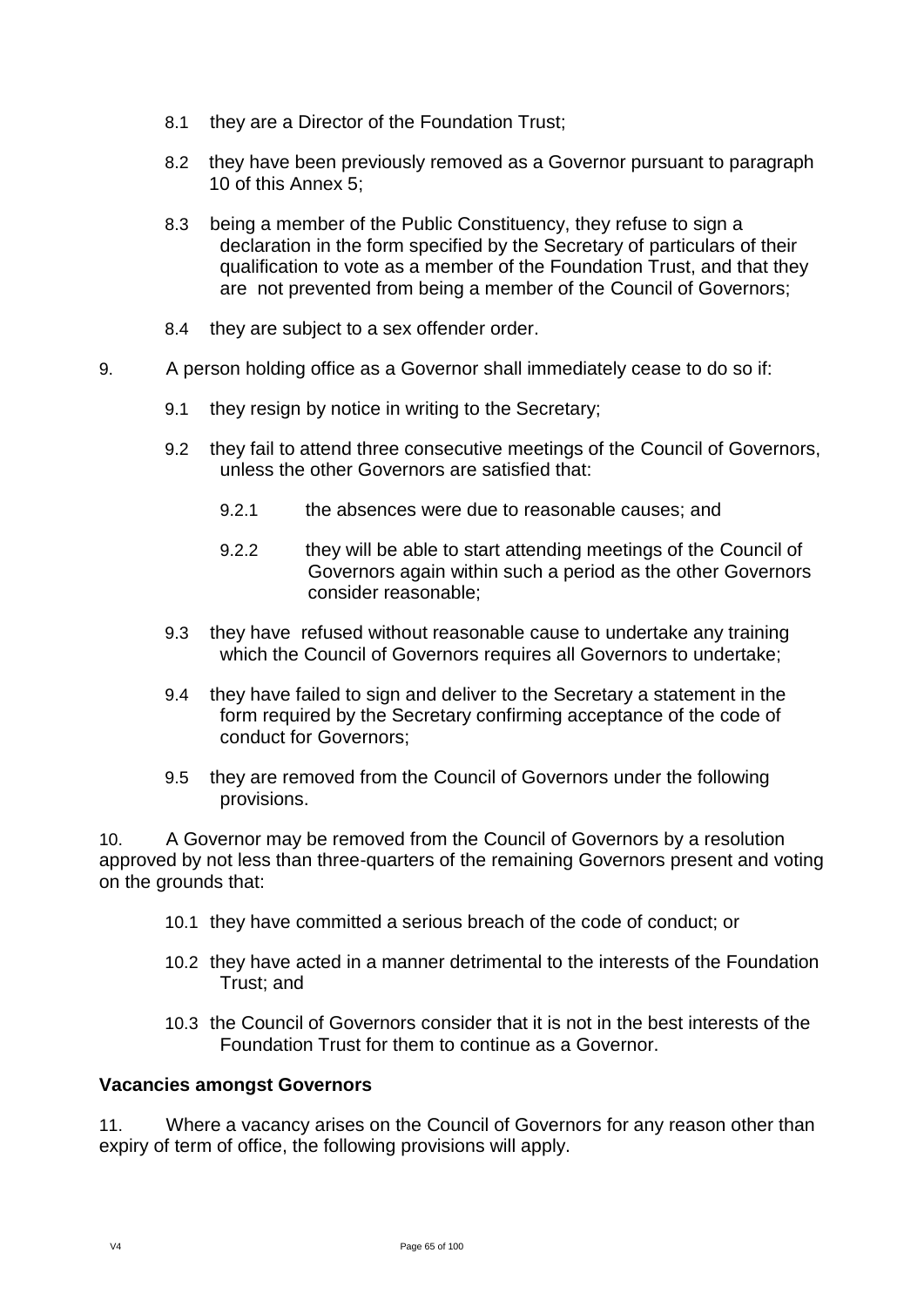- 8.1 they are a Director of the Foundation Trust;
- 8.2 they have been previously removed as a Governor pursuant to paragraph 10 of this Annex 5;
- 8.3 being a member of the Public Constituency, they refuse to sign a declaration in the form specified by the Secretary of particulars of their qualification to vote as a member of the Foundation Trust, and that they are not prevented from being a member of the Council of Governors;
- 8.4 they are subject to a sex offender order.
- 9. A person holding office as a Governor shall immediately cease to do so if:
	- 9.1 they resign by notice in writing to the Secretary;
	- 9.2 they fail to attend three consecutive meetings of the Council of Governors, unless the other Governors are satisfied that:
		- 9.2.1 the absences were due to reasonable causes; and
		- 9.2.2 they will be able to start attending meetings of the Council of Governors again within such a period as the other Governors consider reasonable;
	- 9.3 they have refused without reasonable cause to undertake any training which the Council of Governors requires all Governors to undertake;
	- 9.4 they have failed to sign and deliver to the Secretary a statement in the form required by the Secretary confirming acceptance of the code of conduct for Governors;
	- 9.5 they are removed from the Council of Governors under the following provisions.

10. A Governor may be removed from the Council of Governors by a resolution approved by not less than three-quarters of the remaining Governors present and voting on the grounds that:

- 10.1 they have committed a serious breach of the code of conduct; or
- 10.2 they have acted in a manner detrimental to the interests of the Foundation Trust; and
- 10.3 the Council of Governors consider that it is not in the best interests of the Foundation Trust for them to continue as a Governor.

### **Vacancies amongst Governors**

11. Where a vacancy arises on the Council of Governors for any reason other than expiry of term of office, the following provisions will apply.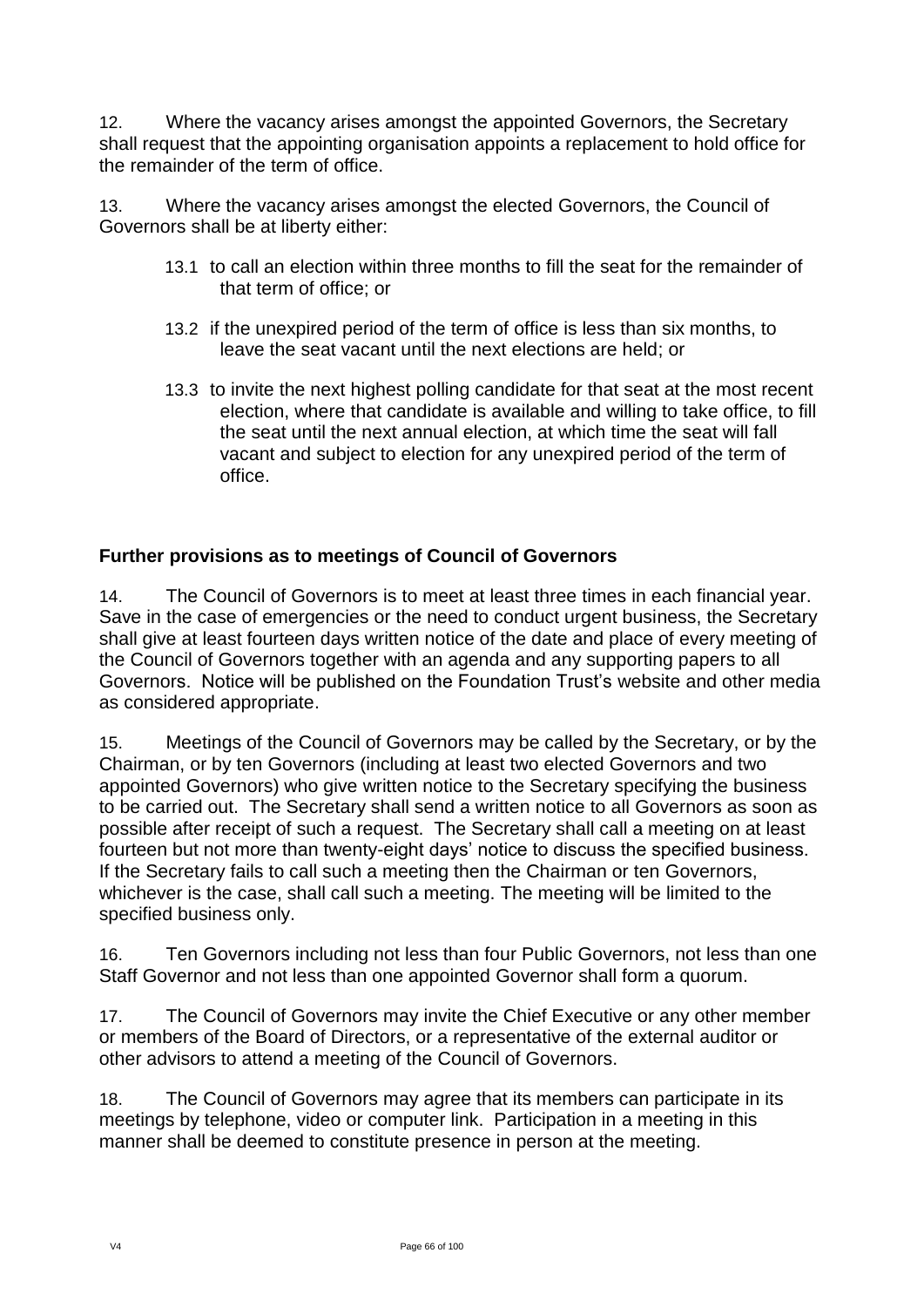12. Where the vacancy arises amongst the appointed Governors, the Secretary shall request that the appointing organisation appoints a replacement to hold office for the remainder of the term of office.

13. Where the vacancy arises amongst the elected Governors, the Council of Governors shall be at liberty either:

- 13.1 to call an election within three months to fill the seat for the remainder of that term of office; or
- 13.2 if the unexpired period of the term of office is less than six months, to leave the seat vacant until the next elections are held; or
- 13.3 to invite the next highest polling candidate for that seat at the most recent election, where that candidate is available and willing to take office, to fill the seat until the next annual election, at which time the seat will fall vacant and subject to election for any unexpired period of the term of office.

# **Further provisions as to meetings of Council of Governors**

14. The Council of Governors is to meet at least three times in each financial year. Save in the case of emergencies or the need to conduct urgent business, the Secretary shall give at least fourteen days written notice of the date and place of every meeting of the Council of Governors together with an agenda and any supporting papers to all Governors. Notice will be published on the Foundation Trust's website and other media as considered appropriate.

15. Meetings of the Council of Governors may be called by the Secretary, or by the Chairman, or by ten Governors (including at least two elected Governors and two appointed Governors) who give written notice to the Secretary specifying the business to be carried out. The Secretary shall send a written notice to all Governors as soon as possible after receipt of such a request. The Secretary shall call a meeting on at least fourteen but not more than twenty-eight days' notice to discuss the specified business. If the Secretary fails to call such a meeting then the Chairman or ten Governors, whichever is the case, shall call such a meeting. The meeting will be limited to the specified business only.

16. Ten Governors including not less than four Public Governors, not less than one Staff Governor and not less than one appointed Governor shall form a quorum.

17. The Council of Governors may invite the Chief Executive or any other member or members of the Board of Directors, or a representative of the external auditor or other advisors to attend a meeting of the Council of Governors.

18. The Council of Governors may agree that its members can participate in its meetings by telephone, video or computer link. Participation in a meeting in this manner shall be deemed to constitute presence in person at the meeting.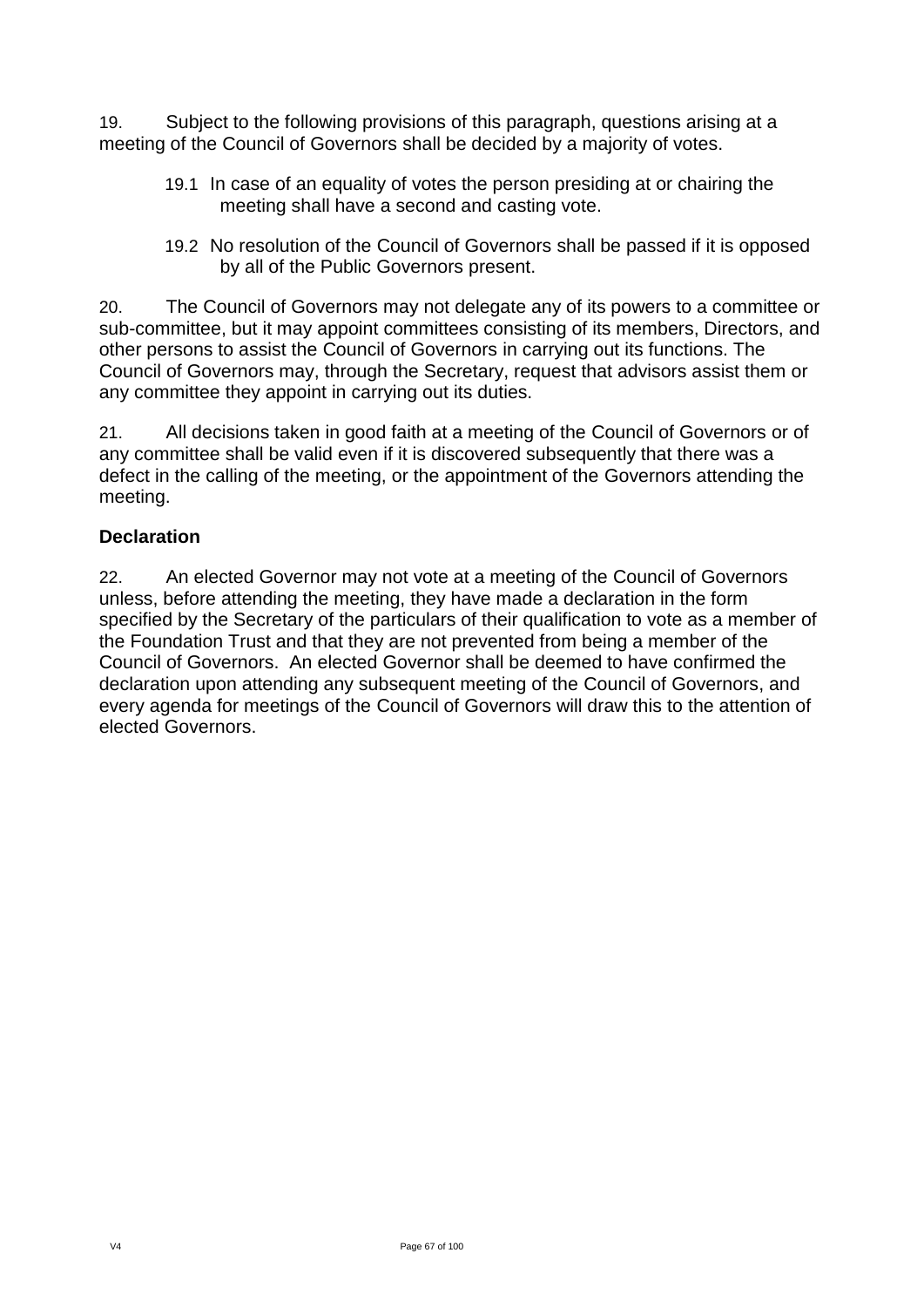19. Subject to the following provisions of this paragraph, questions arising at a meeting of the Council of Governors shall be decided by a majority of votes.

- 19.1 In case of an equality of votes the person presiding at or chairing the meeting shall have a second and casting vote.
- 19.2 No resolution of the Council of Governors shall be passed if it is opposed by all of the Public Governors present.

20. The Council of Governors may not delegate any of its powers to a committee or sub-committee, but it may appoint committees consisting of its members, Directors, and other persons to assist the Council of Governors in carrying out its functions. The Council of Governors may, through the Secretary, request that advisors assist them or any committee they appoint in carrying out its duties.

21. All decisions taken in good faith at a meeting of the Council of Governors or of any committee shall be valid even if it is discovered subsequently that there was a defect in the calling of the meeting, or the appointment of the Governors attending the meeting.

# **Declaration**

22. An elected Governor may not vote at a meeting of the Council of Governors unless, before attending the meeting, they have made a declaration in the form specified by the Secretary of the particulars of their qualification to vote as a member of the Foundation Trust and that they are not prevented from being a member of the Council of Governors. An elected Governor shall be deemed to have confirmed the declaration upon attending any subsequent meeting of the Council of Governors, and every agenda for meetings of the Council of Governors will draw this to the attention of elected Governors.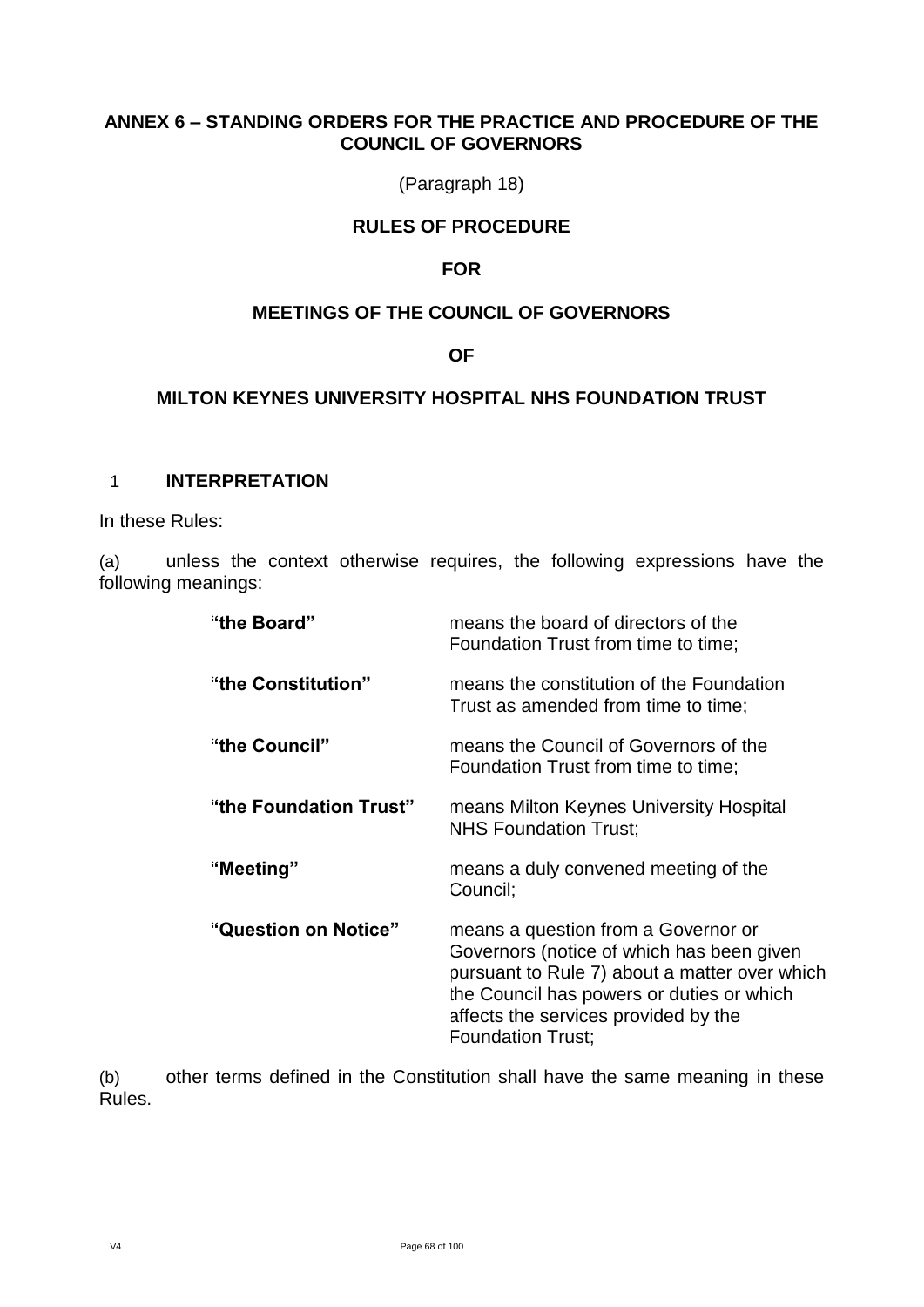## **ANNEX 6 – STANDING ORDERS FOR THE PRACTICE AND PROCEDURE OF THE COUNCIL OF GOVERNORS**

(Paragraph 18)

## **RULES OF PROCEDURE**

## **FOR**

## **MEETINGS OF THE COUNCIL OF GOVERNORS**

## **OF**

## **MILTON KEYNES UNIVERSITY HOSPITAL NHS FOUNDATION TRUST**

### 1 **INTERPRETATION**

In these Rules:

(a) unless the context otherwise requires, the following expressions have the following meanings:

| "the Board"            | means the board of directors of the<br>Foundation Trust from time to time;                                                                                                                                                                         |
|------------------------|----------------------------------------------------------------------------------------------------------------------------------------------------------------------------------------------------------------------------------------------------|
| "the Constitution"     | means the constitution of the Foundation<br>Trust as amended from time to time;                                                                                                                                                                    |
| "the Council"          | means the Council of Governors of the<br>Foundation Trust from time to time;                                                                                                                                                                       |
| "the Foundation Trust" | means Milton Keynes University Hospital<br><b>NHS Foundation Trust;</b>                                                                                                                                                                            |
| "Meeting"              | means a duly convened meeting of the<br>Council;                                                                                                                                                                                                   |
| "Question on Notice"   | means a question from a Governor or<br>Governors (notice of which has been given<br>pursuant to Rule 7) about a matter over which<br>the Council has powers or duties or which<br>affects the services provided by the<br><b>Foundation Trust:</b> |

(b) other terms defined in the Constitution shall have the same meaning in these Rules.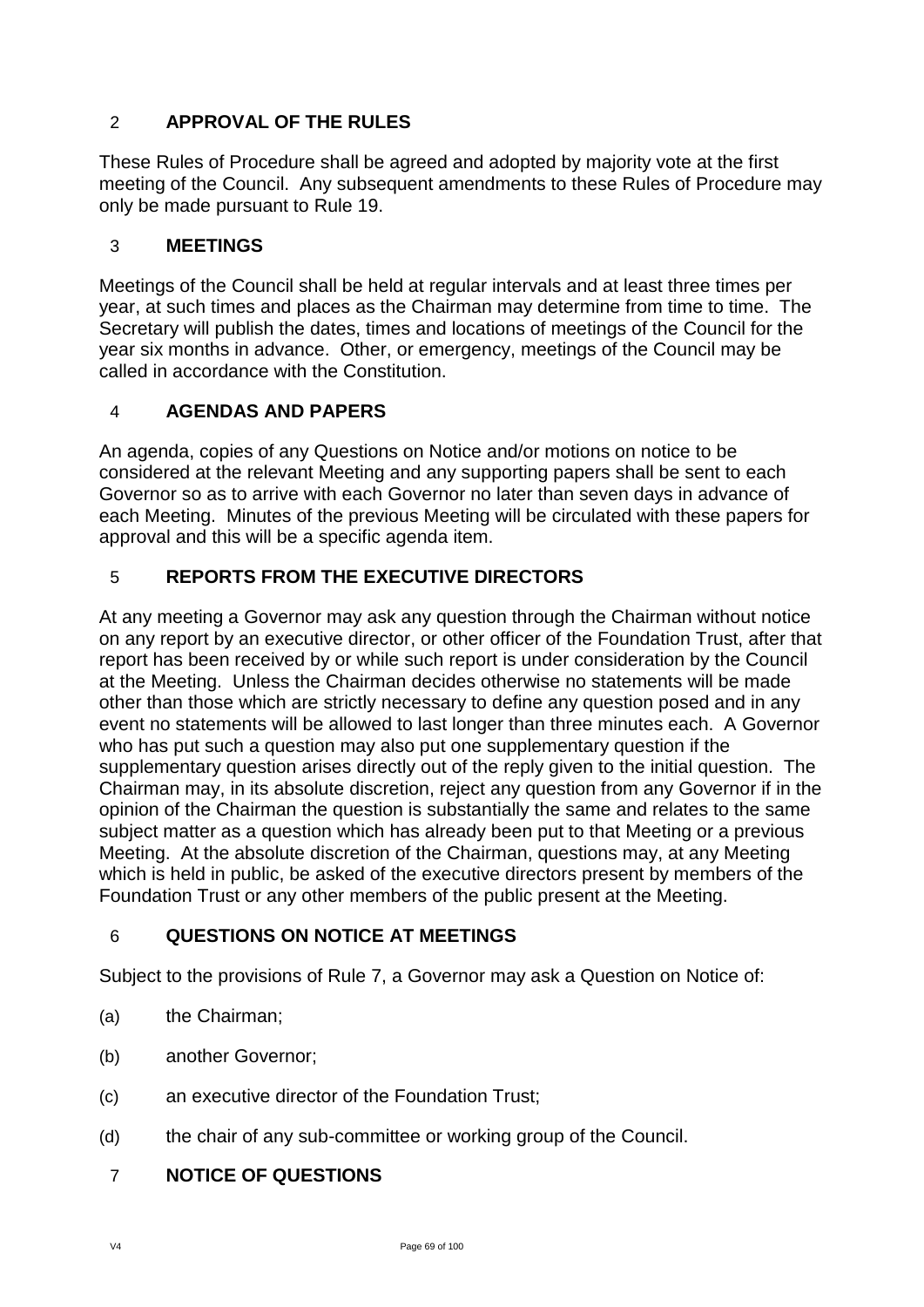# 2 **APPROVAL OF THE RULES**

These Rules of Procedure shall be agreed and adopted by majority vote at the first meeting of the Council. Any subsequent amendments to these Rules of Procedure may only be made pursuant to Rule 19.

# 3 **MEETINGS**

Meetings of the Council shall be held at regular intervals and at least three times per year, at such times and places as the Chairman may determine from time to time. The Secretary will publish the dates, times and locations of meetings of the Council for the year six months in advance. Other, or emergency, meetings of the Council may be called in accordance with the Constitution.

# 4 **AGENDAS AND PAPERS**

An agenda, copies of any Questions on Notice and/or motions on notice to be considered at the relevant Meeting and any supporting papers shall be sent to each Governor so as to arrive with each Governor no later than seven days in advance of each Meeting. Minutes of the previous Meeting will be circulated with these papers for approval and this will be a specific agenda item.

# 5 **REPORTS FROM THE EXECUTIVE DIRECTORS**

At any meeting a Governor may ask any question through the Chairman without notice on any report by an executive director, or other officer of the Foundation Trust, after that report has been received by or while such report is under consideration by the Council at the Meeting. Unless the Chairman decides otherwise no statements will be made other than those which are strictly necessary to define any question posed and in any event no statements will be allowed to last longer than three minutes each. A Governor who has put such a question may also put one supplementary question if the supplementary question arises directly out of the reply given to the initial question. The Chairman may, in its absolute discretion, reject any question from any Governor if in the opinion of the Chairman the question is substantially the same and relates to the same subject matter as a question which has already been put to that Meeting or a previous Meeting. At the absolute discretion of the Chairman, questions may, at any Meeting which is held in public, be asked of the executive directors present by members of the Foundation Trust or any other members of the public present at the Meeting.

# 6 **QUESTIONS ON NOTICE AT MEETINGS**

Subject to the provisions of Rule 7, a Governor may ask a Question on Notice of:

- (a) the Chairman;
- (b) another Governor;
- (c) an executive director of the Foundation Trust;
- (d) the chair of any sub-committee or working group of the Council.

# 7 **NOTICE OF QUESTIONS**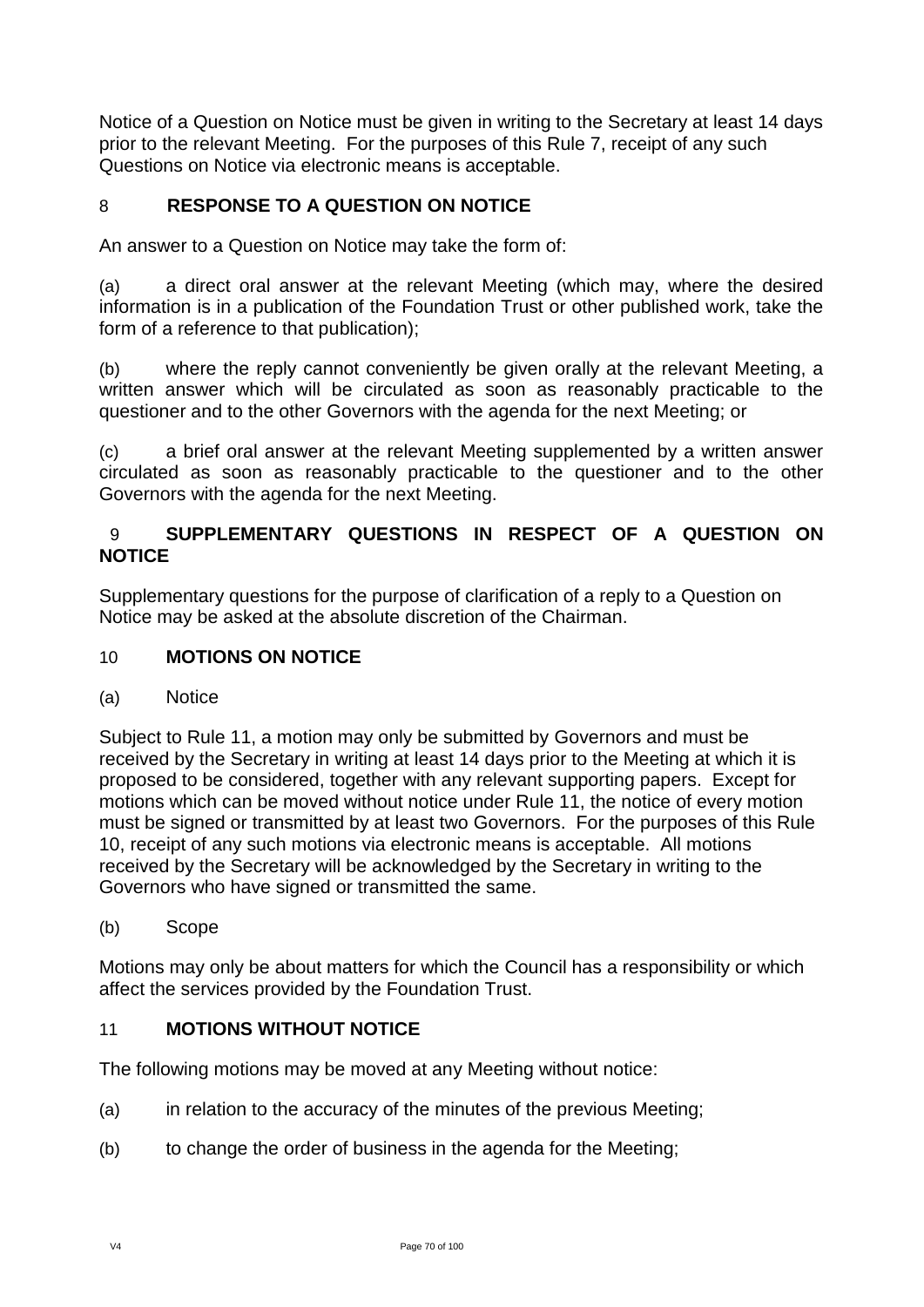Notice of a Question on Notice must be given in writing to the Secretary at least 14 days prior to the relevant Meeting. For the purposes of this Rule 7, receipt of any such Questions on Notice via electronic means is acceptable.

# 8 **RESPONSE TO A QUESTION ON NOTICE**

An answer to a Question on Notice may take the form of:

(a) a direct oral answer at the relevant Meeting (which may, where the desired information is in a publication of the Foundation Trust or other published work, take the form of a reference to that publication);

(b) where the reply cannot conveniently be given orally at the relevant Meeting, a written answer which will be circulated as soon as reasonably practicable to the questioner and to the other Governors with the agenda for the next Meeting; or

(c) a brief oral answer at the relevant Meeting supplemented by a written answer circulated as soon as reasonably practicable to the questioner and to the other Governors with the agenda for the next Meeting.

## 9 **SUPPLEMENTARY QUESTIONS IN RESPECT OF A QUESTION ON NOTICE**

Supplementary questions for the purpose of clarification of a reply to a Question on Notice may be asked at the absolute discretion of the Chairman.

## 10 **MOTIONS ON NOTICE**

(a) Notice

Subject to Rule 11, a motion may only be submitted by Governors and must be received by the Secretary in writing at least 14 days prior to the Meeting at which it is proposed to be considered, together with any relevant supporting papers. Except for motions which can be moved without notice under Rule 11, the notice of every motion must be signed or transmitted by at least two Governors. For the purposes of this Rule 10, receipt of any such motions via electronic means is acceptable. All motions received by the Secretary will be acknowledged by the Secretary in writing to the Governors who have signed or transmitted the same.

(b) Scope

Motions may only be about matters for which the Council has a responsibility or which affect the services provided by the Foundation Trust.

## 11 **MOTIONS WITHOUT NOTICE**

The following motions may be moved at any Meeting without notice:

- (a) in relation to the accuracy of the minutes of the previous Meeting;
- (b) to change the order of business in the agenda for the Meeting;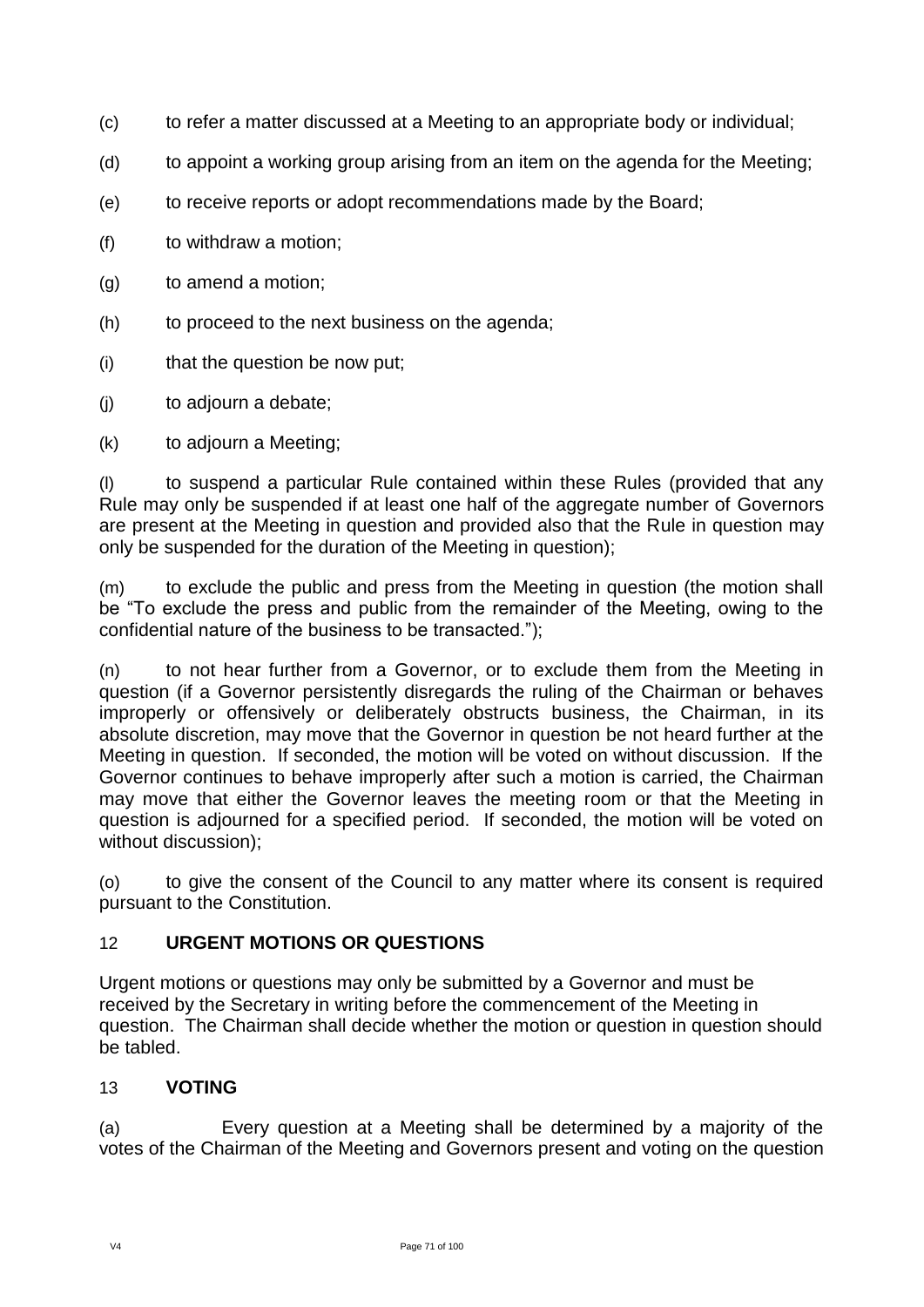- (c) to refer a matter discussed at a Meeting to an appropriate body or individual;
- (d) to appoint a working group arising from an item on the agenda for the Meeting;
- (e) to receive reports or adopt recommendations made by the Board;
- (f) to withdraw a motion;
- (g) to amend a motion;
- (h) to proceed to the next business on the agenda;
- (i) that the question be now put;
- (j) to adjourn a debate;
- (k) to adjourn a Meeting;

(l) to suspend a particular Rule contained within these Rules (provided that any Rule may only be suspended if at least one half of the aggregate number of Governors are present at the Meeting in question and provided also that the Rule in question may only be suspended for the duration of the Meeting in question);

(m) to exclude the public and press from the Meeting in question (the motion shall be "To exclude the press and public from the remainder of the Meeting, owing to the confidential nature of the business to be transacted.");

(n) to not hear further from a Governor, or to exclude them from the Meeting in question (if a Governor persistently disregards the ruling of the Chairman or behaves improperly or offensively or deliberately obstructs business, the Chairman, in its absolute discretion, may move that the Governor in question be not heard further at the Meeting in question. If seconded, the motion will be voted on without discussion. If the Governor continues to behave improperly after such a motion is carried, the Chairman may move that either the Governor leaves the meeting room or that the Meeting in question is adjourned for a specified period. If seconded, the motion will be voted on without discussion);

(o) to give the consent of the Council to any matter where its consent is required pursuant to the Constitution.

## 12 **URGENT MOTIONS OR QUESTIONS**

Urgent motions or questions may only be submitted by a Governor and must be received by the Secretary in writing before the commencement of the Meeting in question. The Chairman shall decide whether the motion or question in question should be tabled.

## 13 **VOTING**

(a) Every question at a Meeting shall be determined by a majority of the votes of the Chairman of the Meeting and Governors present and voting on the question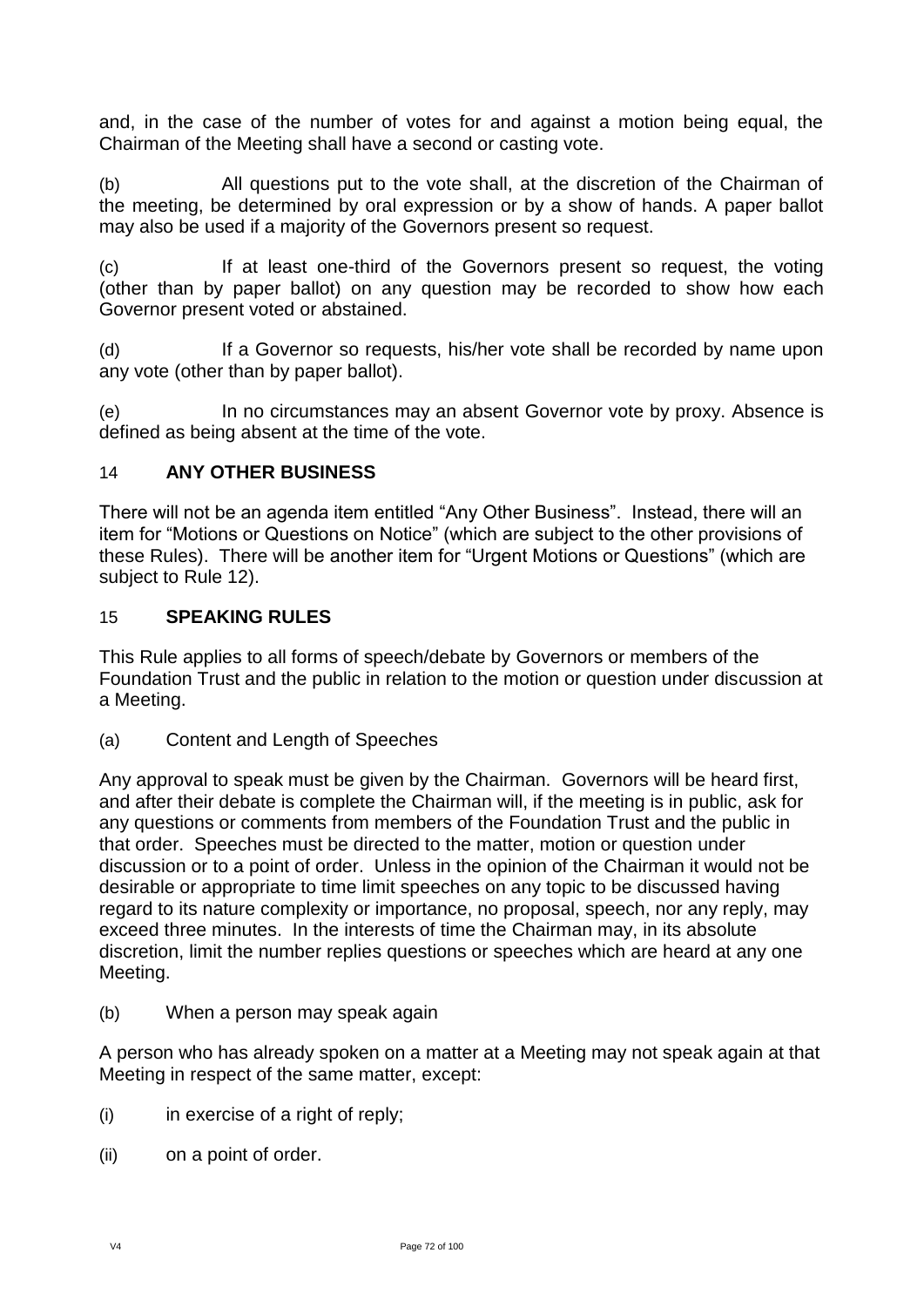and, in the case of the number of votes for and against a motion being equal, the Chairman of the Meeting shall have a second or casting vote.

(b) All questions put to the vote shall, at the discretion of the Chairman of the meeting, be determined by oral expression or by a show of hands. A paper ballot may also be used if a majority of the Governors present so request.

(c) If at least one-third of the Governors present so request, the voting (other than by paper ballot) on any question may be recorded to show how each Governor present voted or abstained.

(d) If a Governor so requests, his/her vote shall be recorded by name upon any vote (other than by paper ballot).

(e) In no circumstances may an absent Governor vote by proxy. Absence is defined as being absent at the time of the vote.

# 14 **ANY OTHER BUSINESS**

There will not be an agenda item entitled "Any Other Business". Instead, there will an item for "Motions or Questions on Notice" (which are subject to the other provisions of these Rules). There will be another item for "Urgent Motions or Questions" (which are subject to Rule 12).

## 15 **SPEAKING RULES**

This Rule applies to all forms of speech/debate by Governors or members of the Foundation Trust and the public in relation to the motion or question under discussion at a Meeting.

(a) Content and Length of Speeches

Any approval to speak must be given by the Chairman. Governors will be heard first, and after their debate is complete the Chairman will, if the meeting is in public, ask for any questions or comments from members of the Foundation Trust and the public in that order. Speeches must be directed to the matter, motion or question under discussion or to a point of order. Unless in the opinion of the Chairman it would not be desirable or appropriate to time limit speeches on any topic to be discussed having regard to its nature complexity or importance, no proposal, speech, nor any reply, may exceed three minutes. In the interests of time the Chairman may, in its absolute discretion, limit the number replies questions or speeches which are heard at any one Meeting.

(b) When a person may speak again

A person who has already spoken on a matter at a Meeting may not speak again at that Meeting in respect of the same matter, except:

- $(i)$  in exercise of a right of reply;
- (ii) on a point of order.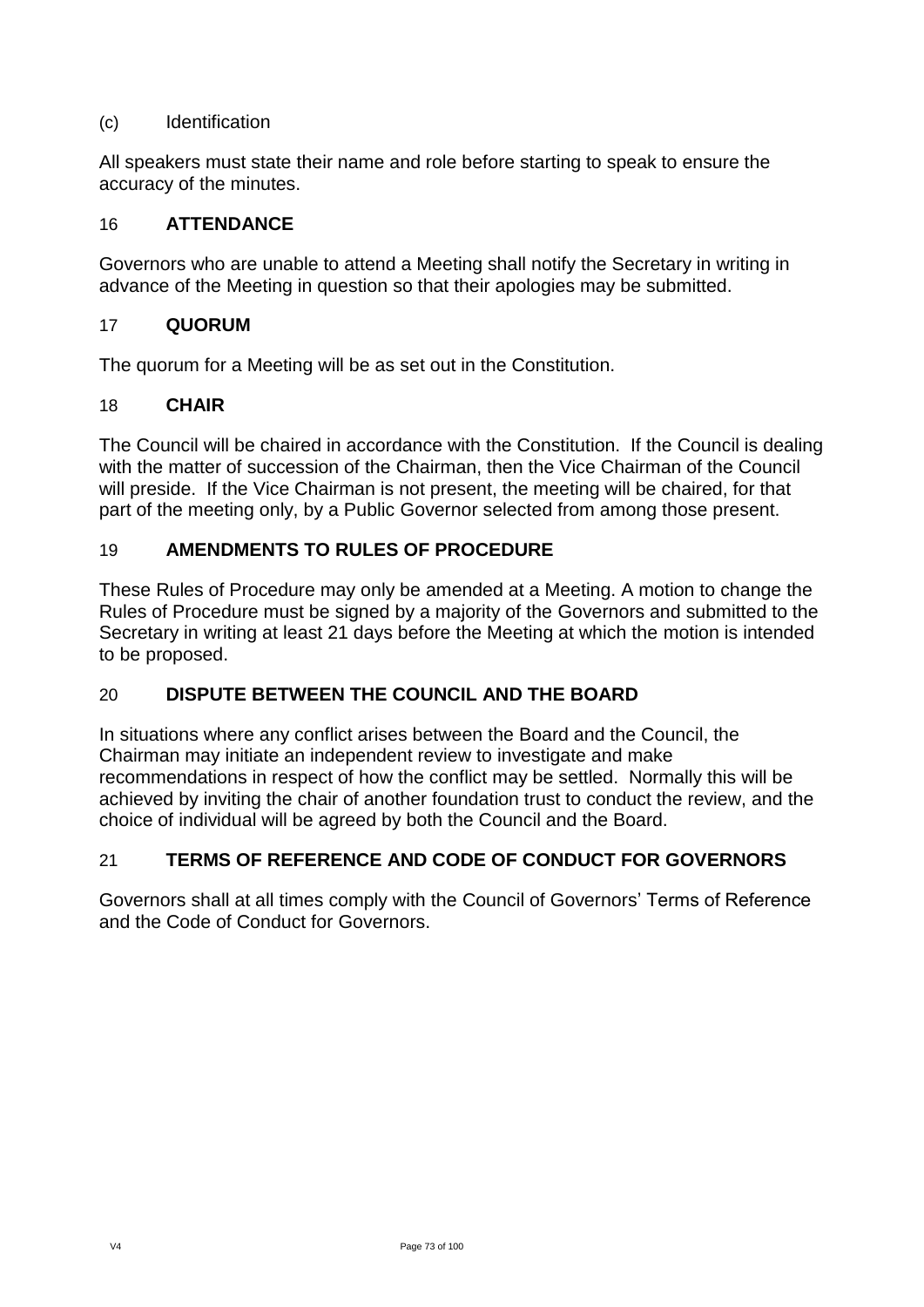## (c) Identification

All speakers must state their name and role before starting to speak to ensure the accuracy of the minutes.

### 16 **ATTENDANCE**

Governors who are unable to attend a Meeting shall notify the Secretary in writing in advance of the Meeting in question so that their apologies may be submitted.

### 17 **QUORUM**

The quorum for a Meeting will be as set out in the Constitution.

## 18 **CHAIR**

The Council will be chaired in accordance with the Constitution. If the Council is dealing with the matter of succession of the Chairman, then the Vice Chairman of the Council will preside. If the Vice Chairman is not present, the meeting will be chaired, for that part of the meeting only, by a Public Governor selected from among those present.

## 19 **AMENDMENTS TO RULES OF PROCEDURE**

These Rules of Procedure may only be amended at a Meeting. A motion to change the Rules of Procedure must be signed by a majority of the Governors and submitted to the Secretary in writing at least 21 days before the Meeting at which the motion is intended to be proposed.

## 20 **DISPUTE BETWEEN THE COUNCIL AND THE BOARD**

In situations where any conflict arises between the Board and the Council, the Chairman may initiate an independent review to investigate and make recommendations in respect of how the conflict may be settled. Normally this will be achieved by inviting the chair of another foundation trust to conduct the review, and the choice of individual will be agreed by both the Council and the Board.

## 21 **TERMS OF REFERENCE AND CODE OF CONDUCT FOR GOVERNORS**

Governors shall at all times comply with the Council of Governors' Terms of Reference and the Code of Conduct for Governors.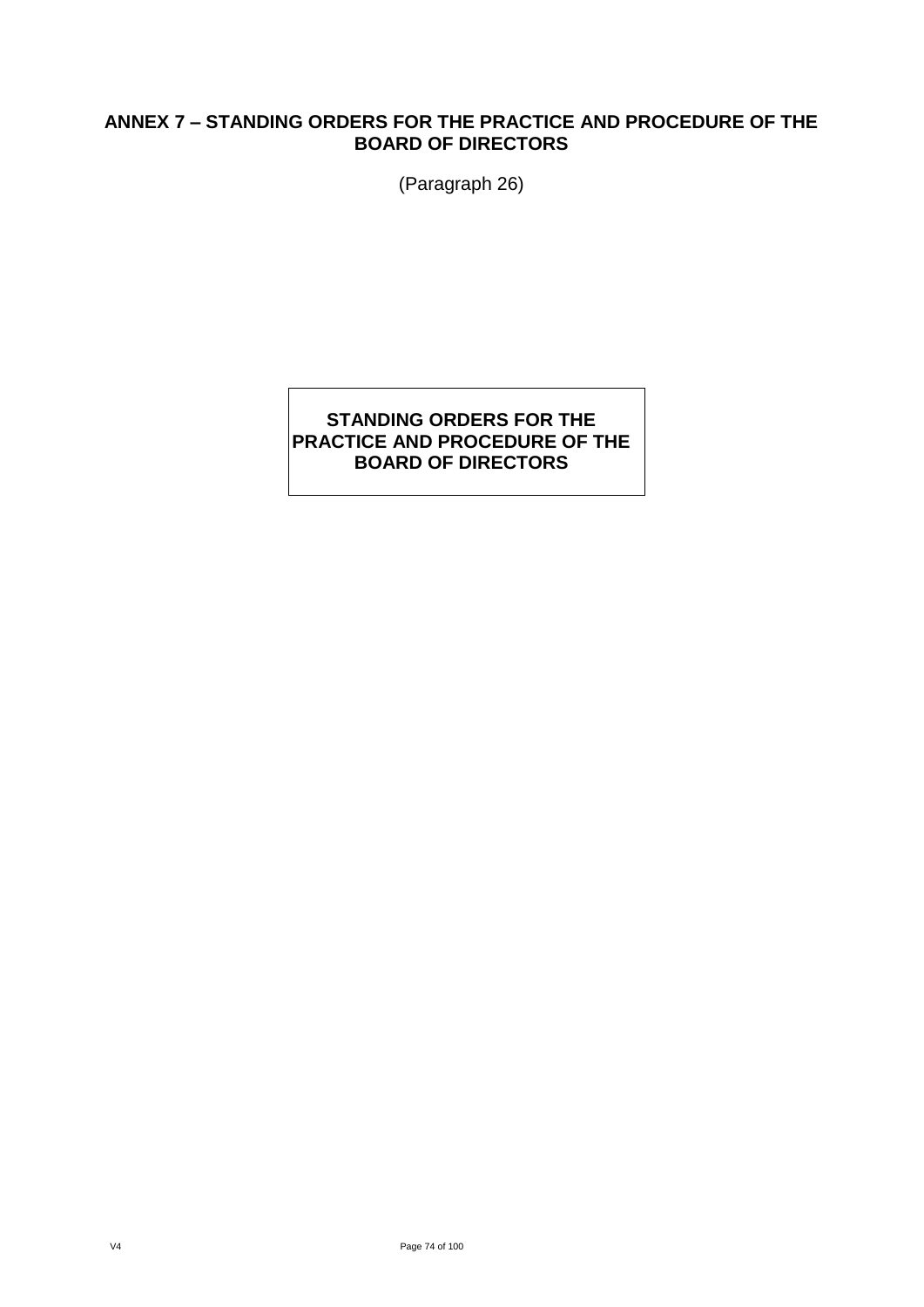## **ANNEX 7 – STANDING ORDERS FOR THE PRACTICE AND PROCEDURE OF THE BOARD OF DIRECTORS**

(Paragraph 26)

## **STANDING ORDERS FOR THE PRACTICE AND PROCEDURE OF THE BOARD OF DIRECTORS**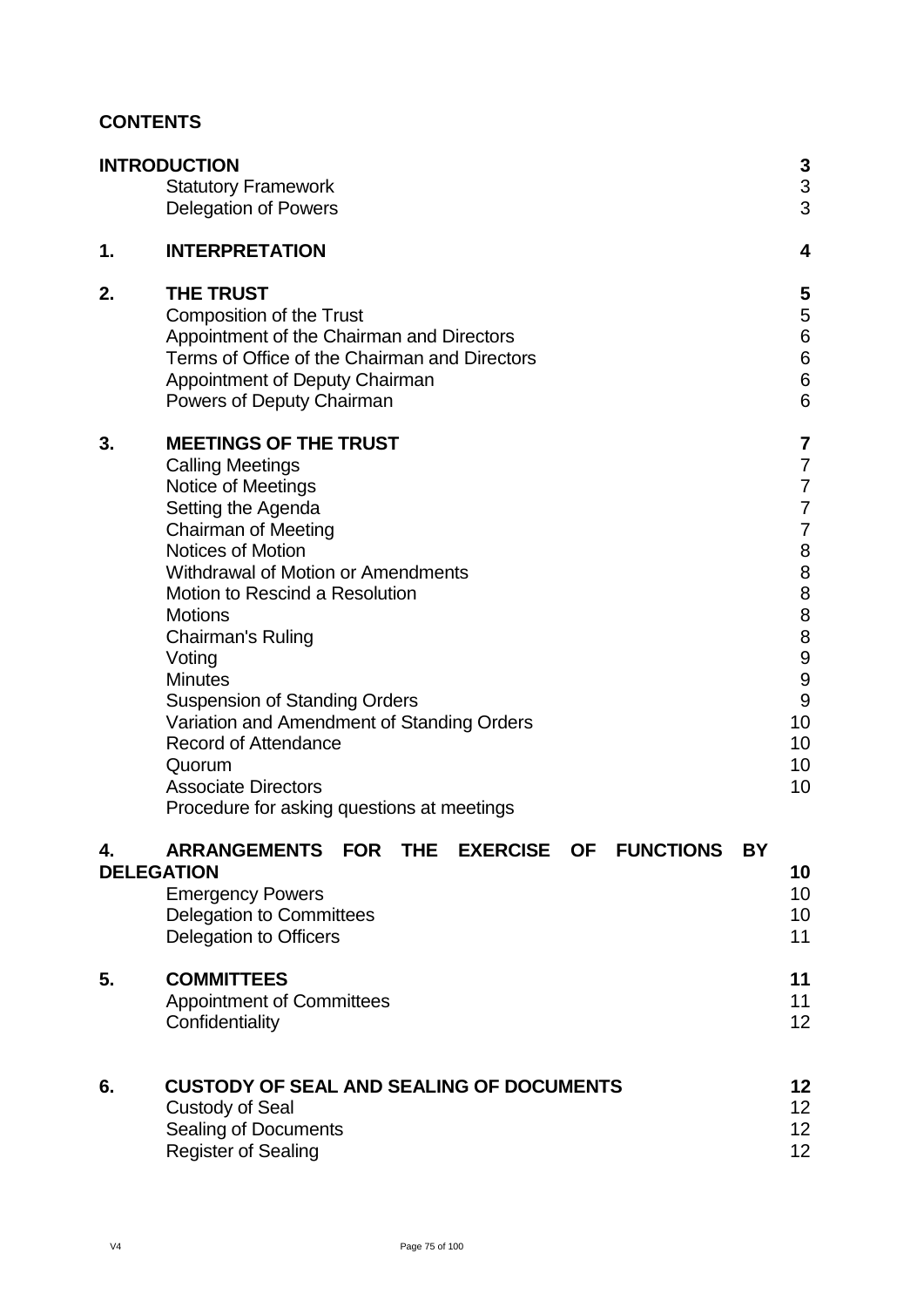## **CONTENTS**

|    | <b>INTRODUCTION</b><br><b>Statutory Framework</b><br><b>Delegation of Powers</b>                                                                                                                                                                                                                                                                                                                                                                                                                                    | 3<br>3<br>3                                                                                                              |
|----|---------------------------------------------------------------------------------------------------------------------------------------------------------------------------------------------------------------------------------------------------------------------------------------------------------------------------------------------------------------------------------------------------------------------------------------------------------------------------------------------------------------------|--------------------------------------------------------------------------------------------------------------------------|
| 1. | <b>INTERPRETATION</b>                                                                                                                                                                                                                                                                                                                                                                                                                                                                                               | 4                                                                                                                        |
| 2. | <b>THE TRUST</b><br><b>Composition of the Trust</b><br>Appointment of the Chairman and Directors<br>Terms of Office of the Chairman and Directors<br>Appointment of Deputy Chairman<br>Powers of Deputy Chairman                                                                                                                                                                                                                                                                                                    | 5<br>5<br>6<br>$\begin{array}{c} 6 \\ 6 \end{array}$<br>6                                                                |
| 3. | <b>MEETINGS OF THE TRUST</b><br><b>Calling Meetings</b><br>Notice of Meetings<br>Setting the Agenda<br><b>Chairman of Meeting</b><br>Notices of Motion<br><b>Withdrawal of Motion or Amendments</b><br>Motion to Rescind a Resolution<br><b>Motions</b><br>Chairman's Ruling<br>Voting<br><b>Minutes</b><br><b>Suspension of Standing Orders</b><br>Variation and Amendment of Standing Orders<br><b>Record of Attendance</b><br>Quorum<br><b>Associate Directors</b><br>Procedure for asking questions at meetings | 7<br>$\overline{7}$<br>$\overline{7}$<br>$\overline{7}$<br>$\overline{7}$<br>8<br>8889<br>9<br>9<br>10<br>10<br>10<br>10 |
| 4. | <b>ARRANGEMENTS</b><br><b>FUNCTIONS</b><br><b>FOR</b><br><b>THE</b><br><b>EXERCISE</b><br><b>OF</b><br><b>BY</b><br><b>DELEGATION</b><br><b>Emergency Powers</b><br><b>Delegation to Committees</b><br><b>Delegation to Officers</b>                                                                                                                                                                                                                                                                                | 10<br>10<br>10<br>11                                                                                                     |
| 5. | <b>COMMITTEES</b><br><b>Appointment of Committees</b><br>Confidentiality                                                                                                                                                                                                                                                                                                                                                                                                                                            | 11<br>11<br>12                                                                                                           |
| 6. | <b>CUSTODY OF SEAL AND SEALING OF DOCUMENTS</b><br><b>Custody of Seal</b><br>Sealing of Documents<br><b>Register of Sealing</b>                                                                                                                                                                                                                                                                                                                                                                                     | 12<br>12<br>12<br>12                                                                                                     |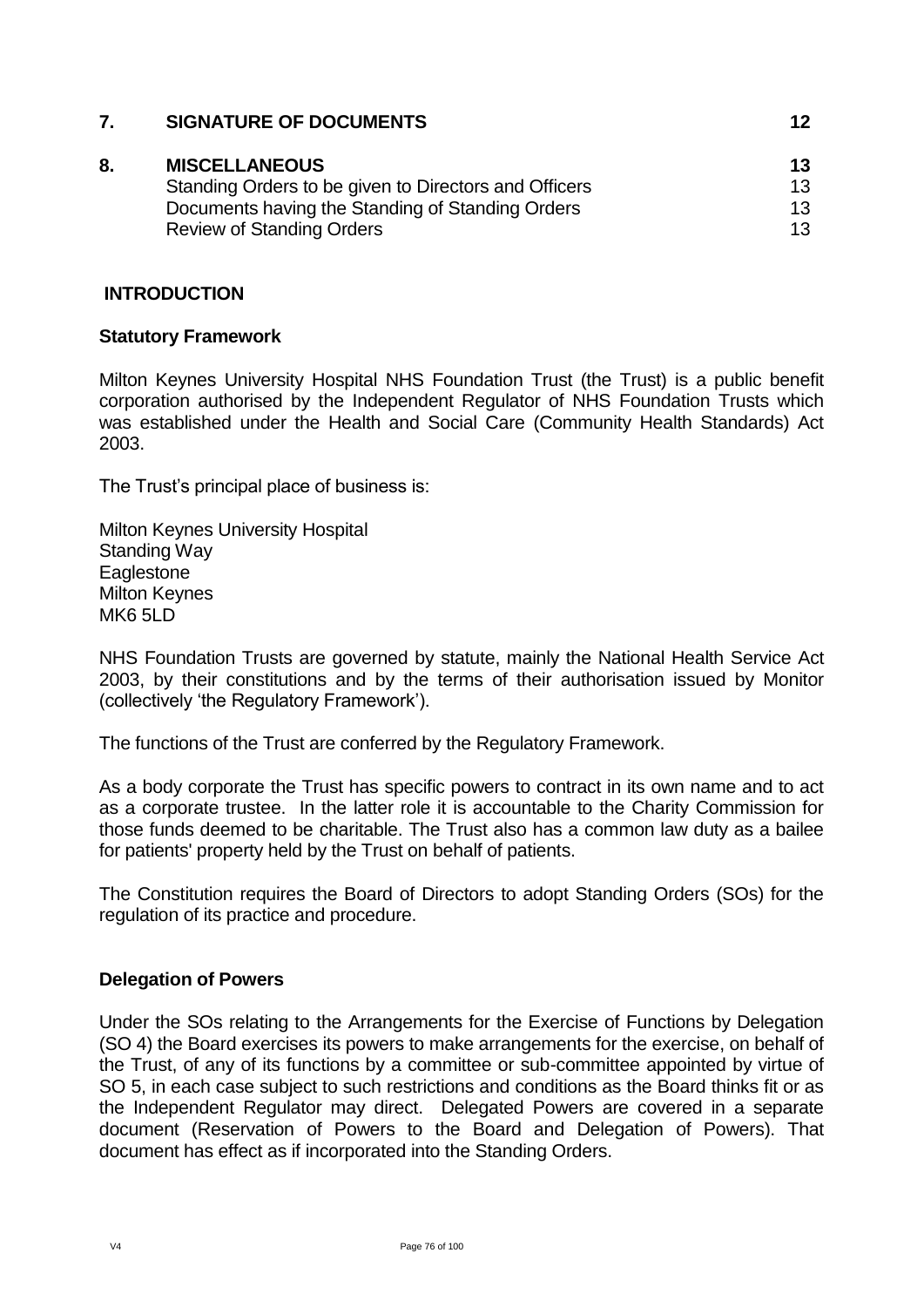| 7. | <b>SIGNATURE OF DOCUMENTS</b>                                                 | 12       |
|----|-------------------------------------------------------------------------------|----------|
| 8. | <b>MISCELLANEOUS</b><br>Standing Orders to be given to Directors and Officers | 13<br>13 |
|    | Documents having the Standing of Standing Orders                              | 13       |
|    | <b>Review of Standing Orders</b>                                              | 13       |
|    |                                                                               |          |

## **INTRODUCTION**

## **Statutory Framework**

Milton Keynes University Hospital NHS Foundation Trust (the Trust) is a public benefit corporation authorised by the Independent Regulator of NHS Foundation Trusts which was established under the Health and Social Care (Community Health Standards) Act 2003.

The Trust's principal place of business is:

Milton Keynes University Hospital Standing Way **Eaglestone** Milton Keynes MK6 5LD

NHS Foundation Trusts are governed by statute, mainly the National Health Service Act 2003, by their constitutions and by the terms of their authorisation issued by Monitor (collectively 'the Regulatory Framework').

The functions of the Trust are conferred by the Regulatory Framework.

As a body corporate the Trust has specific powers to contract in its own name and to act as a corporate trustee. In the latter role it is accountable to the Charity Commission for those funds deemed to be charitable. The Trust also has a common law duty as a bailee for patients' property held by the Trust on behalf of patients.

The Constitution requires the Board of Directors to adopt Standing Orders (SOs) for the regulation of its practice and procedure.

## **Delegation of Powers**

Under the SOs relating to the Arrangements for the Exercise of Functions by Delegation (SO 4) the Board exercises its powers to make arrangements for the exercise, on behalf of the Trust, of any of its functions by a committee or sub-committee appointed by virtue of SO 5, in each case subject to such restrictions and conditions as the Board thinks fit or as the Independent Regulator may direct. Delegated Powers are covered in a separate document (Reservation of Powers to the Board and Delegation of Powers). That document has effect as if incorporated into the Standing Orders.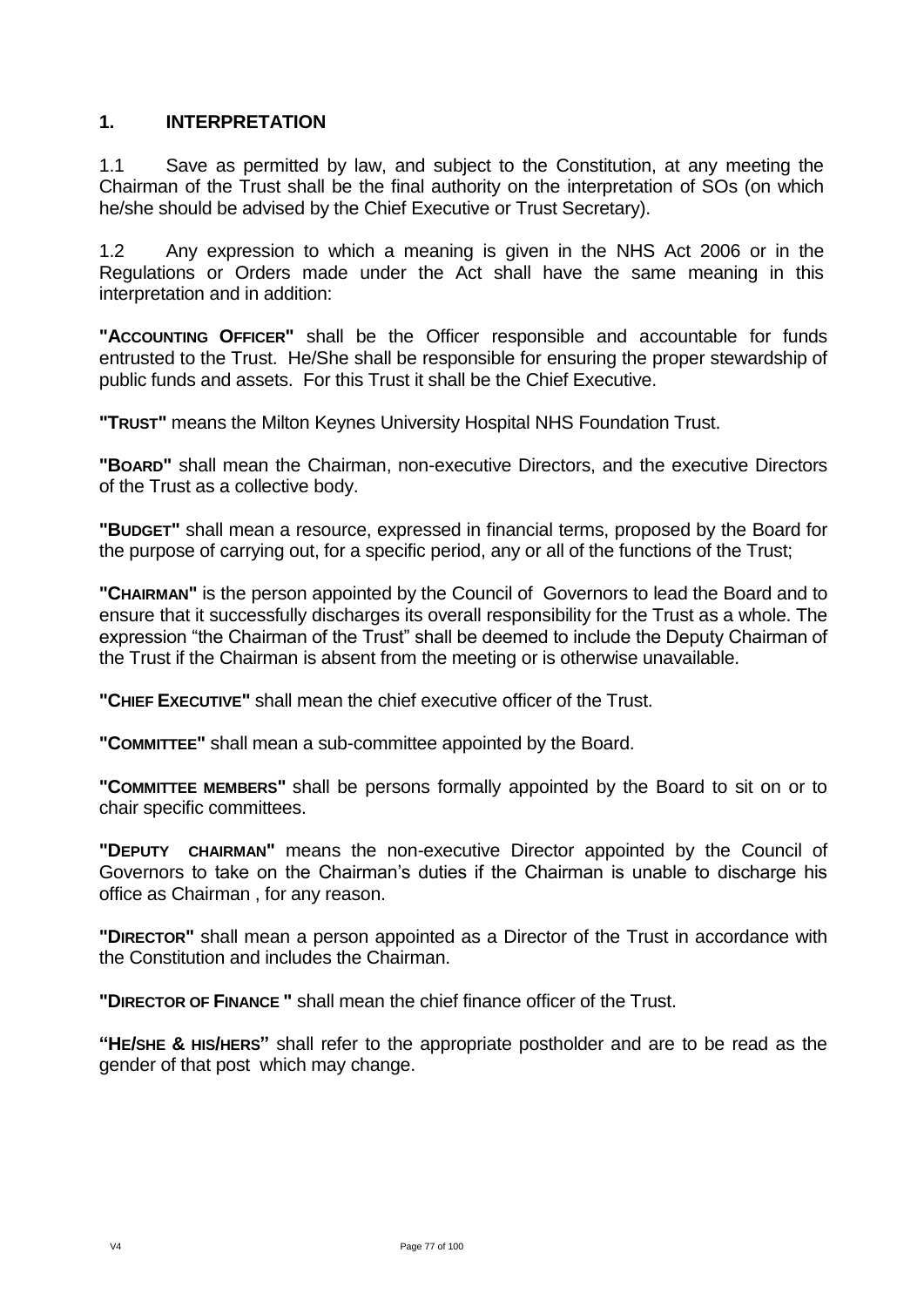## **1. INTERPRETATION**

1.1 Save as permitted by law, and subject to the Constitution, at any meeting the Chairman of the Trust shall be the final authority on the interpretation of SOs (on which he/she should be advised by the Chief Executive or Trust Secretary).

1.2 Any expression to which a meaning is given in the NHS Act 2006 or in the Regulations or Orders made under the Act shall have the same meaning in this interpretation and in addition:

**"ACCOUNTING OFFICER"** shall be the Officer responsible and accountable for funds entrusted to the Trust. He/She shall be responsible for ensuring the proper stewardship of public funds and assets. For this Trust it shall be the Chief Executive.

**"TRUST"** means the Milton Keynes University Hospital NHS Foundation Trust.

**"BOARD"** shall mean the Chairman, non-executive Directors, and the executive Directors of the Trust as a collective body.

**"BUDGET"** shall mean a resource, expressed in financial terms, proposed by the Board for the purpose of carrying out, for a specific period, any or all of the functions of the Trust;

**"CHAIRMAN"** is the person appointed by the Council of Governors to lead the Board and to ensure that it successfully discharges its overall responsibility for the Trust as a whole. The expression "the Chairman of the Trust" shall be deemed to include the Deputy Chairman of the Trust if the Chairman is absent from the meeting or is otherwise unavailable.

**"CHIEF EXECUTIVE"** shall mean the chief executive officer of the Trust.

**"COMMITTEE"** shall mean a sub-committee appointed by the Board.

**"COMMITTEE MEMBERS"** shall be persons formally appointed by the Board to sit on or to chair specific committees.

**"DEPUTY CHAIRMAN"** means the non-executive Director appointed by the Council of Governors to take on the Chairman's duties if the Chairman is unable to discharge his office as Chairman , for any reason.

**"DIRECTOR"** shall mean a person appointed as a Director of the Trust in accordance with the Constitution and includes the Chairman.

**"DIRECTOR OF FINANCE "** shall mean the chief finance officer of the Trust.

**"HE/SHE & HIS/HERS"** shall refer to the appropriate postholder and are to be read as the gender of that post which may change.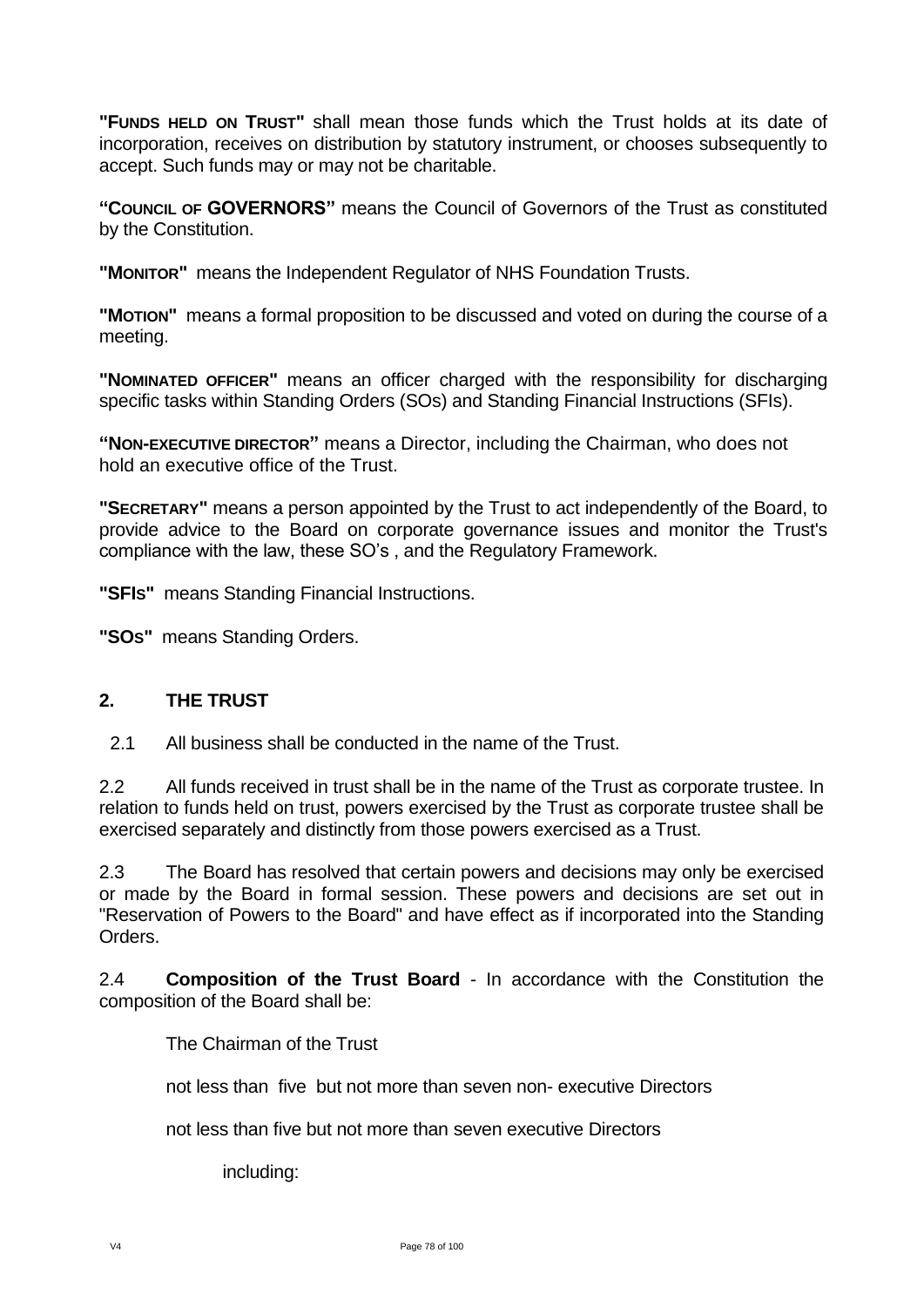**"FUNDS HELD ON TRUST"** shall mean those funds which the Trust holds at its date of incorporation, receives on distribution by statutory instrument, or chooses subsequently to accept. Such funds may or may not be charitable.

**"COUNCIL OF GOVERNORS"** means the Council of Governors of the Trust as constituted by the Constitution.

**"MONITOR"** means the Independent Regulator of NHS Foundation Trusts.

**"MOTION"** means a formal proposition to be discussed and voted on during the course of a meeting.

**"NOMINATED OFFICER"** means an officer charged with the responsibility for discharging specific tasks within Standing Orders (SOs) and Standing Financial Instructions (SFIs).

**"NON-EXECUTIVE DIRECTOR"** means a Director, including the Chairman, who does not hold an executive office of the Trust.

**"SECRETARY"** means a person appointed by the Trust to act independently of the Board, to provide advice to the Board on corporate governance issues and monitor the Trust's compliance with the law, these SO's , and the Regulatory Framework.

**"SFIS"** means Standing Financial Instructions.

**"SOS"** means Standing Orders.

## **2. THE TRUST**

2.1 All business shall be conducted in the name of the Trust.

2.2 All funds received in trust shall be in the name of the Trust as corporate trustee. In relation to funds held on trust, powers exercised by the Trust as corporate trustee shall be exercised separately and distinctly from those powers exercised as a Trust.

2.3 The Board has resolved that certain powers and decisions may only be exercised or made by the Board in formal session. These powers and decisions are set out in "Reservation of Powers to the Board" and have effect as if incorporated into the Standing Orders.

2.4 **Composition of the Trust Board** - In accordance with the Constitution the composition of the Board shall be:

The Chairman of the Trust

not less than five but not more than seven non- executive Directors

not less than five but not more than seven executive Directors

including: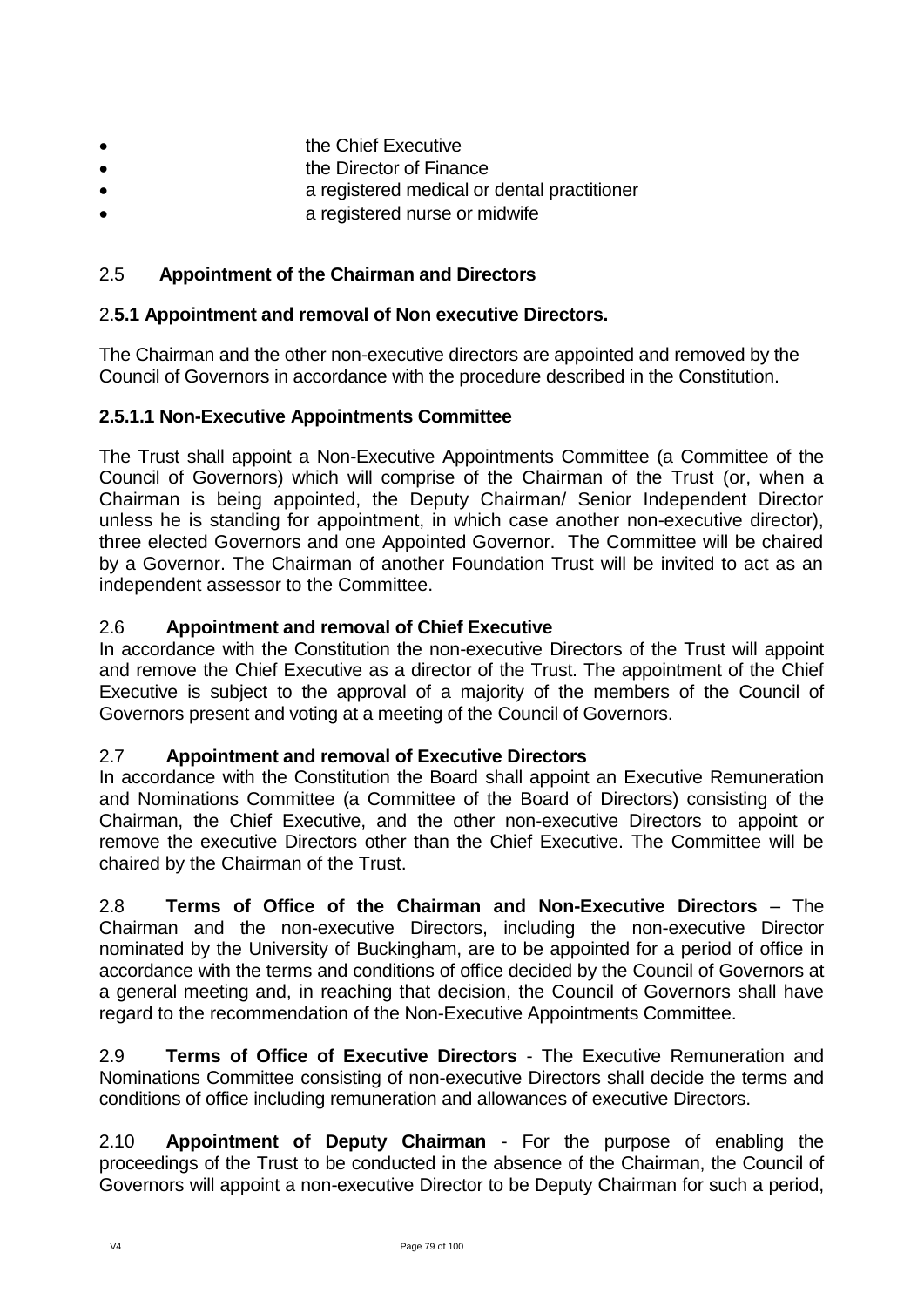- the Chief Executive
- the Director of Finance
- a registered medical or dental practitioner
- a registered nurse or midwife

## 2.5 **Appointment of the Chairman and Directors**

## 2.**5.1 Appointment and removal of Non executive Directors.**

The Chairman and the other non-executive directors are appointed and removed by the Council of Governors in accordance with the procedure described in the Constitution.

## **2.5.1.1 Non-Executive Appointments Committee**

The Trust shall appoint a Non-Executive Appointments Committee (a Committee of the Council of Governors) which will comprise of the Chairman of the Trust (or, when a Chairman is being appointed, the Deputy Chairman/ Senior Independent Director unless he is standing for appointment, in which case another non-executive director), three elected Governors and one Appointed Governor. The Committee will be chaired by a Governor. The Chairman of another Foundation Trust will be invited to act as an independent assessor to the Committee.

## 2.6 **Appointment and removal of Chief Executive**

In accordance with the Constitution the non-executive Directors of the Trust will appoint and remove the Chief Executive as a director of the Trust. The appointment of the Chief Executive is subject to the approval of a majority of the members of the Council of Governors present and voting at a meeting of the Council of Governors.

## 2.7 **Appointment and removal of Executive Directors**

In accordance with the Constitution the Board shall appoint an Executive Remuneration and Nominations Committee (a Committee of the Board of Directors) consisting of the Chairman, the Chief Executive, and the other non-executive Directors to appoint or remove the executive Directors other than the Chief Executive. The Committee will be chaired by the Chairman of the Trust.

2.8 **Terms of Office of the Chairman and Non-Executive Directors** – The Chairman and the non-executive Directors, including the non-executive Director nominated by the University of Buckingham, are to be appointed for a period of office in accordance with the terms and conditions of office decided by the Council of Governors at a general meeting and, in reaching that decision, the Council of Governors shall have regard to the recommendation of the Non-Executive Appointments Committee.

2.9 **Terms of Office of Executive Directors** - The Executive Remuneration and Nominations Committee consisting of non-executive Directors shall decide the terms and conditions of office including remuneration and allowances of executive Directors.

2.10 **Appointment of Deputy Chairman** - For the purpose of enabling the proceedings of the Trust to be conducted in the absence of the Chairman, the Council of Governors will appoint a non-executive Director to be Deputy Chairman for such a period,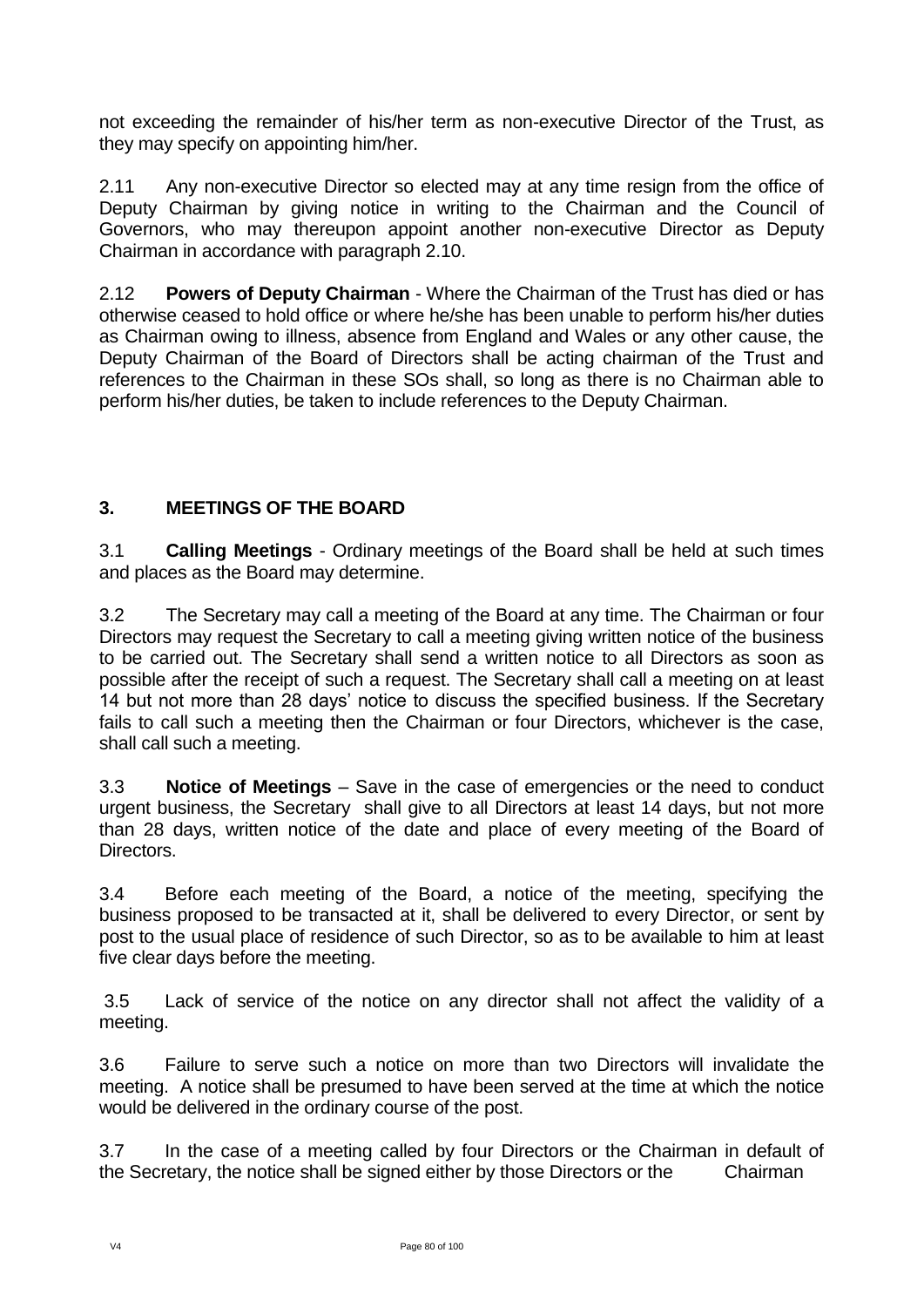not exceeding the remainder of his/her term as non-executive Director of the Trust, as they may specify on appointing him/her.

2.11 Any non-executive Director so elected may at any time resign from the office of Deputy Chairman by giving notice in writing to the Chairman and the Council of Governors, who may thereupon appoint another non-executive Director as Deputy Chairman in accordance with paragraph 2.10.

2.12 **Powers of Deputy Chairman** - Where the Chairman of the Trust has died or has otherwise ceased to hold office or where he/she has been unable to perform his/her duties as Chairman owing to illness, absence from England and Wales or any other cause, the Deputy Chairman of the Board of Directors shall be acting chairman of the Trust and references to the Chairman in these SOs shall, so long as there is no Chairman able to perform his/her duties, be taken to include references to the Deputy Chairman.

# **3. MEETINGS OF THE BOARD**

3.1 **Calling Meetings** - Ordinary meetings of the Board shall be held at such times and places as the Board may determine.

3.2 The Secretary may call a meeting of the Board at any time. The Chairman or four Directors may request the Secretary to call a meeting giving written notice of the business to be carried out. The Secretary shall send a written notice to all Directors as soon as possible after the receipt of such a request. The Secretary shall call a meeting on at least 14 but not more than 28 days' notice to discuss the specified business. If the Secretary fails to call such a meeting then the Chairman or four Directors, whichever is the case, shall call such a meeting.

3.3 **Notice of Meetings** – Save in the case of emergencies or the need to conduct urgent business, the Secretary shall give to all Directors at least 14 days, but not more than 28 days, written notice of the date and place of every meeting of the Board of Directors.

3.4 Before each meeting of the Board, a notice of the meeting, specifying the business proposed to be transacted at it, shall be delivered to every Director, or sent by post to the usual place of residence of such Director, so as to be available to him at least five clear days before the meeting.

3.5 Lack of service of the notice on any director shall not affect the validity of a meeting.

3.6 Failure to serve such a notice on more than two Directors will invalidate the meeting. A notice shall be presumed to have been served at the time at which the notice would be delivered in the ordinary course of the post.

3.7 In the case of a meeting called by four Directors or the Chairman in default of the Secretary, the notice shall be signed either by those Directors or the Chairman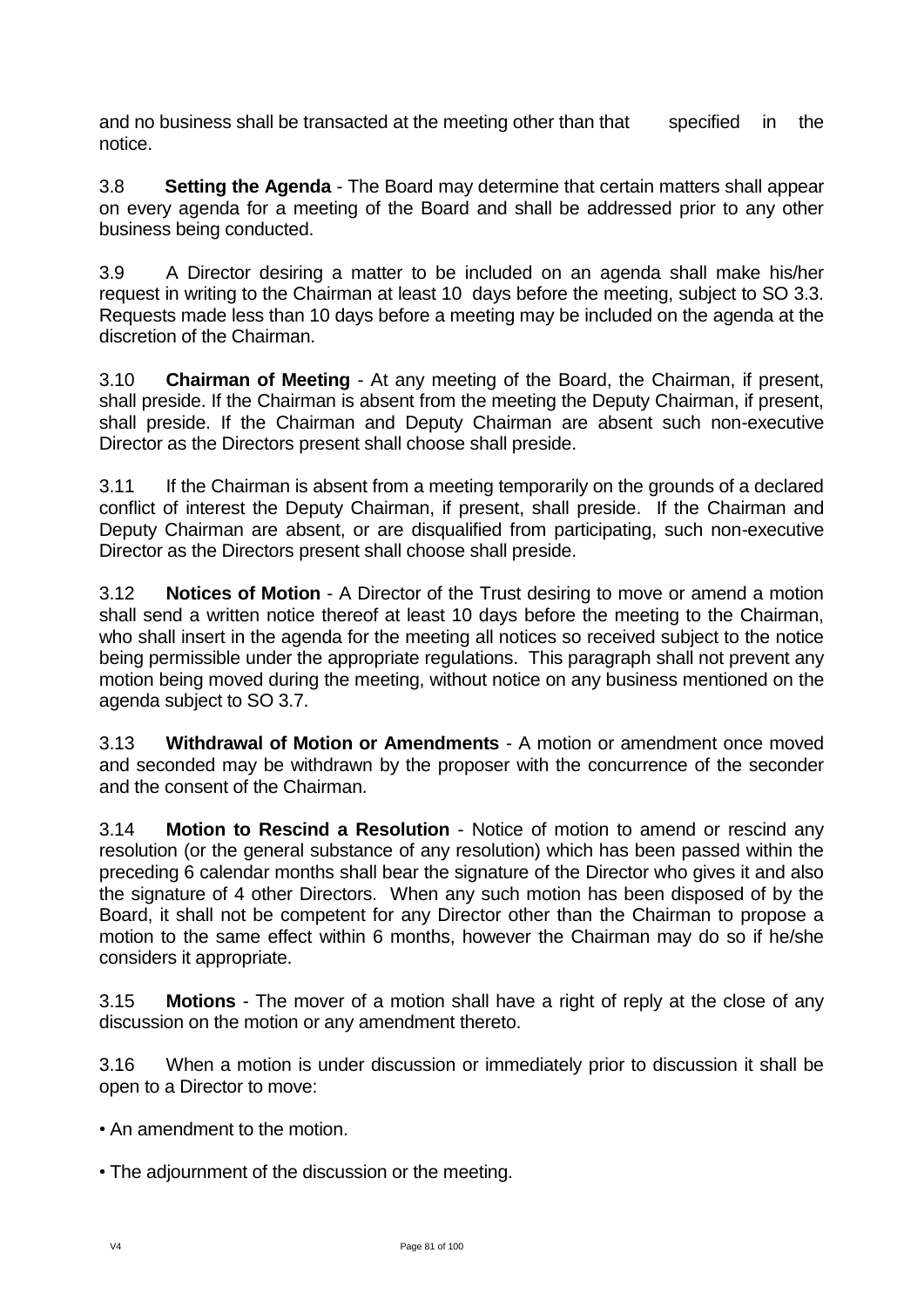and no business shall be transacted at the meeting other than that specified in the notice.

3.8 **Setting the Agenda** - The Board may determine that certain matters shall appear on every agenda for a meeting of the Board and shall be addressed prior to any other business being conducted.

3.9 A Director desiring a matter to be included on an agenda shall make his/her request in writing to the Chairman at least 10 days before the meeting, subject to SO 3.3. Requests made less than 10 days before a meeting may be included on the agenda at the discretion of the Chairman.

3.10 **Chairman of Meeting** - At any meeting of the Board, the Chairman, if present, shall preside. If the Chairman is absent from the meeting the Deputy Chairman, if present, shall preside. If the Chairman and Deputy Chairman are absent such non-executive Director as the Directors present shall choose shall preside.

3.11 If the Chairman is absent from a meeting temporarily on the grounds of a declared conflict of interest the Deputy Chairman, if present, shall preside. If the Chairman and Deputy Chairman are absent, or are disqualified from participating, such non-executive Director as the Directors present shall choose shall preside.

3.12 **Notices of Motion** - A Director of the Trust desiring to move or amend a motion shall send a written notice thereof at least 10 days before the meeting to the Chairman, who shall insert in the agenda for the meeting all notices so received subject to the notice being permissible under the appropriate regulations. This paragraph shall not prevent any motion being moved during the meeting, without notice on any business mentioned on the agenda subject to SO 3.7.

3.13 **Withdrawal of Motion or Amendments** - A motion or amendment once moved and seconded may be withdrawn by the proposer with the concurrence of the seconder and the consent of the Chairman.

3.14 **Motion to Rescind a Resolution** - Notice of motion to amend or rescind any resolution (or the general substance of any resolution) which has been passed within the preceding 6 calendar months shall bear the signature of the Director who gives it and also the signature of 4 other Directors. When any such motion has been disposed of by the Board, it shall not be competent for any Director other than the Chairman to propose a motion to the same effect within 6 months, however the Chairman may do so if he/she considers it appropriate.

3.15 **Motions** - The mover of a motion shall have a right of reply at the close of any discussion on the motion or any amendment thereto.

3.16 When a motion is under discussion or immediately prior to discussion it shall be open to a Director to move:

• An amendment to the motion.

• The adjournment of the discussion or the meeting.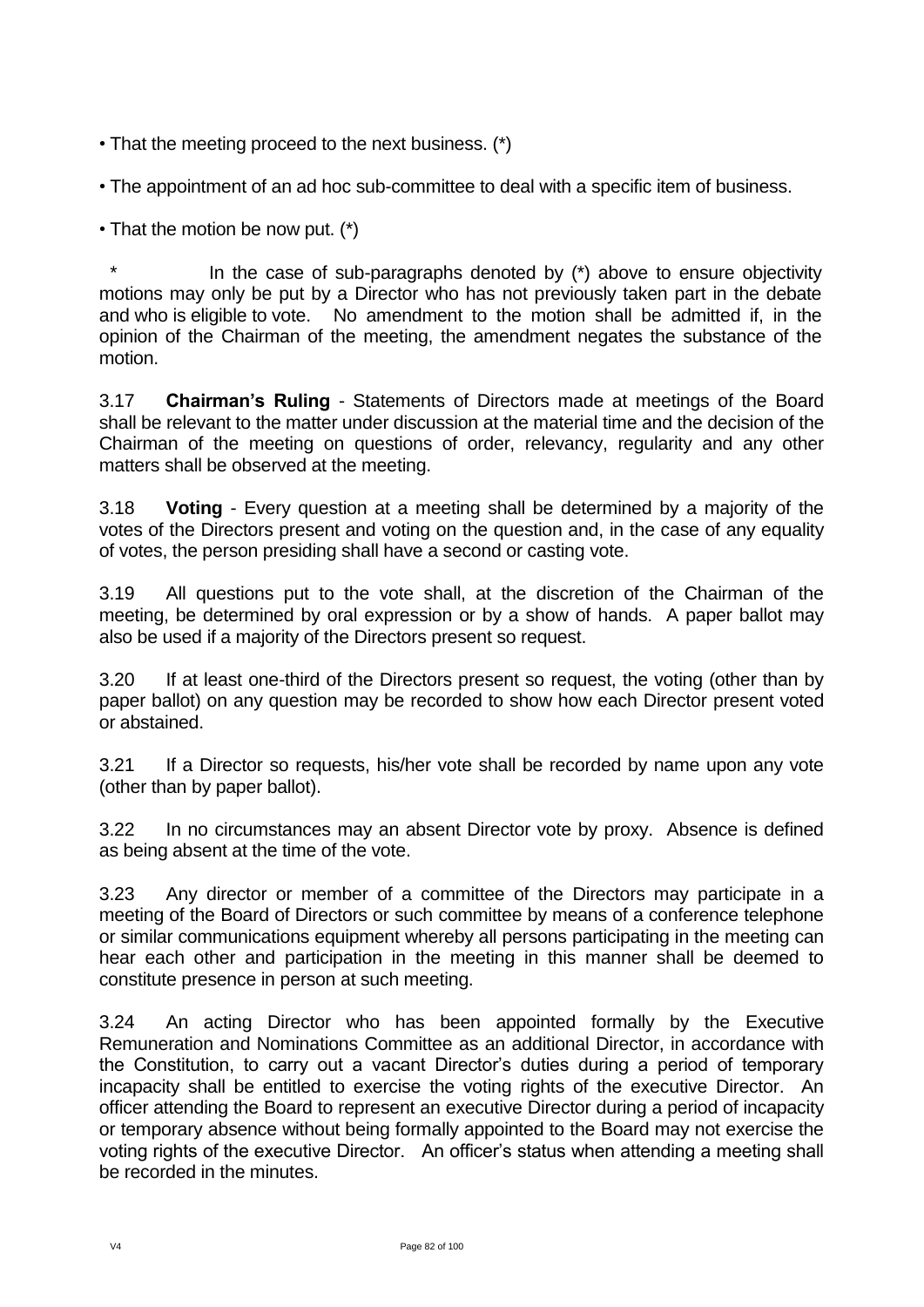- That the meeting proceed to the next business. (\*)
- The appointment of an ad hoc sub-committee to deal with a specific item of business.

• That the motion be now put. (\*)

In the case of sub-paragraphs denoted by  $(*)$  above to ensure objectivity motions may only be put by a Director who has not previously taken part in the debate and who is eligible to vote. No amendment to the motion shall be admitted if, in the opinion of the Chairman of the meeting, the amendment negates the substance of the motion.

3.17 **Chairman's Ruling** - Statements of Directors made at meetings of the Board shall be relevant to the matter under discussion at the material time and the decision of the Chairman of the meeting on questions of order, relevancy, regularity and any other matters shall be observed at the meeting.

3.18 **Voting** - Every question at a meeting shall be determined by a majority of the votes of the Directors present and voting on the question and, in the case of any equality of votes, the person presiding shall have a second or casting vote.

3.19 All questions put to the vote shall, at the discretion of the Chairman of the meeting, be determined by oral expression or by a show of hands. A paper ballot may also be used if a majority of the Directors present so request.

3.20 If at least one-third of the Directors present so request, the voting (other than by paper ballot) on any question may be recorded to show how each Director present voted or abstained.

3.21 If a Director so requests, his/her vote shall be recorded by name upon any vote (other than by paper ballot).

3.22 In no circumstances may an absent Director vote by proxy. Absence is defined as being absent at the time of the vote.

3.23 Any director or member of a committee of the Directors may participate in a meeting of the Board of Directors or such committee by means of a conference telephone or similar communications equipment whereby all persons participating in the meeting can hear each other and participation in the meeting in this manner shall be deemed to constitute presence in person at such meeting.

3.24 An acting Director who has been appointed formally by the Executive Remuneration and Nominations Committee as an additional Director, in accordance with the Constitution, to carry out a vacant Director's duties during a period of temporary incapacity shall be entitled to exercise the voting rights of the executive Director. An officer attending the Board to represent an executive Director during a period of incapacity or temporary absence without being formally appointed to the Board may not exercise the voting rights of the executive Director. An officer's status when attending a meeting shall be recorded in the minutes.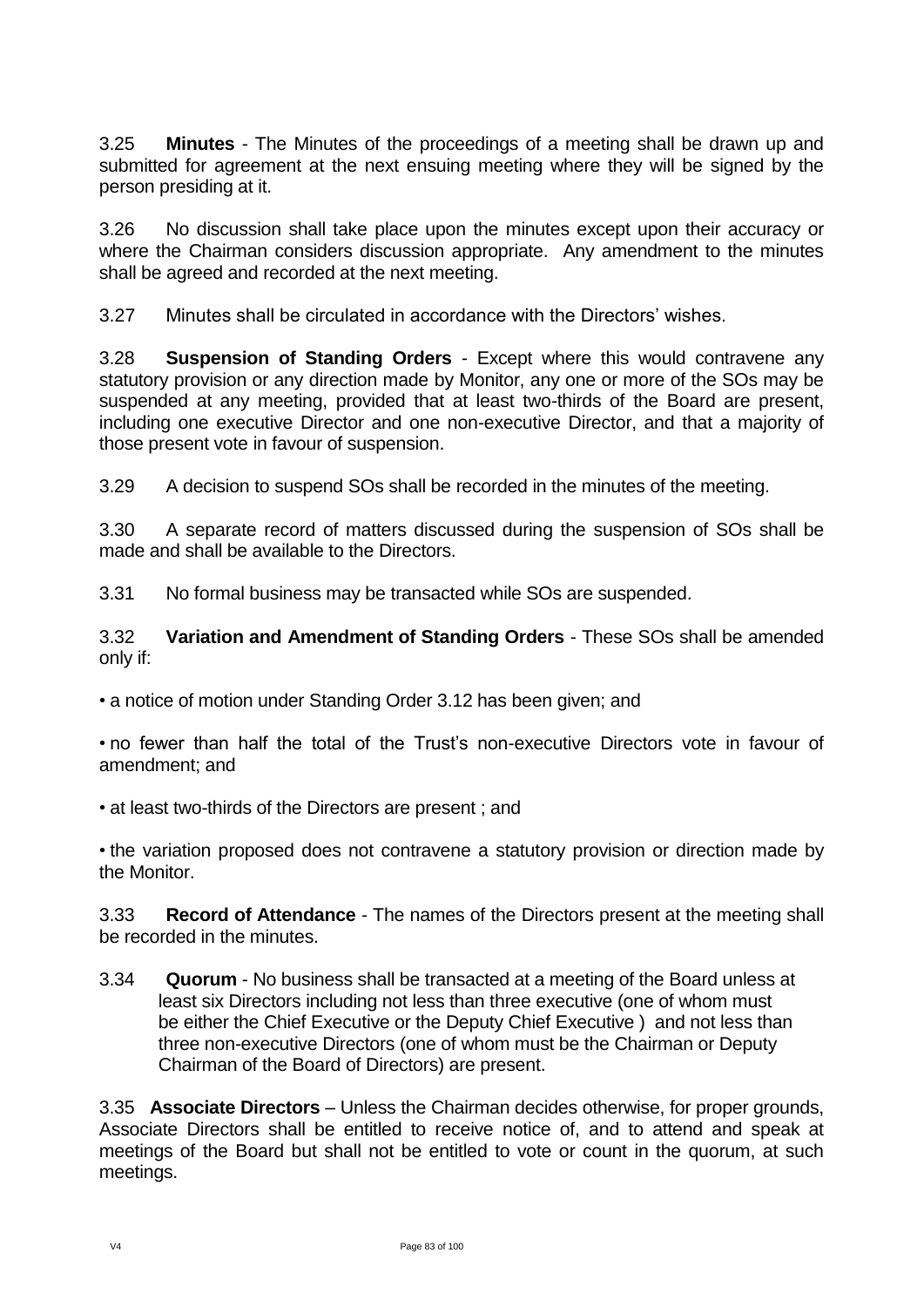3.25 **Minutes** - The Minutes of the proceedings of a meeting shall be drawn up and submitted for agreement at the next ensuing meeting where they will be signed by the person presiding at it.

3.26 No discussion shall take place upon the minutes except upon their accuracy or where the Chairman considers discussion appropriate. Any amendment to the minutes shall be agreed and recorded at the next meeting.

3.27 Minutes shall be circulated in accordance with the Directors' wishes.

3.28 **Suspension of Standing Orders** - Except where this would contravene any statutory provision or any direction made by Monitor, any one or more of the SOs may be suspended at any meeting, provided that at least two-thirds of the Board are present, including one executive Director and one non-executive Director, and that a majority of those present vote in favour of suspension.

3.29 A decision to suspend SOs shall be recorded in the minutes of the meeting.

3.30 A separate record of matters discussed during the suspension of SOs shall be made and shall be available to the Directors.

3.31 No formal business may be transacted while SOs are suspended.

3.32 **Variation and Amendment of Standing Orders** - These SOs shall be amended only if:

• a notice of motion under Standing Order 3.12 has been given; and

• no fewer than half the total of the Trust's non-executive Directors vote in favour of amendment; and

• at least two-thirds of the Directors are present ; and

• the variation proposed does not contravene a statutory provision or direction made by the Monitor.

3.33 **Record of Attendance** - The names of the Directors present at the meeting shall be recorded in the minutes.

3.34 **Quorum** - No business shall be transacted at a meeting of the Board unless at least six Directors including not less than three executive (one of whom must be either the Chief Executive or the Deputy Chief Executive ) and not less than three non-executive Directors (one of whom must be the Chairman or Deputy Chairman of the Board of Directors) are present.

3.35 **Associate Directors** – Unless the Chairman decides otherwise, for proper grounds, Associate Directors shall be entitled to receive notice of, and to attend and speak at meetings of the Board but shall not be entitled to vote or count in the quorum, at such meetings.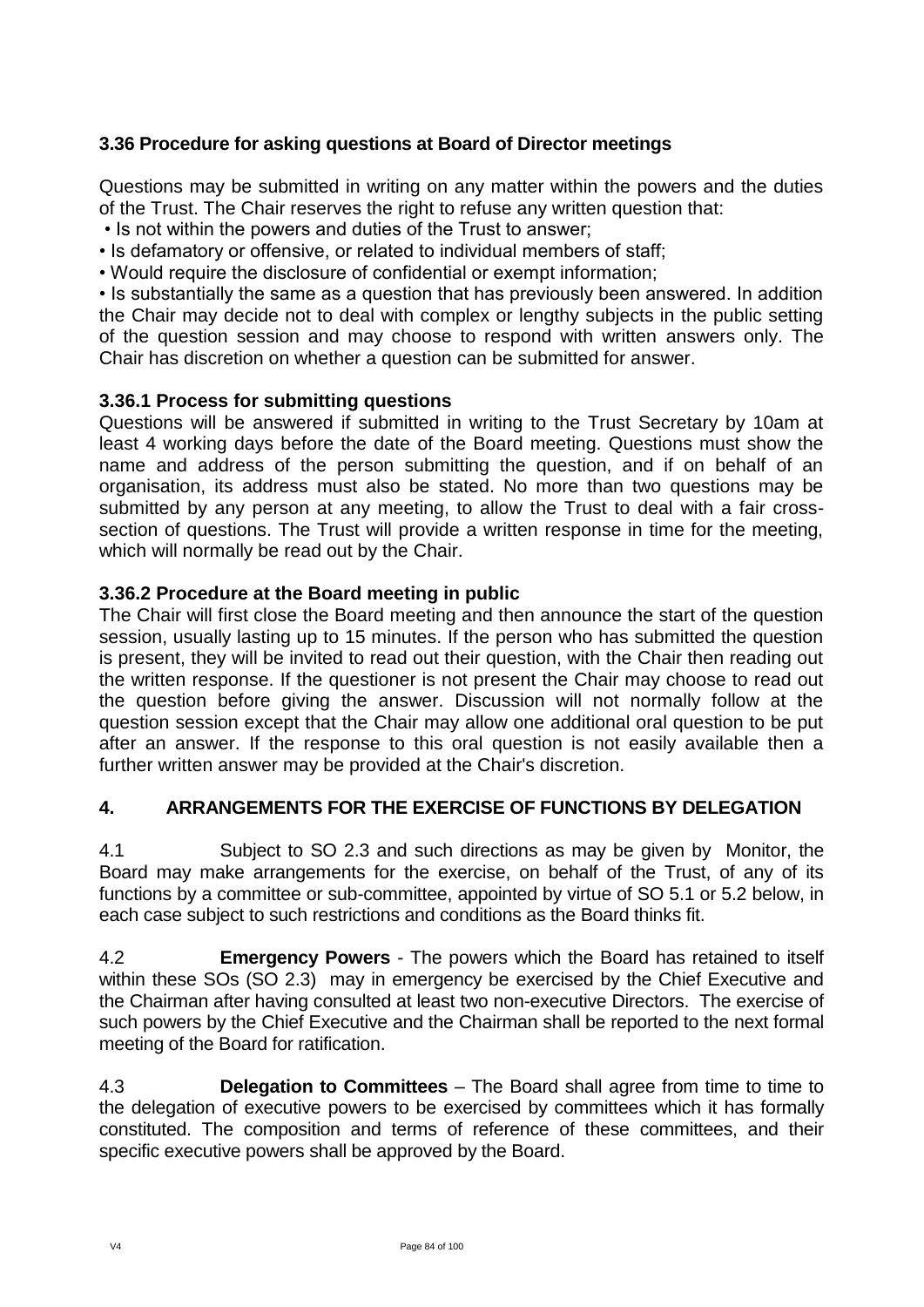## **3.36 Procedure for asking questions at Board of Director meetings**

Questions may be submitted in writing on any matter within the powers and the duties of the Trust. The Chair reserves the right to refuse any written question that:

• Is not within the powers and duties of the Trust to answer;

• Is defamatory or offensive, or related to individual members of staff;

• Would require the disclosure of confidential or exempt information;

• Is substantially the same as a question that has previously been answered. In addition the Chair may decide not to deal with complex or lengthy subjects in the public setting of the question session and may choose to respond with written answers only. The Chair has discretion on whether a question can be submitted for answer.

## **3.36.1 Process for submitting questions**

Questions will be answered if submitted in writing to the Trust Secretary by 10am at least 4 working days before the date of the Board meeting. Questions must show the name and address of the person submitting the question, and if on behalf of an organisation, its address must also be stated. No more than two questions may be submitted by any person at any meeting, to allow the Trust to deal with a fair crosssection of questions. The Trust will provide a written response in time for the meeting, which will normally be read out by the Chair.

### **3.36.2 Procedure at the Board meeting in public**

The Chair will first close the Board meeting and then announce the start of the question session, usually lasting up to 15 minutes. If the person who has submitted the question is present, they will be invited to read out their question, with the Chair then reading out the written response. If the questioner is not present the Chair may choose to read out the question before giving the answer. Discussion will not normally follow at the question session except that the Chair may allow one additional oral question to be put after an answer. If the response to this oral question is not easily available then a further written answer may be provided at the Chair's discretion.

## **4. ARRANGEMENTS FOR THE EXERCISE OF FUNCTIONS BY DELEGATION**

4.1 Subject to SO 2.3 and such directions as may be given by Monitor, the Board may make arrangements for the exercise, on behalf of the Trust, of any of its functions by a committee or sub-committee, appointed by virtue of SO 5.1 or 5.2 below, in each case subject to such restrictions and conditions as the Board thinks fit.

4.2 **Emergency Powers** - The powers which the Board has retained to itself within these SOs (SO 2.3) may in emergency be exercised by the Chief Executive and the Chairman after having consulted at least two non-executive Directors. The exercise of such powers by the Chief Executive and the Chairman shall be reported to the next formal meeting of the Board for ratification.

4.3 **Delegation to Committees** – The Board shall agree from time to time to the delegation of executive powers to be exercised by committees which it has formally constituted. The composition and terms of reference of these committees, and their specific executive powers shall be approved by the Board.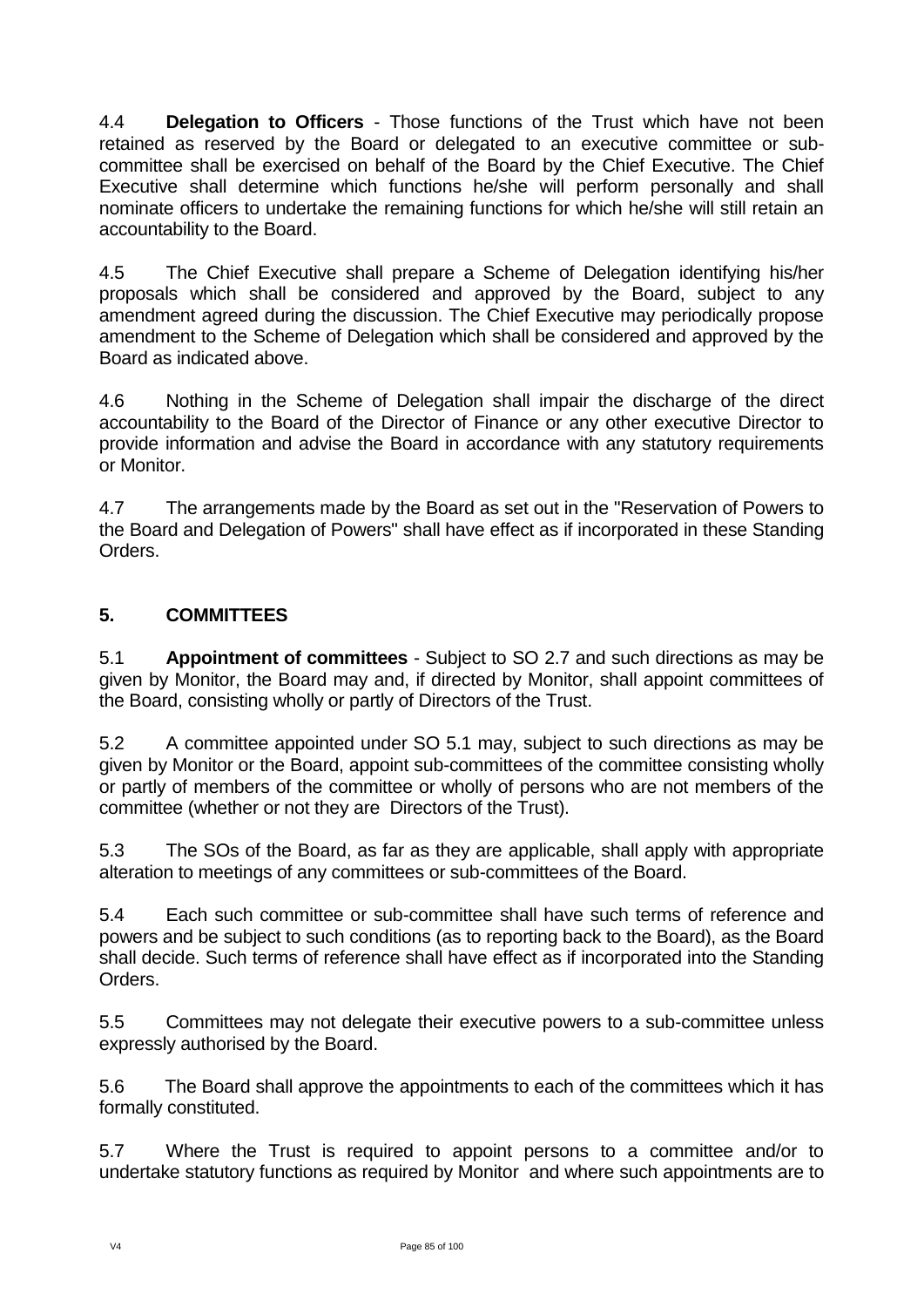4.4 **Delegation to Officers** - Those functions of the Trust which have not been retained as reserved by the Board or delegated to an executive committee or subcommittee shall be exercised on behalf of the Board by the Chief Executive. The Chief Executive shall determine which functions he/she will perform personally and shall nominate officers to undertake the remaining functions for which he/she will still retain an accountability to the Board.

4.5 The Chief Executive shall prepare a Scheme of Delegation identifying his/her proposals which shall be considered and approved by the Board, subject to any amendment agreed during the discussion. The Chief Executive may periodically propose amendment to the Scheme of Delegation which shall be considered and approved by the Board as indicated above.

4.6 Nothing in the Scheme of Delegation shall impair the discharge of the direct accountability to the Board of the Director of Finance or any other executive Director to provide information and advise the Board in accordance with any statutory requirements or Monitor.

4.7 The arrangements made by the Board as set out in the "Reservation of Powers to the Board and Delegation of Powers" shall have effect as if incorporated in these Standing Orders.

# **5. COMMITTEES**

5.1 **Appointment of committees** - Subject to SO 2.7 and such directions as may be given by Monitor, the Board may and, if directed by Monitor, shall appoint committees of the Board, consisting wholly or partly of Directors of the Trust.

5.2 A committee appointed under SO 5.1 may, subject to such directions as may be given by Monitor or the Board, appoint sub-committees of the committee consisting wholly or partly of members of the committee or wholly of persons who are not members of the committee (whether or not they are Directors of the Trust).

5.3 The SOs of the Board, as far as they are applicable, shall apply with appropriate alteration to meetings of any committees or sub-committees of the Board.

5.4 Each such committee or sub-committee shall have such terms of reference and powers and be subject to such conditions (as to reporting back to the Board), as the Board shall decide. Such terms of reference shall have effect as if incorporated into the Standing Orders.

5.5 Committees may not delegate their executive powers to a sub-committee unless expressly authorised by the Board.

5.6 The Board shall approve the appointments to each of the committees which it has formally constituted.

5.7 Where the Trust is required to appoint persons to a committee and/or to undertake statutory functions as required by Monitor and where such appointments are to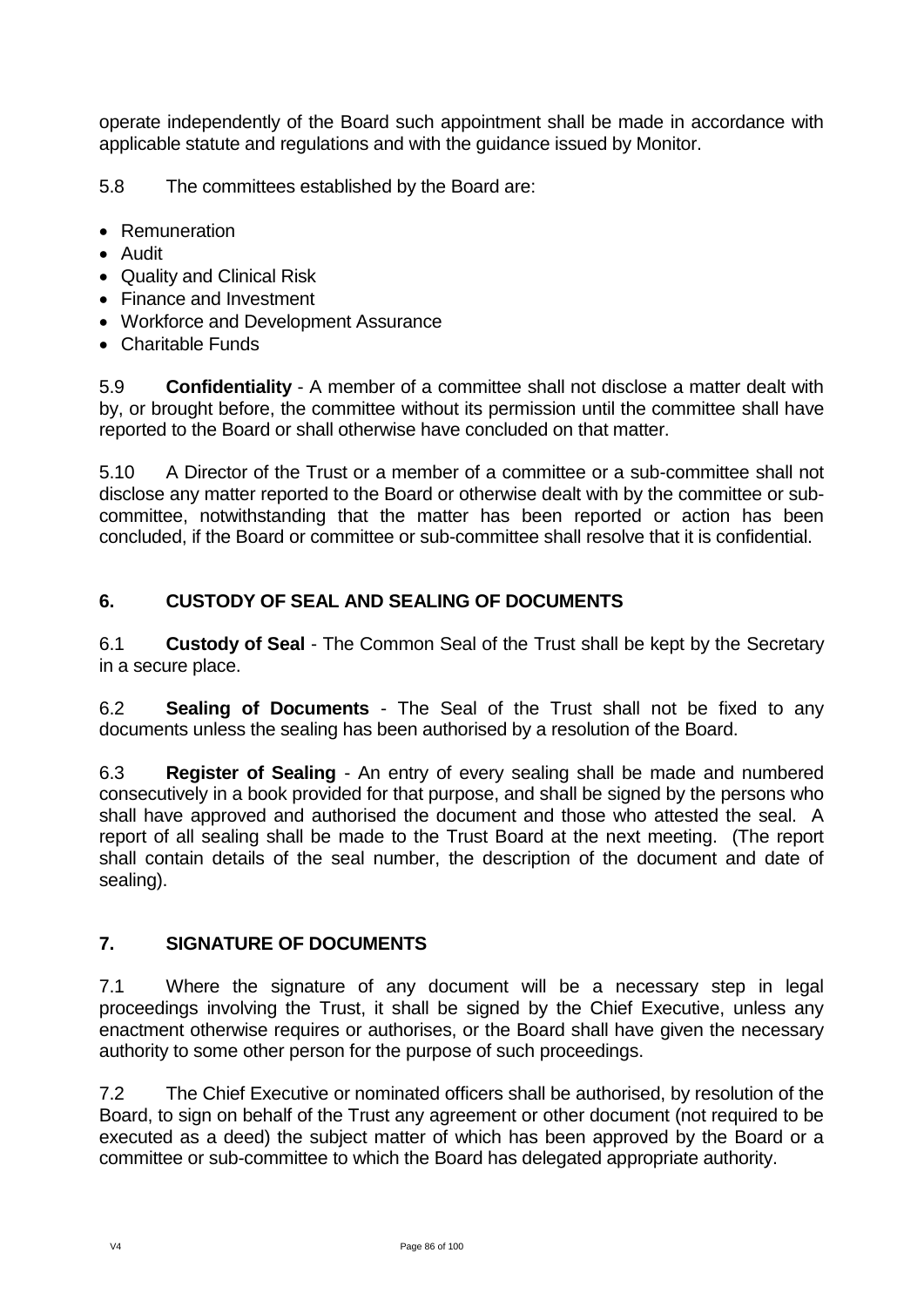operate independently of the Board such appointment shall be made in accordance with applicable statute and regulations and with the guidance issued by Monitor.

5.8 The committees established by the Board are:

- Remuneration
- Audit
- Quality and Clinical Risk
- Finance and Investment
- Workforce and Development Assurance
- Charitable Funds

5.9 **Confidentiality** - A member of a committee shall not disclose a matter dealt with by, or brought before, the committee without its permission until the committee shall have reported to the Board or shall otherwise have concluded on that matter.

5.10 A Director of the Trust or a member of a committee or a sub-committee shall not disclose any matter reported to the Board or otherwise dealt with by the committee or subcommittee, notwithstanding that the matter has been reported or action has been concluded, if the Board or committee or sub-committee shall resolve that it is confidential.

# **6. CUSTODY OF SEAL AND SEALING OF DOCUMENTS**

6.1 **Custody of Seal** - The Common Seal of the Trust shall be kept by the Secretary in a secure place.

6.2 **Sealing of Documents** - The Seal of the Trust shall not be fixed to any documents unless the sealing has been authorised by a resolution of the Board.

6.3 **Register of Sealing** - An entry of every sealing shall be made and numbered consecutively in a book provided for that purpose, and shall be signed by the persons who shall have approved and authorised the document and those who attested the seal. A report of all sealing shall be made to the Trust Board at the next meeting. (The report shall contain details of the seal number, the description of the document and date of sealing).

## **7. SIGNATURE OF DOCUMENTS**

7.1 Where the signature of any document will be a necessary step in legal proceedings involving the Trust, it shall be signed by the Chief Executive, unless any enactment otherwise requires or authorises, or the Board shall have given the necessary authority to some other person for the purpose of such proceedings.

7.2 The Chief Executive or nominated officers shall be authorised, by resolution of the Board, to sign on behalf of the Trust any agreement or other document (not required to be executed as a deed) the subject matter of which has been approved by the Board or a committee or sub-committee to which the Board has delegated appropriate authority.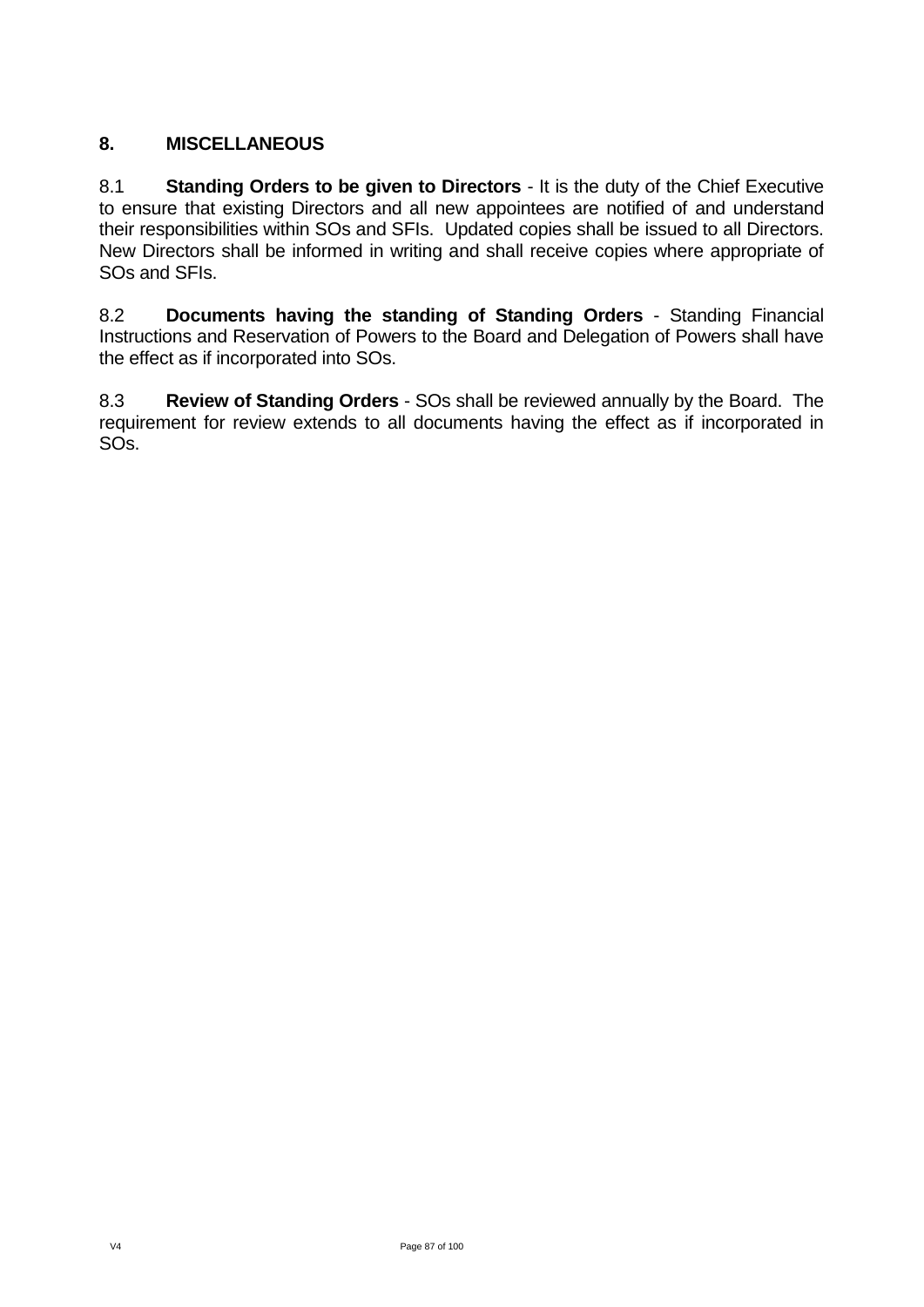# **8. MISCELLANEOUS**

8.1 **Standing Orders to be given to Directors** - It is the duty of the Chief Executive to ensure that existing Directors and all new appointees are notified of and understand their responsibilities within SOs and SFIs. Updated copies shall be issued to all Directors. New Directors shall be informed in writing and shall receive copies where appropriate of SOs and SFIs.

8.2 **Documents having the standing of Standing Orders** - Standing Financial Instructions and Reservation of Powers to the Board and Delegation of Powers shall have the effect as if incorporated into SOs.

8.3 **Review of Standing Orders** - SOs shall be reviewed annually by the Board. The requirement for review extends to all documents having the effect as if incorporated in SOs.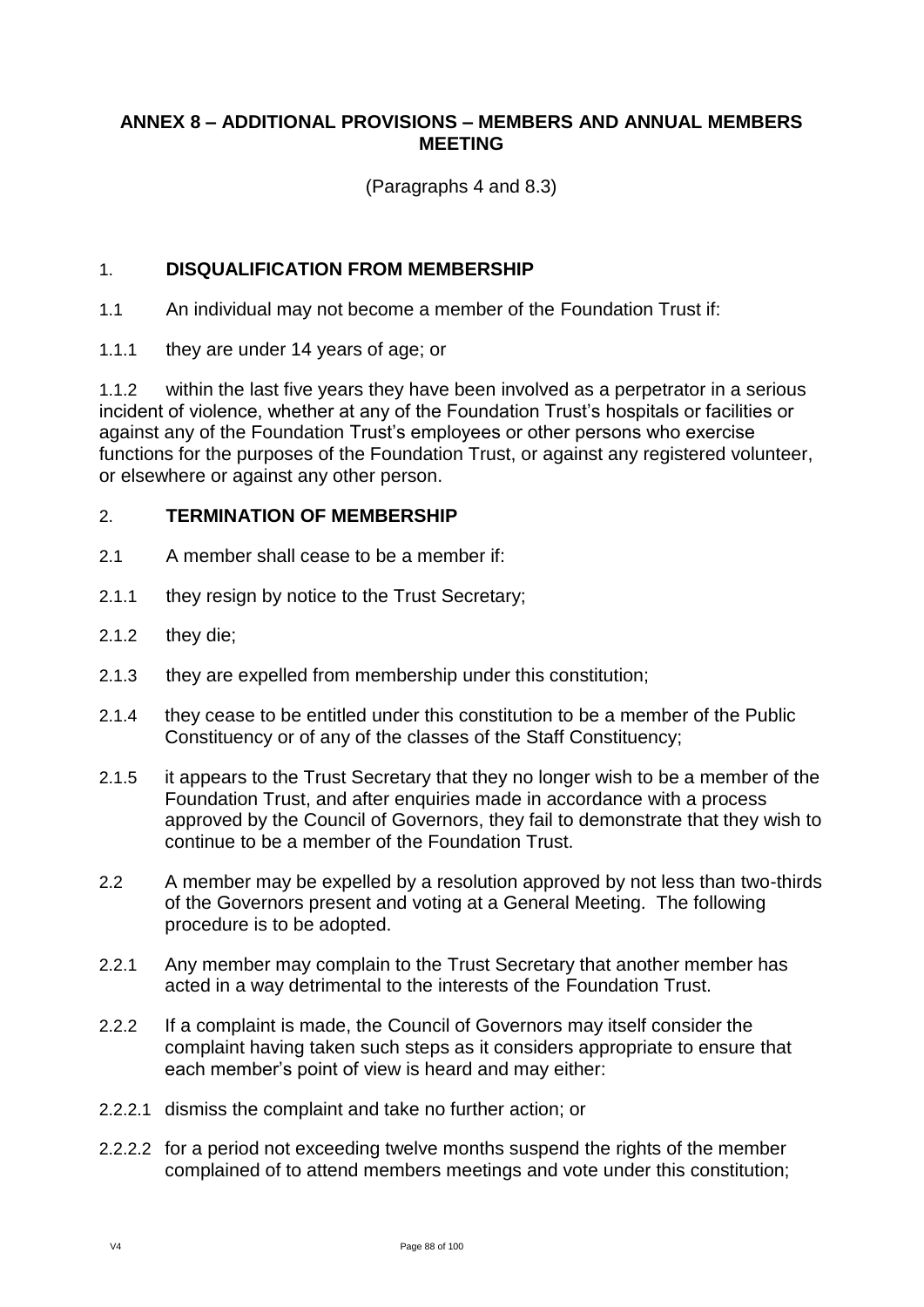## **ANNEX 8 – ADDITIONAL PROVISIONS – MEMBERS AND ANNUAL MEMBERS MEETING**

(Paragraphs 4 and 8.3)

### 1. **DISQUALIFICATION FROM MEMBERSHIP**

1.1 An individual may not become a member of the Foundation Trust if:

1.1.1 they are under 14 years of age; or

1.1.2 within the last five years they have been involved as a perpetrator in a serious incident of violence, whether at any of the Foundation Trust's hospitals or facilities or against any of the Foundation Trust's employees or other persons who exercise functions for the purposes of the Foundation Trust, or against any registered volunteer, or elsewhere or against any other person.

### 2. **TERMINATION OF MEMBERSHIP**

- 2.1 A member shall cease to be a member if:
- 2.1.1 they resign by notice to the Trust Secretary;
- 2.1.2 they die;
- 2.1.3 they are expelled from membership under this constitution;
- 2.1.4 they cease to be entitled under this constitution to be a member of the Public Constituency or of any of the classes of the Staff Constituency;
- 2.1.5 it appears to the Trust Secretary that they no longer wish to be a member of the Foundation Trust, and after enquiries made in accordance with a process approved by the Council of Governors, they fail to demonstrate that they wish to continue to be a member of the Foundation Trust.
- 2.2 A member may be expelled by a resolution approved by not less than two-thirds of the Governors present and voting at a General Meeting. The following procedure is to be adopted.
- 2.2.1 Any member may complain to the Trust Secretary that another member has acted in a way detrimental to the interests of the Foundation Trust.
- 2.2.2 If a complaint is made, the Council of Governors may itself consider the complaint having taken such steps as it considers appropriate to ensure that each member's point of view is heard and may either:
- 2.2.2.1 dismiss the complaint and take no further action; or
- 2.2.2.2 for a period not exceeding twelve months suspend the rights of the member complained of to attend members meetings and vote under this constitution;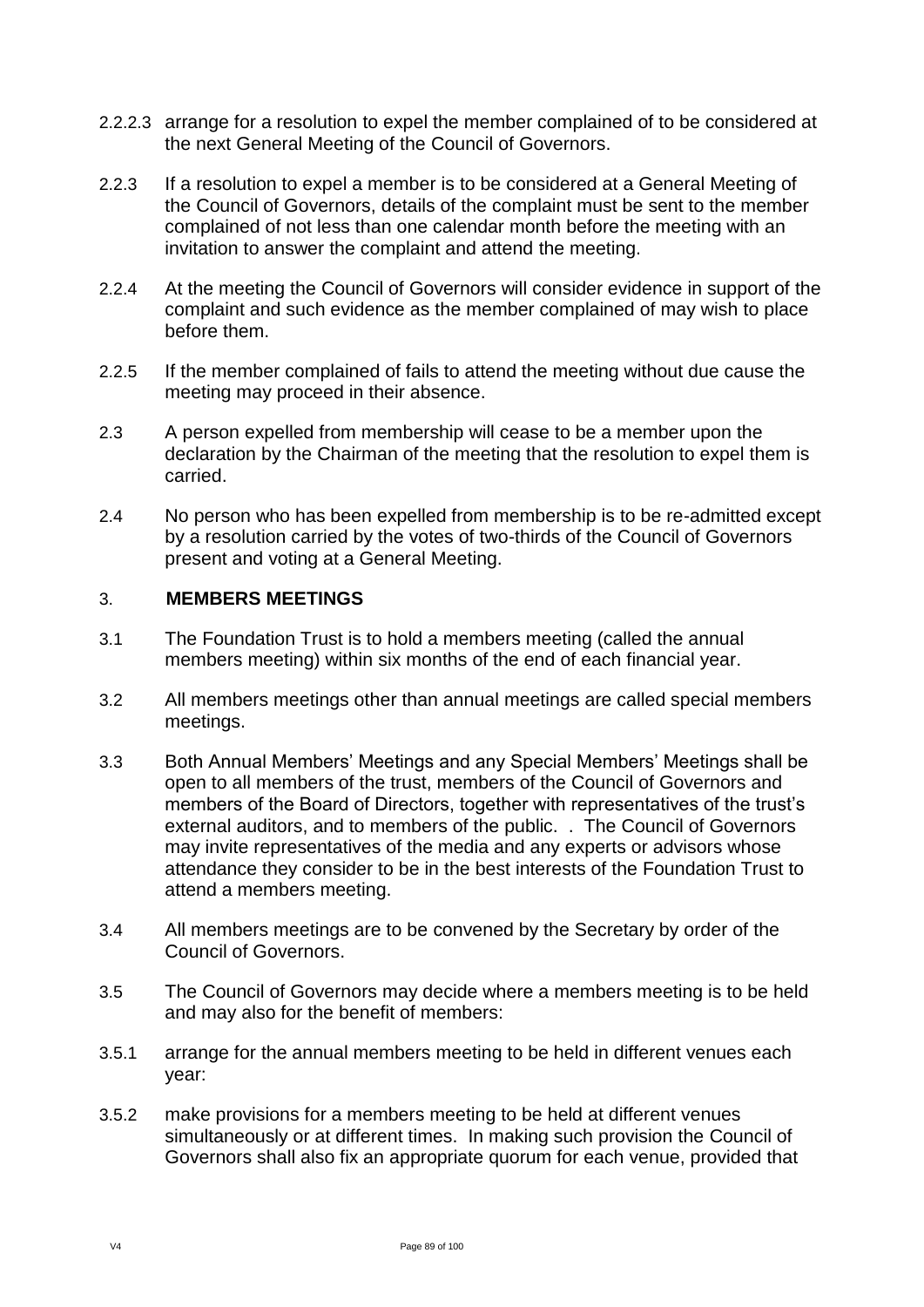- 2.2.2.3 arrange for a resolution to expel the member complained of to be considered at the next General Meeting of the Council of Governors.
- 2.2.3 If a resolution to expel a member is to be considered at a General Meeting of the Council of Governors, details of the complaint must be sent to the member complained of not less than one calendar month before the meeting with an invitation to answer the complaint and attend the meeting.
- 2.2.4 At the meeting the Council of Governors will consider evidence in support of the complaint and such evidence as the member complained of may wish to place before them.
- 2.2.5 If the member complained of fails to attend the meeting without due cause the meeting may proceed in their absence.
- 2.3 A person expelled from membership will cease to be a member upon the declaration by the Chairman of the meeting that the resolution to expel them is carried.
- 2.4 No person who has been expelled from membership is to be re-admitted except by a resolution carried by the votes of two-thirds of the Council of Governors present and voting at a General Meeting.

### 3. **MEMBERS MEETINGS**

- 3.1 The Foundation Trust is to hold a members meeting (called the annual members meeting) within six months of the end of each financial year.
- 3.2 All members meetings other than annual meetings are called special members meetings.
- 3.3 Both Annual Members' Meetings and any Special Members' Meetings shall be open to all members of the trust, members of the Council of Governors and members of the Board of Directors, together with representatives of the trust's external auditors, and to members of the public. . The Council of Governors may invite representatives of the media and any experts or advisors whose attendance they consider to be in the best interests of the Foundation Trust to attend a members meeting.
- 3.4 All members meetings are to be convened by the Secretary by order of the Council of Governors.
- 3.5 The Council of Governors may decide where a members meeting is to be held and may also for the benefit of members:
- 3.5.1 arrange for the annual members meeting to be held in different venues each year:
- 3.5.2 make provisions for a members meeting to be held at different venues simultaneously or at different times. In making such provision the Council of Governors shall also fix an appropriate quorum for each venue, provided that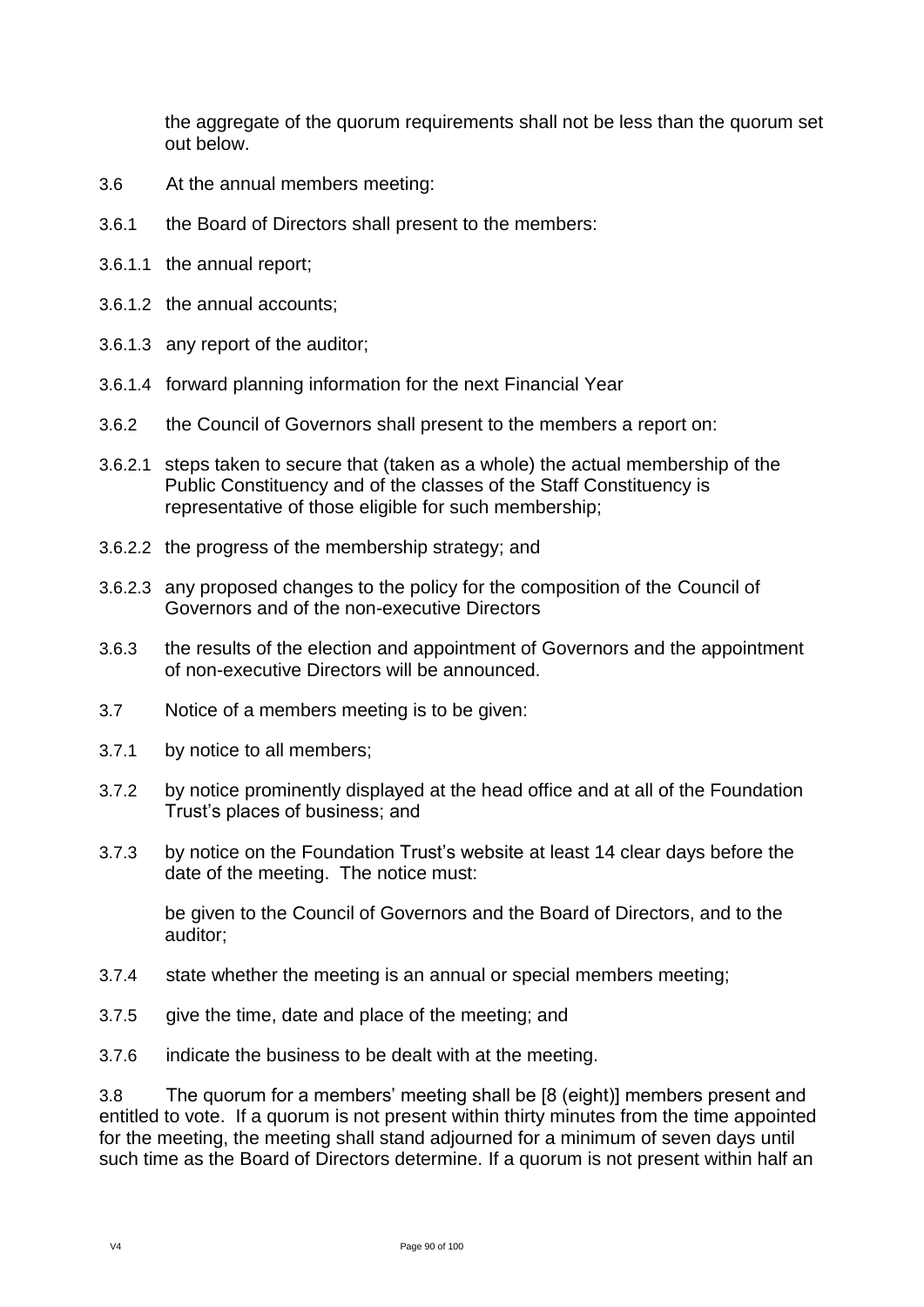the aggregate of the quorum requirements shall not be less than the quorum set out below.

- 3.6 At the annual members meeting:
- 3.6.1 the Board of Directors shall present to the members:
- 3.6.1.1 the annual report;
- 3.6.1.2 the annual accounts;
- 3.6.1.3 any report of the auditor;
- 3.6.1.4 forward planning information for the next Financial Year
- 3.6.2 the Council of Governors shall present to the members a report on:
- 3.6.2.1 steps taken to secure that (taken as a whole) the actual membership of the Public Constituency and of the classes of the Staff Constituency is representative of those eligible for such membership;
- 3.6.2.2 the progress of the membership strategy; and
- 3.6.2.3 any proposed changes to the policy for the composition of the Council of Governors and of the non-executive Directors
- 3.6.3 the results of the election and appointment of Governors and the appointment of non-executive Directors will be announced.
- 3.7 Notice of a members meeting is to be given:
- 3.7.1 by notice to all members;
- 3.7.2 by notice prominently displayed at the head office and at all of the Foundation Trust's places of business; and
- 3.7.3 by notice on the Foundation Trust's website at least 14 clear days before the date of the meeting. The notice must:

be given to the Council of Governors and the Board of Directors, and to the auditor;

- 3.7.4 state whether the meeting is an annual or special members meeting;
- 3.7.5 give the time, date and place of the meeting; and
- 3.7.6 indicate the business to be dealt with at the meeting.

3.8 The quorum for a members' meeting shall be [8 (eight)] members present and entitled to vote. If a quorum is not present within thirty minutes from the time appointed for the meeting, the meeting shall stand adjourned for a minimum of seven days until such time as the Board of Directors determine. If a quorum is not present within half an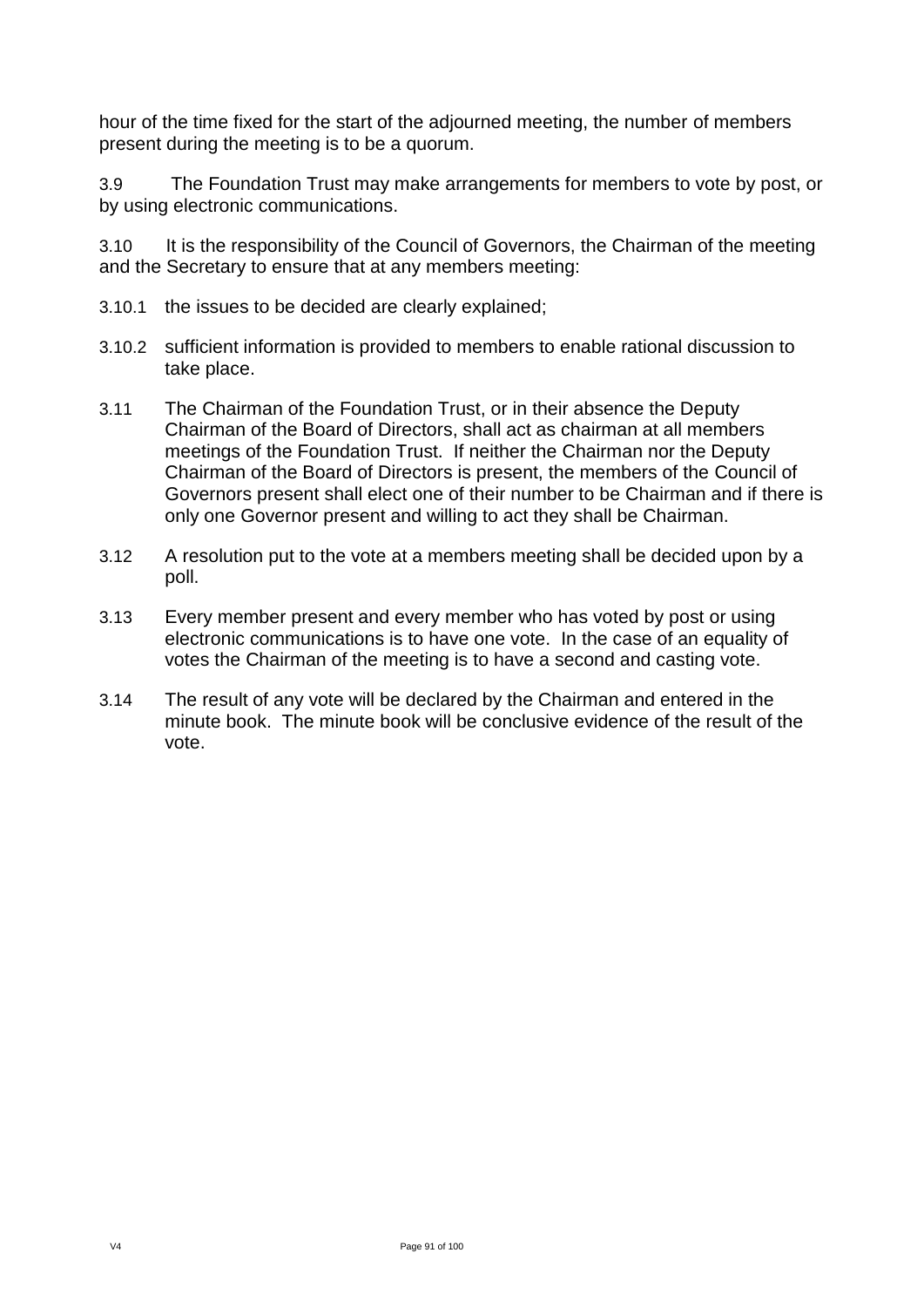hour of the time fixed for the start of the adjourned meeting, the number of members present during the meeting is to be a quorum.

3.9 The Foundation Trust may make arrangements for members to vote by post, or by using electronic communications.

3.10 It is the responsibility of the Council of Governors, the Chairman of the meeting and the Secretary to ensure that at any members meeting:

- 3.10.1 the issues to be decided are clearly explained;
- 3.10.2 sufficient information is provided to members to enable rational discussion to take place.
- 3.11 The Chairman of the Foundation Trust, or in their absence the Deputy Chairman of the Board of Directors, shall act as chairman at all members meetings of the Foundation Trust. If neither the Chairman nor the Deputy Chairman of the Board of Directors is present, the members of the Council of Governors present shall elect one of their number to be Chairman and if there is only one Governor present and willing to act they shall be Chairman.
- 3.12 A resolution put to the vote at a members meeting shall be decided upon by a poll.
- 3.13 Every member present and every member who has voted by post or using electronic communications is to have one vote. In the case of an equality of votes the Chairman of the meeting is to have a second and casting vote.
- 3.14 The result of any vote will be declared by the Chairman and entered in the minute book. The minute book will be conclusive evidence of the result of the vote.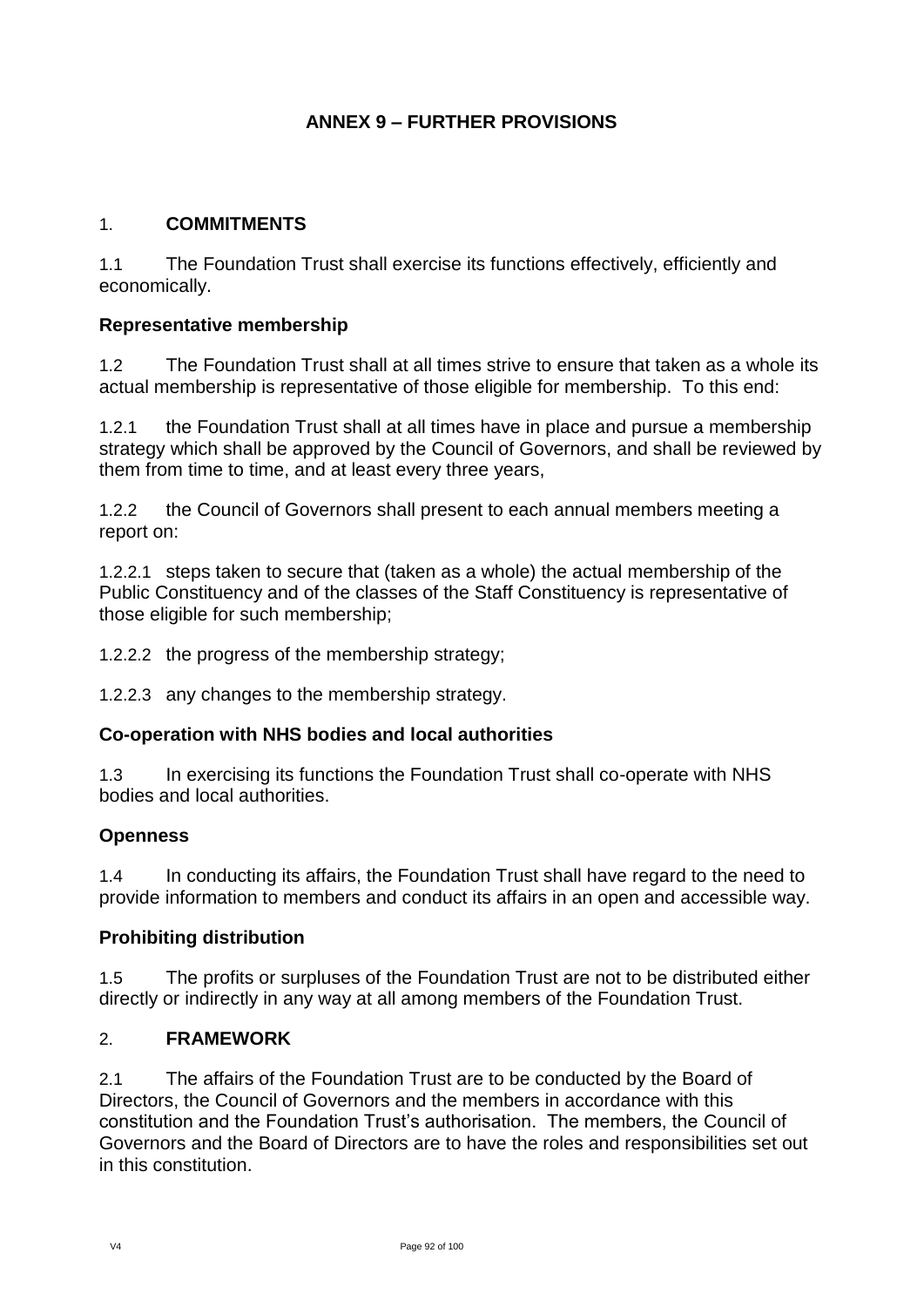# **ANNEX 9 – FURTHER PROVISIONS**

### 1. **COMMITMENTS**

1.1 The Foundation Trust shall exercise its functions effectively, efficiently and economically.

#### **Representative membership**

1.2 The Foundation Trust shall at all times strive to ensure that taken as a whole its actual membership is representative of those eligible for membership. To this end:

1.2.1 the Foundation Trust shall at all times have in place and pursue a membership strategy which shall be approved by the Council of Governors, and shall be reviewed by them from time to time, and at least every three years,

1.2.2 the Council of Governors shall present to each annual members meeting a report on:

1.2.2.1 steps taken to secure that (taken as a whole) the actual membership of the Public Constituency and of the classes of the Staff Constituency is representative of those eligible for such membership;

1.2.2.2 the progress of the membership strategy;

1.2.2.3 any changes to the membership strategy.

## **Co-operation with NHS bodies and local authorities**

1.3 In exercising its functions the Foundation Trust shall co-operate with NHS bodies and local authorities.

## **Openness**

1.4 In conducting its affairs, the Foundation Trust shall have regard to the need to provide information to members and conduct its affairs in an open and accessible way.

#### **Prohibiting distribution**

1.5 The profits or surpluses of the Foundation Trust are not to be distributed either directly or indirectly in any way at all among members of the Foundation Trust.

#### 2. **FRAMEWORK**

2.1 The affairs of the Foundation Trust are to be conducted by the Board of Directors, the Council of Governors and the members in accordance with this constitution and the Foundation Trust's authorisation. The members, the Council of Governors and the Board of Directors are to have the roles and responsibilities set out in this constitution.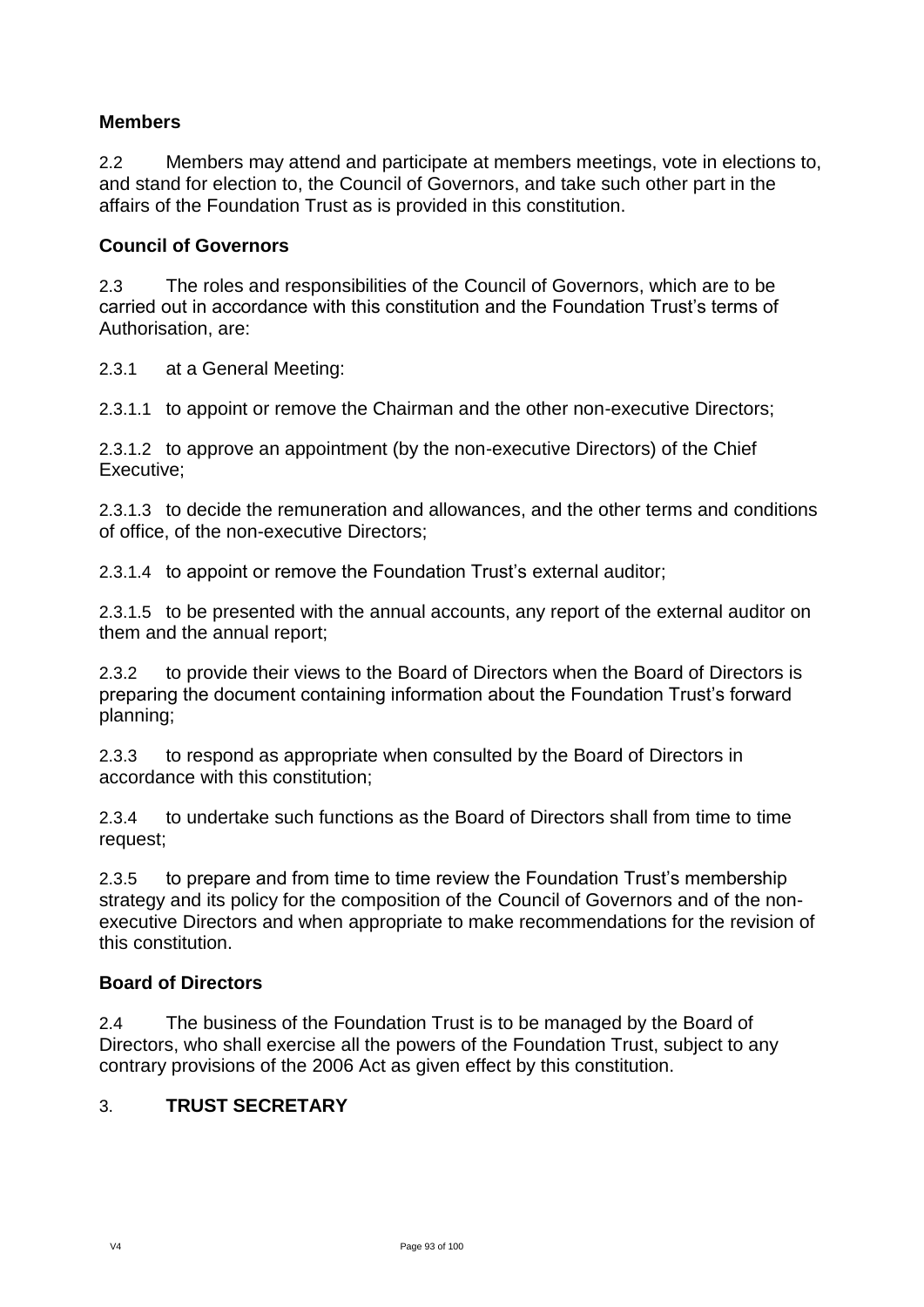## **Members**

2.2 Members may attend and participate at members meetings, vote in elections to, and stand for election to, the Council of Governors, and take such other part in the affairs of the Foundation Trust as is provided in this constitution.

### **Council of Governors**

2.3 The roles and responsibilities of the Council of Governors, which are to be carried out in accordance with this constitution and the Foundation Trust's terms of Authorisation, are:

2.3.1 at a General Meeting:

2.3.1.1 to appoint or remove the Chairman and the other non-executive Directors;

2.3.1.2 to approve an appointment (by the non-executive Directors) of the Chief Executive;

2.3.1.3 to decide the remuneration and allowances, and the other terms and conditions of office, of the non-executive Directors;

2.3.1.4 to appoint or remove the Foundation Trust's external auditor;

2.3.1.5 to be presented with the annual accounts, any report of the external auditor on them and the annual report;

2.3.2 to provide their views to the Board of Directors when the Board of Directors is preparing the document containing information about the Foundation Trust's forward planning;

2.3.3 to respond as appropriate when consulted by the Board of Directors in accordance with this constitution;

2.3.4 to undertake such functions as the Board of Directors shall from time to time request;

2.3.5 to prepare and from time to time review the Foundation Trust's membership strategy and its policy for the composition of the Council of Governors and of the nonexecutive Directors and when appropriate to make recommendations for the revision of this constitution.

#### **Board of Directors**

2.4 The business of the Foundation Trust is to be managed by the Board of Directors, who shall exercise all the powers of the Foundation Trust, subject to any contrary provisions of the 2006 Act as given effect by this constitution.

## 3. **TRUST SECRETARY**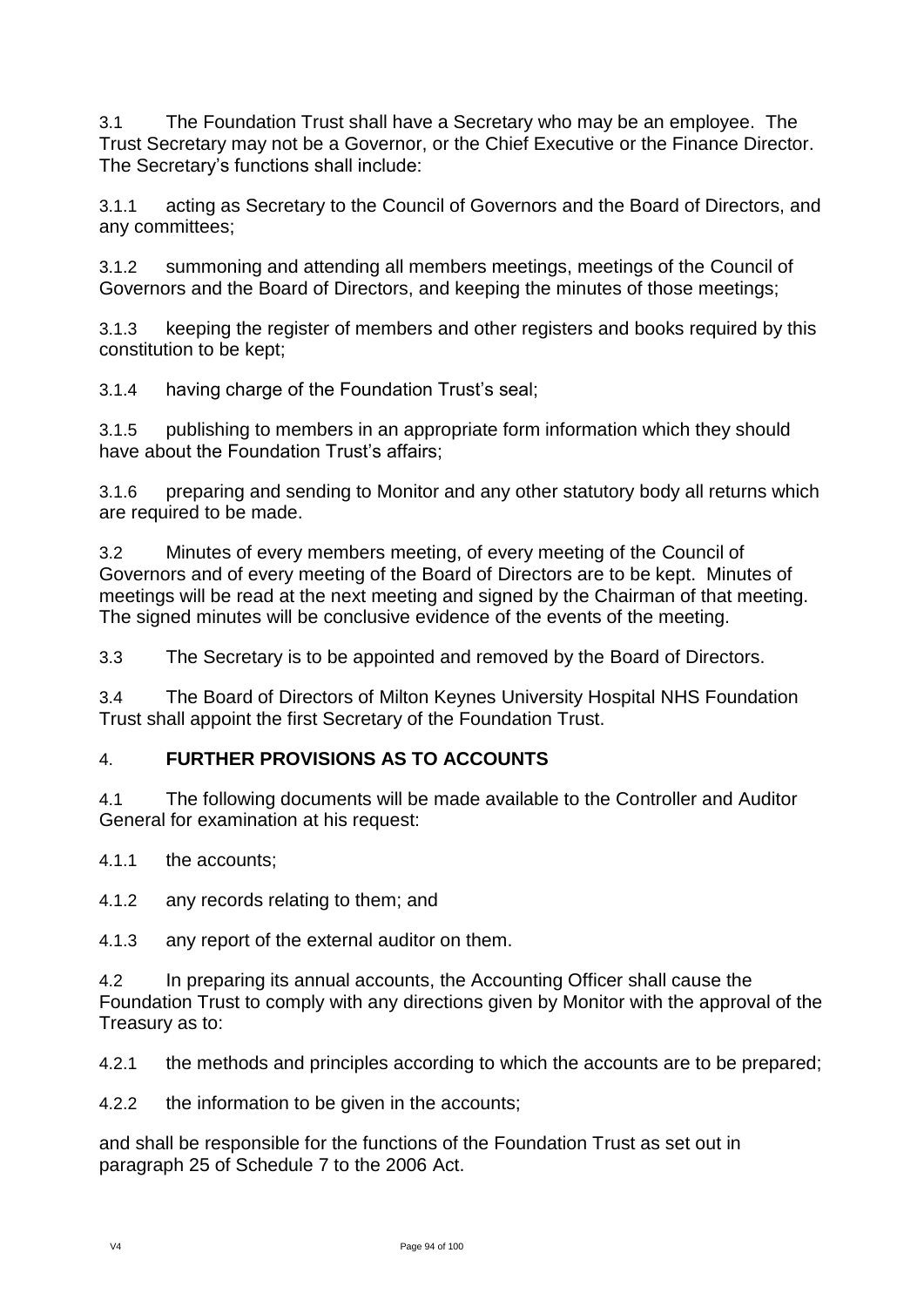3.1 The Foundation Trust shall have a Secretary who may be an employee. The Trust Secretary may not be a Governor, or the Chief Executive or the Finance Director. The Secretary's functions shall include:

3.1.1 acting as Secretary to the Council of Governors and the Board of Directors, and any committees;

3.1.2 summoning and attending all members meetings, meetings of the Council of Governors and the Board of Directors, and keeping the minutes of those meetings;

3.1.3 keeping the register of members and other registers and books required by this constitution to be kept;

3.1.4 having charge of the Foundation Trust's seal;

3.1.5 publishing to members in an appropriate form information which they should have about the Foundation Trust's affairs:

3.1.6 preparing and sending to Monitor and any other statutory body all returns which are required to be made.

3.2 Minutes of every members meeting, of every meeting of the Council of Governors and of every meeting of the Board of Directors are to be kept. Minutes of meetings will be read at the next meeting and signed by the Chairman of that meeting. The signed minutes will be conclusive evidence of the events of the meeting.

3.3 The Secretary is to be appointed and removed by the Board of Directors.

3.4 The Board of Directors of Milton Keynes University Hospital NHS Foundation Trust shall appoint the first Secretary of the Foundation Trust.

## 4. **FURTHER PROVISIONS AS TO ACCOUNTS**

4.1 The following documents will be made available to the Controller and Auditor General for examination at his request:

4.1.1 the accounts;

4.1.2 any records relating to them; and

4.1.3 any report of the external auditor on them.

4.2 In preparing its annual accounts, the Accounting Officer shall cause the Foundation Trust to comply with any directions given by Monitor with the approval of the Treasury as to:

4.2.1 the methods and principles according to which the accounts are to be prepared;

4.2.2 the information to be given in the accounts;

and shall be responsible for the functions of the Foundation Trust as set out in paragraph 25 of Schedule 7 to the 2006 Act.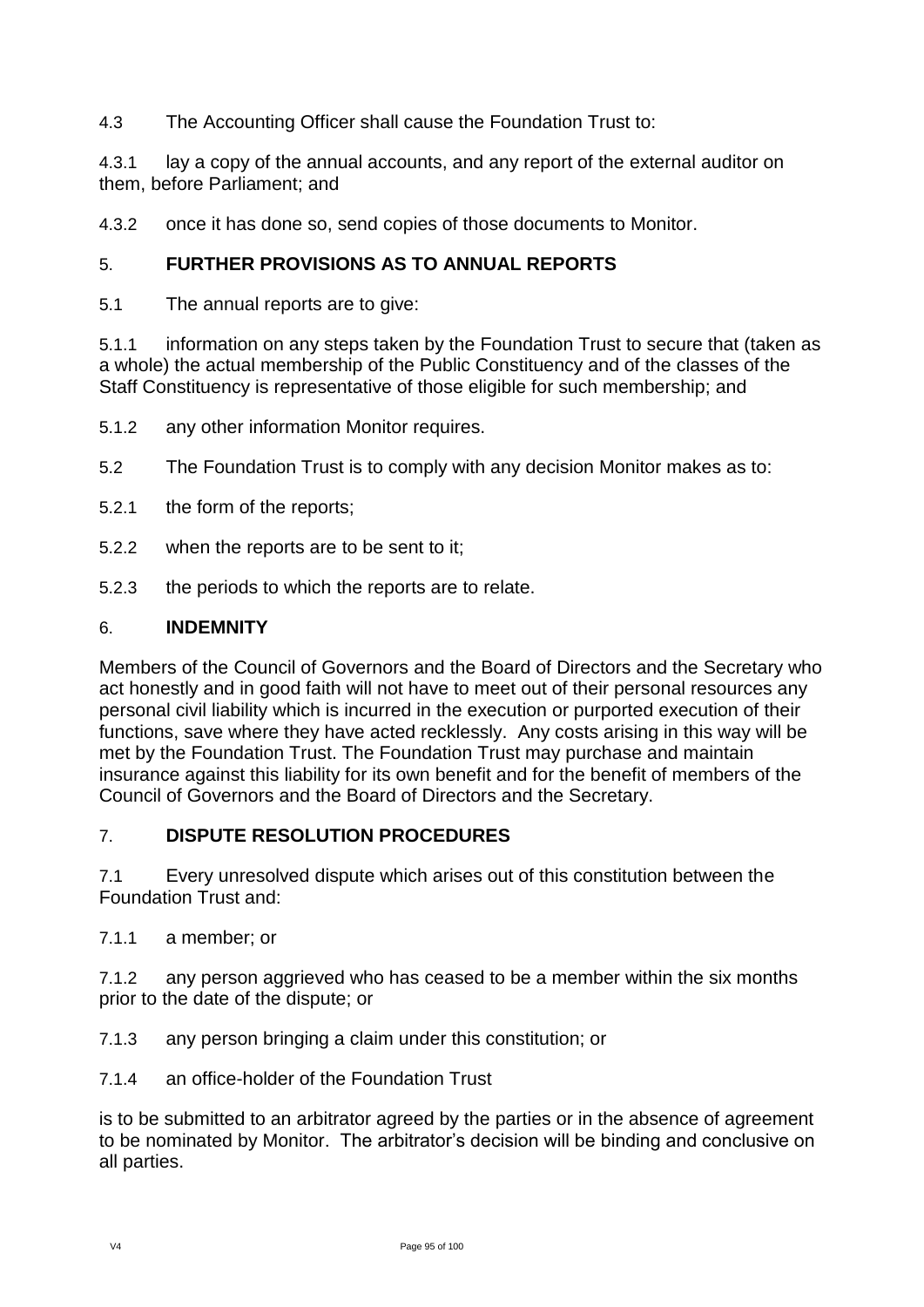## 4.3 The Accounting Officer shall cause the Foundation Trust to:

4.3.1 lay a copy of the annual accounts, and any report of the external auditor on them, before Parliament; and

4.3.2 once it has done so, send copies of those documents to Monitor.

## 5. **FURTHER PROVISIONS AS TO ANNUAL REPORTS**

5.1 The annual reports are to give:

5.1.1 information on any steps taken by the Foundation Trust to secure that (taken as a whole) the actual membership of the Public Constituency and of the classes of the Staff Constituency is representative of those eligible for such membership; and

5.1.2 any other information Monitor requires.

- 5.2 The Foundation Trust is to comply with any decision Monitor makes as to:
- 5.2.1 the form of the reports;
- 5.2.2 when the reports are to be sent to it;
- 5.2.3 the periods to which the reports are to relate.

#### 6. **INDEMNITY**

Members of the Council of Governors and the Board of Directors and the Secretary who act honestly and in good faith will not have to meet out of their personal resources any personal civil liability which is incurred in the execution or purported execution of their functions, save where they have acted recklessly. Any costs arising in this way will be met by the Foundation Trust. The Foundation Trust may purchase and maintain insurance against this liability for its own benefit and for the benefit of members of the Council of Governors and the Board of Directors and the Secretary.

## 7. **DISPUTE RESOLUTION PROCEDURES**

7.1 Every unresolved dispute which arises out of this constitution between the Foundation Trust and:

7.1.1 a member; or

7.1.2 any person aggrieved who has ceased to be a member within the six months prior to the date of the dispute; or

- 7.1.3 any person bringing a claim under this constitution; or
- 7.1.4 an office-holder of the Foundation Trust

is to be submitted to an arbitrator agreed by the parties or in the absence of agreement to be nominated by Monitor. The arbitrator's decision will be binding and conclusive on all parties.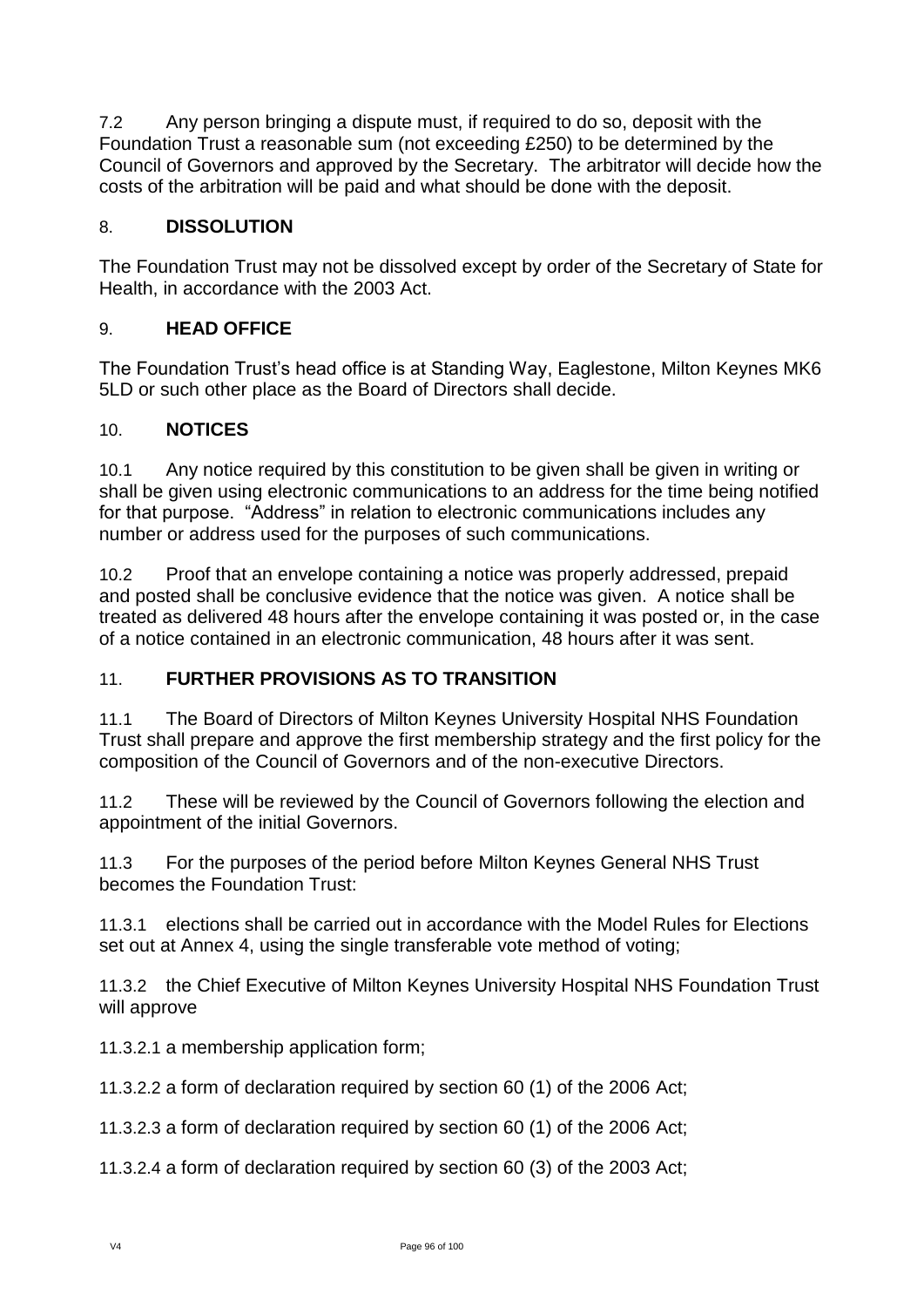7.2 Any person bringing a dispute must, if required to do so, deposit with the Foundation Trust a reasonable sum (not exceeding £250) to be determined by the Council of Governors and approved by the Secretary. The arbitrator will decide how the costs of the arbitration will be paid and what should be done with the deposit.

# 8. **DISSOLUTION**

The Foundation Trust may not be dissolved except by order of the Secretary of State for Health, in accordance with the 2003 Act.

## 9. **HEAD OFFICE**

The Foundation Trust's head office is at Standing Way, Eaglestone, Milton Keynes MK6 5LD or such other place as the Board of Directors shall decide.

## 10. **NOTICES**

10.1 Any notice required by this constitution to be given shall be given in writing or shall be given using electronic communications to an address for the time being notified for that purpose. "Address" in relation to electronic communications includes any number or address used for the purposes of such communications.

10.2 Proof that an envelope containing a notice was properly addressed, prepaid and posted shall be conclusive evidence that the notice was given. A notice shall be treated as delivered 48 hours after the envelope containing it was posted or, in the case of a notice contained in an electronic communication, 48 hours after it was sent.

## 11. **FURTHER PROVISIONS AS TO TRANSITION**

11.1 The Board of Directors of Milton Keynes University Hospital NHS Foundation Trust shall prepare and approve the first membership strategy and the first policy for the composition of the Council of Governors and of the non-executive Directors.

11.2 These will be reviewed by the Council of Governors following the election and appointment of the initial Governors.

11.3 For the purposes of the period before Milton Keynes General NHS Trust becomes the Foundation Trust:

11.3.1 elections shall be carried out in accordance with the Model Rules for Elections set out at Annex 4, using the single transferable vote method of voting;

11.3.2 the Chief Executive of Milton Keynes University Hospital NHS Foundation Trust will approve

11.3.2.1 a membership application form;

11.3.2.2 a form of declaration required by section 60 (1) of the 2006 Act;

11.3.2.3 a form of declaration required by section 60 (1) of the 2006 Act;

11.3.2.4 a form of declaration required by section 60 (3) of the 2003 Act;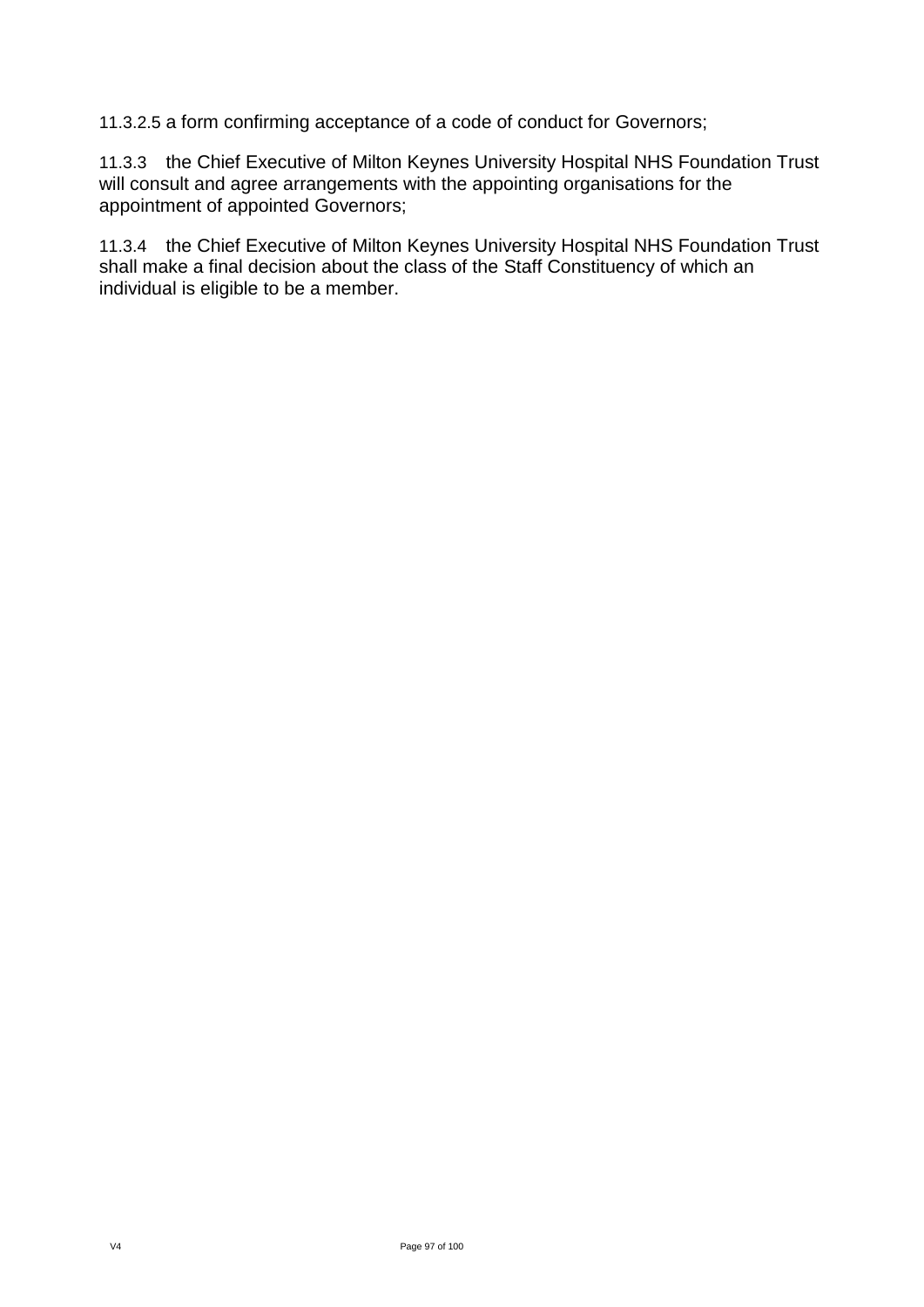11.3.2.5 a form confirming acceptance of a code of conduct for Governors;

11.3.3 the Chief Executive of Milton Keynes University Hospital NHS Foundation Trust will consult and agree arrangements with the appointing organisations for the appointment of appointed Governors;

11.3.4 the Chief Executive of Milton Keynes University Hospital NHS Foundation Trust shall make a final decision about the class of the Staff Constituency of which an individual is eligible to be a member.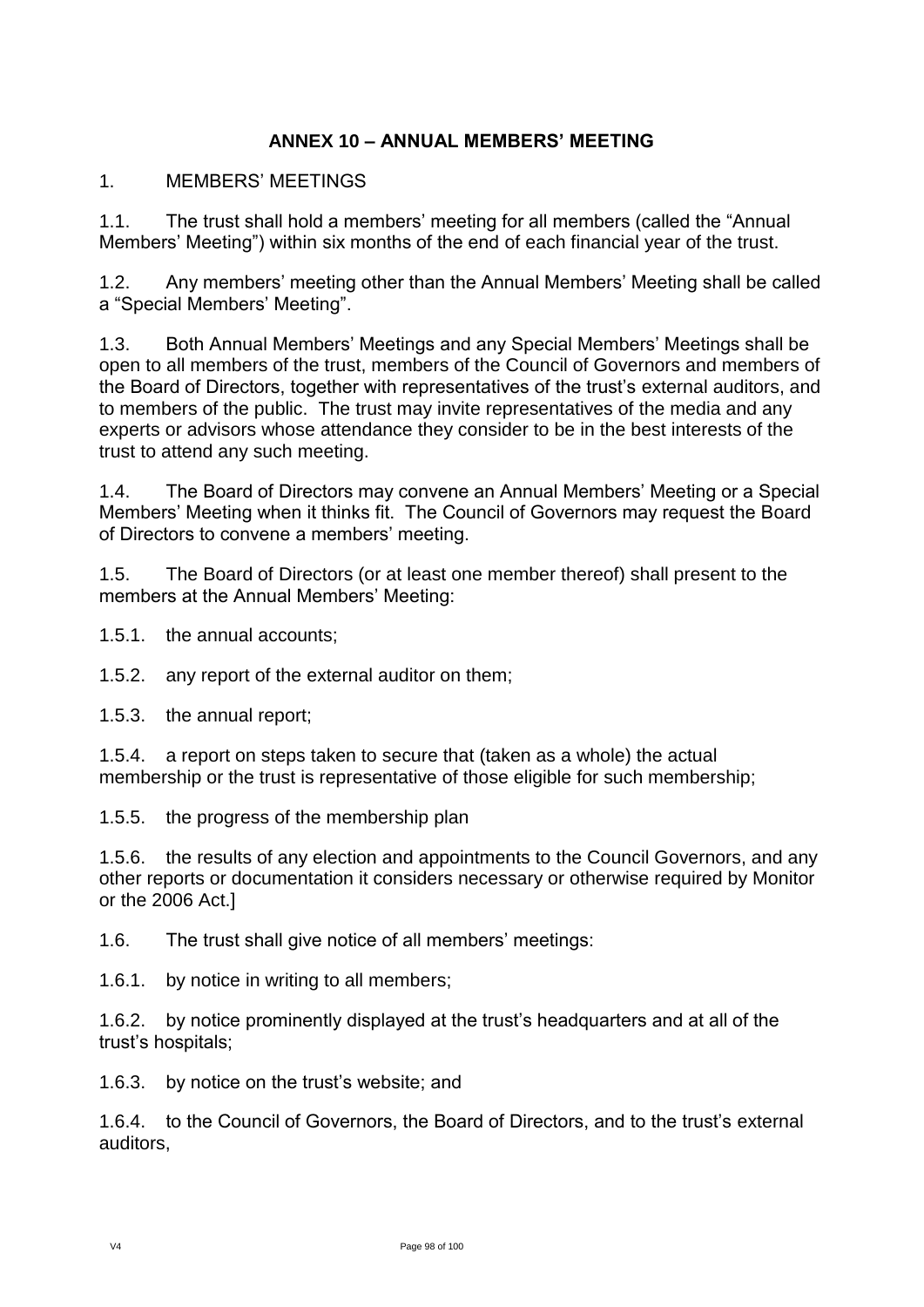## **ANNEX 10 – ANNUAL MEMBERS' MEETING**

## 1. MEMBERS' MEETINGS

1.1. The trust shall hold a members' meeting for all members (called the "Annual Members' Meeting") within six months of the end of each financial year of the trust.

1.2. Any members' meeting other than the Annual Members' Meeting shall be called a "Special Members' Meeting".

1.3. Both Annual Members' Meetings and any Special Members' Meetings shall be open to all members of the trust, members of the Council of Governors and members of the Board of Directors, together with representatives of the trust's external auditors, and to members of the public. The trust may invite representatives of the media and any experts or advisors whose attendance they consider to be in the best interests of the trust to attend any such meeting.

1.4. The Board of Directors may convene an Annual Members' Meeting or a Special Members' Meeting when it thinks fit. The Council of Governors may request the Board of Directors to convene a members' meeting.

1.5. The Board of Directors (or at least one member thereof) shall present to the members at the Annual Members' Meeting:

1.5.1. the annual accounts;

1.5.2. any report of the external auditor on them;

1.5.3. the annual report;

1.5.4. a report on steps taken to secure that (taken as a whole) the actual membership or the trust is representative of those eligible for such membership;

1.5.5. the progress of the membership plan

1.5.6. the results of any election and appointments to the Council Governors, and any other reports or documentation it considers necessary or otherwise required by Monitor or the 2006 Act.]

1.6. The trust shall give notice of all members' meetings:

1.6.1. by notice in writing to all members;

1.6.2. by notice prominently displayed at the trust's headquarters and at all of the trust's hospitals;

1.6.3. by notice on the trust's website; and

1.6.4. to the Council of Governors, the Board of Directors, and to the trust's external auditors,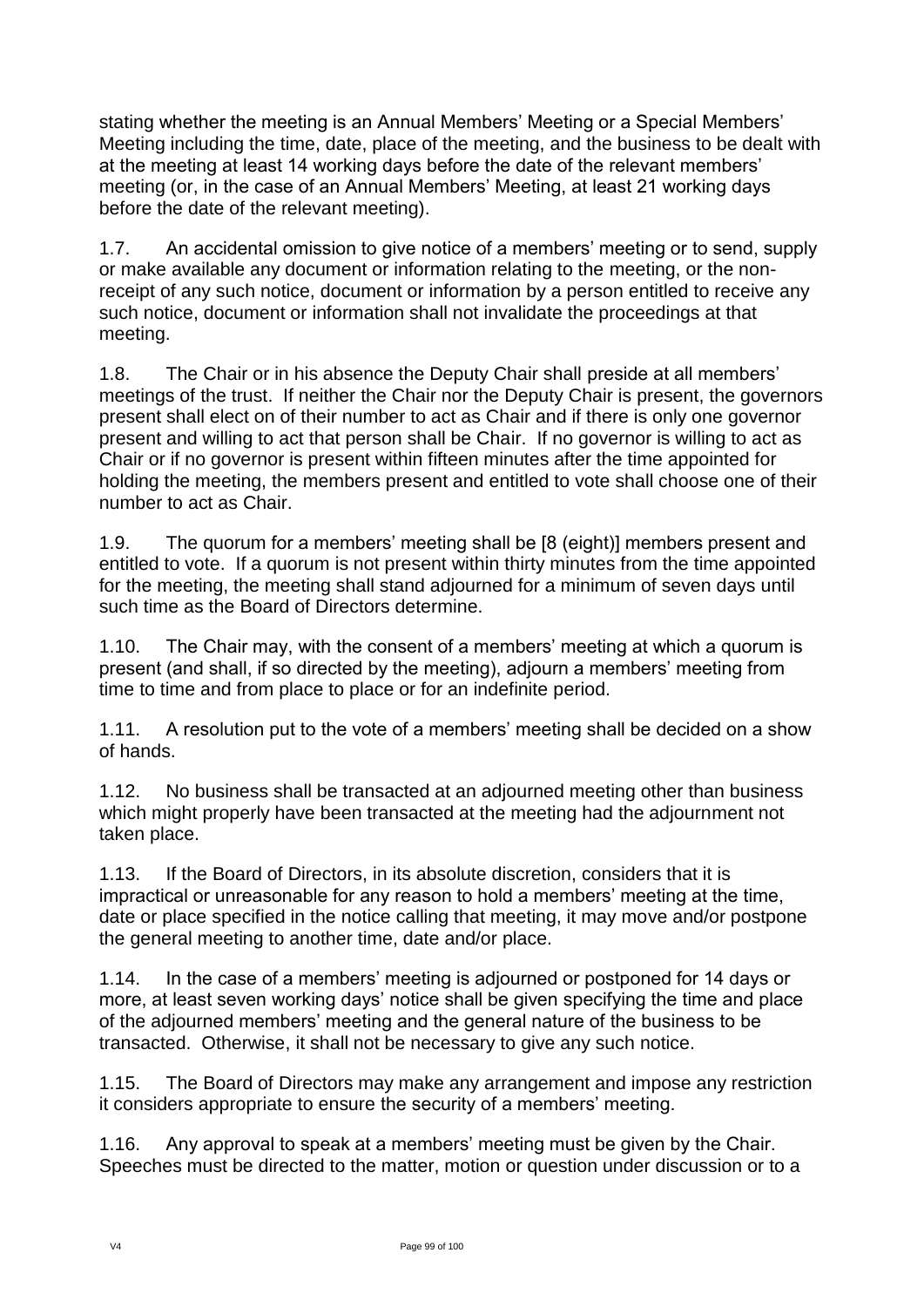stating whether the meeting is an Annual Members' Meeting or a Special Members' Meeting including the time, date, place of the meeting, and the business to be dealt with at the meeting at least 14 working days before the date of the relevant members' meeting (or, in the case of an Annual Members' Meeting, at least 21 working days before the date of the relevant meeting).

1.7. An accidental omission to give notice of a members' meeting or to send, supply or make available any document or information relating to the meeting, or the nonreceipt of any such notice, document or information by a person entitled to receive any such notice, document or information shall not invalidate the proceedings at that meeting.

1.8. The Chair or in his absence the Deputy Chair shall preside at all members' meetings of the trust. If neither the Chair nor the Deputy Chair is present, the governors present shall elect on of their number to act as Chair and if there is only one governor present and willing to act that person shall be Chair. If no governor is willing to act as Chair or if no governor is present within fifteen minutes after the time appointed for holding the meeting, the members present and entitled to vote shall choose one of their number to act as Chair.

1.9. The quorum for a members' meeting shall be [8 (eight)] members present and entitled to vote. If a quorum is not present within thirty minutes from the time appointed for the meeting, the meeting shall stand adjourned for a minimum of seven days until such time as the Board of Directors determine.

1.10. The Chair may, with the consent of a members' meeting at which a quorum is present (and shall, if so directed by the meeting), adjourn a members' meeting from time to time and from place to place or for an indefinite period.

1.11. A resolution put to the vote of a members' meeting shall be decided on a show of hands.

1.12. No business shall be transacted at an adjourned meeting other than business which might properly have been transacted at the meeting had the adjournment not taken place.

1.13. If the Board of Directors, in its absolute discretion, considers that it is impractical or unreasonable for any reason to hold a members' meeting at the time, date or place specified in the notice calling that meeting, it may move and/or postpone the general meeting to another time, date and/or place.

1.14. In the case of a members' meeting is adjourned or postponed for 14 days or more, at least seven working days' notice shall be given specifying the time and place of the adjourned members' meeting and the general nature of the business to be transacted. Otherwise, it shall not be necessary to give any such notice.

1.15. The Board of Directors may make any arrangement and impose any restriction it considers appropriate to ensure the security of a members' meeting.

1.16. Any approval to speak at a members' meeting must be given by the Chair. Speeches must be directed to the matter, motion or question under discussion or to a